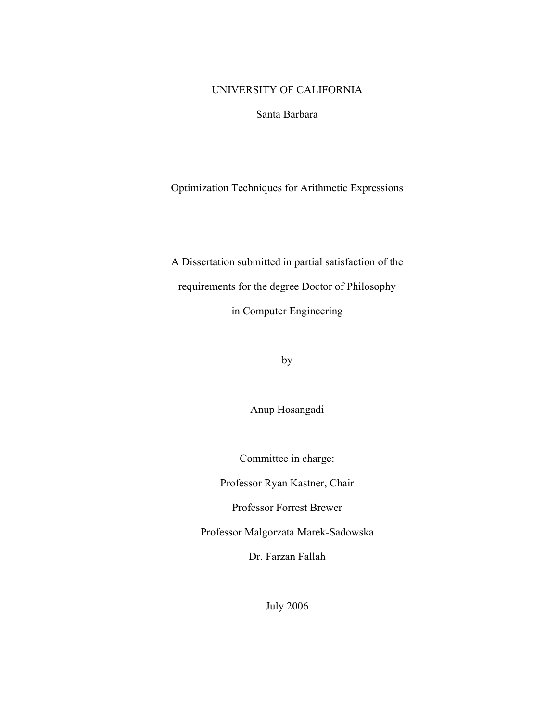### UNIVERSITY OF CALIFORNIA

Santa Barbara

Optimization Techniques for Arithmetic Expressions

A Dissertation submitted in partial satisfaction of the requirements for the degree Doctor of Philosophy in Computer Engineering

by

Anup Hosangadi

Committee in charge:

Professor Ryan Kastner, Chair

Professor Forrest Brewer

Professor Malgorzata Marek-Sadowska

Dr. Farzan Fallah

July 2006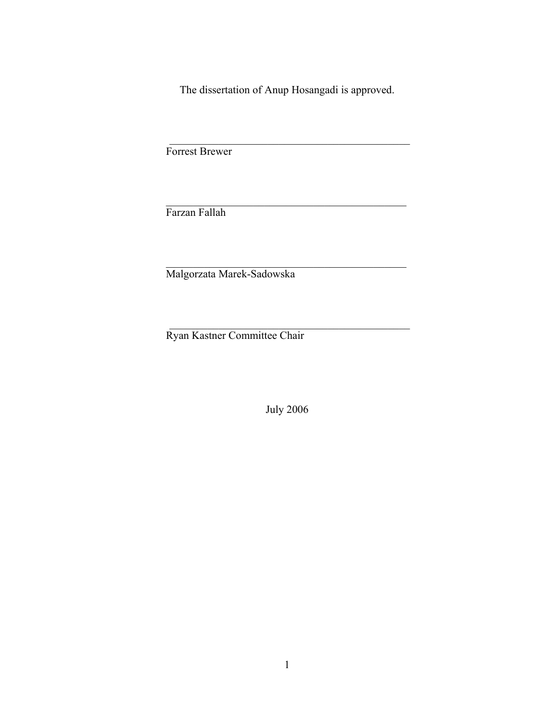The dissertation of Anup Hosangadi is approved.

 $\mathcal{L}_\text{max}$  and the contract of the contract of the contract of the contract of the contract of the contract of the contract of the contract of the contract of the contract of the contract of the contract of the contrac

 $\mathcal{L}_\text{max}$  and the contract of the contract of the contract of the contract of the contract of the contract of the contract of the contract of the contract of the contract of the contract of the contract of the contrac

 $\mathcal{L}_\text{max}$  and the contract of the contract of the contract of the contract of the contract of the contract of the contract of the contract of the contract of the contract of the contract of the contract of the contrac

 $\mathcal{L}_\text{max}$  and the contract of the contract of the contract of the contract of the contract of the contract of the contract of the contract of the contract of the contract of the contract of the contract of the contrac

Forrest Brewer

Farzan Fallah

Malgorzata Marek-Sadowska

Ryan Kastner Committee Chair

July 2006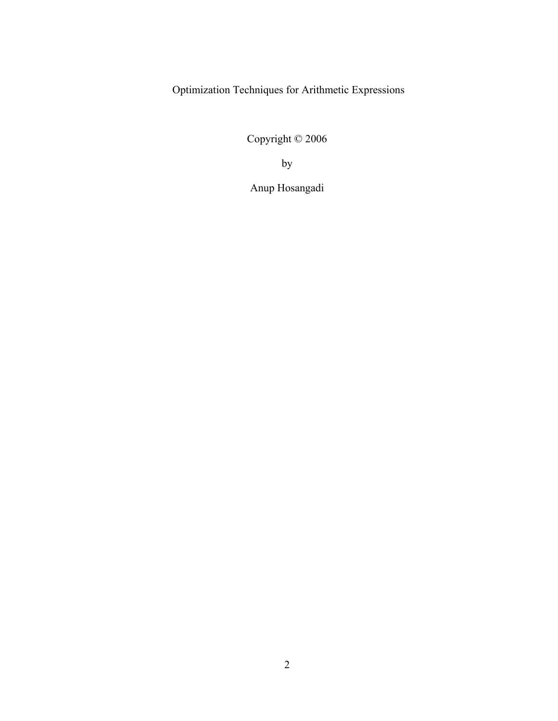Optimization Techniques for Arithmetic Expressions

Copyright © 2006

by

Anup Hosangadi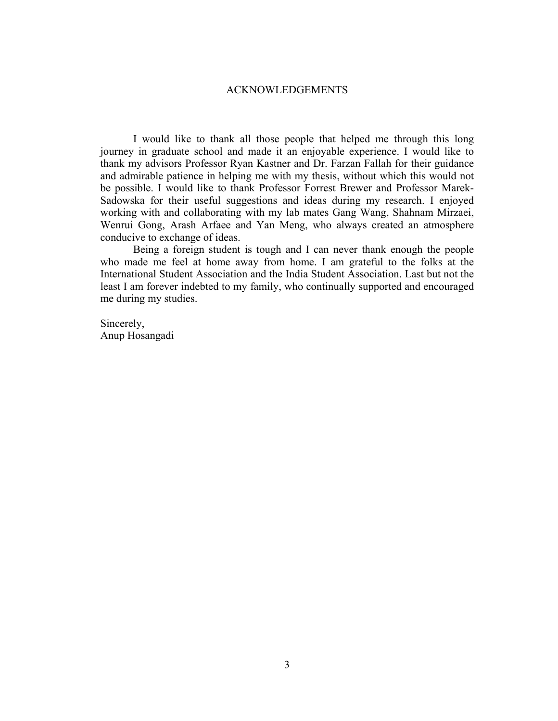#### ACKNOWLEDGEMENTS

I would like to thank all those people that helped me through this long journey in graduate school and made it an enjoyable experience. I would like to thank my advisors Professor Ryan Kastner and Dr. Farzan Fallah for their guidance and admirable patience in helping me with my thesis, without which this would not be possible. I would like to thank Professor Forrest Brewer and Professor Marek-Sadowska for their useful suggestions and ideas during my research. I enjoyed working with and collaborating with my lab mates Gang Wang, Shahnam Mirzaei, Wenrui Gong, Arash Arfaee and Yan Meng, who always created an atmosphere conducive to exchange of ideas.

Being a foreign student is tough and I can never thank enough the people who made me feel at home away from home. I am grateful to the folks at the International Student Association and the India Student Association. Last but not the least I am forever indebted to my family, who continually supported and encouraged me during my studies.

Sincerely, Anup Hosangadi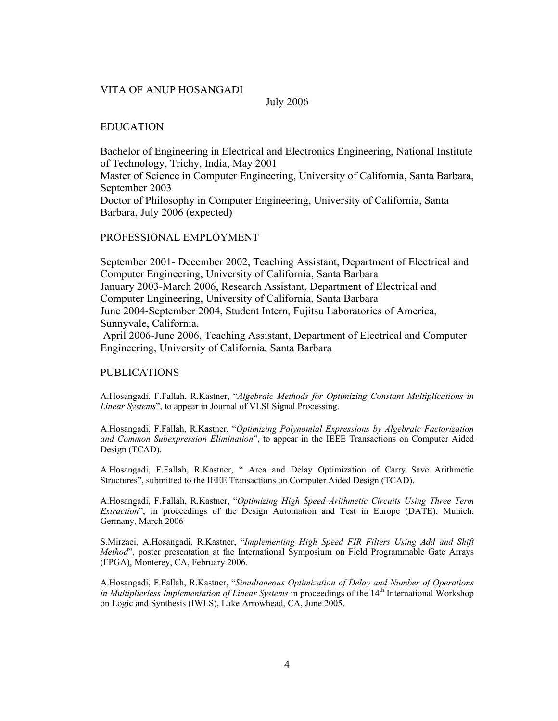#### VITA OF ANUP HOSANGADI

July 2006

#### EDUCATION

Bachelor of Engineering in Electrical and Electronics Engineering, National Institute of Technology, Trichy, India, May 2001 Master of Science in Computer Engineering, University of California, Santa Barbara, September 2003 Doctor of Philosophy in Computer Engineering, University of California, Santa Barbara, July 2006 (expected)

#### PROFESSIONAL EMPLOYMENT

September 2001- December 2002, Teaching Assistant, Department of Electrical and Computer Engineering, University of California, Santa Barbara January 2003-March 2006, Research Assistant, Department of Electrical and Computer Engineering, University of California, Santa Barbara June 2004-September 2004, Student Intern, Fujitsu Laboratories of America, Sunnyvale, California. April 2006-June 2006, Teaching Assistant, Department of Electrical and Computer

Engineering, University of California, Santa Barbara

#### PUBLICATIONS

A.Hosangadi, F.Fallah, R.Kastner, "*Algebraic Methods for Optimizing Constant Multiplications in Linear Systems*", to appear in Journal of VLSI Signal Processing.

A.Hosangadi, F.Fallah, R.Kastner, "*Optimizing Polynomial Expressions by Algebraic Factorization and Common Subexpression Elimination*", to appear in the IEEE Transactions on Computer Aided Design (TCAD).

A.Hosangadi, F.Fallah, R.Kastner, " Area and Delay Optimization of Carry Save Arithmetic Structures", submitted to the IEEE Transactions on Computer Aided Design (TCAD).

A.Hosangadi, F.Fallah, R.Kastner, "*Optimizing High Speed Arithmetic Circuits Using Three Term Extraction*", in proceedings of the Design Automation and Test in Europe (DATE), Munich, Germany, March 2006

S.Mirzaei, A.Hosangadi, R.Kastner, "*Implementing High Speed FIR Filters Using Add and Shift Method*", poster presentation at the International Symposium on Field Programmable Gate Arrays (FPGA), Monterey, CA, February 2006.

A.Hosangadi, F.Fallah, R.Kastner, "*Simultaneous Optimization of Delay and Number of Operations in Multiplierless Implementation of Linear Systems* in proceedings of the 14<sup>th</sup> International Workshop on Logic and Synthesis (IWLS), Lake Arrowhead, CA, June 2005.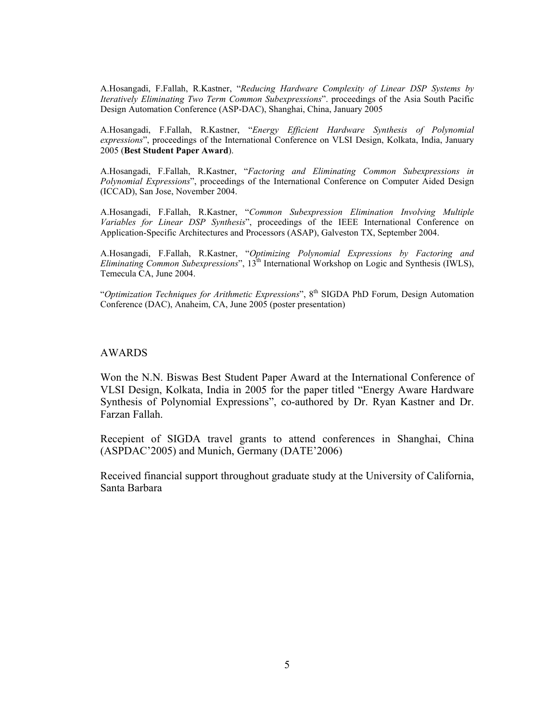A.Hosangadi, F.Fallah, R.Kastner, "*Reducing Hardware Complexity of Linear DSP Systems by Iteratively Eliminating Two Term Common Subexpressions*". proceedings of the Asia South Pacific Design Automation Conference (ASP-DAC), Shanghai, China, January 2005

A.Hosangadi, F.Fallah, R.Kastner, "*Energy Efficient Hardware Synthesis of Polynomial expressions*", proceedings of the International Conference on VLSI Design, Kolkata, India, January 2005 (**Best Student Paper Award**).

A.Hosangadi, F.Fallah, R.Kastner, "*Factoring and Eliminating Common Subexpressions in Polynomial Expressions*", proceedings of the International Conference on Computer Aided Design (ICCAD), San Jose, November 2004.

A.Hosangadi, F.Fallah, R.Kastner, "*Common Subexpression Elimination Involving Multiple Variables for Linear DSP Synthesis*", proceedings of the IEEE International Conference on Application-Specific Architectures and Processors (ASAP), Galveston TX, September 2004.

A.Hosangadi, F.Fallah, R.Kastner, "*Optimizing Polynomial Expressions by Factoring and Eliminating Common Subexpressions*", 13<sup>th</sup> International Workshop on Logic and Synthesis (IWLS), Temecula CA, June 2004.

"Optimization Techniques for Arithmetic Expressions", 8<sup>th</sup> SIGDA PhD Forum, Design Automation Conference (DAC), Anaheim, CA, June 2005 (poster presentation)

#### AWARDS

Won the N.N. Biswas Best Student Paper Award at the International Conference of VLSI Design, Kolkata, India in 2005 for the paper titled "Energy Aware Hardware Synthesis of Polynomial Expressions", co-authored by Dr. Ryan Kastner and Dr. Farzan Fallah.

Recepient of SIGDA travel grants to attend conferences in Shanghai, China (ASPDAC'2005) and Munich, Germany (DATE'2006)

Received financial support throughout graduate study at the University of California, Santa Barbara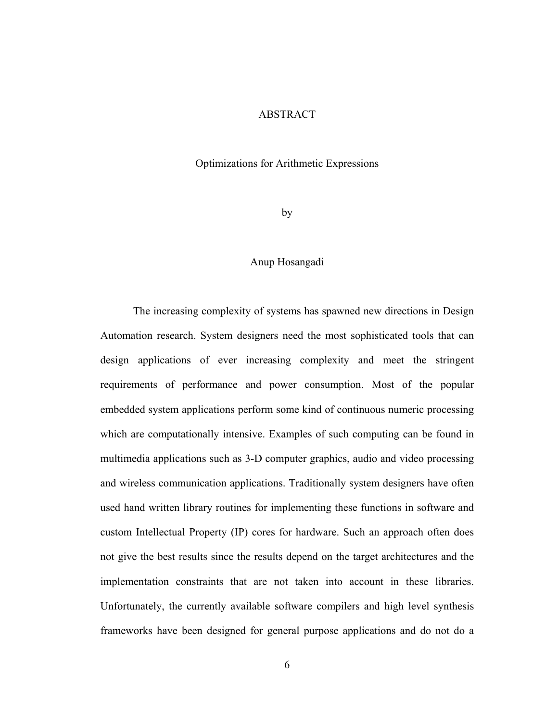#### ABSTRACT

#### Optimizations for Arithmetic Expressions

by

#### Anup Hosangadi

The increasing complexity of systems has spawned new directions in Design Automation research. System designers need the most sophisticated tools that can design applications of ever increasing complexity and meet the stringent requirements of performance and power consumption. Most of the popular embedded system applications perform some kind of continuous numeric processing which are computationally intensive. Examples of such computing can be found in multimedia applications such as 3-D computer graphics, audio and video processing and wireless communication applications. Traditionally system designers have often used hand written library routines for implementing these functions in software and custom Intellectual Property (IP) cores for hardware. Such an approach often does not give the best results since the results depend on the target architectures and the implementation constraints that are not taken into account in these libraries. Unfortunately, the currently available software compilers and high level synthesis frameworks have been designed for general purpose applications and do not do a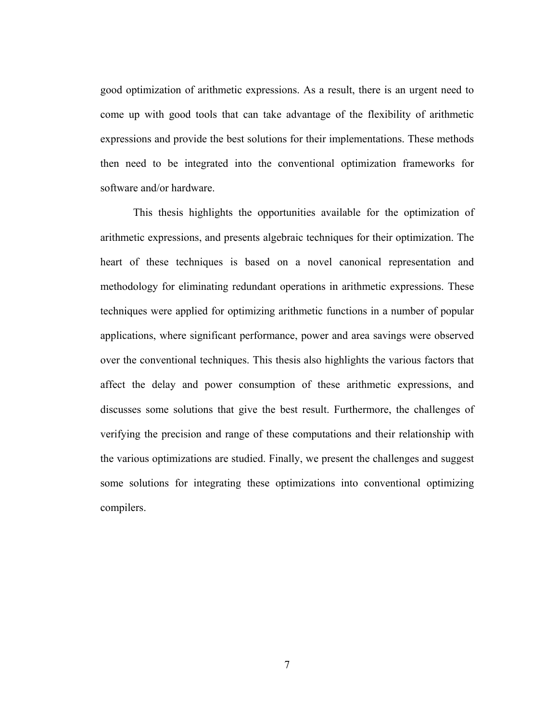good optimization of arithmetic expressions. As a result, there is an urgent need to come up with good tools that can take advantage of the flexibility of arithmetic expressions and provide the best solutions for their implementations. These methods then need to be integrated into the conventional optimization frameworks for software and/or hardware.

This thesis highlights the opportunities available for the optimization of arithmetic expressions, and presents algebraic techniques for their optimization. The heart of these techniques is based on a novel canonical representation and methodology for eliminating redundant operations in arithmetic expressions. These techniques were applied for optimizing arithmetic functions in a number of popular applications, where significant performance, power and area savings were observed over the conventional techniques. This thesis also highlights the various factors that affect the delay and power consumption of these arithmetic expressions, and discusses some solutions that give the best result. Furthermore, the challenges of verifying the precision and range of these computations and their relationship with the various optimizations are studied. Finally, we present the challenges and suggest some solutions for integrating these optimizations into conventional optimizing compilers.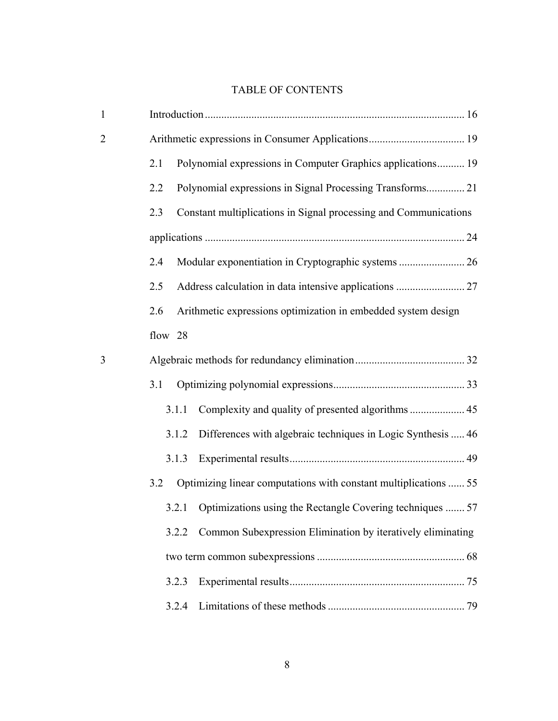# TABLE OF CONTENTS

| $\mathbf{1}$   |                                                                         |                                                                  |  |  |  |
|----------------|-------------------------------------------------------------------------|------------------------------------------------------------------|--|--|--|
| $\overline{2}$ |                                                                         |                                                                  |  |  |  |
|                | 2.1                                                                     | Polynomial expressions in Computer Graphics applications 19      |  |  |  |
|                | 2.2                                                                     | Polynomial expressions in Signal Processing Transforms 21        |  |  |  |
|                | Constant multiplications in Signal processing and Communications<br>2.3 |                                                                  |  |  |  |
|                |                                                                         |                                                                  |  |  |  |
|                | 2.4                                                                     |                                                                  |  |  |  |
|                | 2.5                                                                     |                                                                  |  |  |  |
|                | 2.6                                                                     | Arithmetic expressions optimization in embedded system design    |  |  |  |
|                | flow 28                                                                 |                                                                  |  |  |  |
| 3              |                                                                         |                                                                  |  |  |  |
|                | 3.1                                                                     |                                                                  |  |  |  |
|                | 3.1.1                                                                   |                                                                  |  |  |  |
|                | 3.1.2                                                                   | Differences with algebraic techniques in Logic Synthesis  46     |  |  |  |
|                | 3.1.3                                                                   |                                                                  |  |  |  |
|                | 3.2                                                                     | Optimizing linear computations with constant multiplications  55 |  |  |  |
|                | 3.2.1                                                                   | Optimizations using the Rectangle Covering techniques  57        |  |  |  |
|                | 3.2.2                                                                   | Common Subexpression Elimination by iteratively eliminating      |  |  |  |
|                |                                                                         |                                                                  |  |  |  |
|                | 3.2.3                                                                   |                                                                  |  |  |  |
|                | 3.2.4                                                                   |                                                                  |  |  |  |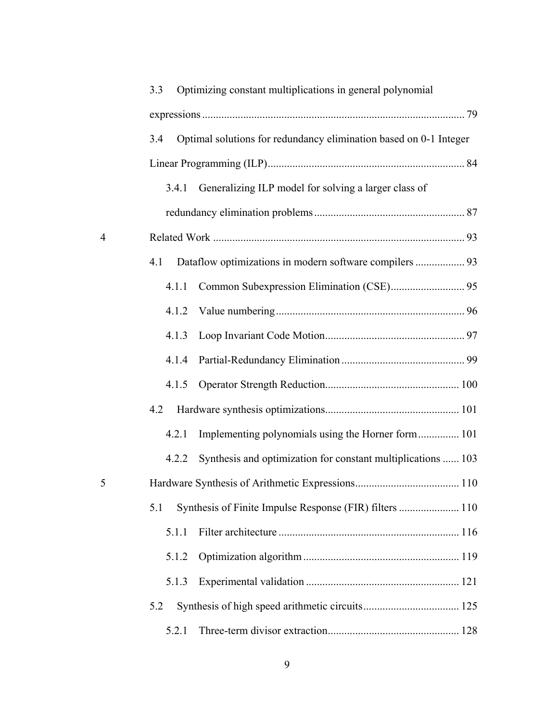|                | Optimizing constant multiplications in general polynomial<br>3.3         |  |
|----------------|--------------------------------------------------------------------------|--|
|                |                                                                          |  |
|                | Optimal solutions for redundancy elimination based on 0-1 Integer<br>3.4 |  |
|                |                                                                          |  |
|                | 3.4.1 Generalizing ILP model for solving a larger class of               |  |
|                |                                                                          |  |
| $\overline{4}$ |                                                                          |  |
|                | Dataflow optimizations in modern software compilers  93<br>4.1           |  |
|                | 4.1.1                                                                    |  |
|                | 4.1.2                                                                    |  |
|                | 4.1.3                                                                    |  |
|                | 4.1.4                                                                    |  |
|                | 4.1.5                                                                    |  |
|                | 4.2                                                                      |  |
|                | Implementing polynomials using the Horner form 101<br>4.2.1              |  |
|                | Synthesis and optimization for constant multiplications  103<br>4.2.2    |  |
| 5              |                                                                          |  |
|                | 5.1                                                                      |  |
|                | 5.1.1                                                                    |  |
|                | 5.1.2                                                                    |  |
|                | 5.1.3                                                                    |  |
|                | 5.2                                                                      |  |
|                | 5.2.1                                                                    |  |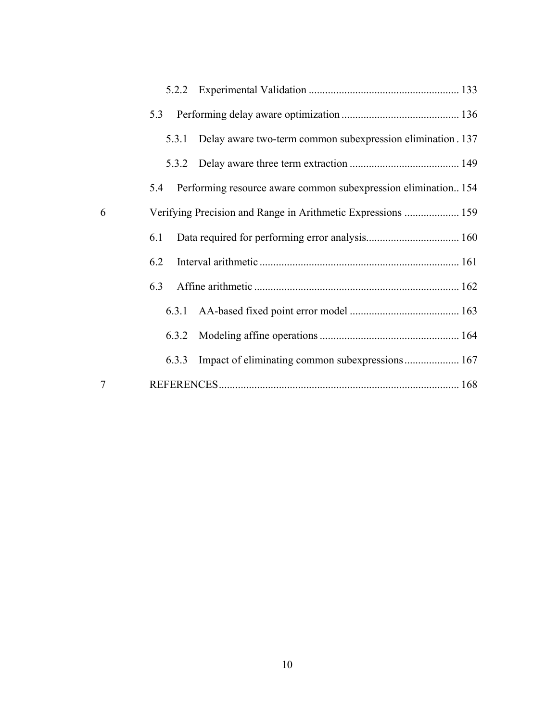|   | 5.3                                                                   |
|---|-----------------------------------------------------------------------|
|   | 5.3.1 Delay aware two-term common subexpression elimination . 137     |
|   |                                                                       |
|   | Performing resource aware common subexpression elimination 154<br>5.4 |
| 6 |                                                                       |
|   | 6.1                                                                   |
|   | 6.2                                                                   |
|   | 6.3                                                                   |
|   |                                                                       |
|   |                                                                       |
|   |                                                                       |
| 7 |                                                                       |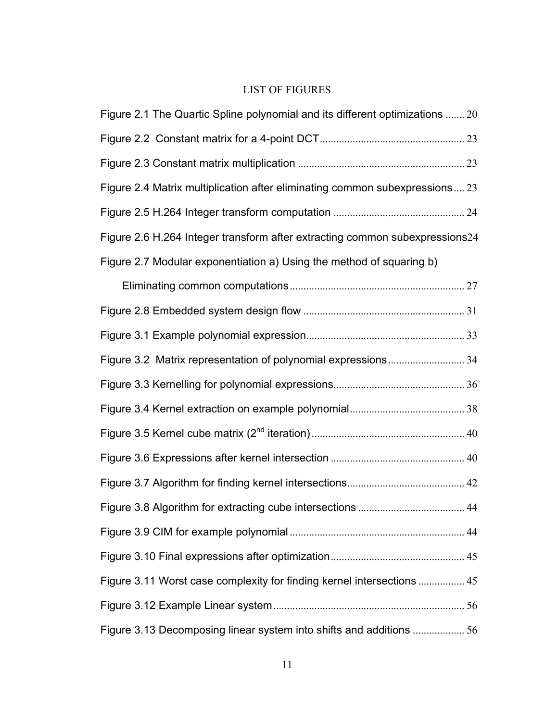# LIST OF FIGURES

| Figure 2.1 The Quartic Spline polynomial and its different optimizations  20 |  |
|------------------------------------------------------------------------------|--|
|                                                                              |  |
|                                                                              |  |
| Figure 2.4 Matrix multiplication after eliminating common subexpressions 23  |  |
|                                                                              |  |
| Figure 2.6 H.264 Integer transform after extracting common subexpressions24  |  |
| Figure 2.7 Modular exponentiation a) Using the method of squaring b)         |  |
|                                                                              |  |
|                                                                              |  |
|                                                                              |  |
|                                                                              |  |
|                                                                              |  |
|                                                                              |  |
|                                                                              |  |
|                                                                              |  |
|                                                                              |  |
|                                                                              |  |
|                                                                              |  |
|                                                                              |  |
| Figure 3.11 Worst case complexity for finding kernel intersections  45       |  |
|                                                                              |  |
| Figure 3.13 Decomposing linear system into shifts and additions 56           |  |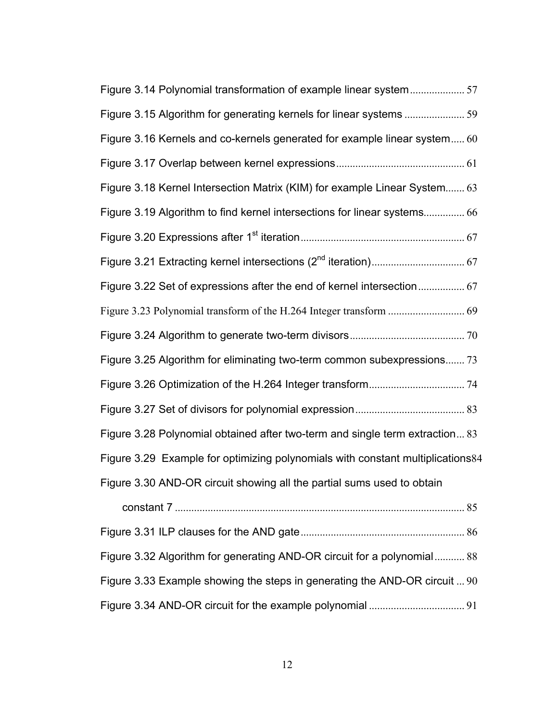| Figure 3.14 Polynomial transformation of example linear system57               |
|--------------------------------------------------------------------------------|
|                                                                                |
| Figure 3.16 Kernels and co-kernels generated for example linear system 60      |
|                                                                                |
| Figure 3.18 Kernel Intersection Matrix (KIM) for example Linear System 63      |
| Figure 3.19 Algorithm to find kernel intersections for linear systems 66       |
|                                                                                |
|                                                                                |
| Figure 3.22 Set of expressions after the end of kernel intersection 67         |
|                                                                                |
|                                                                                |
| Figure 3.25 Algorithm for eliminating two-term common subexpressions 73        |
|                                                                                |
|                                                                                |
| Figure 3.28 Polynomial obtained after two-term and single term extraction 83   |
| Figure 3.29 Example for optimizing polynomials with constant multiplications84 |
| Figure 3.30 AND-OR circuit showing all the partial sums used to obtain         |
|                                                                                |
|                                                                                |
| Figure 3.32 Algorithm for generating AND-OR circuit for a polynomial 88        |
| Figure 3.33 Example showing the steps in generating the AND-OR circuit  90     |
|                                                                                |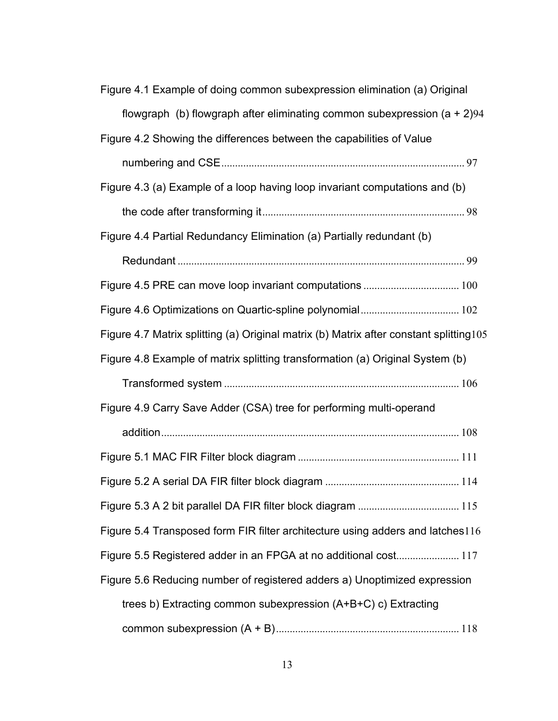| Figure 4.1 Example of doing common subexpression elimination (a) Original               |
|-----------------------------------------------------------------------------------------|
| flowgraph (b) flowgraph after eliminating common subexpression $(a + 2)94$              |
| Figure 4.2 Showing the differences between the capabilities of Value                    |
|                                                                                         |
| Figure 4.3 (a) Example of a loop having loop invariant computations and (b)             |
|                                                                                         |
| Figure 4.4 Partial Redundancy Elimination (a) Partially redundant (b)                   |
|                                                                                         |
|                                                                                         |
|                                                                                         |
| Figure 4.7 Matrix splitting (a) Original matrix (b) Matrix after constant splitting 105 |
| Figure 4.8 Example of matrix splitting transformation (a) Original System (b)           |
|                                                                                         |
|                                                                                         |
| Figure 4.9 Carry Save Adder (CSA) tree for performing multi-operand                     |
|                                                                                         |
|                                                                                         |
|                                                                                         |
|                                                                                         |
| Figure 5.4 Transposed form FIR filter architecture using adders and latches116          |
| Figure 5.5 Registered adder in an FPGA at no additional cost 117                        |
| Figure 5.6 Reducing number of registered adders a) Unoptimized expression               |
| trees b) Extracting common subexpression (A+B+C) c) Extracting                          |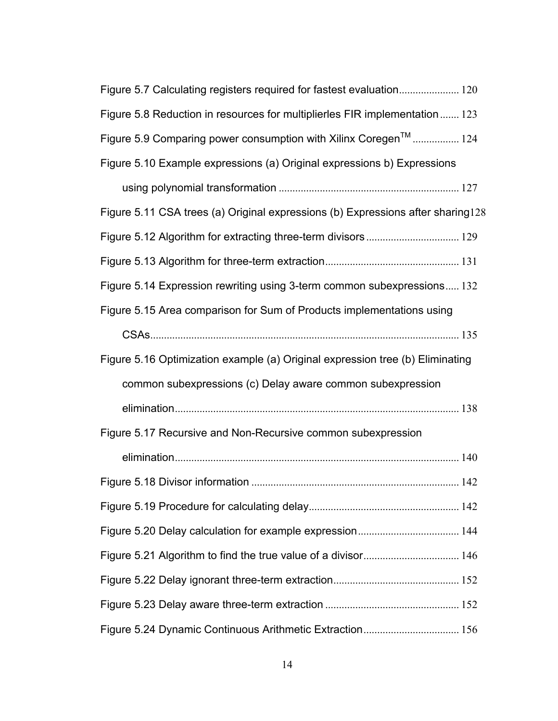| Figure 5.7 Calculating registers required for fastest evaluation 120            |
|---------------------------------------------------------------------------------|
| Figure 5.8 Reduction in resources for multiplierles FIR implementation 123      |
| Figure 5.9 Comparing power consumption with Xilinx Coregen <sup>™</sup> 124     |
| Figure 5.10 Example expressions (a) Original expressions b) Expressions         |
|                                                                                 |
| Figure 5.11 CSA trees (a) Original expressions (b) Expressions after sharing128 |
|                                                                                 |
|                                                                                 |
| Figure 5.14 Expression rewriting using 3-term common subexpressions 132         |
| Figure 5.15 Area comparison for Sum of Products implementations using           |
|                                                                                 |
| Figure 5.16 Optimization example (a) Original expression tree (b) Eliminating   |
| common subexpressions (c) Delay aware common subexpression                      |
|                                                                                 |
| Figure 5.17 Recursive and Non-Recursive common subexpression                    |
|                                                                                 |
|                                                                                 |
|                                                                                 |
|                                                                                 |
|                                                                                 |
|                                                                                 |
|                                                                                 |
|                                                                                 |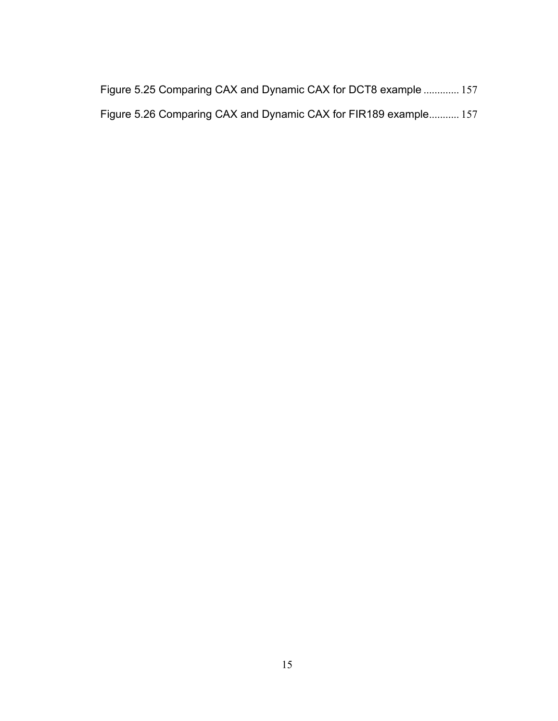|  |  |  | Figure 5.25 Comparing CAX and Dynamic CAX for DCT8 example  157  |  |
|--|--|--|------------------------------------------------------------------|--|
|  |  |  | Figure 5.26 Comparing CAX and Dynamic CAX for FIR189 example 157 |  |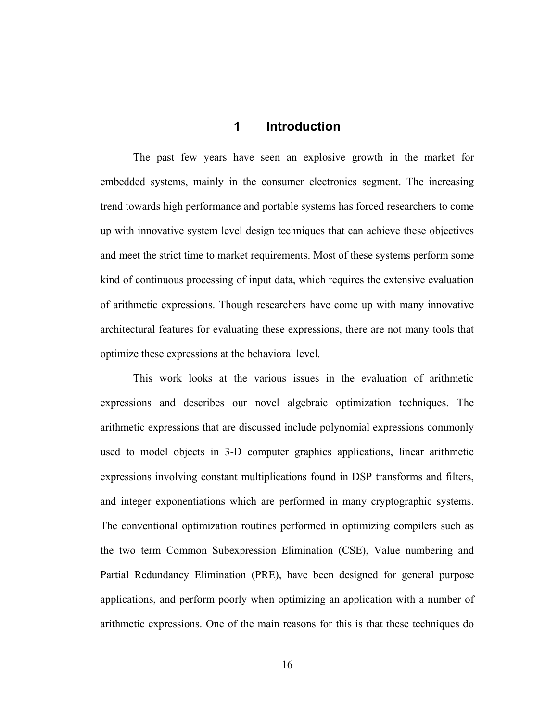### **1 Introduction**

 The past few years have seen an explosive growth in the market for embedded systems, mainly in the consumer electronics segment. The increasing trend towards high performance and portable systems has forced researchers to come up with innovative system level design techniques that can achieve these objectives and meet the strict time to market requirements. Most of these systems perform some kind of continuous processing of input data, which requires the extensive evaluation of arithmetic expressions. Though researchers have come up with many innovative architectural features for evaluating these expressions, there are not many tools that optimize these expressions at the behavioral level.

 This work looks at the various issues in the evaluation of arithmetic expressions and describes our novel algebraic optimization techniques. The arithmetic expressions that are discussed include polynomial expressions commonly used to model objects in 3-D computer graphics applications, linear arithmetic expressions involving constant multiplications found in DSP transforms and filters, and integer exponentiations which are performed in many cryptographic systems. The conventional optimization routines performed in optimizing compilers such as the two term Common Subexpression Elimination (CSE), Value numbering and Partial Redundancy Elimination (PRE), have been designed for general purpose applications, and perform poorly when optimizing an application with a number of arithmetic expressions. One of the main reasons for this is that these techniques do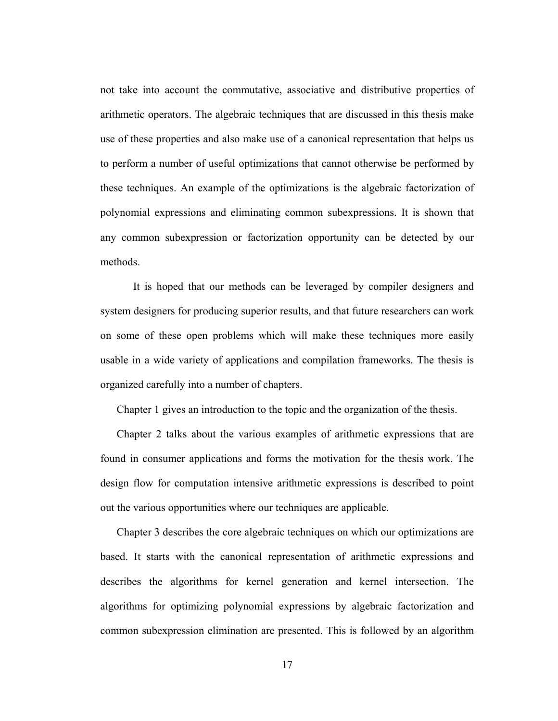not take into account the commutative, associative and distributive properties of arithmetic operators. The algebraic techniques that are discussed in this thesis make use of these properties and also make use of a canonical representation that helps us to perform a number of useful optimizations that cannot otherwise be performed by these techniques. An example of the optimizations is the algebraic factorization of polynomial expressions and eliminating common subexpressions. It is shown that any common subexpression or factorization opportunity can be detected by our methods.

 It is hoped that our methods can be leveraged by compiler designers and system designers for producing superior results, and that future researchers can work on some of these open problems which will make these techniques more easily usable in a wide variety of applications and compilation frameworks. The thesis is organized carefully into a number of chapters.

Chapter 1 gives an introduction to the topic and the organization of the thesis.

Chapter 2 talks about the various examples of arithmetic expressions that are found in consumer applications and forms the motivation for the thesis work. The design flow for computation intensive arithmetic expressions is described to point out the various opportunities where our techniques are applicable.

Chapter 3 describes the core algebraic techniques on which our optimizations are based. It starts with the canonical representation of arithmetic expressions and describes the algorithms for kernel generation and kernel intersection. The algorithms for optimizing polynomial expressions by algebraic factorization and common subexpression elimination are presented. This is followed by an algorithm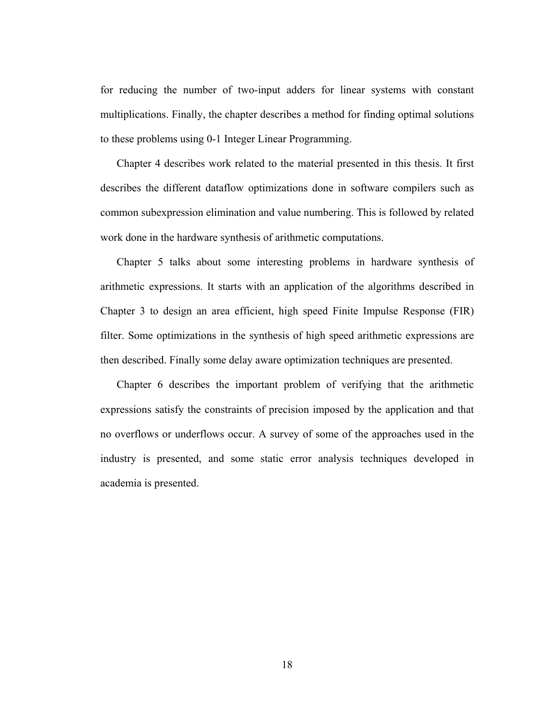for reducing the number of two-input adders for linear systems with constant multiplications. Finally, the chapter describes a method for finding optimal solutions to these problems using 0-1 Integer Linear Programming.

Chapter 4 describes work related to the material presented in this thesis. It first describes the different dataflow optimizations done in software compilers such as common subexpression elimination and value numbering. This is followed by related work done in the hardware synthesis of arithmetic computations.

Chapter 5 talks about some interesting problems in hardware synthesis of arithmetic expressions. It starts with an application of the algorithms described in Chapter 3 to design an area efficient, high speed Finite Impulse Response (FIR) filter. Some optimizations in the synthesis of high speed arithmetic expressions are then described. Finally some delay aware optimization techniques are presented.

Chapter 6 describes the important problem of verifying that the arithmetic expressions satisfy the constraints of precision imposed by the application and that no overflows or underflows occur. A survey of some of the approaches used in the industry is presented, and some static error analysis techniques developed in academia is presented.

18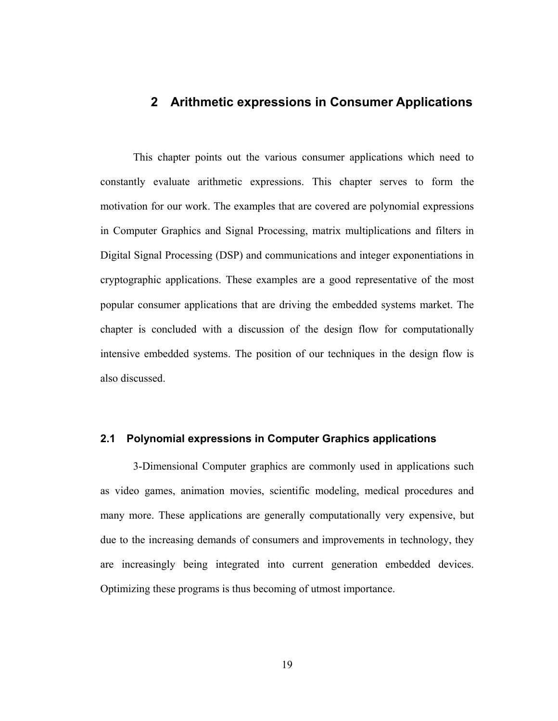## **2 Arithmetic expressions in Consumer Applications**

 This chapter points out the various consumer applications which need to constantly evaluate arithmetic expressions. This chapter serves to form the motivation for our work. The examples that are covered are polynomial expressions in Computer Graphics and Signal Processing, matrix multiplications and filters in Digital Signal Processing (DSP) and communications and integer exponentiations in cryptographic applications. These examples are a good representative of the most popular consumer applications that are driving the embedded systems market. The chapter is concluded with a discussion of the design flow for computationally intensive embedded systems. The position of our techniques in the design flow is also discussed.

#### **2.1 Polynomial expressions in Computer Graphics applications**

 3-Dimensional Computer graphics are commonly used in applications such as video games, animation movies, scientific modeling, medical procedures and many more. These applications are generally computationally very expensive, but due to the increasing demands of consumers and improvements in technology, they are increasingly being integrated into current generation embedded devices. Optimizing these programs is thus becoming of utmost importance.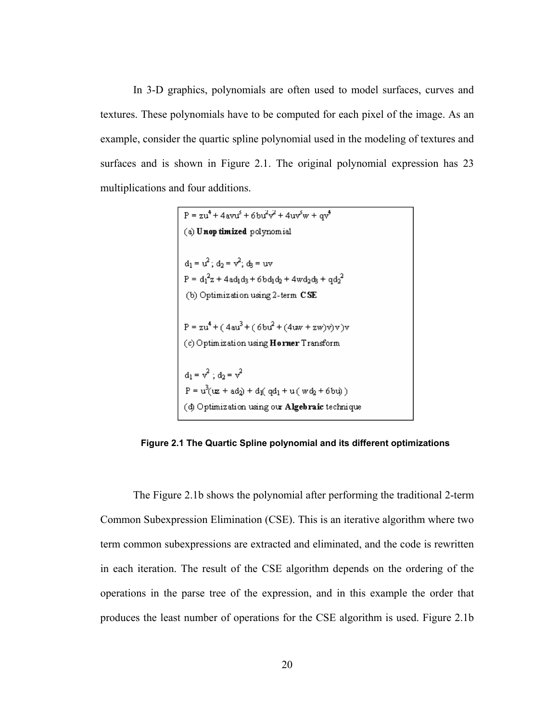In 3-D graphics, polynomials are often used to model surfaces, curves and textures. These polynomials have to be computed for each pixel of the image. As an example, consider the quartic spline polynomial used in the modeling of textures and surfaces and is shown in Figure 2.1. The original polynomial expression has 23 multiplications and four additions.

P = zu<sup>4</sup> + 4avu<sup>3</sup> + 6bu<sup>2</sup>v<sup>2</sup> + 4uv<sup>5</sup>w + qv<sup>4</sup>  
\n(a) **Unop timized** polynomial  
\n
$$
d_1 = u^2; d_2 = v^2; d_5 = uv
$$
\nP =  $d_1^2z$  + 4ad<sub>1</sub>d<sub>3</sub> + 6bd<sub>1</sub>d<sub>2</sub> + 4wd<sub>2</sub>d<sub>3</sub> + qd<sub>2</sub><sup>2</sup>  
\n(b) Optimization using 2-term CSE  
\nP = zu<sup>4</sup> + (4au<sup>3</sup> + (6bu<sup>2</sup> + (4uw + zw)v)v)v  
\n(c) Optimization using **Horner** Transform  
\n
$$
d_1 = v^2; d_2 = v^2
$$
\nP = u<sup>3</sup>(uz + ad<sub>2</sub>) + d<sub>1</sub>(qd<sub>1</sub> + u (wd<sub>2</sub> + 6bu))  
\n(d) Optimization using our Algebraic technique

**Figure 2.1 The Quartic Spline polynomial and its different optimizations** 

 The Figure 2.1b shows the polynomial after performing the traditional 2-term Common Subexpression Elimination (CSE). This is an iterative algorithm where two term common subexpressions are extracted and eliminated, and the code is rewritten in each iteration. The result of the CSE algorithm depends on the ordering of the operations in the parse tree of the expression, and in this example the order that produces the least number of operations for the CSE algorithm is used. Figure 2.1b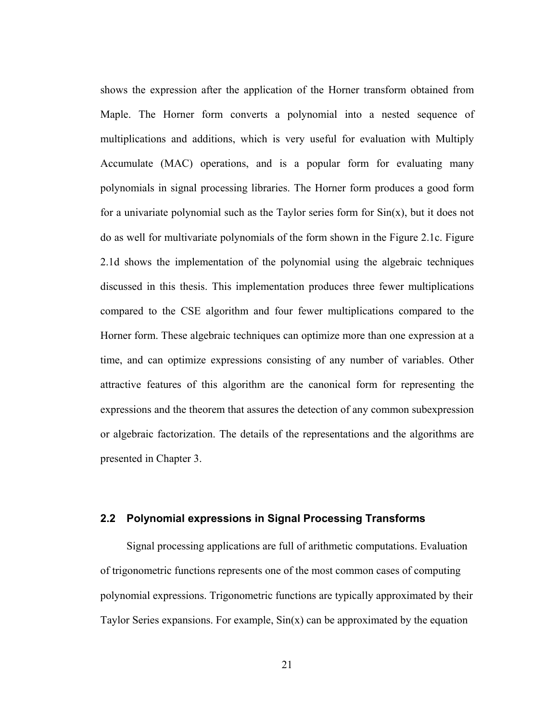shows the expression after the application of the Horner transform obtained from Maple. The Horner form converts a polynomial into a nested sequence of multiplications and additions, which is very useful for evaluation with Multiply Accumulate (MAC) operations, and is a popular form for evaluating many polynomials in signal processing libraries. The Horner form produces a good form for a univariate polynomial such as the Taylor series form for  $Sin(x)$ , but it does not do as well for multivariate polynomials of the form shown in the Figure 2.1c. Figure 2.1d shows the implementation of the polynomial using the algebraic techniques discussed in this thesis. This implementation produces three fewer multiplications compared to the CSE algorithm and four fewer multiplications compared to the Horner form. These algebraic techniques can optimize more than one expression at a time, and can optimize expressions consisting of any number of variables. Other attractive features of this algorithm are the canonical form for representing the expressions and the theorem that assures the detection of any common subexpression or algebraic factorization. The details of the representations and the algorithms are presented in Chapter 3.

#### **2.2 Polynomial expressions in Signal Processing Transforms**

Signal processing applications are full of arithmetic computations. Evaluation of trigonometric functions represents one of the most common cases of computing polynomial expressions. Trigonometric functions are typically approximated by their Taylor Series expansions. For example,  $Sin(x)$  can be approximated by the equation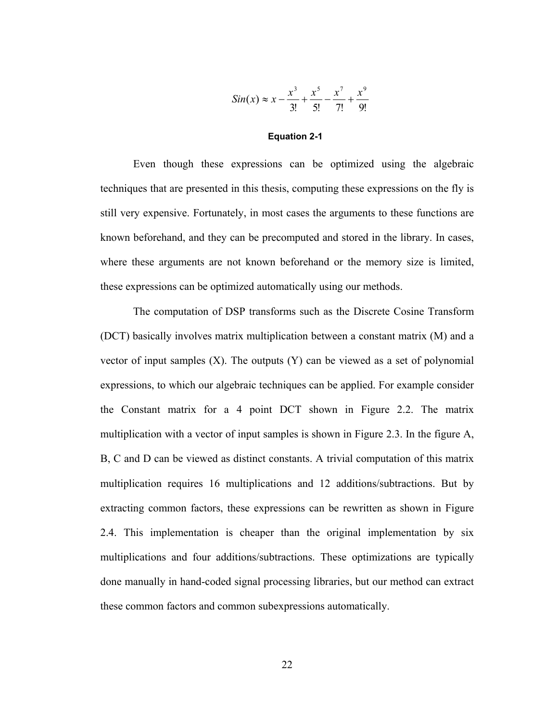$$
Sin(x) \approx x - \frac{x^3}{3!} + \frac{x^5}{5!} - \frac{x^7}{7!} + \frac{x^9}{9!}
$$

#### **Equation 2-1**

Even though these expressions can be optimized using the algebraic techniques that are presented in this thesis, computing these expressions on the fly is still very expensive. Fortunately, in most cases the arguments to these functions are known beforehand, and they can be precomputed and stored in the library. In cases, where these arguments are not known beforehand or the memory size is limited, these expressions can be optimized automatically using our methods.

 The computation of DSP transforms such as the Discrete Cosine Transform (DCT) basically involves matrix multiplication between a constant matrix (M) and a vector of input samples  $(X)$ . The outputs  $(Y)$  can be viewed as a set of polynomial expressions, to which our algebraic techniques can be applied. For example consider the Constant matrix for a 4 point DCT shown in Figure 2.2. The matrix multiplication with a vector of input samples is shown in Figure 2.3. In the figure A, B, C and D can be viewed as distinct constants. A trivial computation of this matrix multiplication requires 16 multiplications and 12 additions/subtractions. But by extracting common factors, these expressions can be rewritten as shown in Figure 2.4. This implementation is cheaper than the original implementation by six multiplications and four additions/subtractions. These optimizations are typically done manually in hand-coded signal processing libraries, but our method can extract these common factors and common subexpressions automatically.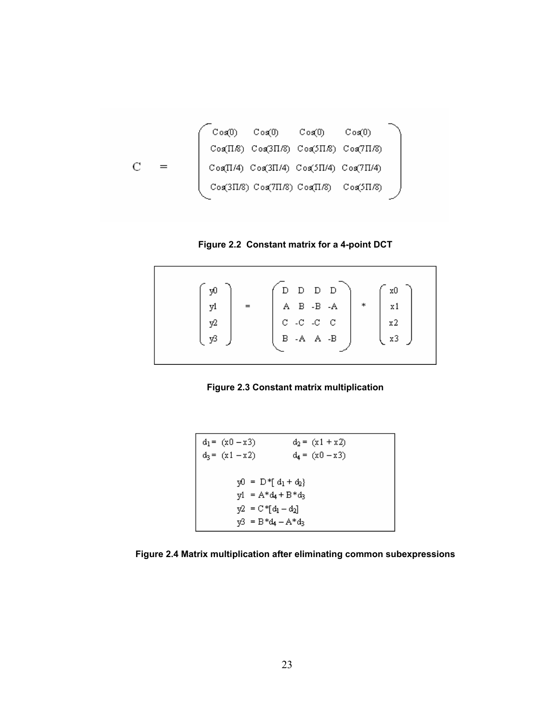

**Figure 2.2 Constant matrix for a 4-point DCT** 

| yŪ |                                                                                                                                                                                                                                            | xO             |
|----|--------------------------------------------------------------------------------------------------------------------------------------------------------------------------------------------------------------------------------------------|----------------|
| yl | $\ast$                                                                                                                                                                                                                                     |                |
| y2 | $\begin{array}{ c c } \hline \text{D} & \text{D} & \text{D} & \text{D} \\ \text{A} & \text{B} & \text{-B} & \text{-A} \\ \text{C} & \text{-C} & \text{-C} & \text{C} \\ \text{B} & \text{-A} & \text{A} & \text{-B} \\ \hline \end{array}$ | x2             |
| vβ |                                                                                                                                                                                                                                            | x <sub>3</sub> |
|    |                                                                                                                                                                                                                                            |                |



$$
d_1 = (x0 - x3) \t d_2 = (x1 + x2)
$$
  
\n
$$
d_3 = (x1 - x2) \t d_4 = (x0 - x3)
$$
  
\n
$$
y0 = D * [d_1 + d_2]
$$
  
\n
$$
y1 = A * d_4 + B * d_3
$$
  
\n
$$
y2 = C * [d_1 - d_2]
$$
  
\n
$$
y3 = B * d_4 - A * d_3
$$

**Figure 2.4 Matrix multiplication after eliminating common subexpressions**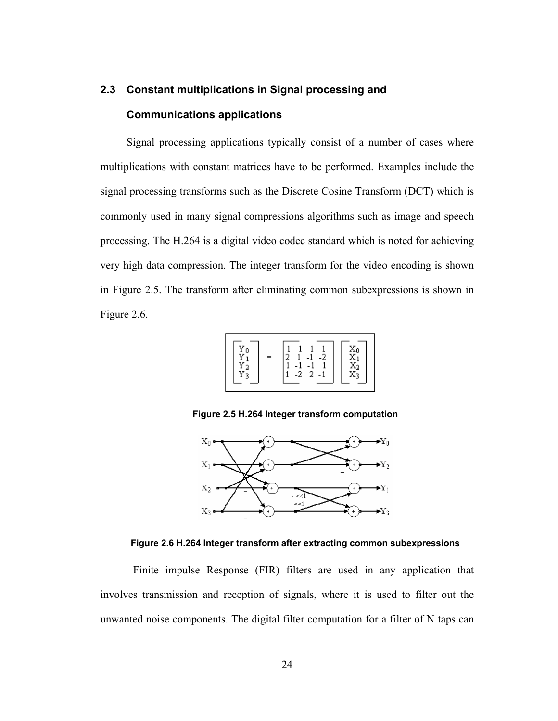# **2.3 Constant multiplications in Signal processing and Communications applications**

Signal processing applications typically consist of a number of cases where multiplications with constant matrices have to be performed. Examples include the signal processing transforms such as the Discrete Cosine Transform (DCT) which is commonly used in many signal compressions algorithms such as image and speech processing. The H.264 is a digital video codec standard which is noted for achieving very high data compression. The integer transform for the video encoding is shown in Figure 2.5. The transform after eliminating common subexpressions is shown in Figure 2.6.



**Figure 2.5 H.264 Integer transform computation** 



**Figure 2.6 H.264 Integer transform after extracting common subexpressions** 

 Finite impulse Response (FIR) filters are used in any application that involves transmission and reception of signals, where it is used to filter out the unwanted noise components. The digital filter computation for a filter of N taps can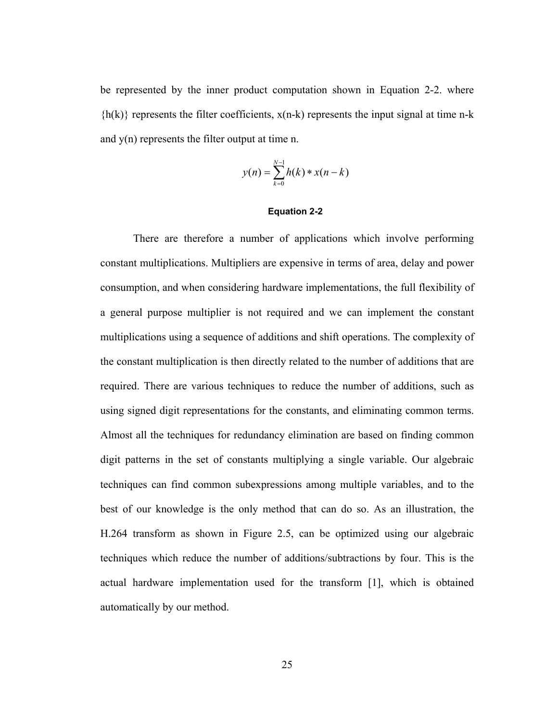be represented by the inner product computation shown in Equation 2-2. where  ${h(k)}$  represents the filter coefficients,  $x(n-k)$  represents the input signal at time n-k and y(n) represents the filter output at time n.

$$
y(n) = \sum_{k=0}^{N-1} h(k) * x(n-k)
$$

#### **Equation 2-2**

 There are therefore a number of applications which involve performing constant multiplications. Multipliers are expensive in terms of area, delay and power consumption, and when considering hardware implementations, the full flexibility of a general purpose multiplier is not required and we can implement the constant multiplications using a sequence of additions and shift operations. The complexity of the constant multiplication is then directly related to the number of additions that are required. There are various techniques to reduce the number of additions, such as using signed digit representations for the constants, and eliminating common terms. Almost all the techniques for redundancy elimination are based on finding common digit patterns in the set of constants multiplying a single variable. Our algebraic techniques can find common subexpressions among multiple variables, and to the best of our knowledge is the only method that can do so. As an illustration, the H.264 transform as shown in Figure 2.5, can be optimized using our algebraic techniques which reduce the number of additions/subtractions by four. This is the actual hardware implementation used for the transform [1], which is obtained automatically by our method.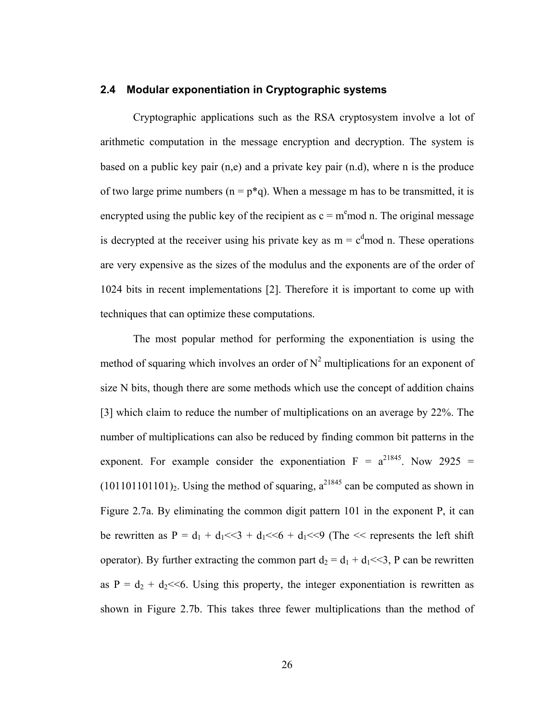#### **2.4 Modular exponentiation in Cryptographic systems**

 Cryptographic applications such as the RSA cryptosystem involve a lot of arithmetic computation in the message encryption and decryption. The system is based on a public key pair (n,e) and a private key pair (n.d), where n is the produce of two large prime numbers  $(n = p^*q)$ . When a message m has to be transmitted, it is encrypted using the public key of the recipient as  $c = m<sup>e</sup>$  mod n. The original message is decrypted at the receiver using his private key as  $m = c<sup>d</sup>$  mod n. These operations are very expensive as the sizes of the modulus and the exponents are of the order of 1024 bits in recent implementations [2]. Therefore it is important to come up with techniques that can optimize these computations.

 The most popular method for performing the exponentiation is using the method of squaring which involves an order of  $N^2$  multiplications for an exponent of size N bits, though there are some methods which use the concept of addition chains [3] which claim to reduce the number of multiplications on an average by 22%. The number of multiplications can also be reduced by finding common bit patterns in the exponent. For example consider the exponentiation  $F = a^{21845}$ . Now 2925 =  $(101101101101)$ <sub>2</sub>. Using the method of squaring,  $a^{21845}$  can be computed as shown in Figure 2.7a. By eliminating the common digit pattern 101 in the exponent P, it can be rewritten as  $P = d_1 + d_1 \ll 3 + d_1 \ll 6 + d_1 \ll 9$  (The  $\ll$  represents the left shift operator). By further extracting the common part  $d_2 = d_1 + d_1 \ll 3$ , P can be rewritten as  $P = d_2 + d_2 \ll 6$ . Using this property, the integer exponentiation is rewritten as shown in Figure 2.7b. This takes three fewer multiplications than the method of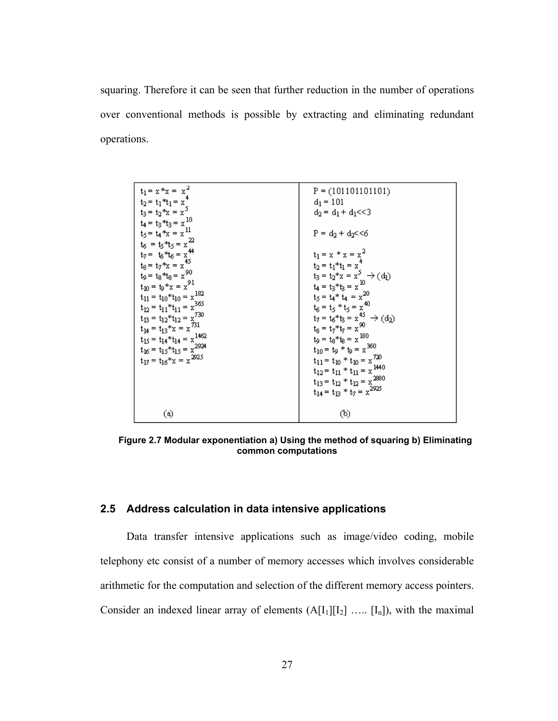squaring. Therefore it can be seen that further reduction in the number of operations over conventional methods is possible by extracting and eliminating redundant operations.

| $t_1 = x * x = x^2$<br>$t_2 = t_1 * t_1 = x^4$<br>$t_3 = t_2 * x = x^5$<br>$t_4 = t_3 * t_3 = x^{10}$<br>$t_5 = t_4 * x = x^{11}$<br>$t_6 = t_5 * t_5 = x^{22}$<br>$t_7 = t_6 * t_6 = x^{44}$<br>$t_8 = t_7 * x = x^{45}$<br>$t_9 = t_8 * t_8 = x^{90}$<br>$t_{10} = t_9 * x = x^{91}$<br>$t_{11} = t_{10} * t_{10} = x^{182}$<br>$t_{12} = t_{11} * t_{11} = x^{365}$<br>$t_{13} = t_{12} * t_{12} = x^{730}$<br>$t_{14} = t_{13} * x = x^{731}$<br>$t_{15} = t_{14} * t_{14} = x^{1462}$<br>$t_{16} = t_{15} * t_{15} = x^{2924}$<br>$t_{17} = t_{16} * x = x^{2925}$ | $P = (101101101101)$<br>$d_1 = 101$<br>$d_2 = d_1 + d_1 \ll 3$<br>$P = d_2 + d_2 \le 6$<br>$t_1 = x * x = x^2$<br>$t_2 = t_1 * t_1 = x^4$<br>$t_3 = t_2 * x = x^5 \rightarrow (d_1)$<br>$t_4 = t_3 * t_3 = x^{10}$<br>$t_5 = t_4 * t_4 = x^{20}$<br>$t_6 = t_5 * t_5 = x^{40}$<br>$t_7 = t_6 * t_3 = x^{45} \rightarrow (d_2)$<br>$t_8 = t_7 * t_7 = x^{90}$<br>$t_9 = t_8 * t_8 = x^{180}$<br>$t_{10} = t_9 * t_9 = x^{360}$<br>$t_{11} = t_{10} * t_{10} = x^{720}$<br>$t_{12} = t_{11} * t_{11} = x^{1440}$<br>$t_{13} = t_{12} * t_{12} = x^{2880}$<br>$t_{14} = t_{13} * t_7 = x^{2925}$ |
|-------------------------------------------------------------------------------------------------------------------------------------------------------------------------------------------------------------------------------------------------------------------------------------------------------------------------------------------------------------------------------------------------------------------------------------------------------------------------------------------------------------------------------------------------------------------------|-----------------------------------------------------------------------------------------------------------------------------------------------------------------------------------------------------------------------------------------------------------------------------------------------------------------------------------------------------------------------------------------------------------------------------------------------------------------------------------------------------------------------------------------------------------------------------------------------|
| $\circledast$                                                                                                                                                                                                                                                                                                                                                                                                                                                                                                                                                           | (b)                                                                                                                                                                                                                                                                                                                                                                                                                                                                                                                                                                                           |

**Figure 2.7 Modular exponentiation a) Using the method of squaring b) Eliminating common computations** 

#### **2.5 Address calculation in data intensive applications**

Data transfer intensive applications such as image/video coding, mobile telephony etc consist of a number of memory accesses which involves considerable arithmetic for the computation and selection of the different memory access pointers. Consider an indexed linear array of elements  $(A[I_1][I_2] \ldots [I_n])$ , with the maximal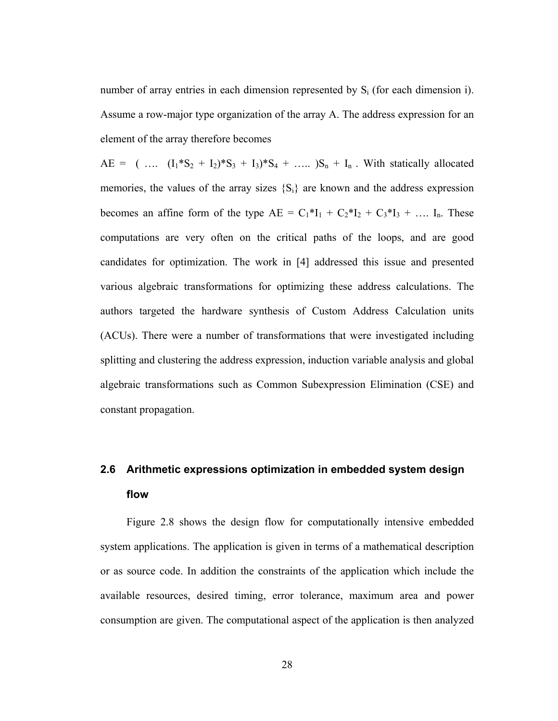number of array entries in each dimension represented by  $S_i$  (for each dimension i). Assume a row-major type organization of the array A. The address expression for an element of the array therefore becomes

AE =  $(\dots (I_1 * S_2 + I_2) * S_3 + I_3) * S_4 + \dots S_n + I_n$ . With statically allocated memories, the values of the array sizes  $\{S_i\}$  are known and the address expression becomes an affine form of the type  $AE = C_1 * I_1 + C_2 * I_2 + C_3 * I_3 + \dots I_n$ . These computations are very often on the critical paths of the loops, and are good candidates for optimization. The work in [4] addressed this issue and presented various algebraic transformations for optimizing these address calculations. The authors targeted the hardware synthesis of Custom Address Calculation units (ACUs). There were a number of transformations that were investigated including splitting and clustering the address expression, induction variable analysis and global algebraic transformations such as Common Subexpression Elimination (CSE) and constant propagation.

# **2.6 Arithmetic expressions optimization in embedded system design flow**

Figure 2.8 shows the design flow for computationally intensive embedded system applications. The application is given in terms of a mathematical description or as source code. In addition the constraints of the application which include the available resources, desired timing, error tolerance, maximum area and power consumption are given. The computational aspect of the application is then analyzed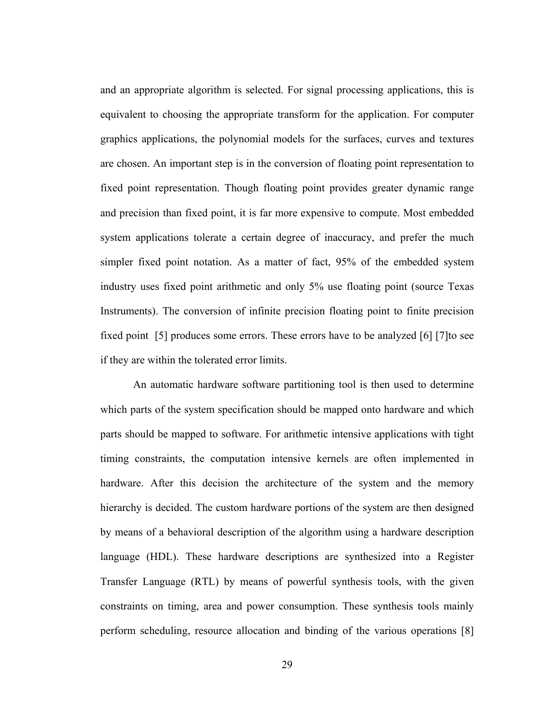and an appropriate algorithm is selected. For signal processing applications, this is equivalent to choosing the appropriate transform for the application. For computer graphics applications, the polynomial models for the surfaces, curves and textures are chosen. An important step is in the conversion of floating point representation to fixed point representation. Though floating point provides greater dynamic range and precision than fixed point, it is far more expensive to compute. Most embedded system applications tolerate a certain degree of inaccuracy, and prefer the much simpler fixed point notation. As a matter of fact, 95% of the embedded system industry uses fixed point arithmetic and only 5% use floating point (source Texas Instruments). The conversion of infinite precision floating point to finite precision fixed point [5] produces some errors. These errors have to be analyzed [6] [7]to see if they are within the tolerated error limits.

 An automatic hardware software partitioning tool is then used to determine which parts of the system specification should be mapped onto hardware and which parts should be mapped to software. For arithmetic intensive applications with tight timing constraints, the computation intensive kernels are often implemented in hardware. After this decision the architecture of the system and the memory hierarchy is decided. The custom hardware portions of the system are then designed by means of a behavioral description of the algorithm using a hardware description language (HDL). These hardware descriptions are synthesized into a Register Transfer Language (RTL) by means of powerful synthesis tools, with the given constraints on timing, area and power consumption. These synthesis tools mainly perform scheduling, resource allocation and binding of the various operations [8]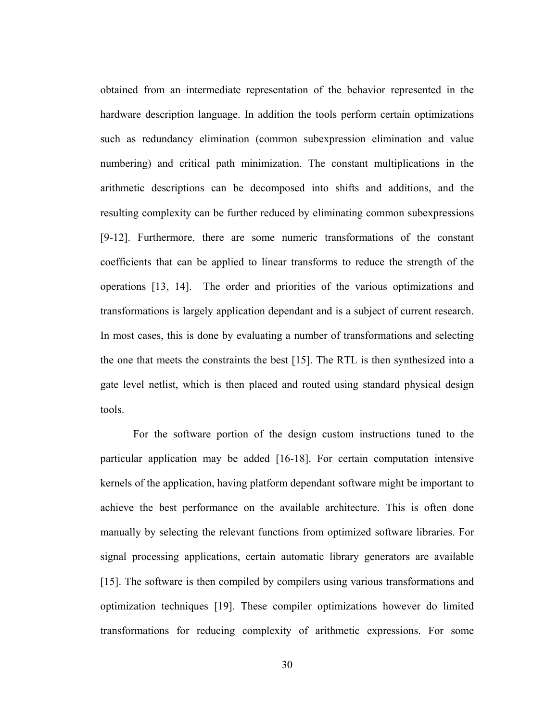obtained from an intermediate representation of the behavior represented in the hardware description language. In addition the tools perform certain optimizations such as redundancy elimination (common subexpression elimination and value numbering) and critical path minimization. The constant multiplications in the arithmetic descriptions can be decomposed into shifts and additions, and the resulting complexity can be further reduced by eliminating common subexpressions [9-12]. Furthermore, there are some numeric transformations of the constant coefficients that can be applied to linear transforms to reduce the strength of the operations [13, 14]. The order and priorities of the various optimizations and transformations is largely application dependant and is a subject of current research. In most cases, this is done by evaluating a number of transformations and selecting the one that meets the constraints the best [15]. The RTL is then synthesized into a gate level netlist, which is then placed and routed using standard physical design tools.

For the software portion of the design custom instructions tuned to the particular application may be added [16-18]. For certain computation intensive kernels of the application, having platform dependant software might be important to achieve the best performance on the available architecture. This is often done manually by selecting the relevant functions from optimized software libraries. For signal processing applications, certain automatic library generators are available [15]. The software is then compiled by compilers using various transformations and optimization techniques [19]. These compiler optimizations however do limited transformations for reducing complexity of arithmetic expressions. For some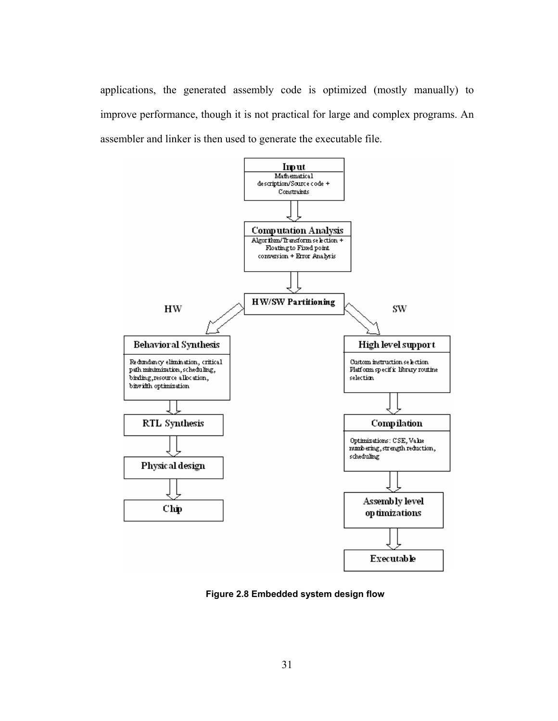applications, the generated assembly code is optimized (mostly manually) to improve performance, though it is not practical for large and complex programs. An assembler and linker is then used to generate the executable file.



**Figure 2.8 Embedded system design flow**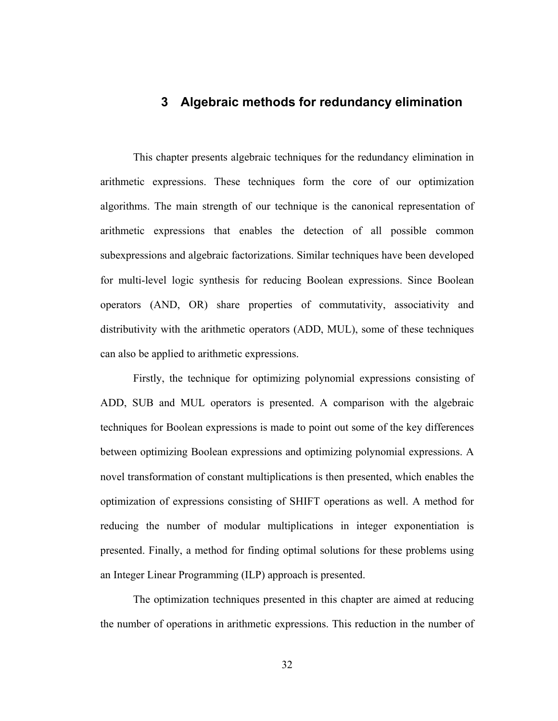## **3 Algebraic methods for redundancy elimination**

 This chapter presents algebraic techniques for the redundancy elimination in arithmetic expressions. These techniques form the core of our optimization algorithms. The main strength of our technique is the canonical representation of arithmetic expressions that enables the detection of all possible common subexpressions and algebraic factorizations. Similar techniques have been developed for multi-level logic synthesis for reducing Boolean expressions. Since Boolean operators (AND, OR) share properties of commutativity, associativity and distributivity with the arithmetic operators (ADD, MUL), some of these techniques can also be applied to arithmetic expressions.

 Firstly, the technique for optimizing polynomial expressions consisting of ADD, SUB and MUL operators is presented. A comparison with the algebraic techniques for Boolean expressions is made to point out some of the key differences between optimizing Boolean expressions and optimizing polynomial expressions. A novel transformation of constant multiplications is then presented, which enables the optimization of expressions consisting of SHIFT operations as well. A method for reducing the number of modular multiplications in integer exponentiation is presented. Finally, a method for finding optimal solutions for these problems using an Integer Linear Programming (ILP) approach is presented.

 The optimization techniques presented in this chapter are aimed at reducing the number of operations in arithmetic expressions. This reduction in the number of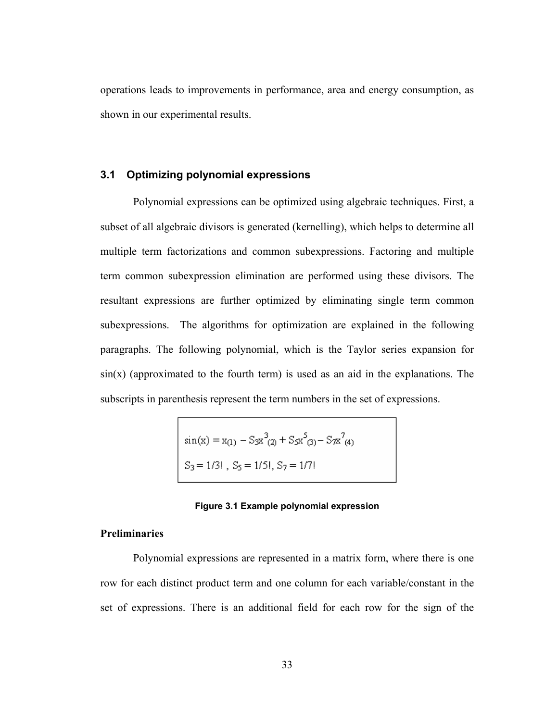operations leads to improvements in performance, area and energy consumption, as shown in our experimental results.

#### **3.1 Optimizing polynomial expressions**

 Polynomial expressions can be optimized using algebraic techniques. First, a subset of all algebraic divisors is generated (kernelling), which helps to determine all multiple term factorizations and common subexpressions. Factoring and multiple term common subexpression elimination are performed using these divisors. The resultant expressions are further optimized by eliminating single term common subexpressions. The algorithms for optimization are explained in the following paragraphs. The following polynomial, which is the Taylor series expansion for  $sin(x)$  (approximated to the fourth term) is used as an aid in the explanations. The subscripts in parenthesis represent the term numbers in the set of expressions.

$$
\sin(x) = x_{(1)} - S_3 x^3_{(2)} + S_5 x^5_{(3)} - S_7 x^7_{(4)}
$$
  

$$
S_3 = 1/3! , S_5 = 1/5! , S_7 = 1/7!
$$

#### **Figure 3.1 Example polynomial expression**

#### **Preliminaries**

Polynomial expressions are represented in a matrix form, where there is one row for each distinct product term and one column for each variable/constant in the set of expressions. There is an additional field for each row for the sign of the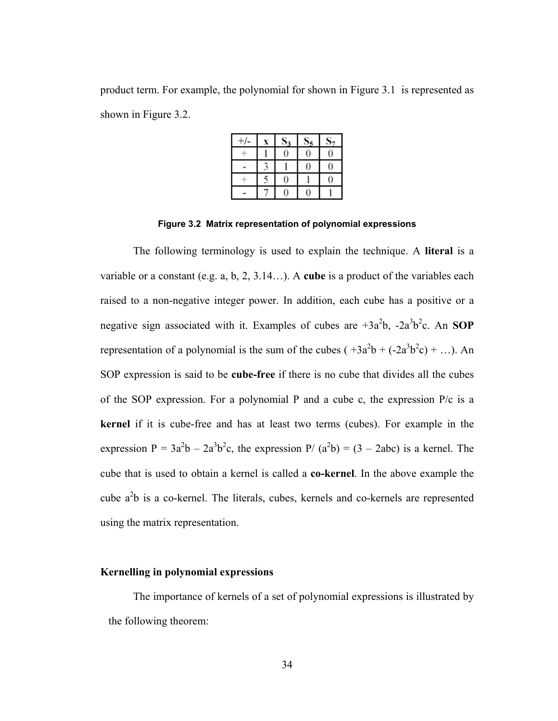product term. For example, the polynomial for shown in Figure 3.1 is represented as shown in Figure 3.2.

|   |   | 0 |
|---|---|---|
|   |   |   |
| ∼ |   |   |
|   | 0 |   |

**Figure 3.2 Matrix representation of polynomial expressions** 

 The following terminology is used to explain the technique. A **literal** is a variable or a constant (e.g. a, b, 2, 3.14…). A **cube** is a product of the variables each raised to a non-negative integer power. In addition, each cube has a positive or a negative sign associated with it. Examples of cubes are  $+3a^2b$ ,  $-2a^3b^2c$ . An **SOP** representation of a polynomial is the sum of the cubes  $(+3a^2b + (-2a^3b^2c) + ...)$ . An SOP expression is said to be **cube-free** if there is no cube that divides all the cubes of the SOP expression. For a polynomial P and a cube c, the expression P/c is a **kernel** if it is cube-free and has at least two terms (cubes). For example in the expression  $P = 3a^2b - 2a^3b^2c$ , the expression  $P/(a^2b) = (3 - 2abc)$  is a kernel. The cube that is used to obtain a kernel is called a **co-kernel**. In the above example the cube  $a<sup>2</sup>b$  is a co-kernel. The literals, cubes, kernels and co-kernels are represented using the matrix representation.

#### **Kernelling in polynomial expressions**

 The importance of kernels of a set of polynomial expressions is illustrated by the following theorem: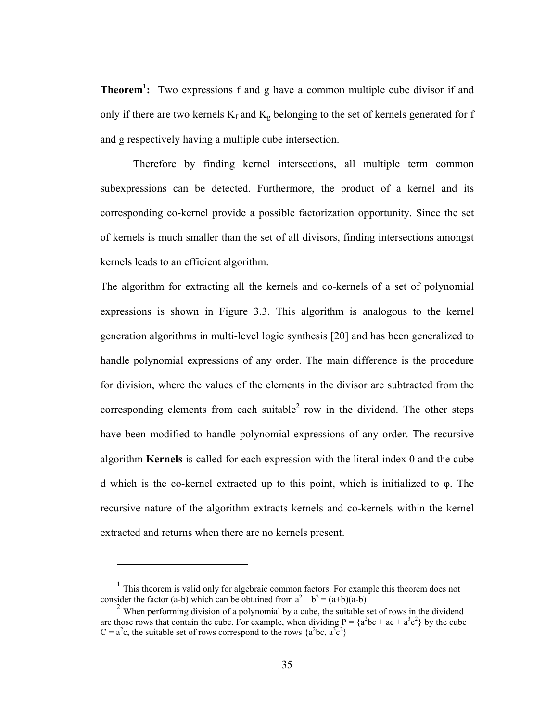**Theorem<sup>1</sup> :** Two expressions f and g have a common multiple cube divisor if and only if there are two kernels  $K_f$  and  $K_g$  belonging to the set of kernels generated for f and g respectively having a multiple cube intersection.

 Therefore by finding kernel intersections, all multiple term common subexpressions can be detected. Furthermore, the product of a kernel and its corresponding co-kernel provide a possible factorization opportunity. Since the set of kernels is much smaller than the set of all divisors, finding intersections amongst kernels leads to an efficient algorithm.

The algorithm for extracting all the kernels and co-kernels of a set of polynomial expressions is shown in Figure 3.3. This algorithm is analogous to the kernel generation algorithms in multi-level logic synthesis [20] and has been generalized to handle polynomial expressions of any order. The main difference is the procedure for division, where the values of the elements in the divisor are subtracted from the corresponding elements from each suitable<sup>2</sup> row in the dividend. The other steps have been modified to handle polynomial expressions of any order. The recursive algorithm **Kernels** is called for each expression with the literal index 0 and the cube d which is the co-kernel extracted up to this point, which is initialized to φ. The recursive nature of the algorithm extracts kernels and co-kernels within the kernel extracted and returns when there are no kernels present.

<u>.</u>

 $<sup>1</sup>$  This theorem is valid only for algebraic common factors. For example this theorem does not</sup> consider the factor (a-b) which can be obtained from  $a^2 - b^2 = (a+b)(a-b)$ 

 $2$  When performing division of a polynomial by a cube, the suitable set of rows in the dividend are those rows that contain the cube. For example, when dividing  $P = \{a^2bc + ac + a^3c^2\}$  by the cube  $C = a^2c$ , the suitable set of rows correspond to the rows  $\{a^2bc, a^3c^2\}$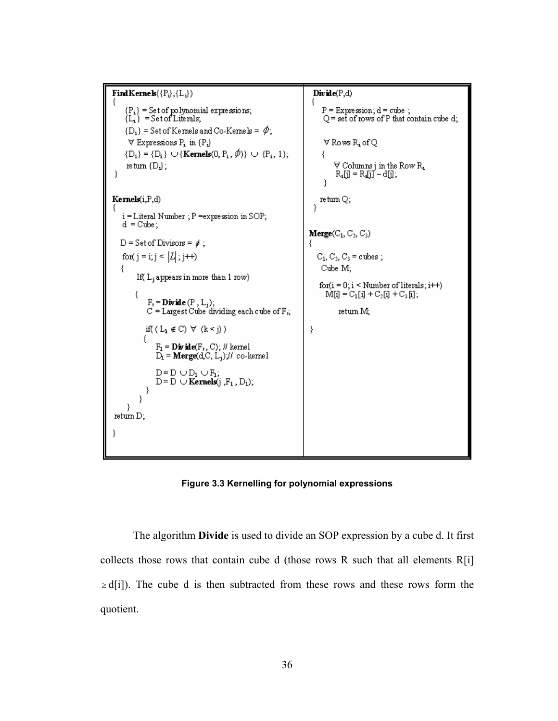```
Find Kernels(\lbrace P_i \rbrace, \lbrace L_i \rbrace)Divide(P,d)ł
       \begin{array}{l} \{P_i\} = \text{Set of polynomial expressions};\\ \{L_i\} = \text{Set of Literals}; \end{array}\begin{array}{l} \mathrm{P} = \mathrm{Expression}; \mathrm{d} = \mathrm{cube} \ ; \\ \mathrm{Q} = \mathrm{set} \ \mathrm{of} \ \mathrm{rows} \ \mathrm{of} \ \mathrm{P} \ \mathrm{that} \ \mathrm{contain} \ \mathrm{cube} \ \mathrm{d}; \end{array}\{D_i\} = Set of Kernels and Co-Kernels = \phi;
        \forall Expressions P<sub>i</sub> in \{P_i\}\forall Rows R_i of Q
       {D_i} = {D_i} \cup {Kernels(0, P_i, \emptyset)} \cup {P_i, 1};₹
                                                                                                                         \begin{array}{l} \forall \text{ Columns } j \text{ in the Row } R_i \\ R_i[j] = R_i[j] - d[j], \end{array}return \{D_i\};
 \})
Kernels(i,P,d)
                                                                                                                 return Q;
                                                                                                              Ŷ.
     i = Literal Number ; P = expression in SOP;
     d = Cube;Merge(C_1, C_2, C_3)D = Set of Divisors = \phi;
     for( j = i; j < |L|; j++)
                                                                                                                C_1, C_2, C_3 = cubes;
    \{Cube M;
             If(L_jappears in more than 1 row)
                                                                                                                 for(i = 0; i \leq Number of literals; i++)M[i] = C_1[i] + C_2[i] + C_3[i];€
                   F_t =Divide (P, L_j);
                   C = Largest Cube dividing each cube of F_i,
                                                                                                                            return M;
                  if((L_1 \notin C) \ \forall \ (k \leq j))
                                                                                                            \}ł
                       \begin{array}{l} \mathbf{F_l} = \mathbf{Div\,}\mathbf{ide}(\mathbf{F_r},\mathbf{C}),\,\text{\# } \mathbf{kemel} \\ \mathbf{D_l} = \mathbf{Merge}(\mathbf{d_i}\mathbf{C},\mathbf{L_j})\,\text{\# } \mathbf{co\text{-}kemel} \end{array}D = D \cup D_1 \cup F_1;
                       D = D \cupKernels(j, F_1, D_1);
                  }
              -}
       -}
 return D;
€
```
**Figure 3.3 Kernelling for polynomial expressions** 

 The algorithm **Divide** is used to divide an SOP expression by a cube d. It first collects those rows that contain cube d (those rows R such that all elements R[i]  $\geq d[i]$ ). The cube d is then subtracted from these rows and these rows form the quotient.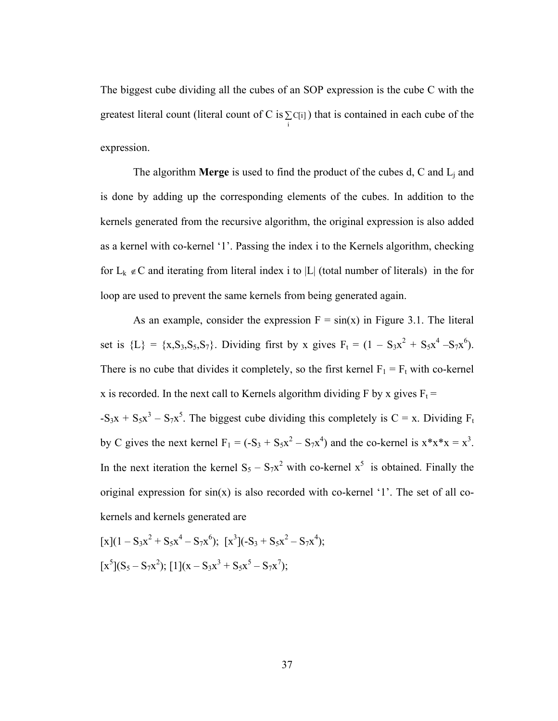The biggest cube dividing all the cubes of an SOP expression is the cube C with the greatest literal count (literal count of C is  $\sum_{i=1}^{n}$ C[i] ) that is contained in each cube of the expression.

 The algorithm **Merge** is used to find the product of the cubes d, C and Lj and is done by adding up the corresponding elements of the cubes. In addition to the kernels generated from the recursive algorithm, the original expression is also added as a kernel with co-kernel '1'. Passing the index i to the Kernels algorithm, checking for  $L_k \notin C$  and iterating from literal index i to |L| (total number of literals) in the for loop are used to prevent the same kernels from being generated again.

As an example, consider the expression  $F = sin(x)$  in Figure 3.1. The literal set is  $\{L\} = \{x, S_3, S_5, S_7\}$ . Dividing first by x gives  $F_t = (1 - S_3x^2 + S_5x^4 - S_7x^6)$ . There is no cube that divides it completely, so the first kernel  $F_1 = F_t$  with co-kernel x is recorded. In the next call to Kernels algorithm dividing F by x gives  $F_t$  =  $-S_3x + S_5x^3 - S_7x^5$ . The biggest cube dividing this completely is C = x. Dividing F<sub>t</sub> by C gives the next kernel  $F_1 = (-S_3 + S_5x^2 - S_7x^4)$  and the co-kernel is  $x*x*x = x^3$ . In the next iteration the kernel  $S_5 - S_7x^2$  with co-kernel  $x^5$  is obtained. Finally the original expression for  $sin(x)$  is also recorded with co-kernel '1'. The set of all cokernels and kernels generated are

$$
[x](1 - S_3x^2 + S_5x^4 - S_7x^6); [x^3](-S_3 + S_5x^2 - S_7x^4);
$$
  

$$
[x^5](S_5 - S_7x^2); [1](x - S_3x^3 + S_5x^5 - S_7x^7);
$$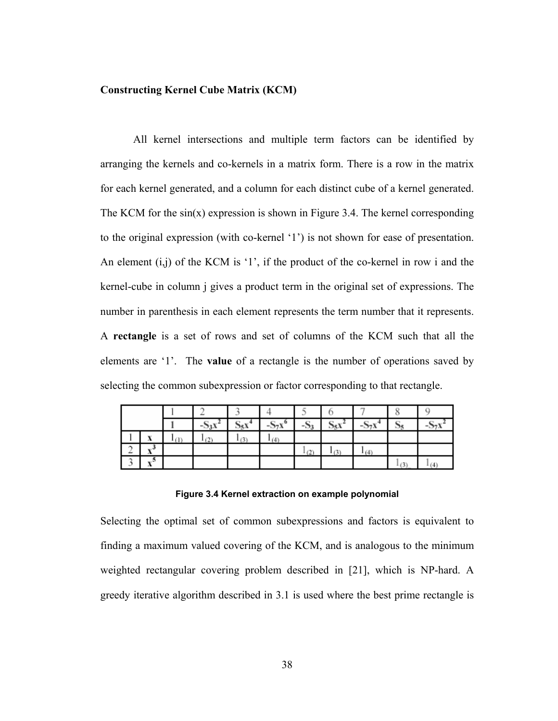# **Constructing Kernel Cube Matrix (KCM)**

All kernel intersections and multiple term factors can be identified by arranging the kernels and co-kernels in a matrix form. There is a row in the matrix for each kernel generated, and a column for each distinct cube of a kernel generated. The KCM for the  $sin(x)$  expression is shown in Figure 3.4. The kernel corresponding to the original expression (with co-kernel '1') is not shown for ease of presentation. An element  $(i, j)$  of the KCM is '1', if the product of the co-kernel in row i and the kernel-cube in column j gives a product term in the original set of expressions. The number in parenthesis in each element represents the term number that it represents. A **rectangle** is a set of rows and set of columns of the KCM such that all the elements are '1'. The **value** of a rectangle is the number of operations saved by selecting the common subexpression or factor corresponding to that rectangle.

|   |                        | $-53X$ | تحجب | $-S_7x^o$ | - 33 | . 15 A | $-S_7x$ |     |  |
|---|------------------------|--------|------|-----------|------|--------|---------|-----|--|
|   |                        | 21     | (3)  |           |      |        |         |     |  |
|   | ت                      |        |      |           |      |        |         |     |  |
| - | ್ಲ.∋<br>$\overline{1}$ |        |      |           |      |        |         | (3) |  |

#### **Figure 3.4 Kernel extraction on example polynomial**

Selecting the optimal set of common subexpressions and factors is equivalent to finding a maximum valued covering of the KCM, and is analogous to the minimum weighted rectangular covering problem described in [21], which is NP-hard. A greedy iterative algorithm described in 3.1 is used where the best prime rectangle is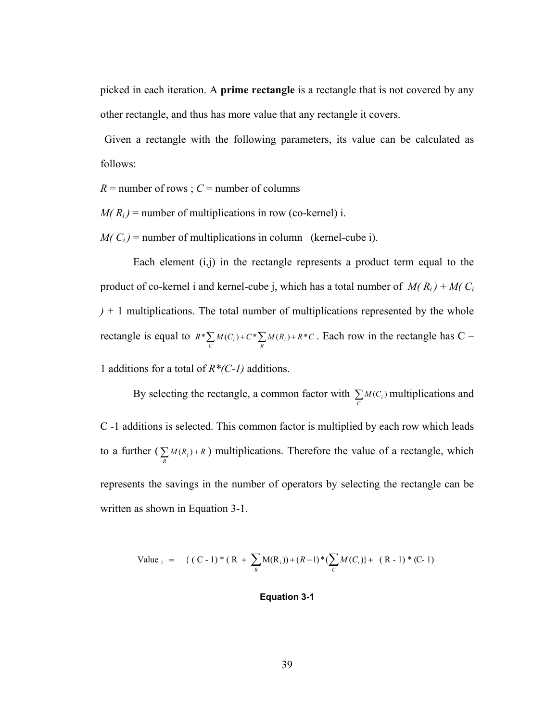picked in each iteration. A **prime rectangle** is a rectangle that is not covered by any other rectangle, and thus has more value that any rectangle it covers.

 Given a rectangle with the following parameters, its value can be calculated as follows:

 $R =$  number of rows ;  $C =$  number of columns

 $M(R<sub>i</sub>)$  = number of multiplications in row (co-kernel) i.

 $M(C_i)$  = number of multiplications in column (kernel-cube i).

Each element  $(i,j)$  in the rectangle represents a product term equal to the product of co-kernel i and kernel-cube j, which has a total number of  $M(R_i) + M(C_i)$ *)* + 1 multiplications. The total number of multiplications represented by the whole rectangle is equal to  $R^* \sum_{C} M(C_i) + C^* \sum_{R} M(R_i) + R^*C$ . Each row in the rectangle has C –

1 additions for a total of *R\*(C-1)* additions.

By selecting the rectangle, a common factor with  $\sum_{c} M(C_i)$  multiplications and C -1 additions is selected. This common factor is multiplied by each row which leads to a further ( $\sum_{R} M(R_i) + R$ ) multiplications. Therefore the value of a rectangle, which represents the savings in the number of operators by selecting the rectangle can be written as shown in Equation 3-1.

Value<sub>1</sub> = { (C - 1) \* (R + 
$$
\sum_{R}
$$
M(R<sub>i</sub>)) + (R - 1) \* ( $\sum_{C}$ M(C<sub>i</sub>)} + (R - 1) \* (C - 1)

## **Equation 3-1**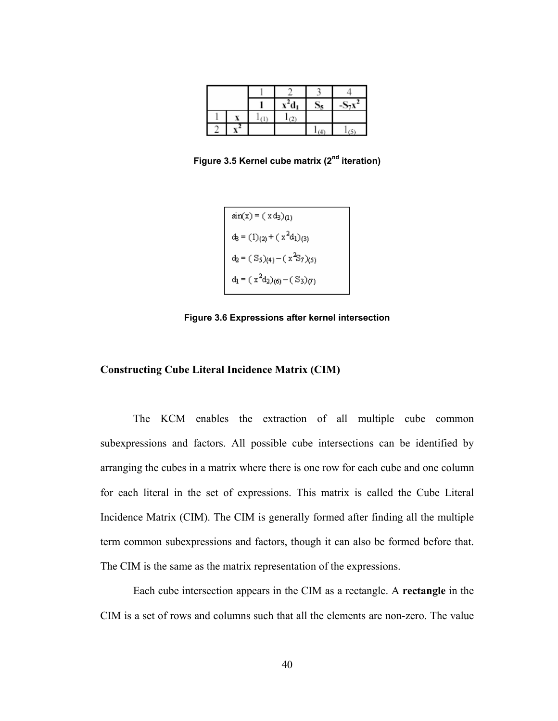|  | ı |  |  |
|--|---|--|--|
|  |   |  |  |

**Figure 3.5 Kernel cube matrix (2nd iteration)** 

$$
\sin(x) = (x d_3)_{(1)}
$$
  
\n
$$
d_3 = (1)_{(2)} + (x^2 d_1)_{(3)}
$$
  
\n
$$
d_2 = (S_5)_{(4)} - (x^2 S_7)_{(5)}
$$
  
\n
$$
d_1 = (x^2 d_2)_{(6)} - (S_3)_{(7)}
$$

**Figure 3.6 Expressions after kernel intersection** 

## **Constructing Cube Literal Incidence Matrix (CIM)**

 The KCM enables the extraction of all multiple cube common subexpressions and factors. All possible cube intersections can be identified by arranging the cubes in a matrix where there is one row for each cube and one column for each literal in the set of expressions. This matrix is called the Cube Literal Incidence Matrix (CIM). The CIM is generally formed after finding all the multiple term common subexpressions and factors, though it can also be formed before that. The CIM is the same as the matrix representation of the expressions.

 Each cube intersection appears in the CIM as a rectangle. A **rectangle** in the CIM is a set of rows and columns such that all the elements are non-zero. The value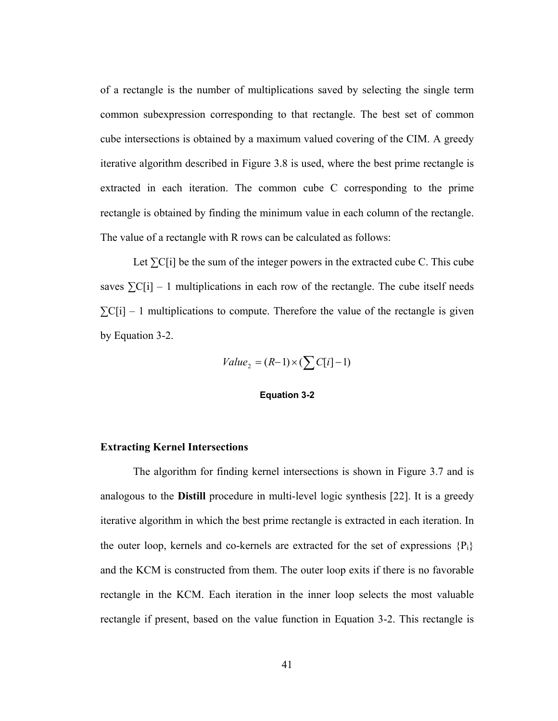of a rectangle is the number of multiplications saved by selecting the single term common subexpression corresponding to that rectangle. The best set of common cube intersections is obtained by a maximum valued covering of the CIM. A greedy iterative algorithm described in Figure 3.8 is used, where the best prime rectangle is extracted in each iteration. The common cube C corresponding to the prime rectangle is obtained by finding the minimum value in each column of the rectangle. The value of a rectangle with R rows can be calculated as follows:

Let  $\Sigma$ C[i] be the sum of the integer powers in the extracted cube C. This cube saves  $\Sigma$ C[i] – 1 multiplications in each row of the rectangle. The cube itself needs  $\Sigma$ C[i] – 1 multiplications to compute. Therefore the value of the rectangle is given by Equation 3-2.

$$
Value_2 = (R-1) \times (\sum C[i]-1)
$$

#### **Equation 3-2**

## **Extracting Kernel Intersections**

 The algorithm for finding kernel intersections is shown in Figure 3.7 and is analogous to the **Distill** procedure in multi-level logic synthesis [22]. It is a greedy iterative algorithm in which the best prime rectangle is extracted in each iteration. In the outer loop, kernels and co-kernels are extracted for the set of expressions  ${P_i}$ and the KCM is constructed from them. The outer loop exits if there is no favorable rectangle in the KCM. Each iteration in the inner loop selects the most valuable rectangle if present, based on the value function in Equation 3-2. This rectangle is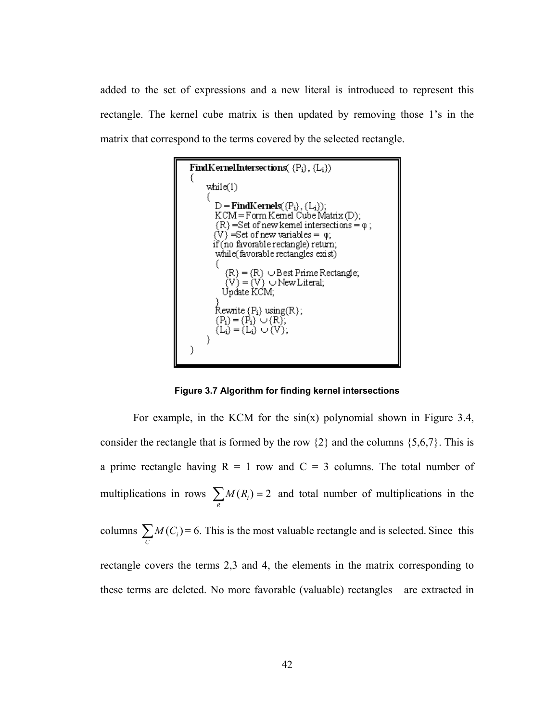added to the set of expressions and a new literal is introduced to represent this rectangle. The kernel cube matrix is then updated by removing those 1's in the matrix that correspond to the terms covered by the selected rectangle.



**Figure 3.7 Algorithm for finding kernel intersections** 

For example, in the KCM for the  $sin(x)$  polynomial shown in Figure 3.4, consider the rectangle that is formed by the row  $\{2\}$  and the columns  $\{5,6,7\}$ . This is a prime rectangle having  $R = 1$  row and  $C = 3$  columns. The total number of multiplications in rows  $\sum_{R} M(R_i) = 2$  and total number of multiplications in the columns  $\sum_{C} M(C_i)$  $M(C_i) = 6$ . This is the most valuable rectangle and is selected. Since this rectangle covers the terms 2,3 and 4, the elements in the matrix corresponding to these terms are deleted. No more favorable (valuable) rectangles are extracted in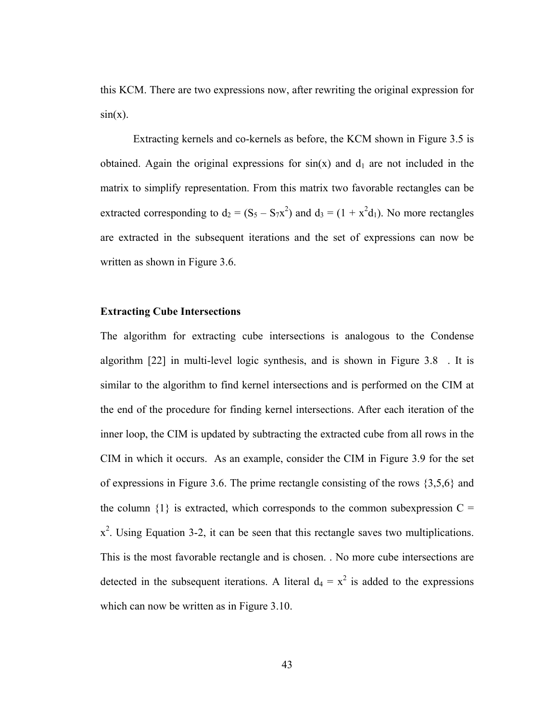this KCM. There are two expressions now, after rewriting the original expression for  $sin(x)$ .

 Extracting kernels and co-kernels as before, the KCM shown in Figure 3.5 is obtained. Again the original expressions for  $sin(x)$  and  $d_1$  are not included in the matrix to simplify representation. From this matrix two favorable rectangles can be extracted corresponding to  $d_2 = (S_5 - S_7x^2)$  and  $d_3 = (1 + x^2d_1)$ . No more rectangles are extracted in the subsequent iterations and the set of expressions can now be written as shown in Figure 3.6.

## **Extracting Cube Intersections**

The algorithm for extracting cube intersections is analogous to the Condense algorithm [22] in multi-level logic synthesis, and is shown in Figure 3.8 . It is similar to the algorithm to find kernel intersections and is performed on the CIM at the end of the procedure for finding kernel intersections. After each iteration of the inner loop, the CIM is updated by subtracting the extracted cube from all rows in the CIM in which it occurs. As an example, consider the CIM in Figure 3.9 for the set of expressions in Figure 3.6. The prime rectangle consisting of the rows {3,5,6} and the column  $\{1\}$  is extracted, which corresponds to the common subexpression C =  $x^2$ . Using Equation 3-2, it can be seen that this rectangle saves two multiplications. This is the most favorable rectangle and is chosen. . No more cube intersections are detected in the subsequent iterations. A literal  $d_4 = x^2$  is added to the expressions which can now be written as in Figure 3.10.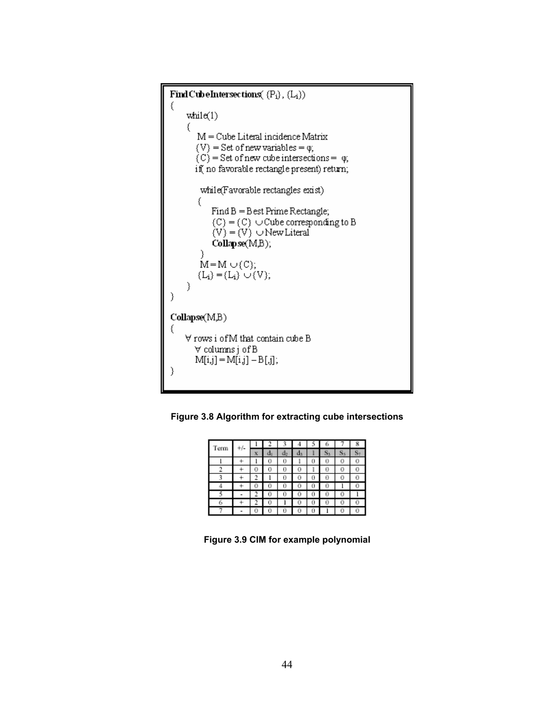Find CubeIntersections( $(P_i)$ ,  $(L_i)$ ) €  $\text{while}(1)$ €  $M =$  Cube Literal incidence Matrix  $\{V\}$  = Set of new variables =  $\varphi$ ;  $(C)$  = Set of new cube intersections =  $\varphi$ ; if no favorable rectangle present) return; while(Favorable rectangles exist) € Find B = Best Prime Rectangle;  $(C) = (C) \cup Cube$  corresponding to B  $(V) = (V) \cup New Literal$  $Collapse(M,B);$ ⟩  $M=M\cup (C);$  $(L_i) = (L_i) \cup (V)$ ;  $\mathcal{E}$  $\mathcal{E}$  $Collapse(M,B)$ €  $\forall$  rows i of M that contain cube B ∀ columns j of B  $M[i,j] = M[i,j] - B[j];$ €

**Figure 3.8 Algorithm for extracting cube intersections** 

| Term | $+/-$ |    |   |    |    |   |   |  |
|------|-------|----|---|----|----|---|---|--|
|      |       | x  |   | щ2 | us |   |   |  |
|      |       |    |   | U  |    | U | υ |  |
|      |       | r. |   | Ü  |    | ı | Ü |  |
|      |       |    |   |    |    |   | Ü |  |
|      |       | U  |   | υ  |    |   |   |  |
|      |       |    | U | U  |    |   | 0 |  |
|      |       |    |   |    |    |   | Ū |  |
|      |       |    |   | U  |    |   |   |  |

**Figure 3.9 CIM for example polynomial**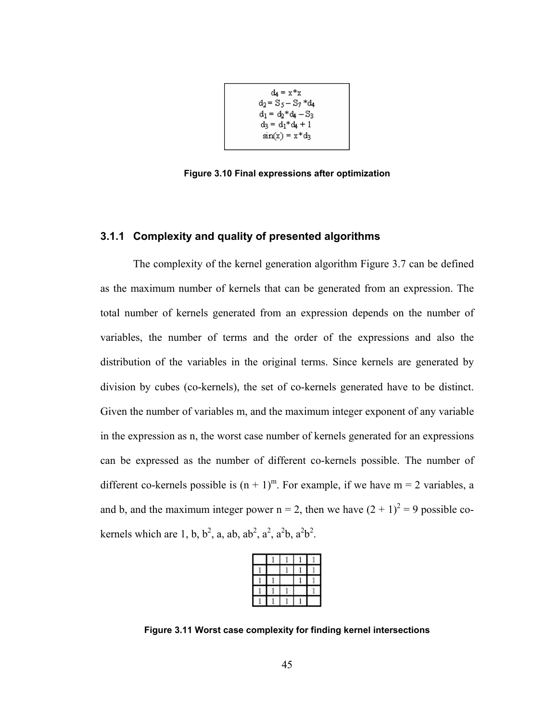$$
d_4 = x * x
$$
  
\n
$$
d_2 = S_5 - S_7 * d_4
$$
  
\n
$$
d_1 = d_2 * d_4 - S_3
$$
  
\n
$$
d_3 = d_1 * d_4 + 1
$$
  
\n
$$
sin(x) = x * d_3
$$

**Figure 3.10 Final expressions after optimization** 

# **3.1.1 Complexity and quality of presented algorithms**

The complexity of the kernel generation algorithm Figure 3.7 can be defined as the maximum number of kernels that can be generated from an expression. The total number of kernels generated from an expression depends on the number of variables, the number of terms and the order of the expressions and also the distribution of the variables in the original terms. Since kernels are generated by division by cubes (co-kernels), the set of co-kernels generated have to be distinct. Given the number of variables m, and the maximum integer exponent of any variable in the expression as n, the worst case number of kernels generated for an expressions can be expressed as the number of different co-kernels possible. The number of different co-kernels possible is  $(n + 1)^m$ . For example, if we have  $m = 2$  variables, a and b, and the maximum integer power  $n = 2$ , then we have  $(2 + 1)^2 = 9$  possible cokernels which are 1, b,  $b^2$ , a, ab, ab<sup>2</sup>, a<sup>2</sup>, a<sup>2</sup>b, a<sup>2</sup>b<sup>2</sup>.

**Figure 3.11 Worst case complexity for finding kernel intersections**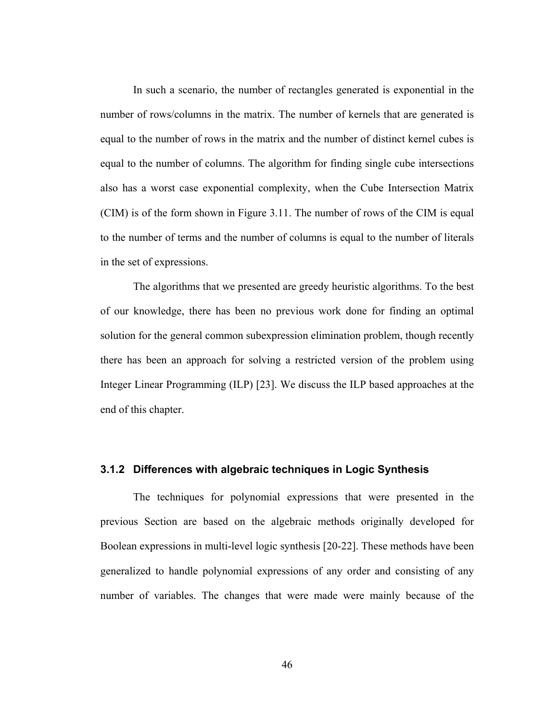In such a scenario, the number of rectangles generated is exponential in the number of rows/columns in the matrix. The number of kernels that are generated is equal to the number of rows in the matrix and the number of distinct kernel cubes is equal to the number of columns. The algorithm for finding single cube intersections also has a worst case exponential complexity, when the Cube Intersection Matrix (CIM) is of the form shown in Figure 3.11. The number of rows of the CIM is equal to the number of terms and the number of columns is equal to the number of literals in the set of expressions.

 The algorithms that we presented are greedy heuristic algorithms. To the best of our knowledge, there has been no previous work done for finding an optimal solution for the general common subexpression elimination problem, though recently there has been an approach for solving a restricted version of the problem using Integer Linear Programming (ILP) [23]. We discuss the ILP based approaches at the end of this chapter.

# **3.1.2 Differences with algebraic techniques in Logic Synthesis**

The techniques for polynomial expressions that were presented in the previous Section are based on the algebraic methods originally developed for Boolean expressions in multi-level logic synthesis [20-22]. These methods have been generalized to handle polynomial expressions of any order and consisting of any number of variables. The changes that were made were mainly because of the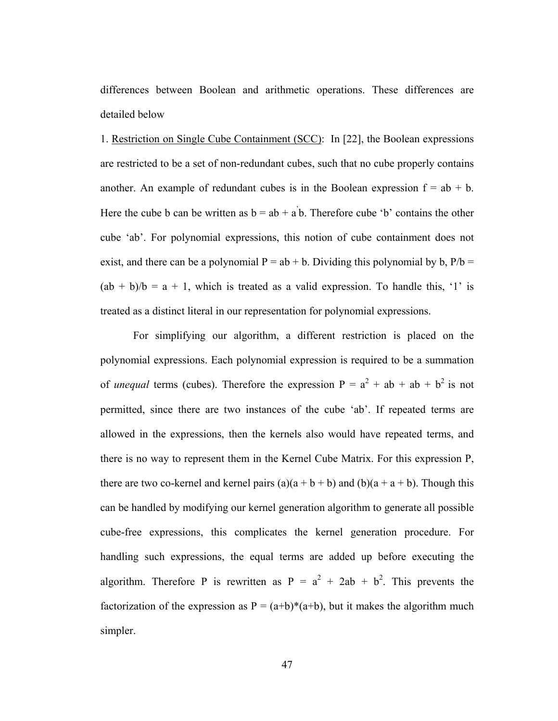differences between Boolean and arithmetic operations. These differences are detailed below

1. Restriction on Single Cube Containment (SCC): In [22], the Boolean expressions are restricted to be a set of non-redundant cubes, such that no cube properly contains another. An example of redundant cubes is in the Boolean expression  $f = ab + b$ . Here the cube b can be written as  $b = ab + a'b$ . Therefore cube 'b' contains the other cube 'ab'. For polynomial expressions, this notion of cube containment does not exist, and there can be a polynomial  $P = ab + b$ . Dividing this polynomial by b,  $P/b =$  $(ab + b)/b = a + 1$ , which is treated as a valid expression. To handle this, '1' is treated as a distinct literal in our representation for polynomial expressions.

 For simplifying our algorithm, a different restriction is placed on the polynomial expressions. Each polynomial expression is required to be a summation of *unequal* terms (cubes). Therefore the expression  $P = a^2 + ab + ab + b^2$  is not permitted, since there are two instances of the cube 'ab'. If repeated terms are allowed in the expressions, then the kernels also would have repeated terms, and there is no way to represent them in the Kernel Cube Matrix. For this expression P, there are two co-kernel and kernel pairs  $(a)(a + b + b)$  and  $(b)(a + a + b)$ . Though this can be handled by modifying our kernel generation algorithm to generate all possible cube-free expressions, this complicates the kernel generation procedure. For handling such expressions, the equal terms are added up before executing the algorithm. Therefore P is rewritten as  $P = a^2 + 2ab + b^2$ . This prevents the factorization of the expression as  $P = (a+b)*(a+b)$ , but it makes the algorithm much simpler.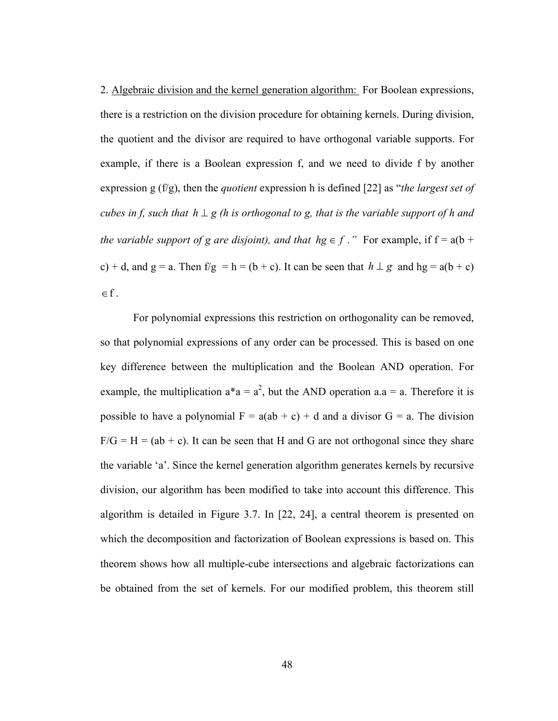2. Algebraic division and the kernel generation algorithm: For Boolean expressions, there is a restriction on the division procedure for obtaining kernels. During division, the quotient and the divisor are required to have orthogonal variable supports. For example, if there is a Boolean expression f, and we need to divide f by another expression g (f/g), then the *quotient* expression h is defined [22] as "*the largest set of cubes in f, such that h*  $\perp$  *g* (*h* is orthogonal to *g, that is the variable support of h and the variable support of g are disjoint), and that*  $hg \in f$ *."* For example, if  $f = a(b + f)$ c) + d, and g = a. Then f/g = h = (b + c). It can be seen that  $h \perp g$  and hg = a(b + c)  $\in$  f .

 For polynomial expressions this restriction on orthogonality can be removed, so that polynomial expressions of any order can be processed. This is based on one key difference between the multiplication and the Boolean AND operation. For example, the multiplication  $a^*a = a^2$ , but the AND operation  $a.a = a$ . Therefore it is possible to have a polynomial  $F = a(ab + c) + d$  and a divisor  $G = a$ . The division  $F/G = H = (ab + c)$ . It can be seen that H and G are not orthogonal since they share the variable 'a'. Since the kernel generation algorithm generates kernels by recursive division, our algorithm has been modified to take into account this difference. This algorithm is detailed in Figure 3.7. In [22, 24], a central theorem is presented on which the decomposition and factorization of Boolean expressions is based on. This theorem shows how all multiple-cube intersections and algebraic factorizations can be obtained from the set of kernels. For our modified problem, this theorem still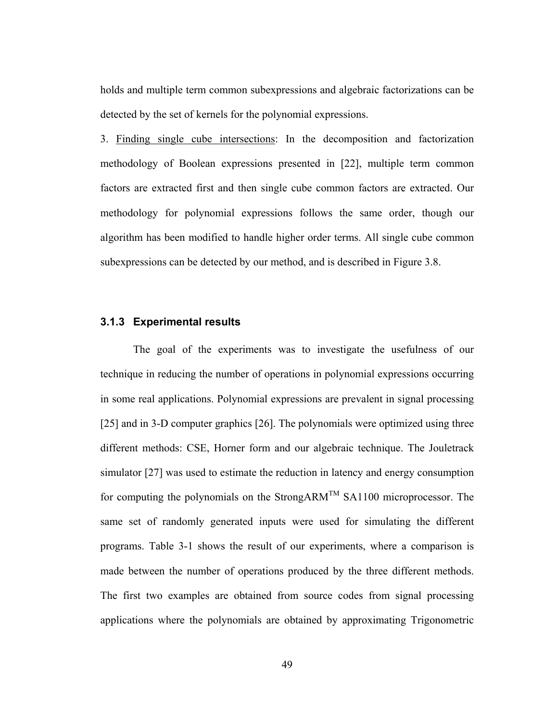holds and multiple term common subexpressions and algebraic factorizations can be detected by the set of kernels for the polynomial expressions.

3. Finding single cube intersections: In the decomposition and factorization methodology of Boolean expressions presented in [22], multiple term common factors are extracted first and then single cube common factors are extracted. Our methodology for polynomial expressions follows the same order, though our algorithm has been modified to handle higher order terms. All single cube common subexpressions can be detected by our method, and is described in Figure 3.8.

# **3.1.3 Experimental results**

The goal of the experiments was to investigate the usefulness of our technique in reducing the number of operations in polynomial expressions occurring in some real applications. Polynomial expressions are prevalent in signal processing [25] and in 3-D computer graphics [26]. The polynomials were optimized using three different methods: CSE, Horner form and our algebraic technique. The Jouletrack simulator [27] was used to estimate the reduction in latency and energy consumption for computing the polynomials on the StrongARM<sup>TM</sup> SA1100 microprocessor. The same set of randomly generated inputs were used for simulating the different programs. Table 3-1 shows the result of our experiments, where a comparison is made between the number of operations produced by the three different methods. The first two examples are obtained from source codes from signal processing applications where the polynomials are obtained by approximating Trigonometric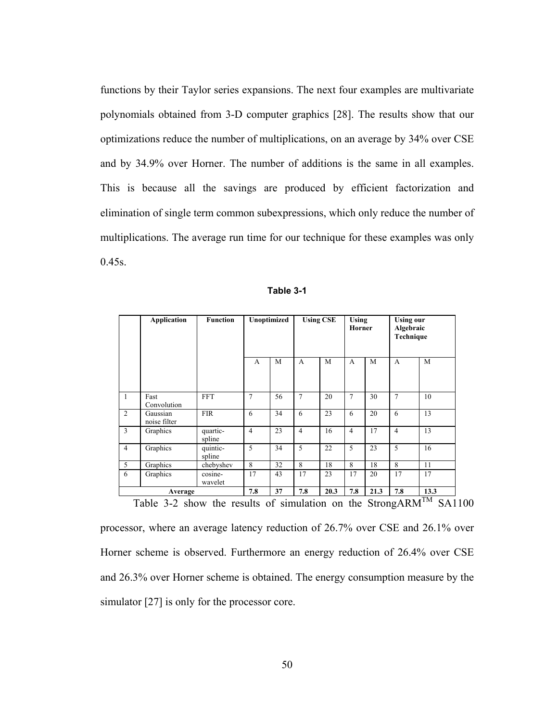functions by their Taylor series expansions. The next four examples are multivariate polynomials obtained from 3-D computer graphics [28]. The results show that our optimizations reduce the number of multiplications, on an average by 34% over CSE and by 34.9% over Horner. The number of additions is the same in all examples. This is because all the savings are produced by efficient factorization and elimination of single term common subexpressions, which only reduce the number of multiplications. The average run time for our technique for these examples was only  $0.45s$ .

|                | <b>Application</b>       | <b>Function</b>    | Unoptimized    |    | <b>Using CSE</b> |      | <b>Using</b><br><b>Horner</b> |      | <b>Using our</b><br>Algebraic<br>Technique |                   |
|----------------|--------------------------|--------------------|----------------|----|------------------|------|-------------------------------|------|--------------------------------------------|-------------------|
|                |                          |                    | A              | M  | $\mathsf{A}$     | M    | A                             | M    | $\overline{A}$                             | M                 |
| $\mathbf{1}$   | Fast<br>Convolution      | <b>FFT</b>         | 7              | 56 | 7                | 20   | $\tau$                        | 30   | $\overline{7}$                             | 10                |
| 2              | Gaussian<br>noise filter | <b>FIR</b>         | 6              | 34 | 6                | 23   | 6                             | 20   | 6                                          | 13                |
| $\overline{3}$ | Graphics                 | quartic-<br>spline | $\overline{4}$ | 23 | $\overline{4}$   | 16   | $\overline{4}$                | 17   | $\overline{4}$                             | 13                |
| $\overline{4}$ | Graphics                 | quintic-<br>spline | 5              | 34 | 5                | 22   | 5                             | 23   | 5                                          | 16                |
| 5              | Graphics                 | chebyshev          | 8              | 32 | 8                | 18   | 8                             | 18   | 8                                          | 11                |
| 6              | Graphics                 | cosine-<br>wavelet | 17             | 43 | 17               | 23   | 17                            | 20   | 17                                         | 17                |
|                | Average                  |                    | 7.8            | 37 | 7.8              | 20.3 | 7.8                           | 21.3 | 7.8                                        | 13.3<br><b>TM</b> |

| Table 3-1 |  |
|-----------|--|
|-----------|--|

Table 3-2 show the results of simulation on the StrongARM<sup>TM</sup> SA1100

processor, where an average latency reduction of 26.7% over CSE and 26.1% over Horner scheme is observed. Furthermore an energy reduction of 26.4% over CSE and 26.3% over Horner scheme is obtained. The energy consumption measure by the simulator [27] is only for the processor core.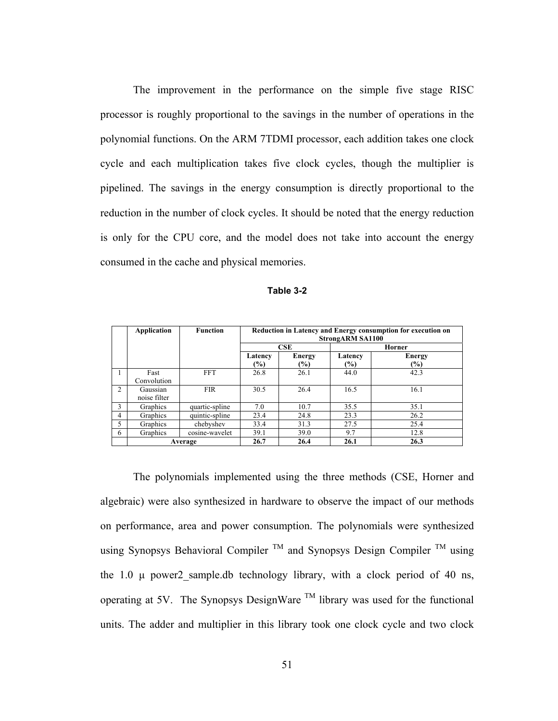The improvement in the performance on the simple five stage RISC processor is roughly proportional to the savings in the number of operations in the polynomial functions. On the ARM 7TDMI processor, each addition takes one clock cycle and each multiplication takes five clock cycles, though the multiplier is pipelined. The savings in the energy consumption is directly proportional to the reduction in the number of clock cycles. It should be noted that the energy reduction is only for the CPU core, and the model does not take into account the energy consumed in the cache and physical memories.

|  | Table 3-2 |
|--|-----------|
|--|-----------|

|   | Application              | <b>Function</b> |                          | Reduction in Latency and Energy consumption for execution on<br><b>StrongARM SA1100</b> |                |                      |  |  |  |
|---|--------------------------|-----------------|--------------------------|-----------------------------------------------------------------------------------------|----------------|----------------------|--|--|--|
|   |                          |                 |                          | CSE                                                                                     |                | Horner               |  |  |  |
|   |                          |                 | Latency<br>$\frac{1}{2}$ | <b>Energy</b><br>$(\%)$                                                                 | Latency<br>(%) | <b>Energy</b><br>(%) |  |  |  |
| 1 | Fast                     | <b>FFT</b>      | 26.8                     | 26.1                                                                                    | 44.0           | 42.3                 |  |  |  |
|   | Convolution              |                 |                          |                                                                                         |                |                      |  |  |  |
| 2 | Gaussian<br>noise filter | <b>FIR</b>      | 30.5                     | 26.4                                                                                    | 16.5           | 16.1                 |  |  |  |
| 3 | Graphics                 | quartic-spline  | 7.0                      | 10.7                                                                                    | 35.5           | 35.1                 |  |  |  |
| 4 | Graphics                 | quintic-spline  | 23.4                     | 24.8                                                                                    | 23.3           | 26.2                 |  |  |  |
| 5 | Graphics                 | chebyshev       | 33.4                     | 31.3                                                                                    | 27.5           | 25.4                 |  |  |  |
| 6 | Graphics                 | cosine-wavelet  | 39.1                     | 39.0                                                                                    | 9.7            | 12.8                 |  |  |  |
|   |                          | Average         | 26.7                     | 26.4                                                                                    | 26.1           | 26.3                 |  |  |  |

The polynomials implemented using the three methods (CSE, Horner and algebraic) were also synthesized in hardware to observe the impact of our methods on performance, area and power consumption. The polynomials were synthesized using Synopsys Behavioral Compiler  $TM$  and Synopsys Design Compiler  $TM$  using the 1.0  $\mu$  power2 sample.db technology library, with a clock period of 40 ns, operating at 5V. The Synopsys DesignWare TM library was used for the functional units. The adder and multiplier in this library took one clock cycle and two clock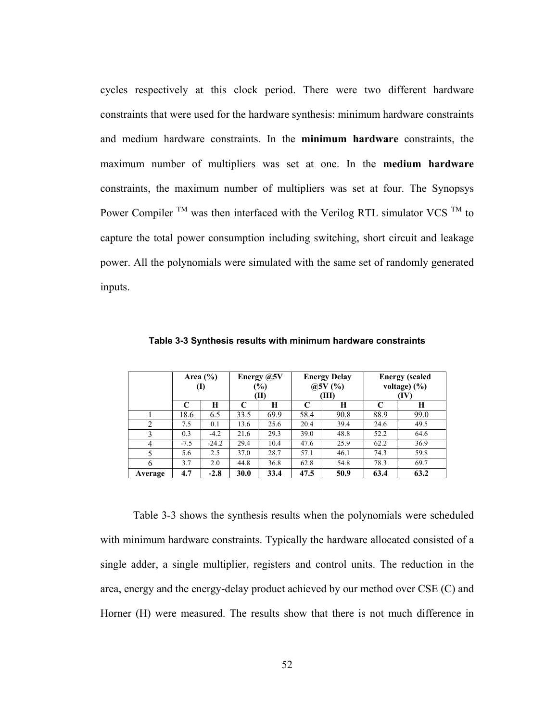cycles respectively at this clock period. There were two different hardware constraints that were used for the hardware synthesis: minimum hardware constraints and medium hardware constraints. In the **minimum hardware** constraints, the maximum number of multipliers was set at one. In the **medium hardware** constraints, the maximum number of multipliers was set at four. The Synopsys Power Compiler <sup>TM</sup> was then interfaced with the Verilog RTL simulator VCS <sup>TM</sup> to capture the total power consumption including switching, short circuit and leakage power. All the polynomials were simulated with the same set of randomly generated inputs.

|         | Area $(\% )$<br>(I) |         | Energy @5V<br>$(\%)$<br>(II) |      | <b>Energy Delay</b><br>(a)5V(%)<br>(III) |      | <b>Energy</b> (scaled<br>voltage $(\%)$<br>(IV) |      |
|---------|---------------------|---------|------------------------------|------|------------------------------------------|------|-------------------------------------------------|------|
|         | C                   | Н       | C                            | Н    | C                                        | Н    |                                                 | Н    |
|         | 18.6                | 6.5     | 33.5                         | 69.9 | 58.4                                     | 90.8 | 88.9                                            | 99.0 |
|         | 7.5                 | 0.1     | 13.6                         | 25.6 | 20.4                                     | 39.4 | 24.6                                            | 49.5 |
|         | 0.3                 | $-4.2$  | 21.6                         | 29.3 | 39.0                                     | 48.8 | 52.2                                            | 64.6 |
| 4       | $-7.5$              | $-24.2$ | 29.4                         | 10.4 | 47.6                                     | 25.9 | 62.2                                            | 36.9 |
|         | 5.6                 | 2.5     | 37.0                         | 28.7 | 57.1                                     | 46.1 | 74.3                                            | 59.8 |
| 6       | 3.7                 | 2.0     | 44.8                         | 36.8 | 62.8                                     | 54.8 | 78.3                                            | 69.7 |
| Average | 4.7                 | $-2.8$  | 30.0                         | 33.4 | 47.5                                     | 50.9 | 63.4                                            | 63.2 |

**Table 3-3 Synthesis results with minimum hardware constraints** 

Table 3-3 shows the synthesis results when the polynomials were scheduled with minimum hardware constraints. Typically the hardware allocated consisted of a single adder, a single multiplier, registers and control units. The reduction in the area, energy and the energy-delay product achieved by our method over CSE (C) and Horner (H) were measured. The results show that there is not much difference in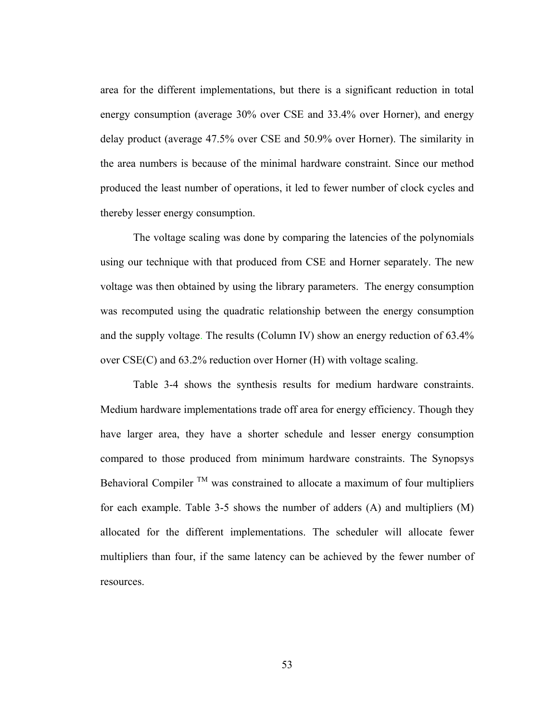area for the different implementations, but there is a significant reduction in total energy consumption (average 30% over CSE and 33.4% over Horner), and energy delay product (average 47.5% over CSE and 50.9% over Horner). The similarity in the area numbers is because of the minimal hardware constraint. Since our method produced the least number of operations, it led to fewer number of clock cycles and thereby lesser energy consumption.

The voltage scaling was done by comparing the latencies of the polynomials using our technique with that produced from CSE and Horner separately. The new voltage was then obtained by using the library parameters. The energy consumption was recomputed using the quadratic relationship between the energy consumption and the supply voltage. The results (Column IV) show an energy reduction of 63.4% over CSE(C) and 63.2% reduction over Horner (H) with voltage scaling.

Table 3-4 shows the synthesis results for medium hardware constraints. Medium hardware implementations trade off area for energy efficiency. Though they have larger area, they have a shorter schedule and lesser energy consumption compared to those produced from minimum hardware constraints. The Synopsys Behavioral Compiler  $TM$  was constrained to allocate a maximum of four multipliers for each example. Table 3-5 shows the number of adders (A) and multipliers (M) allocated for the different implementations. The scheduler will allocate fewer multipliers than four, if the same latency can be achieved by the fewer number of resources.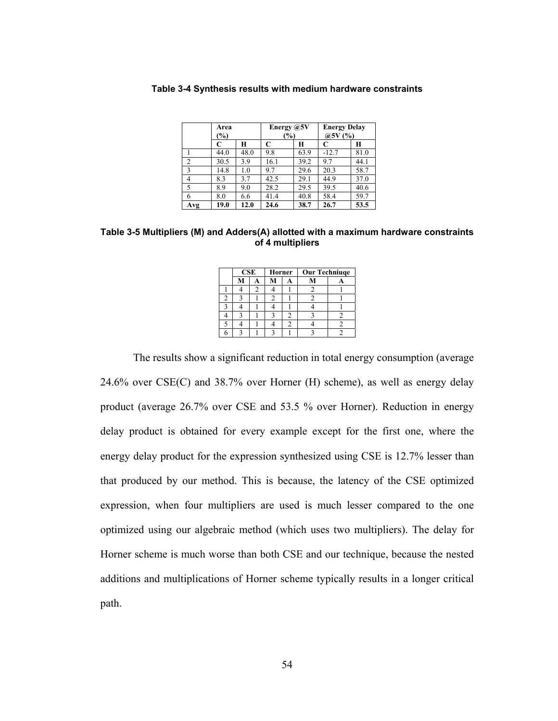|                | Area<br>$(\%)$ |      | Energy @5V<br>$(\%)$ |      | <b>Energy Delay</b><br>@5V (%) |      |
|----------------|----------------|------|----------------------|------|--------------------------------|------|
|                |                | H    | C                    | H    |                                | Н    |
|                | 44.0           | 48.0 | 9.8                  | 63.9 | $-12.7$                        | 81.0 |
| $\overline{c}$ | 30.5           | 3.9  | 16.1                 | 39.2 | 9.7                            | 44.1 |
| 3              | 14.8           | 1.0  | 9.7                  | 29.6 | 20.3                           | 58.7 |
| 4              | 8.3            | 3.7  | 42.5                 | 29.1 | 44.9                           | 37.0 |
| 5              | 8.9            | 9.0  | 28.2                 | 29.5 | 39.5                           | 40.6 |
| 6              | 8.0            | 6.6  | 41.4                 | 40.8 | 58.4                           | 59.7 |
| Avg            | 19.0           | 12.0 | 24.6                 | 38.7 | 26.7                           | 53.5 |

**Table 3-4 Synthesis results with medium hardware constraints** 

**Table 3-5 Multipliers (M) and Adders(A) allotted with a maximum hardware constraints of 4 multipliers** 

|    | CSE |  | Horner | <b>Our Techniuqe</b> |  |  |
|----|-----|--|--------|----------------------|--|--|
|    |     |  |        |                      |  |  |
|    |     |  |        |                      |  |  |
| Τ. |     |  |        |                      |  |  |
|    |     |  |        |                      |  |  |
|    |     |  |        |                      |  |  |
|    |     |  |        |                      |  |  |
|    |     |  |        |                      |  |  |

The results show a significant reduction in total energy consumption (average 24.6% over CSE(C) and 38.7% over Horner (H) scheme), as well as energy delay product (average 26.7% over CSE and 53.5 % over Horner). Reduction in energy delay product is obtained for every example except for the first one, where the energy delay product for the expression synthesized using CSE is 12.7% lesser than that produced by our method. This is because, the latency of the CSE optimized expression, when four multipliers are used is much lesser compared to the one optimized using our algebraic method (which uses two multipliers). The delay for Horner scheme is much worse than both CSE and our technique, because the nested additions and multiplications of Horner scheme typically results in a longer critical path.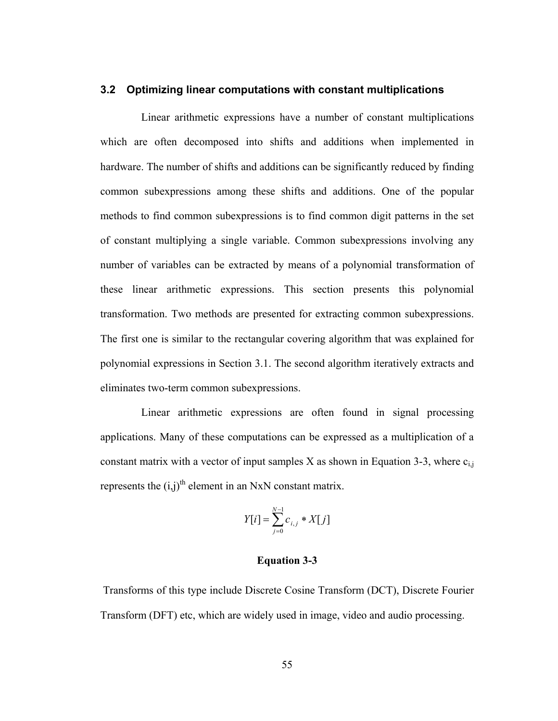# **3.2 Optimizing linear computations with constant multiplications**

 Linear arithmetic expressions have a number of constant multiplications which are often decomposed into shifts and additions when implemented in hardware. The number of shifts and additions can be significantly reduced by finding common subexpressions among these shifts and additions. One of the popular methods to find common subexpressions is to find common digit patterns in the set of constant multiplying a single variable. Common subexpressions involving any number of variables can be extracted by means of a polynomial transformation of these linear arithmetic expressions. This section presents this polynomial transformation. Two methods are presented for extracting common subexpressions. The first one is similar to the rectangular covering algorithm that was explained for polynomial expressions in Section 3.1. The second algorithm iteratively extracts and eliminates two-term common subexpressions.

 Linear arithmetic expressions are often found in signal processing applications. Many of these computations can be expressed as a multiplication of a constant matrix with a vector of input samples X as shown in Equation 3-3, where  $c_{i,j}$ represents the  $(i,j)$ <sup>th</sup> element in an NxN constant matrix.

$$
Y[i] = \sum_{j=0}^{N-1} c_{i,j} * X[j]
$$

# **Equation 3-3**

Transforms of this type include Discrete Cosine Transform (DCT), Discrete Fourier Transform (DFT) etc, which are widely used in image, video and audio processing.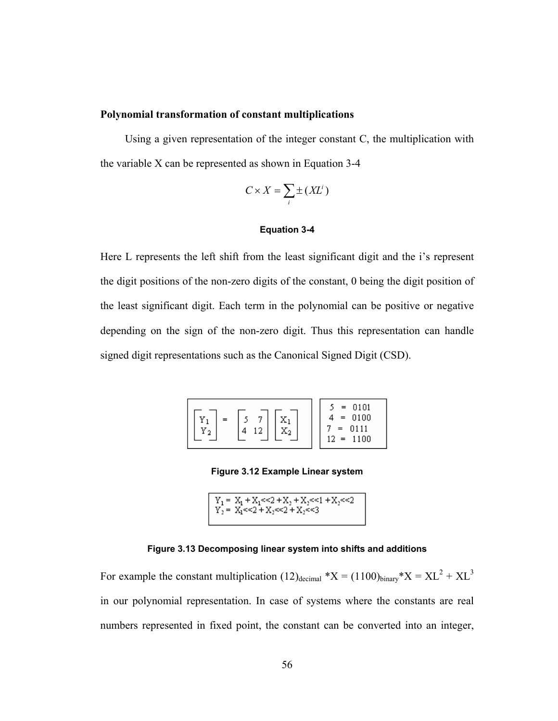## **Polynomial transformation of constant multiplications**

 Using a given representation of the integer constant C, the multiplication with the variable X can be represented as shown in Equation 3-4

$$
C \times X = \sum_i \pm (X L^i)
$$

## **Equation 3-4**

Here L represents the left shift from the least significant digit and the i's represent the digit positions of the non-zero digits of the constant, 0 being the digit position of the least significant digit. Each term in the polynomial can be positive or negative depending on the sign of the non-zero digit. Thus this representation can handle signed digit representations such as the Canonical Signed Digit (CSD).

| Y<br>∼<br>Δ<br>$\boldsymbol{\mathrm{x}}_2$<br>Y<br>2 | 0101<br>0100<br>0111<br>100 |
|------------------------------------------------------|-----------------------------|
|------------------------------------------------------|-----------------------------|

**Figure 3.12 Example Linear system** 

$$
\begin{array}{l} Y_1 = \ X_1 + X_1 \ll 2 + X_2 + X_3 \ll 1 + X_3 \ll 2 \\ Y_2 = \ X_1 \ll 2 + X_2 \ll 2 + X_3 \ll 3 \end{array}
$$

#### **Figure 3.13 Decomposing linear system into shifts and additions**

For example the constant multiplication  $(12)_{\text{decimal}}$  \*X =  $(1100)_{\text{binary}}$  \*X =  $\text{XL}^2$  +  $\text{XL}^3$ in our polynomial representation. In case of systems where the constants are real numbers represented in fixed point, the constant can be converted into an integer,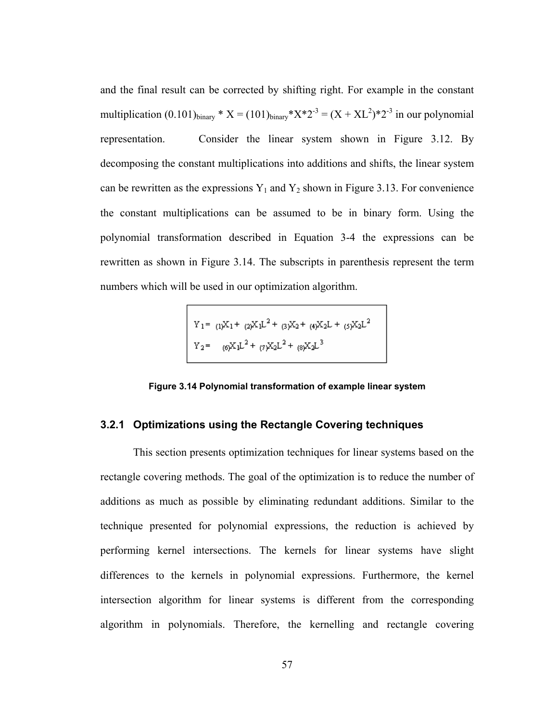and the final result can be corrected by shifting right. For example in the constant multiplication  $(0.101)_{\text{binary}} * X = (101)_{\text{binary}} * X * 2^{-3} = (X + XL^2) * 2^{-3}$  in our polynomial representation. Consider the linear system shown in Figure 3.12. By decomposing the constant multiplications into additions and shifts, the linear system can be rewritten as the expressions  $Y_1$  and  $Y_2$  shown in Figure 3.13. For convenience the constant multiplications can be assumed to be in binary form. Using the polynomial transformation described in Equation 3-4 the expressions can be rewritten as shown in Figure 3.14. The subscripts in parenthesis represent the term numbers which will be used in our optimization algorithm.

$$
\begin{array}{lll} Y_1 = & (1)X_1 + & (2)X_1L^2 + & (3)X_2 + & (4)X_2L + & (5)X_2L^2 \\ & & (6)X_1L^2 + & (7)X_2L^2 + & (8)X_2L^3 \end{array}
$$

**Figure 3.14 Polynomial transformation of example linear system** 

# **3.2.1 Optimizations using the Rectangle Covering techniques**

This section presents optimization techniques for linear systems based on the rectangle covering methods. The goal of the optimization is to reduce the number of additions as much as possible by eliminating redundant additions. Similar to the technique presented for polynomial expressions, the reduction is achieved by performing kernel intersections. The kernels for linear systems have slight differences to the kernels in polynomial expressions. Furthermore, the kernel intersection algorithm for linear systems is different from the corresponding algorithm in polynomials. Therefore, the kernelling and rectangle covering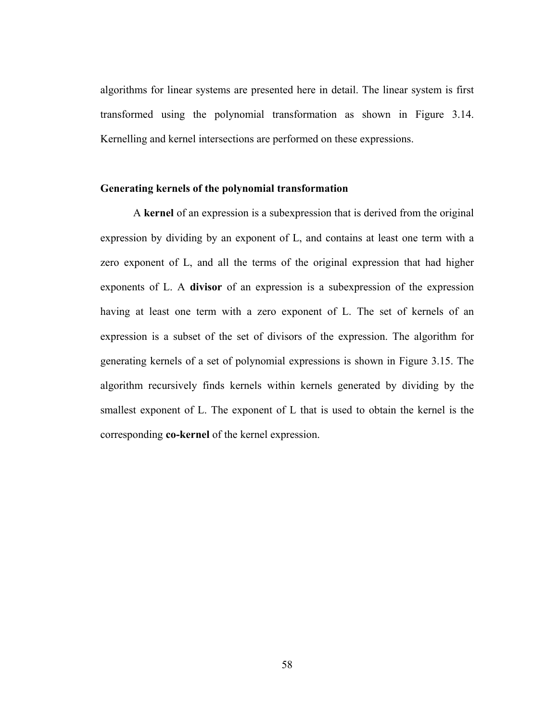algorithms for linear systems are presented here in detail. The linear system is first transformed using the polynomial transformation as shown in Figure 3.14. Kernelling and kernel intersections are performed on these expressions.

## **Generating kernels of the polynomial transformation**

A **kernel** of an expression is a subexpression that is derived from the original expression by dividing by an exponent of L, and contains at least one term with a zero exponent of L, and all the terms of the original expression that had higher exponents of L. A **divisor** of an expression is a subexpression of the expression having at least one term with a zero exponent of L. The set of kernels of an expression is a subset of the set of divisors of the expression. The algorithm for generating kernels of a set of polynomial expressions is shown in Figure 3.15. The algorithm recursively finds kernels within kernels generated by dividing by the smallest exponent of L. The exponent of L that is used to obtain the kernel is the corresponding **co-kernel** of the kernel expression.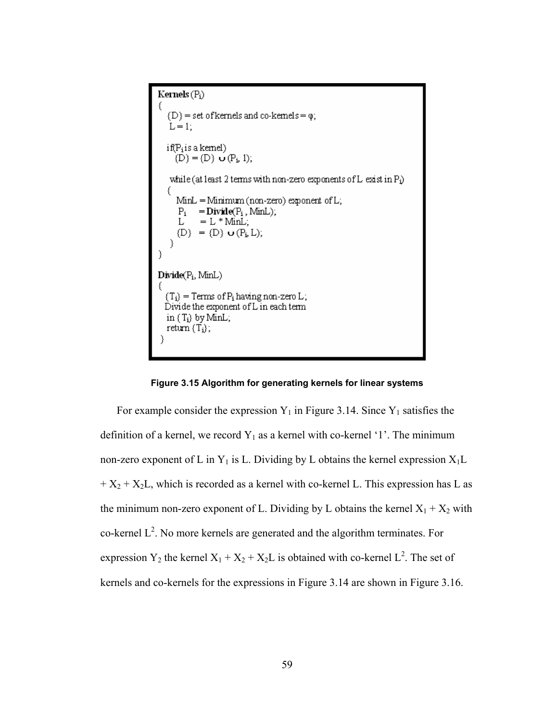Kernels  $(P_i)$  $(D)$  = set of kernels and co-kernels =  $\varphi$ ;  $L = 1$ : if(P<sub>i</sub>is a kemel)<br>(D) = (D) **o** (P<sub>i</sub>, 1); while (at least 2 terms with non-zero exponents of L exist in Pi) MinL = Minimum (non-zero) exponent of L;  $P_i = Divide(P_i, MinL);$ L  $= L * MinL;$  $(D) = (D) \cup (P_i, L);$ €  $Divide(P_i, MinL)$  $\begin{array}{l} \{T_i\} = Terms \: of \: P_i \: having \: non-zero \: L \: ; \\ \text{Divide the exponent of \: L \: in \: each \: term} \end{array}$ in  $\{T_i\}$  by MinL; return  $(T_i)$ ;



For example consider the expression  $Y_1$  in Figure 3.14. Since  $Y_1$  satisfies the definition of a kernel, we record  $Y_1$  as a kernel with co-kernel '1'. The minimum non-zero exponent of L in  $Y_1$  is L. Dividing by L obtains the kernel expression  $X_1L$  $+ X_2 + X_2L$ , which is recorded as a kernel with co-kernel L. This expression has L as the minimum non-zero exponent of L. Dividing by L obtains the kernel  $X_1 + X_2$  with co-kernel  $L^2$ . No more kernels are generated and the algorithm terminates. For expression Y<sub>2</sub> the kernel  $X_1 + X_2 + X_2L$  is obtained with co-kernel L<sup>2</sup>. The set of kernels and co-kernels for the expressions in Figure 3.14 are shown in Figure 3.16.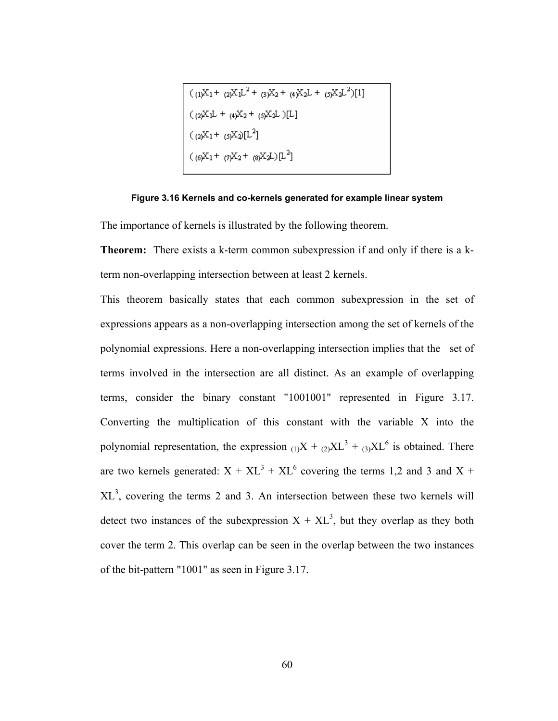$$
((1)X_1 + (2)X_1L^2 + (3)X_2 + (4)X_2L + (5)X_2L^2)[1]
$$
  

$$
((2)X_1L + (4)X_2 + (5)X_2L)[L]
$$
  

$$
((2)X_1 + (5)X_2)[L^2]
$$
  

$$
((6)X_1 + (7)X_2 + (8)X_2L)[L^2]
$$

#### **Figure 3.16 Kernels and co-kernels generated for example linear system**

The importance of kernels is illustrated by the following theorem.

**Theorem:** There exists a k-term common subexpression if and only if there is a kterm non-overlapping intersection between at least 2 kernels.

This theorem basically states that each common subexpression in the set of expressions appears as a non-overlapping intersection among the set of kernels of the polynomial expressions. Here a non-overlapping intersection implies that the set of terms involved in the intersection are all distinct. As an example of overlapping terms, consider the binary constant "1001001" represented in Figure 3.17. Converting the multiplication of this constant with the variable X into the polynomial representation, the expression  $_{(1)}X +_{(2)}XL^3 +_{(3)}XL^6$  is obtained. There are two kernels generated:  $X + XL^{3} + XL^{6}$  covering the terms 1,2 and 3 and X +  $XL<sup>3</sup>$ , covering the terms 2 and 3. An intersection between these two kernels will detect two instances of the subexpression  $X + XL^3$ , but they overlap as they both cover the term 2. This overlap can be seen in the overlap between the two instances of the bit-pattern "1001" as seen in Figure 3.17.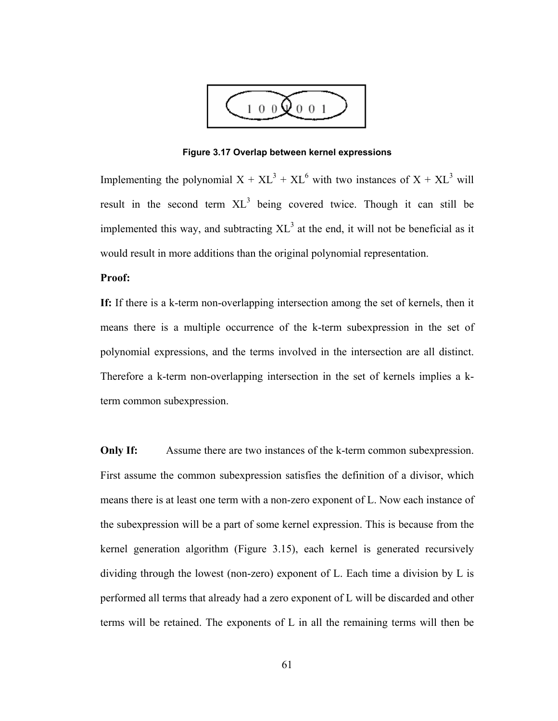

**Figure 3.17 Overlap between kernel expressions** 

Implementing the polynomial  $X + XL^3 + XL^6$  with two instances of  $X + XL^3$  will result in the second term  $XL^3$  being covered twice. Though it can still be implemented this way, and subtracting  $XL^3$  at the end, it will not be beneficial as it would result in more additions than the original polynomial representation.

# **Proof:**

**If:** If there is a k-term non-overlapping intersection among the set of kernels, then it means there is a multiple occurrence of the k-term subexpression in the set of polynomial expressions, and the terms involved in the intersection are all distinct. Therefore a k-term non-overlapping intersection in the set of kernels implies a kterm common subexpression.

**Only If:** Assume there are two instances of the k-term common subexpression. First assume the common subexpression satisfies the definition of a divisor, which means there is at least one term with a non-zero exponent of L. Now each instance of the subexpression will be a part of some kernel expression. This is because from the kernel generation algorithm (Figure 3.15), each kernel is generated recursively dividing through the lowest (non-zero) exponent of L. Each time a division by L is performed all terms that already had a zero exponent of L will be discarded and other terms will be retained. The exponents of L in all the remaining terms will then be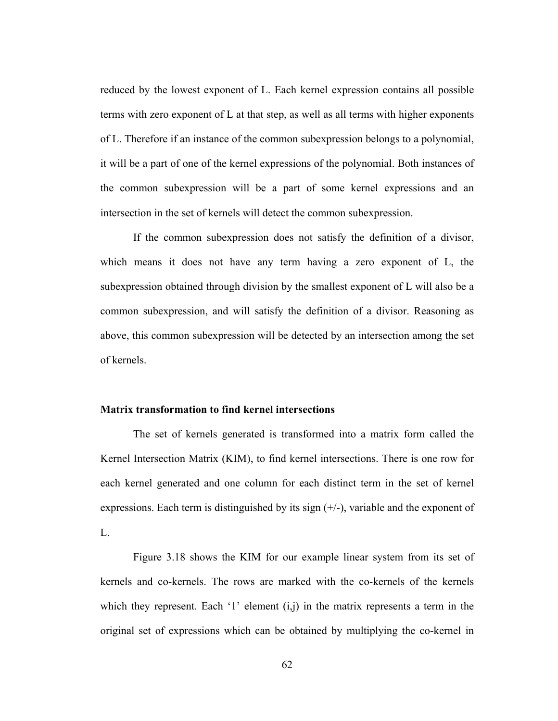reduced by the lowest exponent of L. Each kernel expression contains all possible terms with zero exponent of L at that step, as well as all terms with higher exponents of L. Therefore if an instance of the common subexpression belongs to a polynomial, it will be a part of one of the kernel expressions of the polynomial. Both instances of the common subexpression will be a part of some kernel expressions and an intersection in the set of kernels will detect the common subexpression.

 If the common subexpression does not satisfy the definition of a divisor, which means it does not have any term having a zero exponent of L, the subexpression obtained through division by the smallest exponent of L will also be a common subexpression, and will satisfy the definition of a divisor. Reasoning as above, this common subexpression will be detected by an intersection among the set of kernels.

# **Matrix transformation to find kernel intersections**

The set of kernels generated is transformed into a matrix form called the Kernel Intersection Matrix (KIM), to find kernel intersections. There is one row for each kernel generated and one column for each distinct term in the set of kernel expressions. Each term is distinguished by its sign  $(+/-)$ , variable and the exponent of L.

Figure 3.18 shows the KIM for our example linear system from its set of kernels and co-kernels. The rows are marked with the co-kernels of the kernels which they represent. Each '1' element  $(i,j)$  in the matrix represents a term in the original set of expressions which can be obtained by multiplying the co-kernel in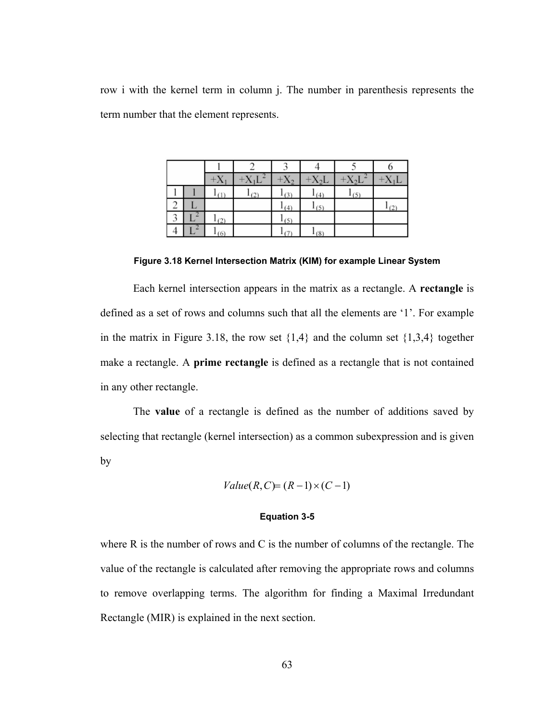row i with the kernel term in column j. The number in parenthesis represents the term number that the element represents.

|   |   | $+X_1$    | $+X_1L^2$ | $+X_2$    | $+X_2L$ | $+X_2L^2$ | $+X_1L$ |
|---|---|-----------|-----------|-----------|---------|-----------|---------|
|   |   | (1)       | (2)       | $1_{(3)}$ | (4)     | $1_{(5)}$ |         |
| ∠ | ∟ |           |           | $1_{(4)}$ | 1(5)    |           | (2)     |
| 3 |   | $1_{(2)}$ |           | $1_{(5)}$ |         |           |         |
|   |   | (6)       |           |           | $-(8)$  |           |         |

**Figure 3.18 Kernel Intersection Matrix (KIM) for example Linear System** 

 Each kernel intersection appears in the matrix as a rectangle. A **rectangle** is defined as a set of rows and columns such that all the elements are '1'. For example in the matrix in Figure 3.18, the row set  $\{1,4\}$  and the column set  $\{1,3,4\}$  together make a rectangle. A **prime rectangle** is defined as a rectangle that is not contained in any other rectangle.

 The **value** of a rectangle is defined as the number of additions saved by selecting that rectangle (kernel intersection) as a common subexpression and is given by

$$
Value(R, C) = (R - 1) \times (C - 1)
$$

## **Equation 3-5**

where R is the number of rows and C is the number of columns of the rectangle. The value of the rectangle is calculated after removing the appropriate rows and columns to remove overlapping terms. The algorithm for finding a Maximal Irredundant Rectangle (MIR) is explained in the next section.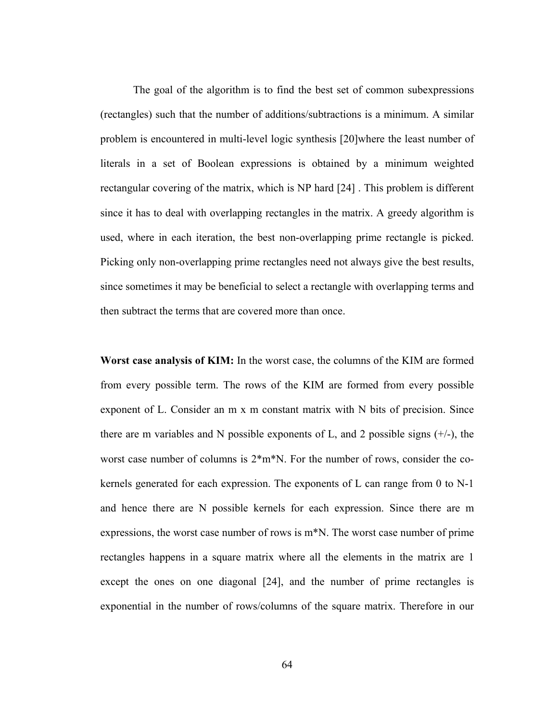The goal of the algorithm is to find the best set of common subexpressions (rectangles) such that the number of additions/subtractions is a minimum. A similar problem is encountered in multi-level logic synthesis [20]where the least number of literals in a set of Boolean expressions is obtained by a minimum weighted rectangular covering of the matrix, which is NP hard [24] . This problem is different since it has to deal with overlapping rectangles in the matrix. A greedy algorithm is used, where in each iteration, the best non-overlapping prime rectangle is picked. Picking only non-overlapping prime rectangles need not always give the best results, since sometimes it may be beneficial to select a rectangle with overlapping terms and then subtract the terms that are covered more than once.

**Worst case analysis of KIM:** In the worst case, the columns of the KIM are formed from every possible term. The rows of the KIM are formed from every possible exponent of L. Consider an m x m constant matrix with N bits of precision. Since there are m variables and N possible exponents of L, and 2 possible signs  $(+/-)$ , the worst case number of columns is  $2*m*N$ . For the number of rows, consider the cokernels generated for each expression. The exponents of L can range from 0 to N-1 and hence there are N possible kernels for each expression. Since there are m expressions, the worst case number of rows is  $m^*N$ . The worst case number of prime rectangles happens in a square matrix where all the elements in the matrix are 1 except the ones on one diagonal [24], and the number of prime rectangles is exponential in the number of rows/columns of the square matrix. Therefore in our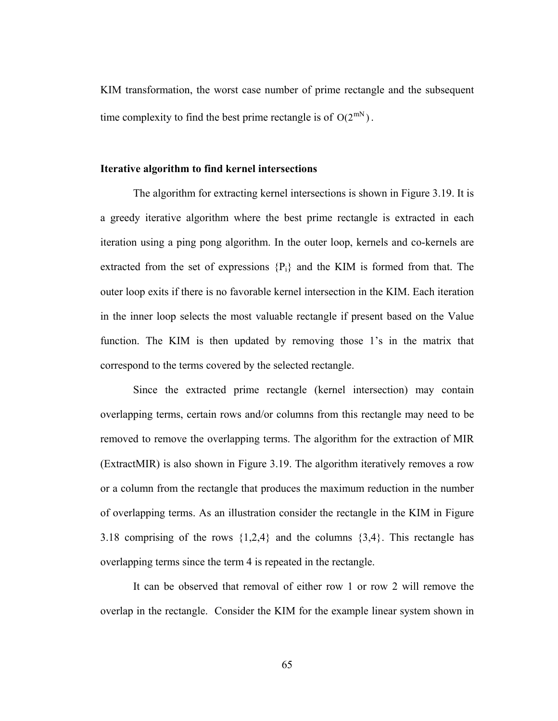KIM transformation, the worst case number of prime rectangle and the subsequent time complexity to find the best prime rectangle is of  $O(2^{mN})$ .

#### **Iterative algorithm to find kernel intersections**

The algorithm for extracting kernel intersections is shown in Figure 3.19. It is a greedy iterative algorithm where the best prime rectangle is extracted in each iteration using a ping pong algorithm. In the outer loop, kernels and co-kernels are extracted from the set of expressions  ${P_i}$  and the KIM is formed from that. The outer loop exits if there is no favorable kernel intersection in the KIM. Each iteration in the inner loop selects the most valuable rectangle if present based on the Value function. The KIM is then updated by removing those 1's in the matrix that correspond to the terms covered by the selected rectangle.

Since the extracted prime rectangle (kernel intersection) may contain overlapping terms, certain rows and/or columns from this rectangle may need to be removed to remove the overlapping terms. The algorithm for the extraction of MIR (ExtractMIR) is also shown in Figure 3.19. The algorithm iteratively removes a row or a column from the rectangle that produces the maximum reduction in the number of overlapping terms. As an illustration consider the rectangle in the KIM in Figure 3.18 comprising of the rows {1,2,4} and the columns {3,4}. This rectangle has overlapping terms since the term 4 is repeated in the rectangle.

It can be observed that removal of either row 1 or row 2 will remove the overlap in the rectangle. Consider the KIM for the example linear system shown in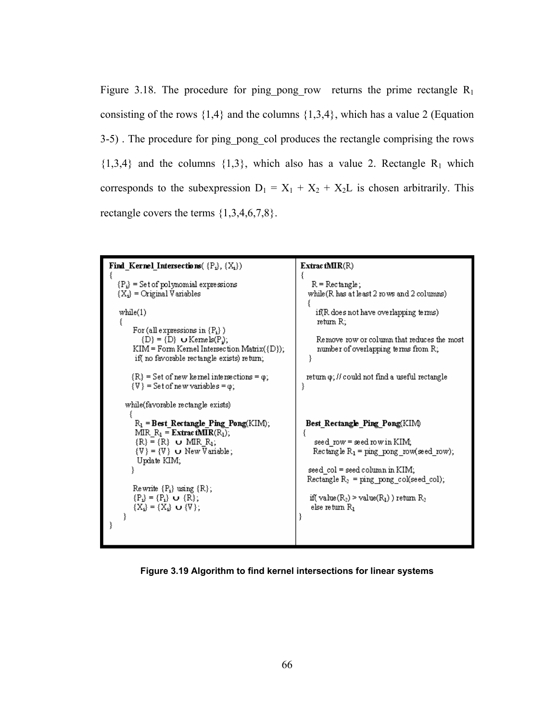Figure 3.18. The procedure for ping pong row returns the prime rectangle  $R_1$ consisting of the rows  $\{1,4\}$  and the columns  $\{1,3,4\}$ , which has a value 2 (Equation 3-5) . The procedure for ping\_pong\_col produces the rectangle comprising the rows  $\{1,3,4\}$  and the columns  $\{1,3\}$ , which also has a value 2. Rectangle R<sub>1</sub> which corresponds to the subexpression  $D_1 = X_1 + X_2 + X_2L$  is chosen arbitrarily. This rectangle covers the terms  $\{1,3,4,6,7,8\}$ .

```
Find_Kernel_Intersections(\{P_i\}, \{X_i\})
                                                               ExtractMIR(R)
                                                               ₹
  {P_i} = Set of polynomial expressions
                                                                   R = Rectangle;{X_i} = Original Variables
                                                                  while(R has at least 2 rows and 2 columns)
                                                                 ł
  while(1)if(R does not have overlapping terms)
                                                                    return R;
       For (all expressions in {P_i})
          \{D\} = \{D\} U Kernels(P<sub>i</sub>);
                                                                    Remove row or column that reduces the most
       KIM = Form Kernel Intersection Matrix({D});
                                                                    number of overlapping terms from R;
       if(no favorable rectangle exists) return;
                                                                  Y
       {R} = Set of new kernel intersections = \varphi;
                                                                 return \varphi; // could not find a useful rectangle
       \{V\} = Set of new variables = \varphi;
                                                               ₹
     while(favorable rectangle exists)
        R_1 = Best Rectangle Ping Pong(KIM);
                                                                 Best Rectangle Ping Pong(KIM)
        MIR R_1 =ExtractMIR(R_1);
        {R} \equiv {R} o MIR<sub>_R<sub>1</sub></sub>;<br>{V} = {V} o New Variable;
                                                                    seed row = seed row in KIM;
                                                                   Rectangle R_1 = ping_pong_row(seed_row);
        Update KIM;
      P)
                                                                  seed_col = seed column in KIM;
                                                                 Rectangle R_2 = ping_pong_col(seed_col);
       Rewrite {P_i} using {R};
       {P_i} = {P_i} \cup {R};if(value(R<sub>2</sub>) > value(R<sub>1</sub>)) return R<sub>2</sub>
       {X_i} = {X_i} \cup {V};else return R1
    P)
```
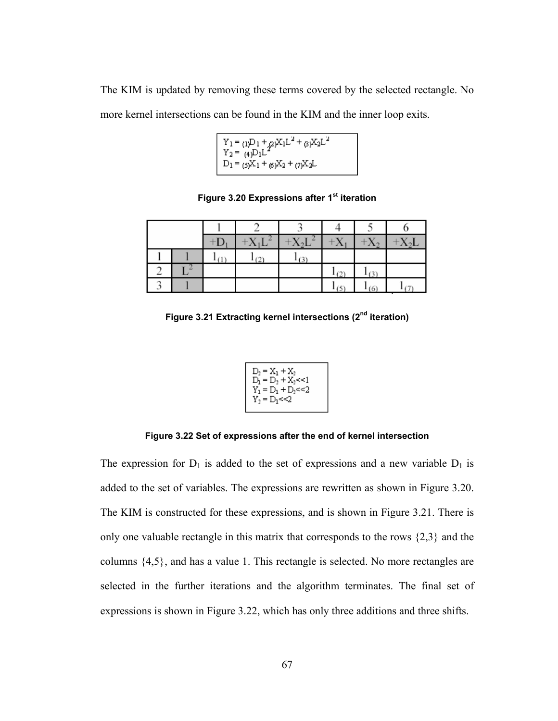The KIM is updated by removing these terms covered by the selected rectangle. No more kernel intersections can be found in the KIM and the inner loop exits.

 $\begin{array}{l} Y_1 = \frac{1}{(1)^D1} + \frac{1}{(1)^D} X_1 L^2 + \frac{1}{(1)^D} X_2 L^2 \\ Y_2 = \frac{1}{(4)^D1} L^2 \\ D_1 = \frac{1}{(5)^D} X_1 + \frac{1}{(6)^D} X_2 + \frac{1}{(7)^D} X_2 L \end{array}$ 

**Figure 3.20 Expressions after 1st iteration** 

|  | $+D1$ | $+X_1L$ | $+X_2L$ | $+X_1$ | $+X_2$ | $+X_2L$ |
|--|-------|---------|---------|--------|--------|---------|
|  | (1)   | (2)     | (3)     |        |        |         |
|  |       |         |         | (2)    | (3)    |         |
|  |       |         |         | (5)    | (6)    | (7)     |

**Figure 3.21 Extracting kernel intersections (2nd iteration)** 

| $D_2 = X_1 + X_2$<br>$D_1 = D_2 + X_2 \le 1$ |  |
|----------------------------------------------|--|
| $Y_1 = D_1 + D_2 \leq 2$                     |  |
| $Y_2 = D_1 \leq C_2$                         |  |

**Figure 3.22 Set of expressions after the end of kernel intersection** 

The expression for  $D_1$  is added to the set of expressions and a new variable  $D_1$  is added to the set of variables. The expressions are rewritten as shown in Figure 3.20. The KIM is constructed for these expressions, and is shown in Figure 3.21. There is only one valuable rectangle in this matrix that corresponds to the rows {2,3} and the columns {4,5}, and has a value 1. This rectangle is selected. No more rectangles are selected in the further iterations and the algorithm terminates. The final set of expressions is shown in Figure 3.22, which has only three additions and three shifts.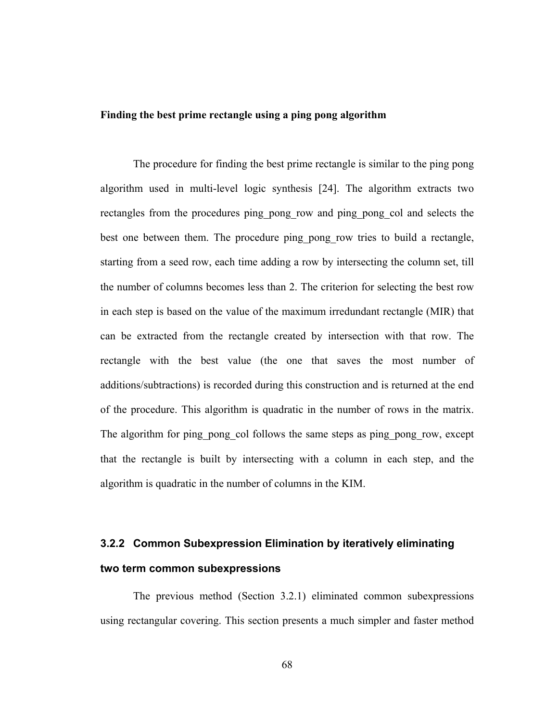# **Finding the best prime rectangle using a ping pong algorithm**

 The procedure for finding the best prime rectangle is similar to the ping pong algorithm used in multi-level logic synthesis [24]. The algorithm extracts two rectangles from the procedures ping\_pong\_row and ping\_pong\_col and selects the best one between them. The procedure ping pong row tries to build a rectangle, starting from a seed row, each time adding a row by intersecting the column set, till the number of columns becomes less than 2. The criterion for selecting the best row in each step is based on the value of the maximum irredundant rectangle (MIR) that can be extracted from the rectangle created by intersection with that row. The rectangle with the best value (the one that saves the most number of additions/subtractions) is recorded during this construction and is returned at the end of the procedure. This algorithm is quadratic in the number of rows in the matrix. The algorithm for ping pong col follows the same steps as ping pong row, except that the rectangle is built by intersecting with a column in each step, and the algorithm is quadratic in the number of columns in the KIM.

# **3.2.2 Common Subexpression Elimination by iteratively eliminating two term common subexpressions**

 The previous method (Section 3.2.1) eliminated common subexpressions using rectangular covering. This section presents a much simpler and faster method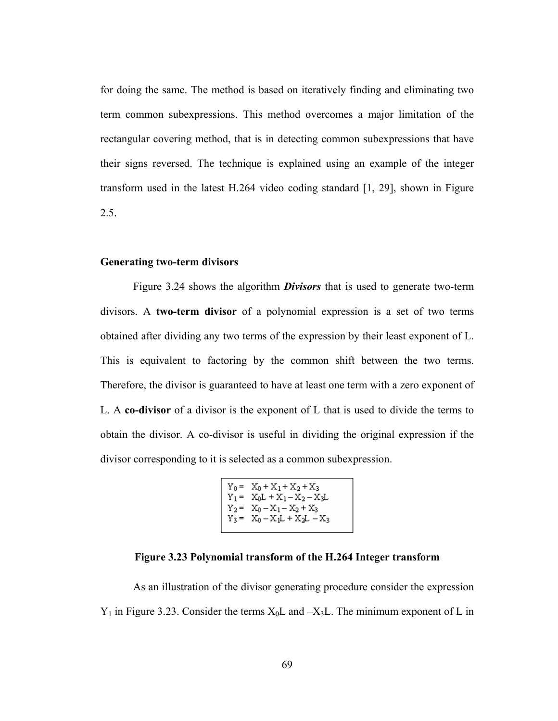for doing the same. The method is based on iteratively finding and eliminating two term common subexpressions. This method overcomes a major limitation of the rectangular covering method, that is in detecting common subexpressions that have their signs reversed. The technique is explained using an example of the integer transform used in the latest H.264 video coding standard [1, 29], shown in Figure 2.5.

### **Generating two-term divisors**

Figure 3.24 shows the algorithm *Divisors* that is used to generate two-term divisors. A **two-term divisor** of a polynomial expression is a set of two terms obtained after dividing any two terms of the expression by their least exponent of L. This is equivalent to factoring by the common shift between the two terms. Therefore, the divisor is guaranteed to have at least one term with a zero exponent of L. A **co-divisor** of a divisor is the exponent of L that is used to divide the terms to obtain the divisor. A co-divisor is useful in dividing the original expression if the divisor corresponding to it is selected as a common subexpression.

$$
\begin{array}{rl} Y_0 = & X_0 + X_1 + X_2 + X_3 \\ Y_1 = & X_0 L + X_1 - X_2 - X_3 L \\ Y_2 = & X_0 - X_1 - X_2 + X_3 \\ Y_3 = & X_0 - X_1 L + X_2 L - X_3 \end{array}
$$

# **Figure 3.23 Polynomial transform of the H.264 Integer transform**

As an illustration of the divisor generating procedure consider the expression  $Y_1$  in Figure 3.23. Consider the terms  $X_0L$  and  $-X_3L$ . The minimum exponent of L in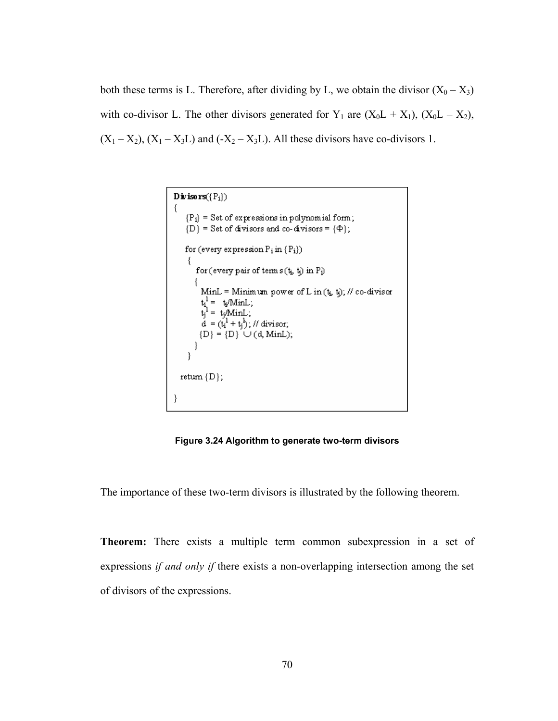both these terms is L. Therefore, after dividing by L, we obtain the divisor  $(X_0 - X_3)$ with co-divisor L. The other divisors generated for  $Y_1$  are  $(X_0L + X_1)$ ,  $(X_0L - X_2)$ ,  $(X_1 - X_2)$ ,  $(X_1 - X_3L)$  and  $(-X_2 - X_3L)$ . All these divisors have co-divisors 1.

```
Divisors({P_i})
\{{P_i} = Set of expressions in polynomial form;
    {D} = Set of divisors and co-divisors = {\Phi};
    for (every expression \rm P_i in \rm \{P_i\})for (every pair of terms (t_i, t_j) in P_i)
         MinL = Minimum power of L in (t_i, t_i); // co-divisor
         t_i^1 = t_i / \text{MinL};<br>
t_j^1 = t_j / \text{MinL};\vec{d} = (\vec{t}_1^1 + \vec{t}_1^1), \text{ // divisor,}{D} = {D} \cup (d, MinL);}
  return \{D\};}
```
**Figure 3.24 Algorithm to generate two-term divisors** 

The importance of these two-term divisors is illustrated by the following theorem.

**Theorem:** There exists a multiple term common subexpression in a set of expressions *if and only if* there exists a non-overlapping intersection among the set of divisors of the expressions.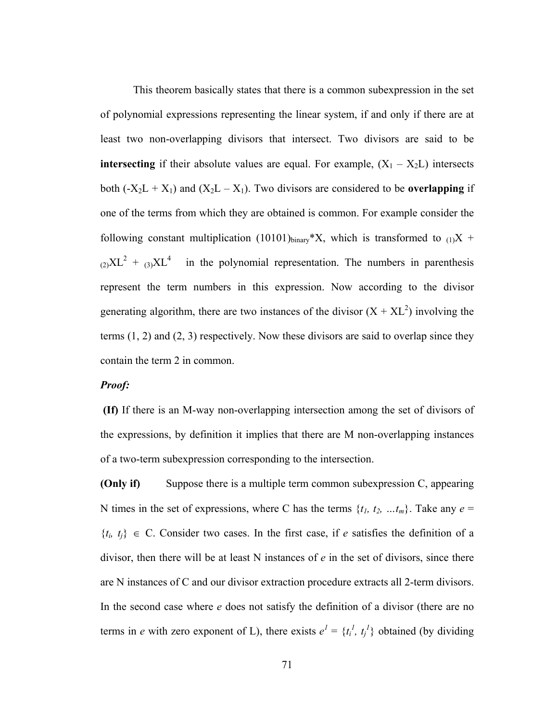This theorem basically states that there is a common subexpression in the set of polynomial expressions representing the linear system, if and only if there are at least two non-overlapping divisors that intersect. Two divisors are said to be **intersecting** if their absolute values are equal. For example,  $(X_1 - X_2L)$  intersects both  $(-X_2L + X_1)$  and  $(X_2L - X_1)$ . Two divisors are considered to be **overlapping** if one of the terms from which they are obtained is common. For example consider the following constant multiplication (10101)<sub>binary</sub>\*X, which is transformed to  $_{(1)}X$  +  $_{(2)}XL^2 + _{(3)}XL^4$ in the polynomial representation. The numbers in parenthesis represent the term numbers in this expression. Now according to the divisor generating algorithm, there are two instances of the divisor  $(X + XL^2)$  involving the terms  $(1, 2)$  and  $(2, 3)$  respectively. Now these divisors are said to overlap since they contain the term 2 in common.

# *Proof:*

**(If)** If there is an M-way non-overlapping intersection among the set of divisors of the expressions, by definition it implies that there are M non-overlapping instances of a two-term subexpression corresponding to the intersection.

**(Only if)** Suppose there is a multiple term common subexpression C, appearing N times in the set of expressions, where C has the terms  $\{t_1, t_2, \ldots, t_m\}$ . Take any  $e =$  ${t_i, t_j} \in C$ . Consider two cases. In the first case, if *e* satisfies the definition of a divisor, then there will be at least N instances of *e* in the set of divisors, since there are N instances of C and our divisor extraction procedure extracts all 2-term divisors. In the second case where *e* does not satisfy the definition of a divisor (there are no terms in *e* with zero exponent of L), there exists  $e^1 = \{t_i^1, t_i^1\}$  obtained (by dividing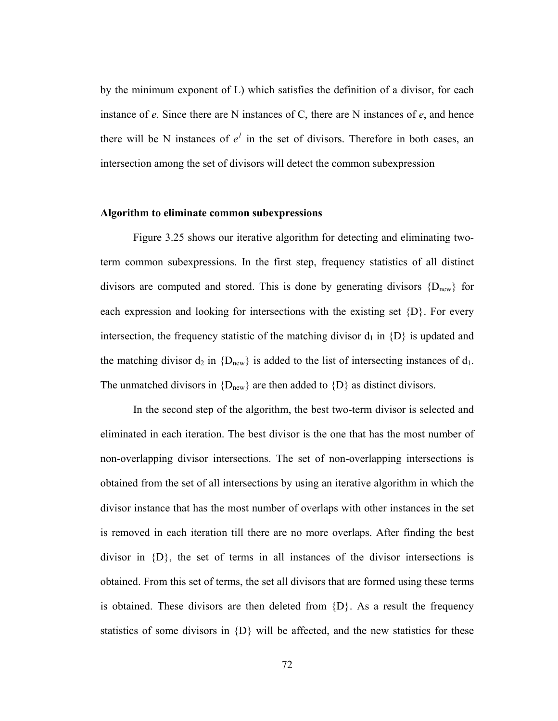by the minimum exponent of L) which satisfies the definition of a divisor, for each instance of *e*. Since there are N instances of C, there are N instances of *e*, and hence there will be N instances of  $e^1$  in the set of divisors. Therefore in both cases, an intersection among the set of divisors will detect the common subexpression

#### **Algorithm to eliminate common subexpressions**

 Figure 3.25 shows our iterative algorithm for detecting and eliminating twoterm common subexpressions. In the first step, frequency statistics of all distinct divisors are computed and stored. This is done by generating divisors  ${D_{new}}$  for each expression and looking for intersections with the existing set {D}. For every intersection, the frequency statistic of the matching divisor  $d_1$  in  $\{D\}$  is updated and the matching divisor  $d_2$  in  ${D_{new}}$  is added to the list of intersecting instances of  $d_1$ . The unmatched divisors in  ${D_{new}}$  are then added to  ${D}$  as distinct divisors.

In the second step of the algorithm, the best two-term divisor is selected and eliminated in each iteration. The best divisor is the one that has the most number of non-overlapping divisor intersections. The set of non-overlapping intersections is obtained from the set of all intersections by using an iterative algorithm in which the divisor instance that has the most number of overlaps with other instances in the set is removed in each iteration till there are no more overlaps. After finding the best divisor in  $\{D\}$ , the set of terms in all instances of the divisor intersections is obtained. From this set of terms, the set all divisors that are formed using these terms is obtained. These divisors are then deleted from  $\{D\}$ . As a result the frequency statistics of some divisors in  $\{D\}$  will be affected, and the new statistics for these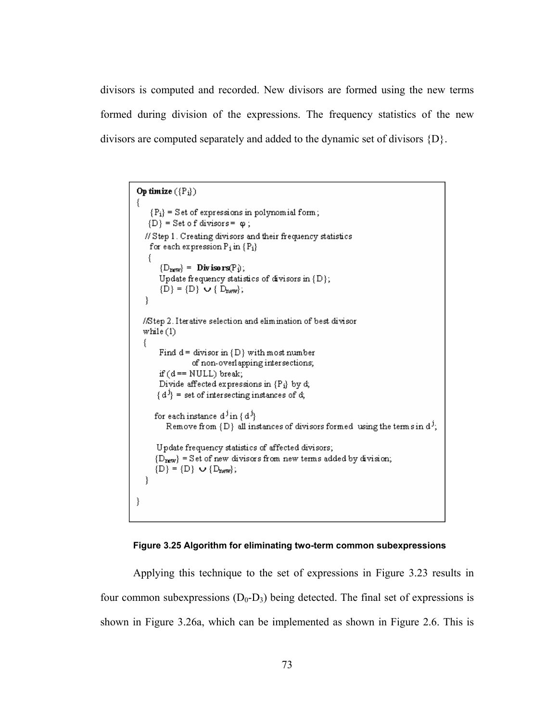divisors is computed and recorded. New divisors are formed using the new terms formed during division of the expressions. The frequency statistics of the new divisors are computed separately and added to the dynamic set of divisors {D}.

```
Op timize (\{P_i\})€
   {P_i} = Set of expressions in polynomial form;
   \{D\} = Set of divisors = \varphi;
  // Step 1. Creating divisors and their frequency statistics
   for each expression P_i in \{P_i\}\{{D_{\text{new}}} = Divisors(P<sub>i</sub>);
      Update frequency statistics of divisors in {D};
      {D} = {D} \cup {D_{new}};ł
 //Step 2. Iterative selection and elimination of best divisor
 while (1)€
      Find d = divisor in \{D\} with most number
                of non-overlapping intersections;
      if (d == NULL) break;
      Divide affected expressions in {P<sub>i</sub>} by d;
      {d^j} = set of intersecting instances of d;
     for each instance d^j in \{d^j\}Remove from {D} all instances of divisors formed using the terms in d<sup>j</sup>;
      Update frequency statistics of affected divisors;
     {D_{\text{new}}} = Set of new divisors from new terms added by division;
     \{D\} = \{D\} \cup \{D_{new}\};\}ł
```


Applying this technique to the set of expressions in Figure 3.23 results in four common subexpressions  $(D_0-D_3)$  being detected. The final set of expressions is shown in Figure 3.26a, which can be implemented as shown in Figure 2.6. This is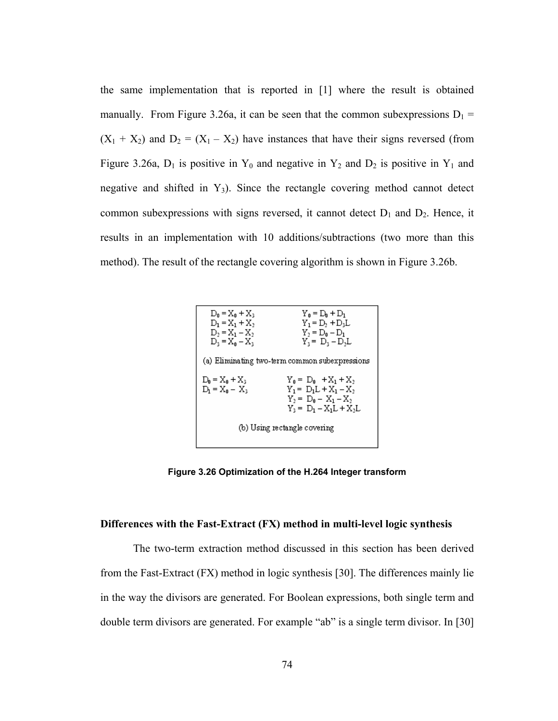the same implementation that is reported in [1] where the result is obtained manually. From Figure 3.26a, it can be seen that the common subexpressions  $D_1$  =  $(X_1 + X_2)$  and  $D_2 = (X_1 - X_2)$  have instances that have their signs reversed (from Figure 3.26a,  $D_1$  is positive in  $Y_0$  and negative in  $Y_2$  and  $D_2$  is positive in  $Y_1$  and negative and shifted in  $Y_3$ ). Since the rectangle covering method cannot detect common subexpressions with signs reversed, it cannot detect  $D_1$  and  $D_2$ . Hence, it results in an implementation with 10 additions/subtractions (two more than this method). The result of the rectangle covering algorithm is shown in Figure 3.26b.



**Figure 3.26 Optimization of the H.264 Integer transform** 

#### **Differences with the Fast-Extract (FX) method in multi-level logic synthesis**

 The two-term extraction method discussed in this section has been derived from the Fast-Extract (FX) method in logic synthesis [30]. The differences mainly lie in the way the divisors are generated. For Boolean expressions, both single term and double term divisors are generated. For example "ab" is a single term divisor. In [30]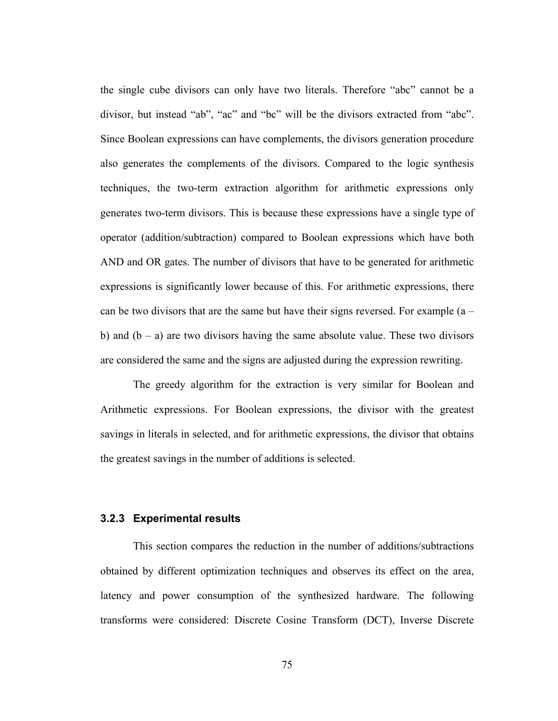the single cube divisors can only have two literals. Therefore "abc" cannot be a divisor, but instead "ab", "ac" and "bc" will be the divisors extracted from "abc". Since Boolean expressions can have complements, the divisors generation procedure also generates the complements of the divisors. Compared to the logic synthesis techniques, the two-term extraction algorithm for arithmetic expressions only generates two-term divisors. This is because these expressions have a single type of operator (addition/subtraction) compared to Boolean expressions which have both AND and OR gates. The number of divisors that have to be generated for arithmetic expressions is significantly lower because of this. For arithmetic expressions, there can be two divisors that are the same but have their signs reversed. For example  $(a$ b) and  $(b - a)$  are two divisors having the same absolute value. These two divisors are considered the same and the signs are adjusted during the expression rewriting.

 The greedy algorithm for the extraction is very similar for Boolean and Arithmetic expressions. For Boolean expressions, the divisor with the greatest savings in literals in selected, and for arithmetic expressions, the divisor that obtains the greatest savings in the number of additions is selected.

#### **3.2.3 Experimental results**

 This section compares the reduction in the number of additions/subtractions obtained by different optimization techniques and observes its effect on the area, latency and power consumption of the synthesized hardware. The following transforms were considered: Discrete Cosine Transform (DCT), Inverse Discrete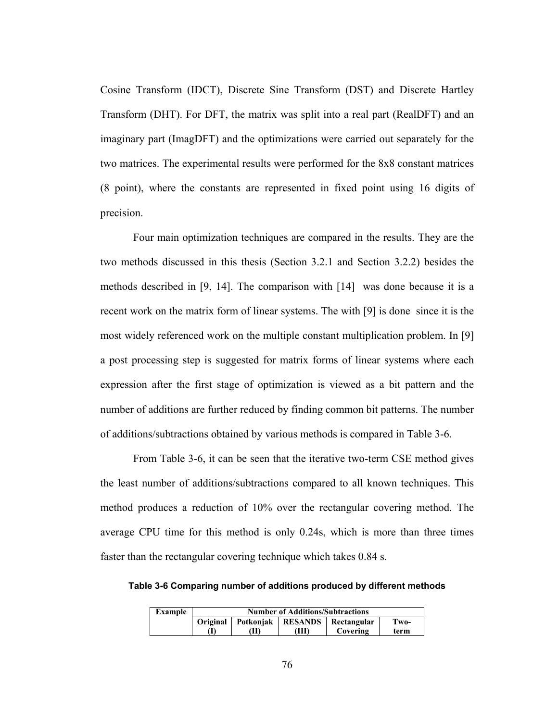Cosine Transform (IDCT), Discrete Sine Transform (DST) and Discrete Hartley Transform (DHT). For DFT, the matrix was split into a real part (RealDFT) and an imaginary part (ImagDFT) and the optimizations were carried out separately for the two matrices. The experimental results were performed for the 8x8 constant matrices (8 point), where the constants are represented in fixed point using 16 digits of precision.

Four main optimization techniques are compared in the results. They are the two methods discussed in this thesis (Section 3.2.1 and Section 3.2.2) besides the methods described in [9, 14]. The comparison with [14] was done because it is a recent work on the matrix form of linear systems. The with [9] is done since it is the most widely referenced work on the multiple constant multiplication problem. In [9] a post processing step is suggested for matrix forms of linear systems where each expression after the first stage of optimization is viewed as a bit pattern and the number of additions are further reduced by finding common bit patterns. The number of additions/subtractions obtained by various methods is compared in Table 3-6.

From Table 3-6, it can be seen that the iterative two-term CSE method gives the least number of additions/subtractions compared to all known techniques. This method produces a reduction of 10% over the rectangular covering method. The average CPU time for this method is only 0.24s, which is more than three times faster than the rectangular covering technique which takes 0.84 s.

**Table 3-6 Comparing number of additions produced by different methods** 

| Example | <b>Number of Additions/Subtractions</b> |                    |    |                            |      |
|---------|-----------------------------------------|--------------------|----|----------------------------|------|
|         |                                         | Original Potkonjak |    | <b>RESANDS</b> Rectangular | Two- |
|         |                                         | M                  | ŒЮ | Covering                   | term |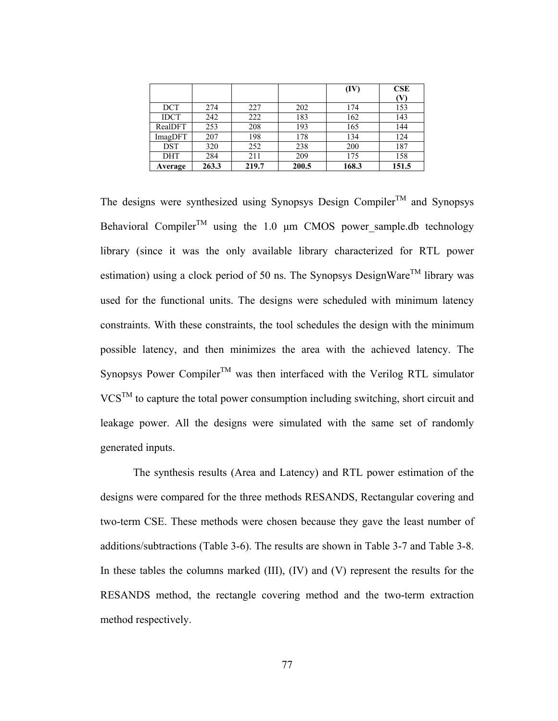|             |       |       |       | (IV)  | CSE            |
|-------------|-------|-------|-------|-------|----------------|
|             |       |       |       |       | $(\mathbf{V})$ |
| <b>DCT</b>  | 274   | 227   | 202   | 174   | 153            |
| <b>IDCT</b> | 242   | 222   | 183   | 162   | 143            |
| RealDFT     | 253   | 208   | 193   | 165   | 144            |
| ImagDFT     | 207   | 198   | 178   | 134   | 124            |
| <b>DST</b>  | 320   | 252   | 238   | 200   | 187            |
| <b>DHT</b>  | 284   | 211   | 209   | 175   | 158            |
| Average     | 263.3 | 219.7 | 200.5 | 168.3 | 151.5          |

The designs were synthesized using Synopsys Design Compiler<sup>TM</sup> and Synopsys Behavioral Compiler<sup>TM</sup> using the 1.0  $\mu$ m CMOS power\_sample.db technology library (since it was the only available library characterized for RTL power estimation) using a clock period of 50 ns. The Synopsys DesignWare<sup>TM</sup> library was used for the functional units. The designs were scheduled with minimum latency constraints. With these constraints, the tool schedules the design with the minimum possible latency, and then minimizes the area with the achieved latency. The Synopsys Power Compiler<sup>TM</sup> was then interfaced with the Verilog RTL simulator  $VCS^{TM}$  to capture the total power consumption including switching, short circuit and leakage power. All the designs were simulated with the same set of randomly generated inputs.

 The synthesis results (Area and Latency) and RTL power estimation of the designs were compared for the three methods RESANDS, Rectangular covering and two-term CSE. These methods were chosen because they gave the least number of additions/subtractions (Table 3-6). The results are shown in Table 3-7 and Table 3-8. In these tables the columns marked (III), (IV) and (V) represent the results for the RESANDS method, the rectangle covering method and the two-term extraction method respectively.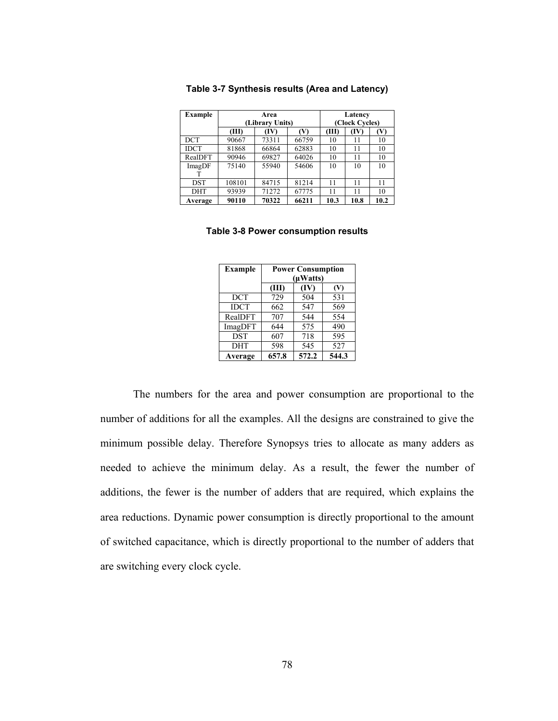| <b>Example</b> | Area            |       |       | Latency        |      |      |
|----------------|-----------------|-------|-------|----------------|------|------|
|                | (Library Units) |       |       | (Clock Cycles) |      |      |
|                | (III)           | TV)   | W     | (III)          | (IV) | W    |
| DCT            | 90667           | 73311 | 66759 | 10             | 11   | 10   |
| <b>IDCT</b>    | 81868           | 66864 | 62883 | 10             | 11   | 10   |
| RealDFT        | 90946           | 69827 | 64026 | 10             | 11   | 10   |
| ImagDF         | 75140           | 55940 | 54606 | 10             | 10   | 10   |
|                |                 |       |       |                |      |      |
| DST            | 108101          | 84715 | 81214 | 11             | 11   | 11   |
| DHT            | 93939           | 71272 | 67775 | 11             | 11   | 10   |
| Average        | 90110           | 70322 | 66211 | 10.3           | 10.8 | 10.2 |

**Table 3-7 Synthesis results (Area and Latency)** 

#### **Table 3-8 Power consumption results**

| <b>Example</b> | <b>Power Consumption</b><br>$(\mu Watts)$ |       |       |
|----------------|-------------------------------------------|-------|-------|
|                | (III)                                     | (IV)  | (V)   |
| <b>DCT</b>     | 729                                       | 504   | 531   |
| <b>IDCT</b>    | 662                                       | 547   | 569   |
| RealDFT        | 707                                       | 544   | 554   |
| ImagDFT        | 644                                       | 575   | 490   |
| <b>DST</b>     | 607                                       | 718   | 595   |
| <b>DHT</b>     | 598                                       | 545   | 527   |
| Average        | 657.8                                     | 572.2 | 544.3 |

The numbers for the area and power consumption are proportional to the number of additions for all the examples. All the designs are constrained to give the minimum possible delay. Therefore Synopsys tries to allocate as many adders as needed to achieve the minimum delay. As a result, the fewer the number of additions, the fewer is the number of adders that are required, which explains the area reductions. Dynamic power consumption is directly proportional to the amount of switched capacitance, which is directly proportional to the number of adders that are switching every clock cycle.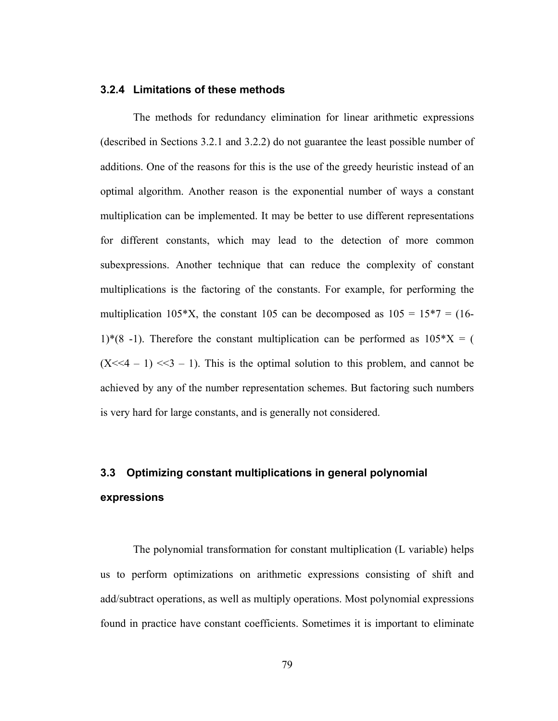## **3.2.4 Limitations of these methods**

 The methods for redundancy elimination for linear arithmetic expressions (described in Sections 3.2.1 and 3.2.2) do not guarantee the least possible number of additions. One of the reasons for this is the use of the greedy heuristic instead of an optimal algorithm. Another reason is the exponential number of ways a constant multiplication can be implemented. It may be better to use different representations for different constants, which may lead to the detection of more common subexpressions. Another technique that can reduce the complexity of constant multiplications is the factoring of the constants. For example, for performing the multiplication 105\*X, the constant 105 can be decomposed as  $105 = 15*7 = (16-$ 1)\*(8 -1). Therefore the constant multiplication can be performed as  $105*X = ($  $(X<1)$   $<<1$  - 1)  $<<3$  - 1). This is the optimal solution to this problem, and cannot be achieved by any of the number representation schemes. But factoring such numbers is very hard for large constants, and is generally not considered.

# **3.3 Optimizing constant multiplications in general polynomial expressions**

The polynomial transformation for constant multiplication (L variable) helps us to perform optimizations on arithmetic expressions consisting of shift and add/subtract operations, as well as multiply operations. Most polynomial expressions found in practice have constant coefficients. Sometimes it is important to eliminate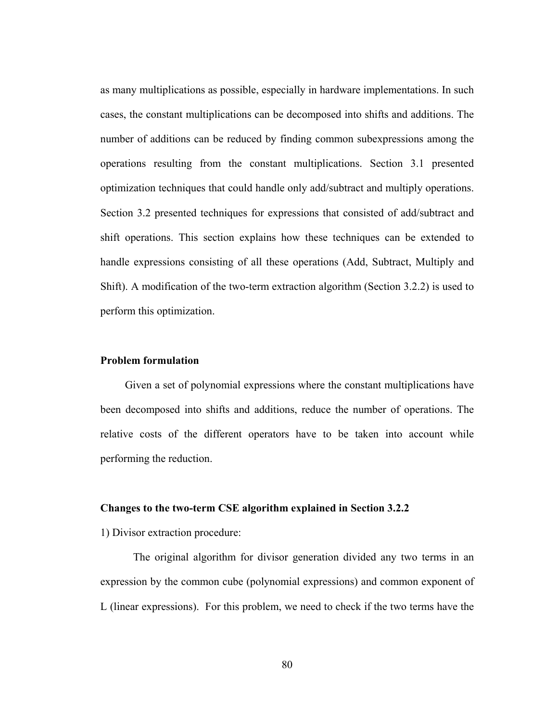as many multiplications as possible, especially in hardware implementations. In such cases, the constant multiplications can be decomposed into shifts and additions. The number of additions can be reduced by finding common subexpressions among the operations resulting from the constant multiplications. Section 3.1 presented optimization techniques that could handle only add/subtract and multiply operations. Section 3.2 presented techniques for expressions that consisted of add/subtract and shift operations. This section explains how these techniques can be extended to handle expressions consisting of all these operations (Add, Subtract, Multiply and Shift). A modification of the two-term extraction algorithm (Section 3.2.2) is used to perform this optimization.

## **Problem formulation**

Given a set of polynomial expressions where the constant multiplications have been decomposed into shifts and additions, reduce the number of operations. The relative costs of the different operators have to be taken into account while performing the reduction.

# **Changes to the two-term CSE algorithm explained in Section 3.2.2**

1) Divisor extraction procedure:

 The original algorithm for divisor generation divided any two terms in an expression by the common cube (polynomial expressions) and common exponent of L (linear expressions). For this problem, we need to check if the two terms have the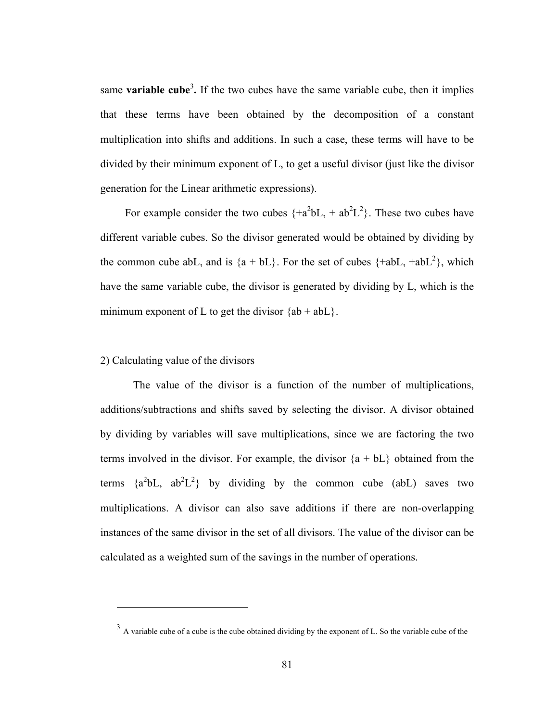same **variable cube**<sup>3</sup>. If the two cubes have the same variable cube, then it implies that these terms have been obtained by the decomposition of a constant multiplication into shifts and additions. In such a case, these terms will have to be divided by their minimum exponent of L, to get a useful divisor (just like the divisor generation for the Linear arithmetic expressions).

For example consider the two cubes  $\{+a^2bL, +ab^2L^2\}$ . These two cubes have different variable cubes. So the divisor generated would be obtained by dividing by the common cube abL, and is  $\{a + bL\}$ . For the set of cubes  $\{\pm abL, \pm abL^2\}$ , which have the same variable cube, the divisor is generated by dividing by L, which is the minimum exponent of L to get the divisor  ${ab + abL}$ .

## 2) Calculating value of the divisors

1

 The value of the divisor is a function of the number of multiplications, additions/subtractions and shifts saved by selecting the divisor. A divisor obtained by dividing by variables will save multiplications, since we are factoring the two terms involved in the divisor. For example, the divisor  ${a + bL}$  obtained from the terms  $\{a^2bL, ab^2L^2\}$  by dividing by the common cube (abL) saves two multiplications. A divisor can also save additions if there are non-overlapping instances of the same divisor in the set of all divisors. The value of the divisor can be calculated as a weighted sum of the savings in the number of operations.

<sup>&</sup>lt;sup>3</sup> A variable cube of a cube is the cube obtained dividing by the exponent of L. So the variable cube of the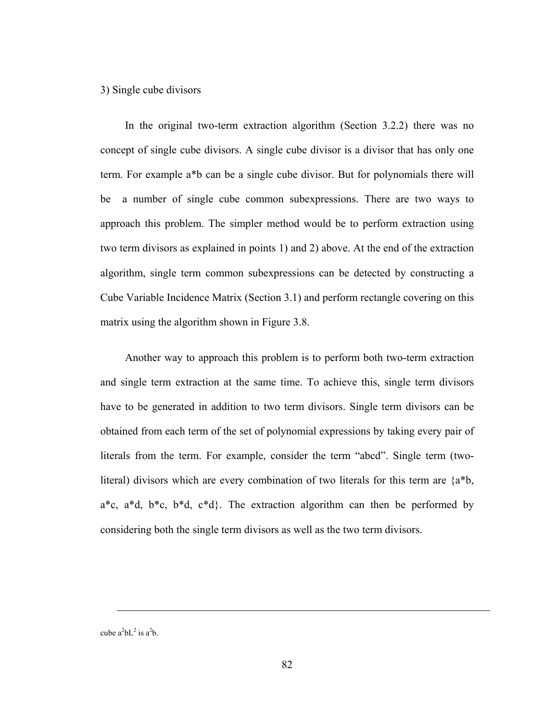### 3) Single cube divisors

 In the original two-term extraction algorithm (Section 3.2.2) there was no concept of single cube divisors. A single cube divisor is a divisor that has only one term. For example a\*b can be a single cube divisor. But for polynomials there will be a number of single cube common subexpressions. There are two ways to approach this problem. The simpler method would be to perform extraction using two term divisors as explained in points 1) and 2) above. At the end of the extraction algorithm, single term common subexpressions can be detected by constructing a Cube Variable Incidence Matrix (Section 3.1) and perform rectangle covering on this matrix using the algorithm shown in Figure 3.8.

 Another way to approach this problem is to perform both two-term extraction and single term extraction at the same time. To achieve this, single term divisors have to be generated in addition to two term divisors. Single term divisors can be obtained from each term of the set of polynomial expressions by taking every pair of literals from the term. For example, consider the term "abcd". Single term (twoliteral) divisors which are every combination of two literals for this term are {a\*b,  $a^*c$ ,  $a^*d$ ,  $b^*c$ ,  $b^*d$ ,  $c^*d$ . The extraction algorithm can then be performed by considering both the single term divisors as well as the two term divisors.

cube  $a^2bL^2$  is  $a^2b$ .

 $\overline{a}$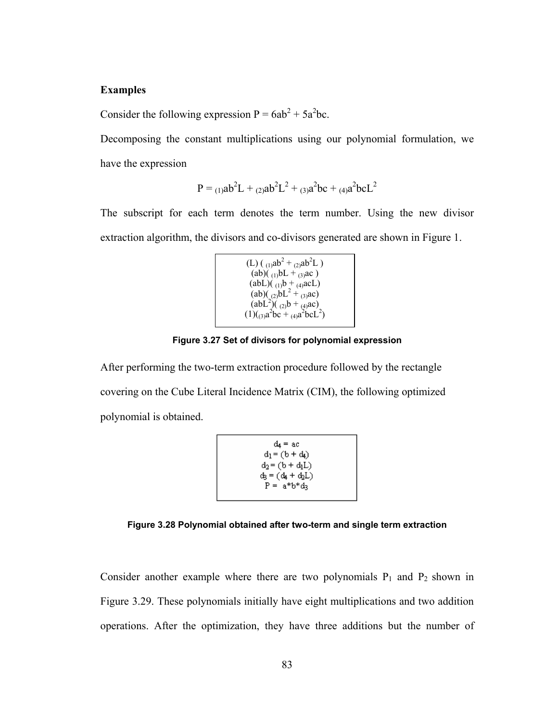# **Examples**

Consider the following expression  $P = 6ab^2 + 5a^2bc$ .

Decomposing the constant multiplications using our polynomial formulation, we have the expression

$$
P = {}_{(1)}ab^{2}L + {}_{(2)}ab^{2}L^{2} + {}_{(3)}a^{2}bc + {}_{(4)}a^{2}bcL^{2}
$$

The subscript for each term denotes the term number. Using the new divisor extraction algorithm, the divisors and co-divisors generated are shown in Figure 1.

```
(L) ( <sub>(1)</sub>ab<sup>2</sup> + <sub>(2)</sub>ab<sup>2</sup>L )
   (ab)(1)bL + (3)ac)
  (abL)(<sub>(1)</sub>b + <sub>(4)</sub>acL)
   (ab)(a)bL^2 + a3ac)(abL<sup>2</sup>)(a<sub>(2)</sub>b + a<sub>(4)</sub>ac)(1)(_{(3)}a^2bc +_{(4)}a^2bcL^2)
```
**Figure 3.27 Set of divisors for polynomial expression** 

After performing the two-term extraction procedure followed by the rectangle covering on the Cube Literal Incidence Matrix (CIM), the following optimized polynomial is obtained.

$$
d_4 = ac
$$
  
\n
$$
d_1 = (b + d_4)
$$
  
\n
$$
d_2 = (b + d_1L)
$$
  
\n
$$
d_3 = (d_4 + d_2L)
$$
  
\n
$$
P = a^*b^*d_3
$$

**Figure 3.28 Polynomial obtained after two-term and single term extraction** 

Consider another example where there are two polynomials  $P_1$  and  $P_2$  shown in Figure 3.29. These polynomials initially have eight multiplications and two addition operations. After the optimization, they have three additions but the number of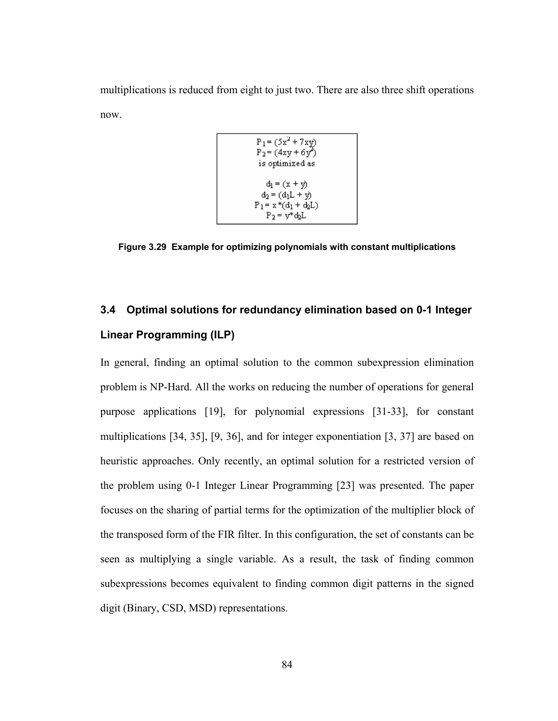multiplications is reduced from eight to just two. There are also three shift operations now.

$$
P_1 = (5x^2 + 7xy)
$$
  
\n
$$
P_2 = (4xy + 6y^2)
$$
  
\nis optimized as  
\n
$$
d_1 = (x + y)
$$
  
\n
$$
d_2 = (d_1L + y)
$$
  
\n
$$
P_1 = x * (d_1 + d_2L)
$$
  
\n
$$
P_2 = y * d_2L
$$

**Figure 3.29 Example for optimizing polynomials with constant multiplications** 

# **3.4 Optimal solutions for redundancy elimination based on 0-1 Integer Linear Programming (ILP)**

In general, finding an optimal solution to the common subexpression elimination problem is NP-Hard. All the works on reducing the number of operations for general purpose applications [19], for polynomial expressions [31-33], for constant multiplications [34, 35], [9, 36], and for integer exponentiation [3, 37] are based on heuristic approaches. Only recently, an optimal solution for a restricted version of the problem using 0-1 Integer Linear Programming [23] was presented. The paper focuses on the sharing of partial terms for the optimization of the multiplier block of the transposed form of the FIR filter. In this configuration, the set of constants can be seen as multiplying a single variable. As a result, the task of finding common subexpressions becomes equivalent to finding common digit patterns in the signed digit (Binary, CSD, MSD) representations.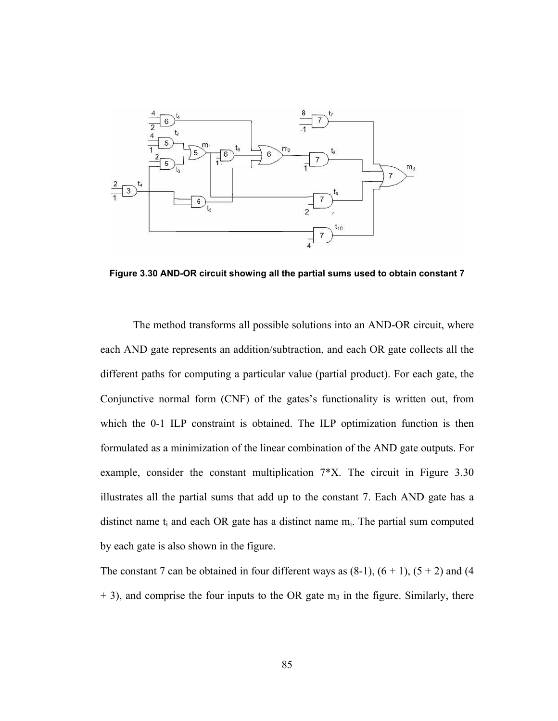

**Figure 3.30 AND-OR circuit showing all the partial sums used to obtain constant 7** 

 The method transforms all possible solutions into an AND-OR circuit, where each AND gate represents an addition/subtraction, and each OR gate collects all the different paths for computing a particular value (partial product). For each gate, the Conjunctive normal form (CNF) of the gates's functionality is written out, from which the 0-1 ILP constraint is obtained. The ILP optimization function is then formulated as a minimization of the linear combination of the AND gate outputs. For example, consider the constant multiplication 7\*X. The circuit in Figure 3.30 illustrates all the partial sums that add up to the constant 7. Each AND gate has a distinct name  $t_i$  and each OR gate has a distinct name  $m_i$ . The partial sum computed by each gate is also shown in the figure.

The constant 7 can be obtained in four different ways as  $(8-1)$ ,  $(6 + 1)$ ,  $(5 + 2)$  and  $(4)$  $+$  3), and comprise the four inputs to the OR gate  $m<sub>3</sub>$  in the figure. Similarly, there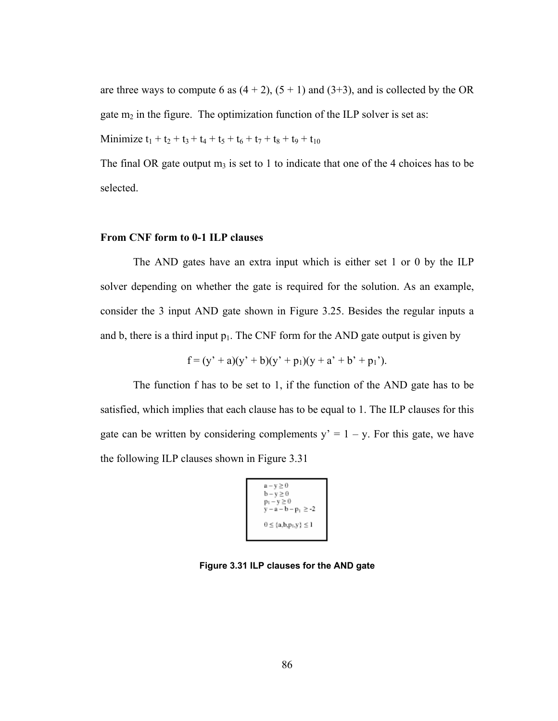are three ways to compute 6 as  $(4 + 2)$ ,  $(5 + 1)$  and  $(3+3)$ , and is collected by the OR gate  $m_2$  in the figure. The optimization function of the ILP solver is set as:

Minimize  $t_1 + t_2 + t_3 + t_4 + t_5 + t_6 + t_7 + t_8 + t_9 + t_{10}$ 

The final OR gate output  $m_3$  is set to 1 to indicate that one of the 4 choices has to be selected.

# **From CNF form to 0-1 ILP clauses**

 The AND gates have an extra input which is either set 1 or 0 by the ILP solver depending on whether the gate is required for the solution. As an example, consider the 3 input AND gate shown in Figure 3.25. Besides the regular inputs a and b, there is a third input  $p_1$ . The CNF form for the AND gate output is given by

$$
f = (y' + a)(y' + b)(y' + p1)(y + a' + b' + p1').
$$

 The function f has to be set to 1, if the function of the AND gate has to be satisfied, which implies that each clause has to be equal to 1. The ILP clauses for this gate can be written by considering complements  $y' = 1 - y$ . For this gate, we have the following ILP clauses shown in Figure 3.31

```
a - v \geq 0b - y \ge 0<br>
p_1 - y \ge 0<br>
y - a - b - p_1 \ge -20 \leq \{a, b, p_1, y\} \leq 1
```
**Figure 3.31 ILP clauses for the AND gate**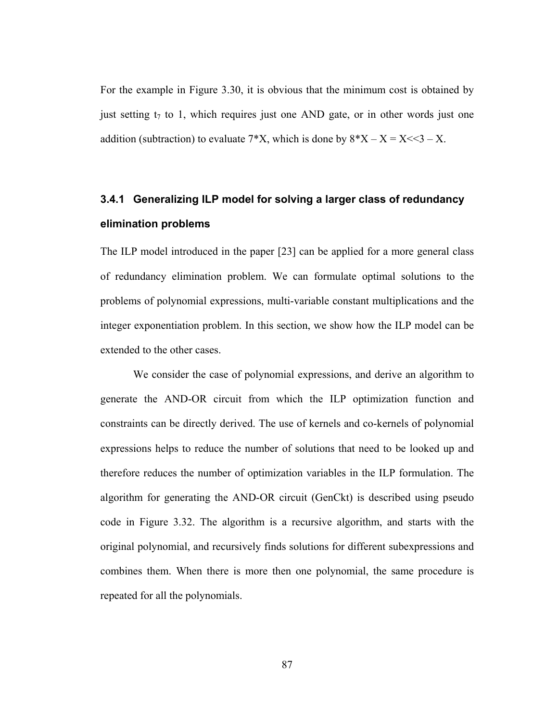For the example in Figure 3.30, it is obvious that the minimum cost is obtained by just setting  $t_7$  to 1, which requires just one AND gate, or in other words just one addition (subtraction) to evaluate  $7*X$ , which is done by  $8*X - X = X \le 3 - X$ .

# **3.4.1 Generalizing ILP model for solving a larger class of redundancy elimination problems**

The ILP model introduced in the paper [23] can be applied for a more general class of redundancy elimination problem. We can formulate optimal solutions to the problems of polynomial expressions, multi-variable constant multiplications and the integer exponentiation problem. In this section, we show how the ILP model can be extended to the other cases.

 We consider the case of polynomial expressions, and derive an algorithm to generate the AND-OR circuit from which the ILP optimization function and constraints can be directly derived. The use of kernels and co-kernels of polynomial expressions helps to reduce the number of solutions that need to be looked up and therefore reduces the number of optimization variables in the ILP formulation. The algorithm for generating the AND-OR circuit (GenCkt) is described using pseudo code in Figure 3.32. The algorithm is a recursive algorithm, and starts with the original polynomial, and recursively finds solutions for different subexpressions and combines them. When there is more then one polynomial, the same procedure is repeated for all the polynomials.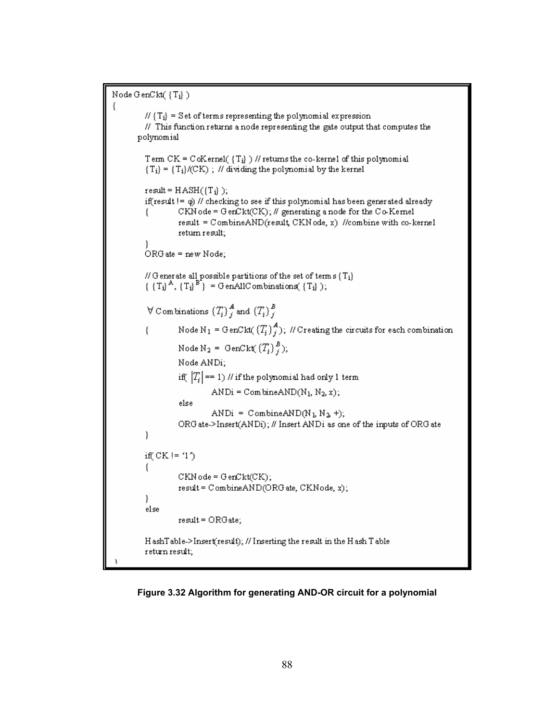```
Node GenCkt({Ti})
€
         H\{T_i\} = Set of terms representing the polynomial expression
         // This function returns a node representing the gate output that computes the
       polynomial
         Term CK = CoKernel(\{T_i\}) // returns the co-kernel of this polynomial
         {T_i} = {T_i}/(CK); // dividing the polynomial by the kernel
         result = HASH({T_i});
         if(result != \phi) // checking to see if this polynomial has been generated already
                  CKN ode = GenCkt(CK); \# generating a node for the Co-Kernel
         Ł
                  result = CombineAND(result, CKN ode, x) //combine with co-kernel
                  return result;
         ORG ate = new Node;
         // Generate all possible partitions of the set of terms \{T_i\}\{T_i\}^A, \{T_i\}^{B^*}\} = GenAllCombinations(\{T_i\});
         \forall Combinations \{T_i\}_{i=1}^A and \{T_i\}_{i=1}^BNode N<sub>1</sub> = GenCkt((T_i)^A); // Creating the circuits for each combination
         ł
                  Node N_2 = GenCkt(\{T_i\}_{i}^B);
                  Node ANDi;
                  if(|T_i| == 1) // if the polynomial had only 1 term
                           ANDi = CombineAND(N_1, N_2, x);
                  else
                           ANDi = CombineAND(N_L N_2+);
                  ORG ate->Insert(ANDi); // Insert ANDi as one of the inputs of ORG ate
         }
         if(CK!= '1')
         ţ.
                  CKN ode = GenCkt(CK);result = CombineAND(ORG ate, CKNode, x);
         }
         else
                  result = ORGate;HashTable->Insert(result); // Inserting the result in the Hash Table
         return result;
```
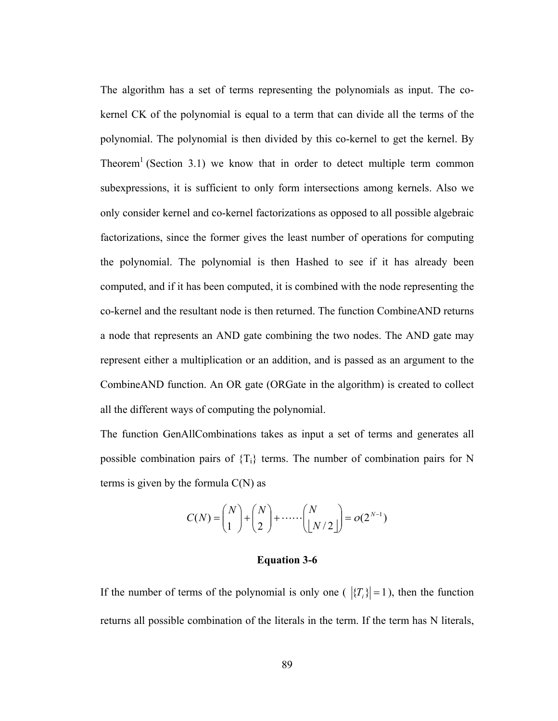The algorithm has a set of terms representing the polynomials as input. The cokernel CK of the polynomial is equal to a term that can divide all the terms of the polynomial. The polynomial is then divided by this co-kernel to get the kernel. By Theorem<sup>1</sup> (Section 3.1) we know that in order to detect multiple term common subexpressions, it is sufficient to only form intersections among kernels. Also we only consider kernel and co-kernel factorizations as opposed to all possible algebraic factorizations, since the former gives the least number of operations for computing the polynomial. The polynomial is then Hashed to see if it has already been computed, and if it has been computed, it is combined with the node representing the co-kernel and the resultant node is then returned. The function CombineAND returns a node that represents an AND gate combining the two nodes. The AND gate may represent either a multiplication or an addition, and is passed as an argument to the CombineAND function. An OR gate (ORGate in the algorithm) is created to collect all the different ways of computing the polynomial.

The function GenAllCombinations takes as input a set of terms and generates all possible combination pairs of  ${T_i}$  terms. The number of combination pairs for N terms is given by the formula  $C(N)$  as

$$
C(N) = \binom{N}{1} + \binom{N}{2} + \cdots + \binom{N}{\lfloor N/2 \rfloor} = o(2^{N-1})
$$

#### **Equation 3-6**

If the number of terms of the polynomial is only one ( $|\{T_i\}| = 1$ ), then the function returns all possible combination of the literals in the term. If the term has N literals,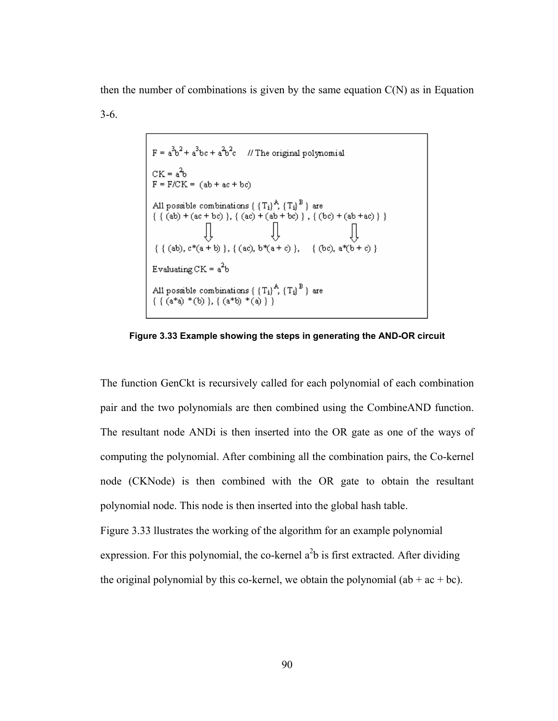then the number of combinations is given by the same equation  $C(N)$  as in Equation 3-6.

**Figure 3.33 Example showing the steps in generating the AND-OR circuit** 

The function GenCkt is recursively called for each polynomial of each combination pair and the two polynomials are then combined using the CombineAND function. The resultant node ANDi is then inserted into the OR gate as one of the ways of computing the polynomial. After combining all the combination pairs, the Co-kernel node (CKNode) is then combined with the OR gate to obtain the resultant polynomial node. This node is then inserted into the global hash table.

Figure 3.33 llustrates the working of the algorithm for an example polynomial expression. For this polynomial, the co-kernel  $a<sup>2</sup>b$  is first extracted. After dividing the original polynomial by this co-kernel, we obtain the polynomial  $(ab + ac + bc)$ .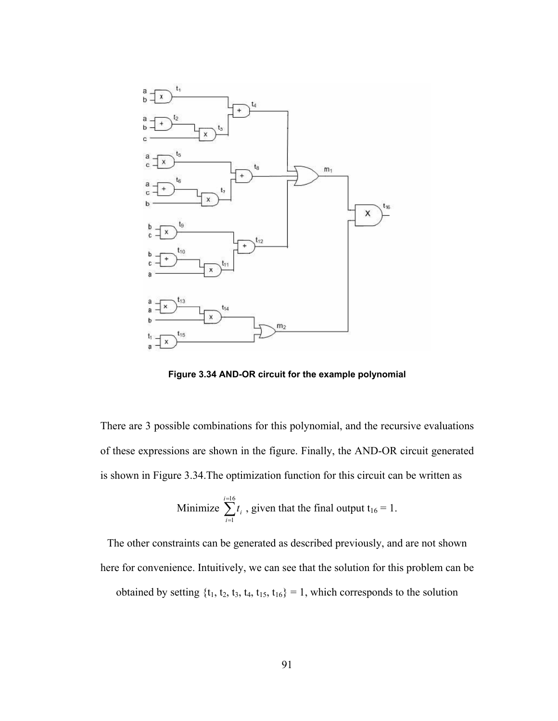

**Figure 3.34 AND-OR circuit for the example polynomial** 

There are 3 possible combinations for this polynomial, and the recursive evaluations of these expressions are shown in the figure. Finally, the AND-OR circuit generated is shown in Figure 3.34.The optimization function for this circuit can be written as

Minimize 
$$
\sum_{i=1}^{i=16} t_i
$$
, given that the final output  $t_{16} = 1$ .

The other constraints can be generated as described previously, and are not shown here for convenience. Intuitively, we can see that the solution for this problem can be

obtained by setting  $\{t_1, t_2, t_3, t_4, t_{15}, t_{16}\} = 1$ , which corresponds to the solution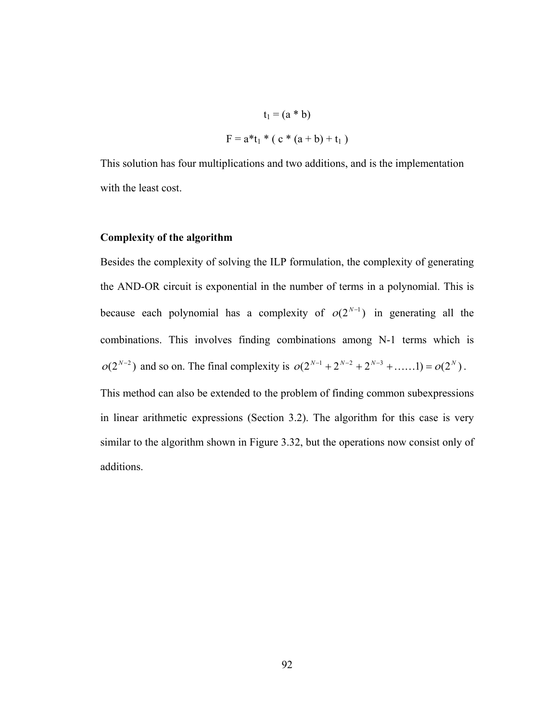$$
t_1 = (a * b)
$$

$$
F = a * t_1 * (c * (a + b) + t_1)
$$

This solution has four multiplications and two additions, and is the implementation with the least cost.

# **Complexity of the algorithm**

Besides the complexity of solving the ILP formulation, the complexity of generating the AND-OR circuit is exponential in the number of terms in a polynomial. This is because each polynomial has a complexity of  $o(2^{N-1})$  in generating all the combinations. This involves finding combinations among N-1 terms which is  $o(2^{N-2})$  and so on. The final complexity is  $o(2^{N-1} + 2^{N-2} + 2^{N-3} + \dots \dots ) = o(2^N)$ .

This method can also be extended to the problem of finding common subexpressions in linear arithmetic expressions (Section 3.2). The algorithm for this case is very similar to the algorithm shown in Figure 3.32, but the operations now consist only of additions.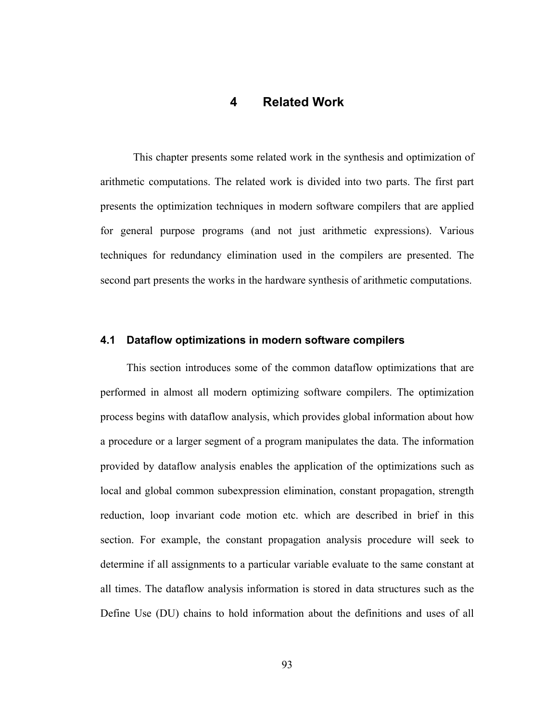# **4 Related Work**

 This chapter presents some related work in the synthesis and optimization of arithmetic computations. The related work is divided into two parts. The first part presents the optimization techniques in modern software compilers that are applied for general purpose programs (and not just arithmetic expressions). Various techniques for redundancy elimination used in the compilers are presented. The second part presents the works in the hardware synthesis of arithmetic computations.

## **4.1 Dataflow optimizations in modern software compilers**

This section introduces some of the common dataflow optimizations that are performed in almost all modern optimizing software compilers. The optimization process begins with dataflow analysis, which provides global information about how a procedure or a larger segment of a program manipulates the data. The information provided by dataflow analysis enables the application of the optimizations such as local and global common subexpression elimination, constant propagation, strength reduction, loop invariant code motion etc. which are described in brief in this section. For example, the constant propagation analysis procedure will seek to determine if all assignments to a particular variable evaluate to the same constant at all times. The dataflow analysis information is stored in data structures such as the Define Use (DU) chains to hold information about the definitions and uses of all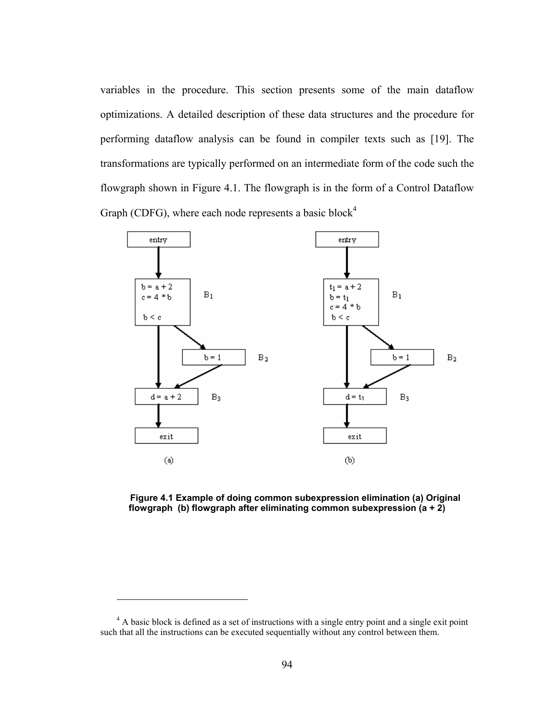variables in the procedure. This section presents some of the main dataflow optimizations. A detailed description of these data structures and the procedure for performing dataflow analysis can be found in compiler texts such as [19]. The transformations are typically performed on an intermediate form of the code such the flowgraph shown in Figure 4.1. The flowgraph is in the form of a Control Dataflow Graph (CDFG), where each node represents a basic block<sup>4</sup>



**Figure 4.1 Example of doing common subexpression elimination (a) Original flowgraph (b) flowgraph after eliminating common subexpression (a + 2)** 

<u>.</u>

<sup>&</sup>lt;sup>4</sup> A basic block is defined as a set of instructions with a single entry point and a single exit point such that all the instructions can be executed sequentially without any control between them.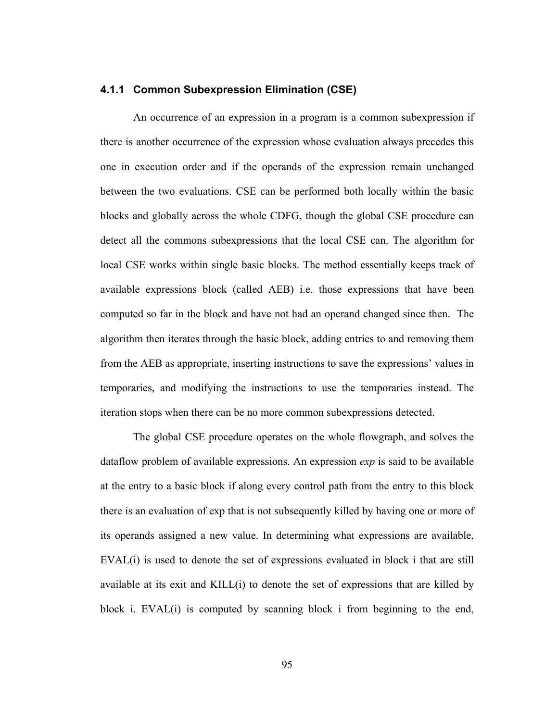# **4.1.1 Common Subexpression Elimination (CSE)**

An occurrence of an expression in a program is a common subexpression if there is another occurrence of the expression whose evaluation always precedes this one in execution order and if the operands of the expression remain unchanged between the two evaluations. CSE can be performed both locally within the basic blocks and globally across the whole CDFG, though the global CSE procedure can detect all the commons subexpressions that the local CSE can. The algorithm for local CSE works within single basic blocks. The method essentially keeps track of available expressions block (called AEB) i.e. those expressions that have been computed so far in the block and have not had an operand changed since then. The algorithm then iterates through the basic block, adding entries to and removing them from the AEB as appropriate, inserting instructions to save the expressions' values in temporaries, and modifying the instructions to use the temporaries instead. The iteration stops when there can be no more common subexpressions detected.

The global CSE procedure operates on the whole flowgraph, and solves the dataflow problem of available expressions. An expression *exp* is said to be available at the entry to a basic block if along every control path from the entry to this block there is an evaluation of exp that is not subsequently killed by having one or more of its operands assigned a new value. In determining what expressions are available, EVAL(i) is used to denote the set of expressions evaluated in block i that are still available at its exit and KILL(i) to denote the set of expressions that are killed by block i. EVAL(i) is computed by scanning block i from beginning to the end,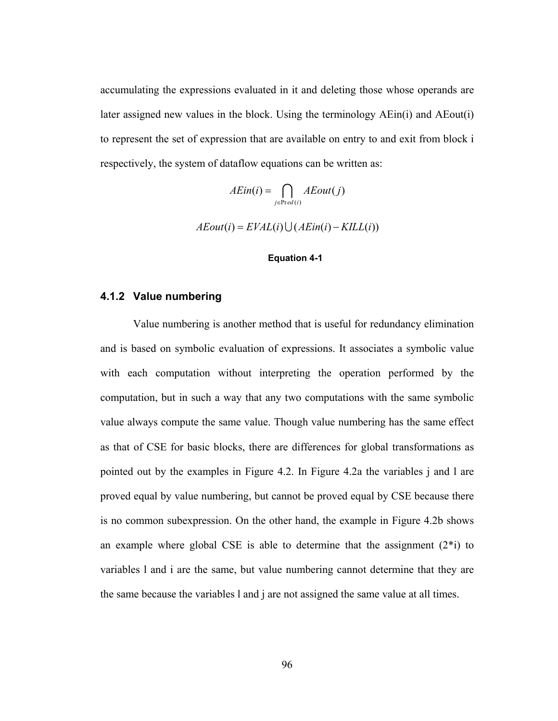accumulating the expressions evaluated in it and deleting those whose operands are later assigned new values in the block. Using the terminology AEin(i) and AEout(i) to represent the set of expression that are available on entry to and exit from block i respectively, the system of dataflow equations can be written as:

$$
AEin(i) = \bigcap_{j \in Pred(i)} AEout(j)
$$

 $AEout(i) = EVAL(i) \bigcup (AEin(i) - KILL(i))$ 

### **Equation 4-1**

### **4.1.2 Value numbering**

Value numbering is another method that is useful for redundancy elimination and is based on symbolic evaluation of expressions. It associates a symbolic value with each computation without interpreting the operation performed by the computation, but in such a way that any two computations with the same symbolic value always compute the same value. Though value numbering has the same effect as that of CSE for basic blocks, there are differences for global transformations as pointed out by the examples in Figure 4.2. In Figure 4.2a the variables j and l are proved equal by value numbering, but cannot be proved equal by CSE because there is no common subexpression. On the other hand, the example in Figure 4.2b shows an example where global CSE is able to determine that the assignment  $(2^*i)$  to variables l and i are the same, but value numbering cannot determine that they are the same because the variables l and j are not assigned the same value at all times.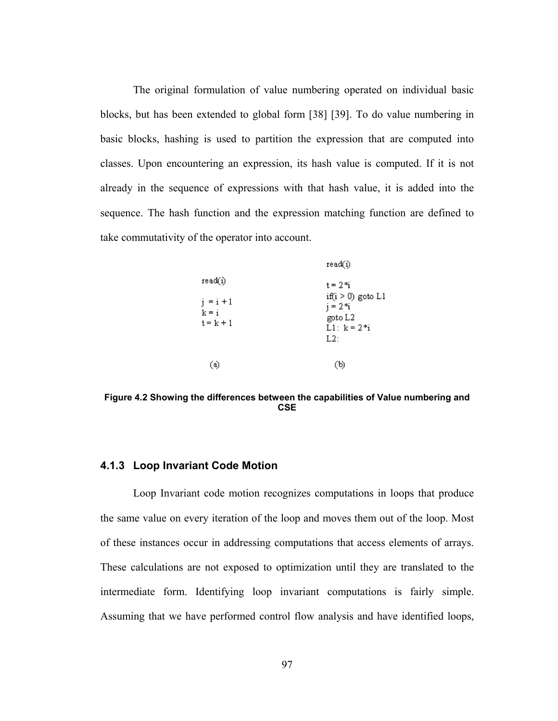The original formulation of value numbering operated on individual basic blocks, but has been extended to global form [38] [39]. To do value numbering in basic blocks, hashing is used to partition the expression that are computed into classes. Upon encountering an expression, its hash value is computed. If it is not already in the sequence of expressions with that hash value, it is added into the sequence. The hash function and the expression matching function are defined to take commutativity of the operator into account.

|                                                  | reacuu                                                                                |
|--------------------------------------------------|---------------------------------------------------------------------------------------|
| read(i)<br>$i = i + 1$<br>$k = i$<br>$t = k + 1$ | $t = 2$ *i<br>if( $i > 0$ ) goto L1<br>$i = 2*i$<br>goto L2<br>$L1: k = 2 * i$<br>L2: |
| (a)                                              | (b)                                                                                   |

**Figure 4.2 Showing the differences between the capabilities of Value numbering and CSE** 

### **4.1.3 Loop Invariant Code Motion**

Loop Invariant code motion recognizes computations in loops that produce the same value on every iteration of the loop and moves them out of the loop. Most of these instances occur in addressing computations that access elements of arrays. These calculations are not exposed to optimization until they are translated to the intermediate form. Identifying loop invariant computations is fairly simple. Assuming that we have performed control flow analysis and have identified loops,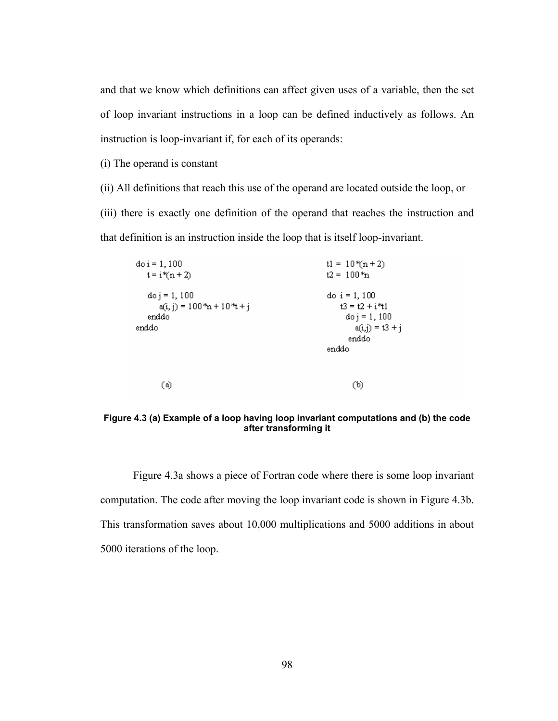and that we know which definitions can affect given uses of a variable, then the set of loop invariant instructions in a loop can be defined inductively as follows. An instruction is loop-invariant if, for each of its operands:

(i) The operand is constant

(ii) All definitions that reach this use of the operand are located outside the loop, or (iii) there is exactly one definition of the operand that reaches the instruction and that definition is an instruction inside the loop that is itself loop-invariant.

| $d$ o i = 1, 100                 | $t1 = 10*(n+2)$            |
|----------------------------------|----------------------------|
| $t = i \cdot (n + 2)$            | $t2 = 100$ <sup>*</sup> n  |
| $d_{0j} = 1,100$                 | do $i = 1, 100$            |
| $a(i, j) = 100 * n + 10 * t + j$ | $13 = 12 + i41$            |
| enddo                            | $d_{0}$ j = 1, 100         |
| enddo                            | $a(i,j) = 13 + i$<br>enddo |
|                                  |                            |
|                                  | enddo                      |
|                                  |                            |
| (a)                              | (b)                        |

**Figure 4.3 (a) Example of a loop having loop invariant computations and (b) the code after transforming it** 

Figure 4.3a shows a piece of Fortran code where there is some loop invariant computation. The code after moving the loop invariant code is shown in Figure 4.3b. This transformation saves about 10,000 multiplications and 5000 additions in about 5000 iterations of the loop.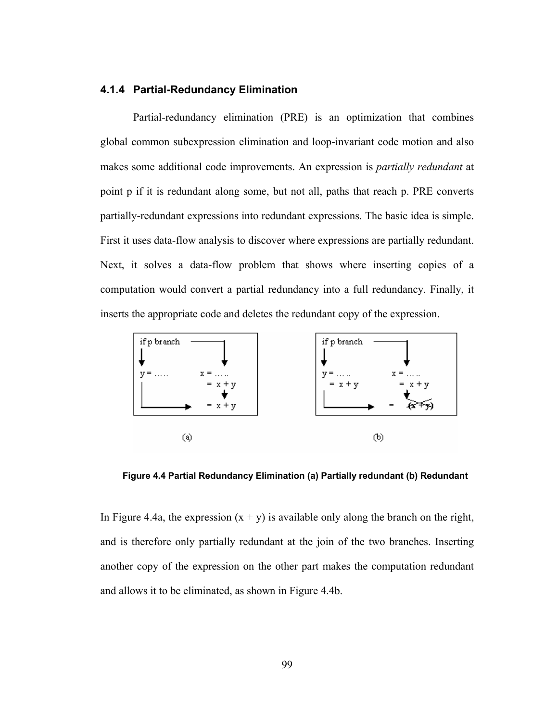# **4.1.4 Partial-Redundancy Elimination**

 Partial-redundancy elimination (PRE) is an optimization that combines global common subexpression elimination and loop-invariant code motion and also makes some additional code improvements. An expression is *partially redundant* at point p if it is redundant along some, but not all, paths that reach p. PRE converts partially-redundant expressions into redundant expressions. The basic idea is simple. First it uses data-flow analysis to discover where expressions are partially redundant. Next, it solves a data-flow problem that shows where inserting copies of a computation would convert a partial redundancy into a full redundancy. Finally, it inserts the appropriate code and deletes the redundant copy of the expression.



**Figure 4.4 Partial Redundancy Elimination (a) Partially redundant (b) Redundant** 

In Figure 4.4a, the expression  $(x + y)$  is available only along the branch on the right, and is therefore only partially redundant at the join of the two branches. Inserting another copy of the expression on the other part makes the computation redundant and allows it to be eliminated, as shown in Figure 4.4b.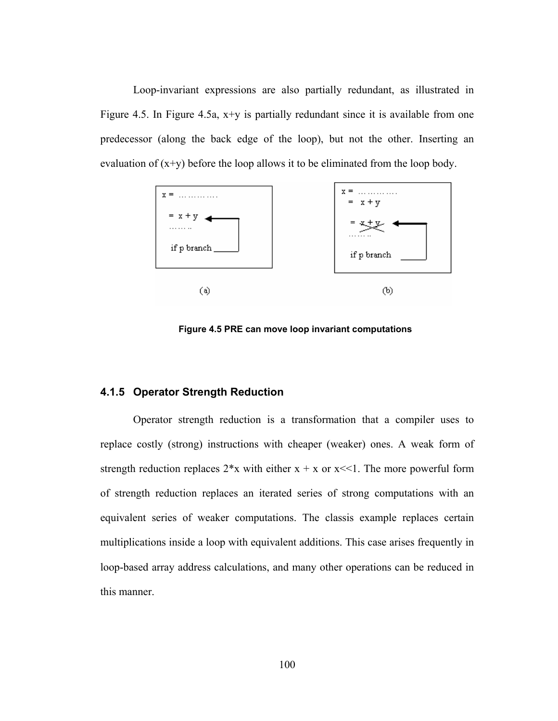Loop-invariant expressions are also partially redundant, as illustrated in Figure 4.5. In Figure 4.5a,  $x+y$  is partially redundant since it is available from one predecessor (along the back edge of the loop), but not the other. Inserting an evaluation of  $(x+y)$  before the loop allows it to be eliminated from the loop body.



**Figure 4.5 PRE can move loop invariant computations** 

# **4.1.5 Operator Strength Reduction**

Operator strength reduction is a transformation that a compiler uses to replace costly (strong) instructions with cheaper (weaker) ones. A weak form of strength reduction replaces  $2*x$  with either  $x + x$  or  $x \ll 1$ . The more powerful form of strength reduction replaces an iterated series of strong computations with an equivalent series of weaker computations. The classis example replaces certain multiplications inside a loop with equivalent additions. This case arises frequently in loop-based array address calculations, and many other operations can be reduced in this manner.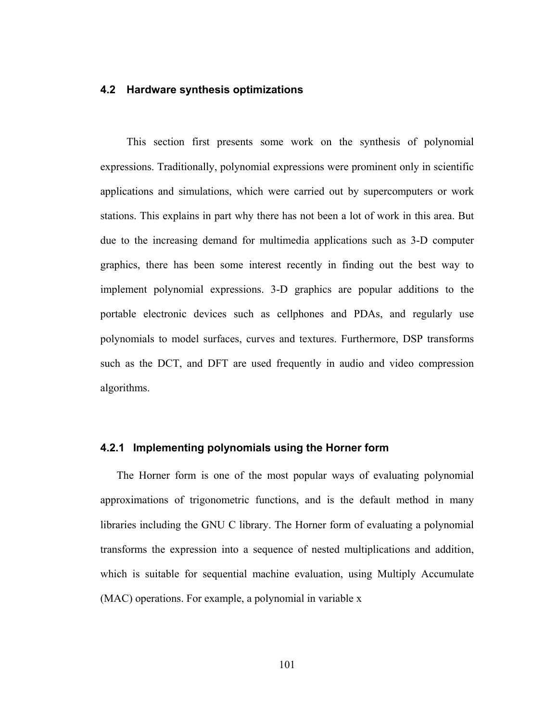# **4.2 Hardware synthesis optimizations**

This section first presents some work on the synthesis of polynomial expressions. Traditionally, polynomial expressions were prominent only in scientific applications and simulations, which were carried out by supercomputers or work stations. This explains in part why there has not been a lot of work in this area. But due to the increasing demand for multimedia applications such as 3-D computer graphics, there has been some interest recently in finding out the best way to implement polynomial expressions. 3-D graphics are popular additions to the portable electronic devices such as cellphones and PDAs, and regularly use polynomials to model surfaces, curves and textures. Furthermore, DSP transforms such as the DCT, and DFT are used frequently in audio and video compression algorithms.

# **4.2.1 Implementing polynomials using the Horner form**

The Horner form is one of the most popular ways of evaluating polynomial approximations of trigonometric functions, and is the default method in many libraries including the GNU C library. The Horner form of evaluating a polynomial transforms the expression into a sequence of nested multiplications and addition, which is suitable for sequential machine evaluation, using Multiply Accumulate (MAC) operations. For example, a polynomial in variable x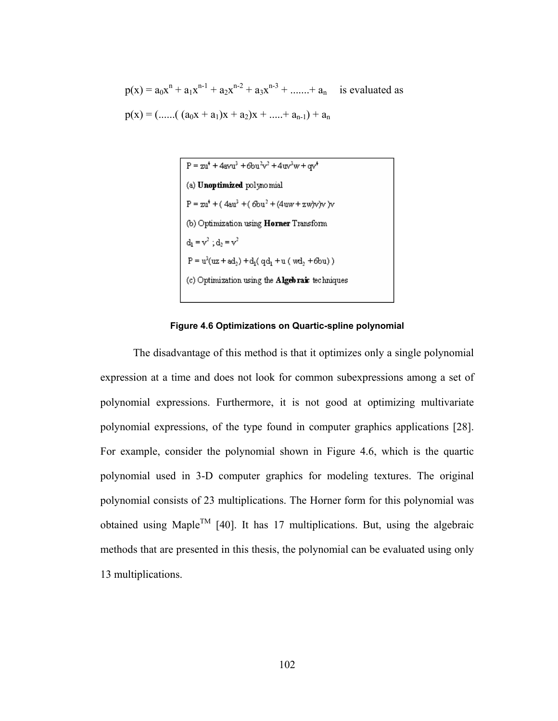$p(x) = a_0x^n + a_1x^{n-1} + a_2x^{n-2} + a_3x^{n-3} + \dots + a_n$  is evaluated as  $p(x) = ($ ......(  $(a_0x + a_1)x + a_2)x +$ .....+  $a_{n-1}$ ) +  $a_n$ 



#### **Figure 4.6 Optimizations on Quartic-spline polynomial**

 The disadvantage of this method is that it optimizes only a single polynomial expression at a time and does not look for common subexpressions among a set of polynomial expressions. Furthermore, it is not good at optimizing multivariate polynomial expressions, of the type found in computer graphics applications [28]. For example, consider the polynomial shown in Figure 4.6, which is the quartic polynomial used in 3-D computer graphics for modeling textures. The original polynomial consists of 23 multiplications. The Horner form for this polynomial was obtained using Maple<sup>TM</sup> [40]. It has 17 multiplications. But, using the algebraic methods that are presented in this thesis, the polynomial can be evaluated using only 13 multiplications.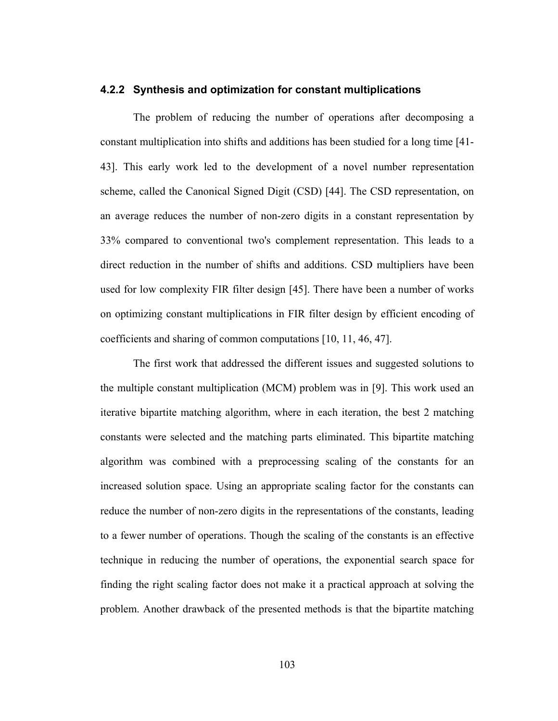## **4.2.2 Synthesis and optimization for constant multiplications**

The problem of reducing the number of operations after decomposing a constant multiplication into shifts and additions has been studied for a long time [41- 43]. This early work led to the development of a novel number representation scheme, called the Canonical Signed Digit (CSD) [44]. The CSD representation, on an average reduces the number of non-zero digits in a constant representation by 33% compared to conventional two's complement representation. This leads to a direct reduction in the number of shifts and additions. CSD multipliers have been used for low complexity FIR filter design [45]. There have been a number of works on optimizing constant multiplications in FIR filter design by efficient encoding of coefficients and sharing of common computations [10, 11, 46, 47].

The first work that addressed the different issues and suggested solutions to the multiple constant multiplication (MCM) problem was in [9]. This work used an iterative bipartite matching algorithm, where in each iteration, the best 2 matching constants were selected and the matching parts eliminated. This bipartite matching algorithm was combined with a preprocessing scaling of the constants for an increased solution space. Using an appropriate scaling factor for the constants can reduce the number of non-zero digits in the representations of the constants, leading to a fewer number of operations. Though the scaling of the constants is an effective technique in reducing the number of operations, the exponential search space for finding the right scaling factor does not make it a practical approach at solving the problem. Another drawback of the presented methods is that the bipartite matching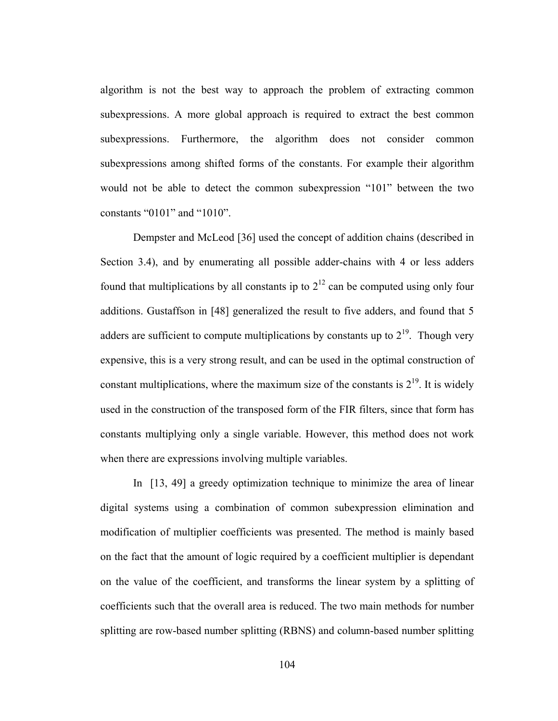algorithm is not the best way to approach the problem of extracting common subexpressions. A more global approach is required to extract the best common subexpressions. Furthermore, the algorithm does not consider common subexpressions among shifted forms of the constants. For example their algorithm would not be able to detect the common subexpression "101" between the two constants "0101" and "1010".

Dempster and McLeod [36] used the concept of addition chains (described in Section 3.4), and by enumerating all possible adder-chains with 4 or less adders found that multiplications by all constants ip to  $2^{12}$  can be computed using only four additions. Gustaffson in [48] generalized the result to five adders, and found that 5 adders are sufficient to compute multiplications by constants up to  $2^{19}$ . Though very expensive, this is a very strong result, and can be used in the optimal construction of constant multiplications, where the maximum size of the constants is  $2^{19}$ . It is widely used in the construction of the transposed form of the FIR filters, since that form has constants multiplying only a single variable. However, this method does not work when there are expressions involving multiple variables.

In [13, 49] a greedy optimization technique to minimize the area of linear digital systems using a combination of common subexpression elimination and modification of multiplier coefficients was presented. The method is mainly based on the fact that the amount of logic required by a coefficient multiplier is dependant on the value of the coefficient, and transforms the linear system by a splitting of coefficients such that the overall area is reduced. The two main methods for number splitting are row-based number splitting (RBNS) and column-based number splitting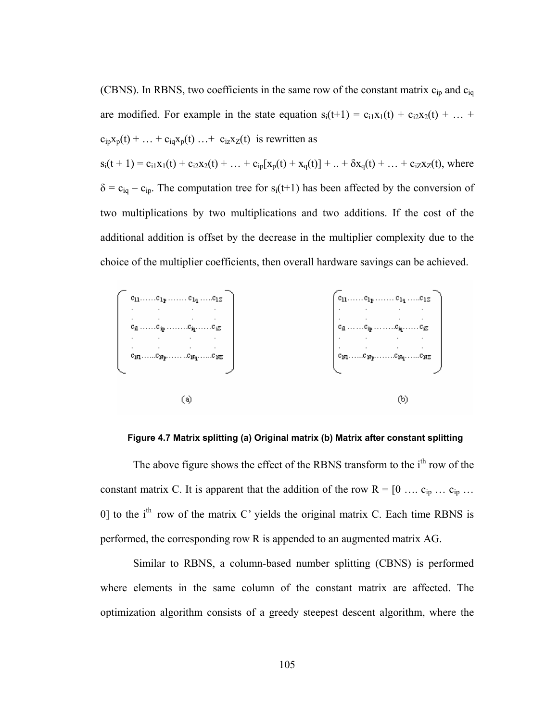(CBNS). In RBNS, two coefficients in the same row of the constant matrix  $c_{ip}$  and  $c_{iq}$ are modified. For example in the state equation  $s_i(t+1) = c_{i1}x_1(t) + c_{i2}x_2(t) + ...$  $c_{ip}x_p(t) + \ldots + c_{iq}x_p(t) \ldots + c_{iz}x_z(t)$  is rewritten as  $s_i(t + 1) = c_{i1}x_1(t) + c_{i2}x_2(t) + ... + c_{ip}[x_p(t) + x_q(t)] + ... + \delta x_q(t) + ... + c_{i2}x_2(t)$ , where  $\delta = c_{iq} - c_{ip}$ . The computation tree for s<sub>i</sub>(t+1) has been affected by the conversion of two multiplications by two multiplications and two additions. If the cost of the additional addition is offset by the decrease in the multiplier complexity due to the choice of the multiplier coefficients, then overall hardware savings can be achieved.



**Figure 4.7 Matrix splitting (a) Original matrix (b) Matrix after constant splitting** 

The above figure shows the effect of the RBNS transform to the i<sup>th</sup> row of the constant matrix C. It is apparent that the addition of the row  $R = [0 \dots c_{ip} \dots c_{ip} \dots$ 0] to the  $i<sup>th</sup>$  row of the matrix C' yields the original matrix C. Each time RBNS is performed, the corresponding row R is appended to an augmented matrix AG.

 Similar to RBNS, a column-based number splitting (CBNS) is performed where elements in the same column of the constant matrix are affected. The optimization algorithm consists of a greedy steepest descent algorithm, where the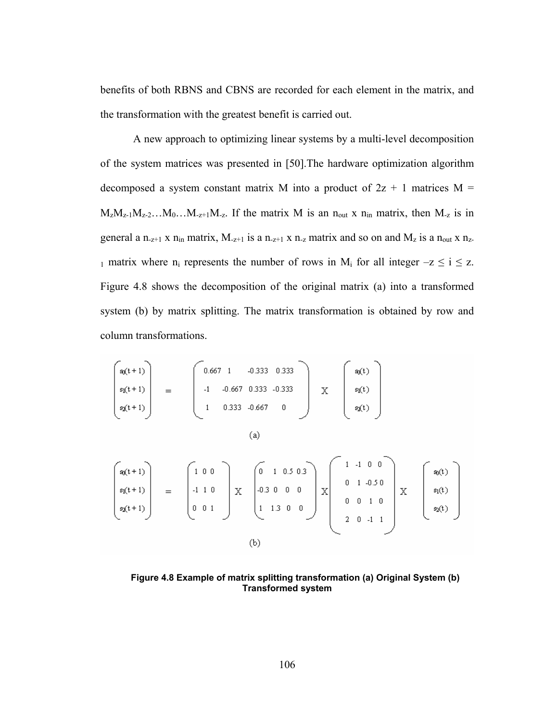benefits of both RBNS and CBNS are recorded for each element in the matrix, and the transformation with the greatest benefit is carried out.

 A new approach to optimizing linear systems by a multi-level decomposition of the system matrices was presented in [50].The hardware optimization algorithm decomposed a system constant matrix M into a product of  $2z + 1$  matrices M =  $M_zM_{z-1}M_{z-2}...M_0...M_{z+1}M_{z}$ . If the matrix M is an n<sub>out</sub> x n<sub>in</sub> matrix, then M<sub>-z</sub> is in general a n<sub>-z+1</sub> x n<sub>in</sub> matrix,  $M_{-z+1}$  is a n<sub>-z+1</sub> x n<sub>-z</sub> matrix and so on and  $M_z$  is a n<sub>out</sub> x n<sub>z-</sub> 1 matrix where  $n_i$  represents the number of rows in  $M_i$  for all integer  $-z \le i \le z$ . Figure 4.8 shows the decomposition of the original matrix (a) into a transformed system (b) by matrix splitting. The matrix transformation is obtained by row and column transformations.

$$
\begin{bmatrix}\nsq(t+1) \\
sq(t+1) \\
sq(t+1)\n\end{bmatrix} = \begin{bmatrix}\n0.667 & 1 & -0.333 & 0.333 \\
-1 & -0.667 & 0.333 & -0.333 \\
1 & 0.333 & -0.667 & 0\n\end{bmatrix} \n\begin{bmatrix}\nsq(t) \\
sq(t) \\
sq(t)\n\end{bmatrix}
$$
\n(a)\n
$$
\begin{bmatrix}\nsq(t+1) \\
sq(t+1) \\
sq(t+1)\n\end{bmatrix} = \begin{bmatrix}\n1 & 0 & 0 \\
-1 & 1 & 0 \\
0 & 0 & 1\n\end{bmatrix} \n\begin{bmatrix}\n0 & 1 & 0.5 & 0.3 \\
-0.3 & 0 & 0 & 0 \\
1 & 1.3 & 0 & 0\n\end{bmatrix} \n\begin{bmatrix}\n1 & -1 & 0 & 0 \\
0 & 1 & -0.5 & 0 \\
0 & 0 & 1 & 0\n\end{bmatrix} \n\begin{bmatrix}\nsq(t) \\
sq(t) \\
sq(t)\n\end{bmatrix}
$$
\n(b)

**Figure 4.8 Example of matrix splitting transformation (a) Original System (b) Transformed system**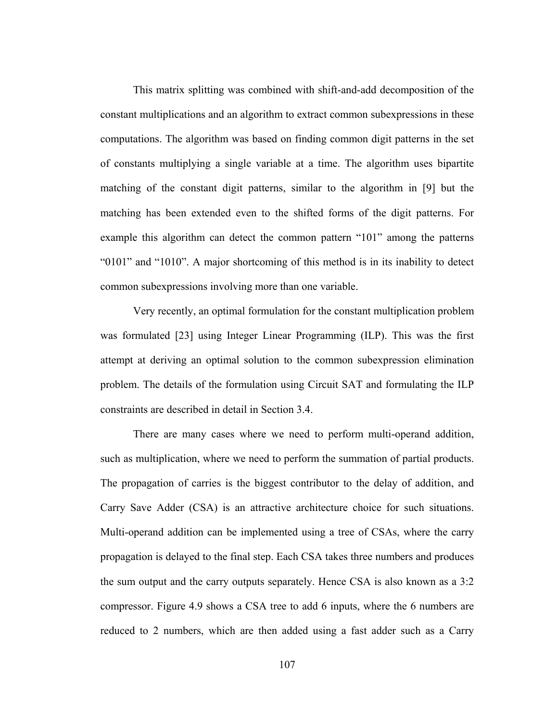This matrix splitting was combined with shift-and-add decomposition of the constant multiplications and an algorithm to extract common subexpressions in these computations. The algorithm was based on finding common digit patterns in the set of constants multiplying a single variable at a time. The algorithm uses bipartite matching of the constant digit patterns, similar to the algorithm in [9] but the matching has been extended even to the shifted forms of the digit patterns. For example this algorithm can detect the common pattern "101" among the patterns "0101" and "1010". A major shortcoming of this method is in its inability to detect common subexpressions involving more than one variable.

Very recently, an optimal formulation for the constant multiplication problem was formulated [23] using Integer Linear Programming (ILP). This was the first attempt at deriving an optimal solution to the common subexpression elimination problem. The details of the formulation using Circuit SAT and formulating the ILP constraints are described in detail in Section 3.4.

There are many cases where we need to perform multi-operand addition, such as multiplication, where we need to perform the summation of partial products. The propagation of carries is the biggest contributor to the delay of addition, and Carry Save Adder (CSA) is an attractive architecture choice for such situations. Multi-operand addition can be implemented using a tree of CSAs, where the carry propagation is delayed to the final step. Each CSA takes three numbers and produces the sum output and the carry outputs separately. Hence CSA is also known as a 3:2 compressor. Figure 4.9 shows a CSA tree to add 6 inputs, where the 6 numbers are reduced to 2 numbers, which are then added using a fast adder such as a Carry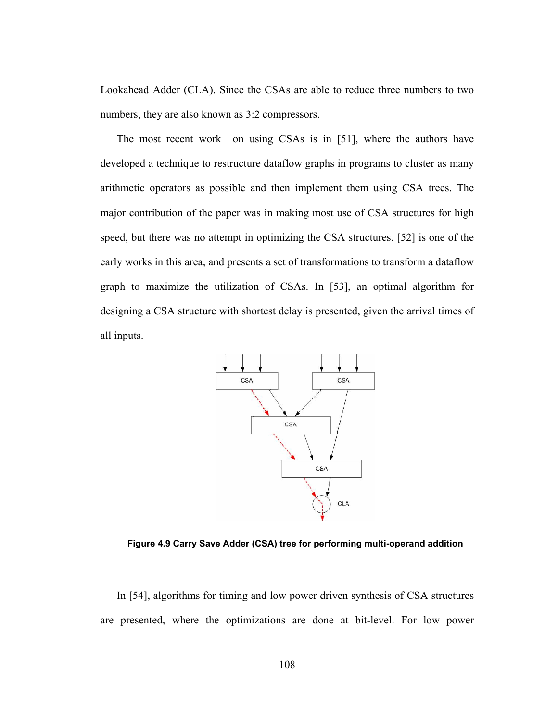Lookahead Adder (CLA). Since the CSAs are able to reduce three numbers to two numbers, they are also known as 3:2 compressors.

The most recent work on using CSAs is in [51], where the authors have developed a technique to restructure dataflow graphs in programs to cluster as many arithmetic operators as possible and then implement them using CSA trees. The major contribution of the paper was in making most use of CSA structures for high speed, but there was no attempt in optimizing the CSA structures. [52] is one of the early works in this area, and presents a set of transformations to transform a dataflow graph to maximize the utilization of CSAs. In [53], an optimal algorithm for designing a CSA structure with shortest delay is presented, given the arrival times of all inputs.



**Figure 4.9 Carry Save Adder (CSA) tree for performing multi-operand addition** 

In [54], algorithms for timing and low power driven synthesis of CSA structures are presented, where the optimizations are done at bit-level. For low power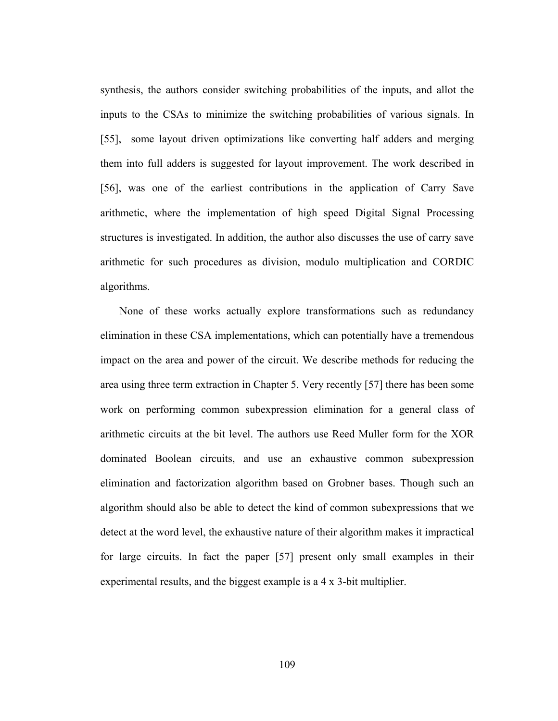synthesis, the authors consider switching probabilities of the inputs, and allot the inputs to the CSAs to minimize the switching probabilities of various signals. In [55], some layout driven optimizations like converting half adders and merging them into full adders is suggested for layout improvement. The work described in [56], was one of the earliest contributions in the application of Carry Save arithmetic, where the implementation of high speed Digital Signal Processing structures is investigated. In addition, the author also discusses the use of carry save arithmetic for such procedures as division, modulo multiplication and CORDIC algorithms.

 None of these works actually explore transformations such as redundancy elimination in these CSA implementations, which can potentially have a tremendous impact on the area and power of the circuit. We describe methods for reducing the area using three term extraction in Chapter 5. Very recently [57] there has been some work on performing common subexpression elimination for a general class of arithmetic circuits at the bit level. The authors use Reed Muller form for the XOR dominated Boolean circuits, and use an exhaustive common subexpression elimination and factorization algorithm based on Grobner bases. Though such an algorithm should also be able to detect the kind of common subexpressions that we detect at the word level, the exhaustive nature of their algorithm makes it impractical for large circuits. In fact the paper [57] present only small examples in their experimental results, and the biggest example is a 4 x 3-bit multiplier.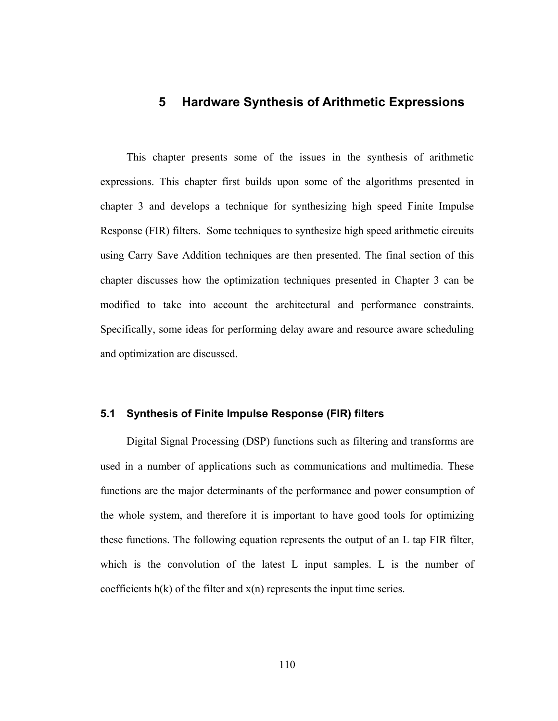# **5 Hardware Synthesis of Arithmetic Expressions**

This chapter presents some of the issues in the synthesis of arithmetic expressions. This chapter first builds upon some of the algorithms presented in chapter 3 and develops a technique for synthesizing high speed Finite Impulse Response (FIR) filters. Some techniques to synthesize high speed arithmetic circuits using Carry Save Addition techniques are then presented. The final section of this chapter discusses how the optimization techniques presented in Chapter 3 can be modified to take into account the architectural and performance constraints. Specifically, some ideas for performing delay aware and resource aware scheduling and optimization are discussed.

## **5.1 Synthesis of Finite Impulse Response (FIR) filters**

Digital Signal Processing (DSP) functions such as filtering and transforms are used in a number of applications such as communications and multimedia. These functions are the major determinants of the performance and power consumption of the whole system, and therefore it is important to have good tools for optimizing these functions. The following equation represents the output of an L tap FIR filter, which is the convolution of the latest L input samples. L is the number of coefficients  $h(k)$  of the filter and  $x(n)$  represents the input time series.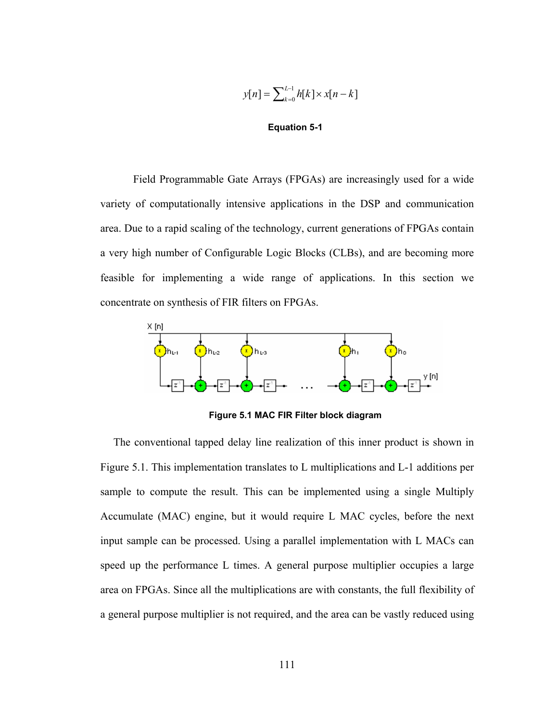$$
y[n] = \sum_{k=0}^{L-1} h[k] \times x[n-k]
$$

#### **Equation 5-1**

 Field Programmable Gate Arrays (FPGAs) are increasingly used for a wide variety of computationally intensive applications in the DSP and communication area. Due to a rapid scaling of the technology, current generations of FPGAs contain a very high number of Configurable Logic Blocks (CLBs), and are becoming more feasible for implementing a wide range of applications. In this section we concentrate on synthesis of FIR filters on FPGAs.



**Figure 5.1 MAC FIR Filter block diagram** 

The conventional tapped delay line realization of this inner product is shown in Figure 5.1. This implementation translates to L multiplications and L-1 additions per sample to compute the result. This can be implemented using a single Multiply Accumulate (MAC) engine, but it would require L MAC cycles, before the next input sample can be processed. Using a parallel implementation with L MACs can speed up the performance L times. A general purpose multiplier occupies a large area on FPGAs. Since all the multiplications are with constants, the full flexibility of a general purpose multiplier is not required, and the area can be vastly reduced using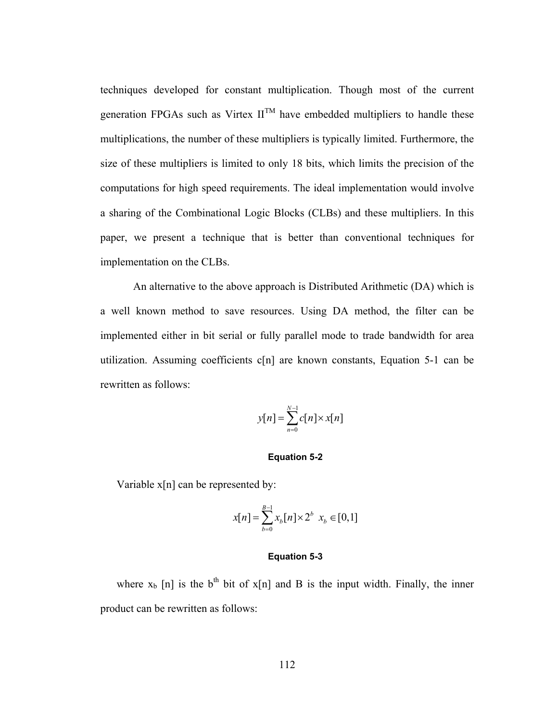techniques developed for constant multiplication. Though most of the current generation FPGAs such as Virtex  $II^{TM}$  have embedded multipliers to handle these multiplications, the number of these multipliers is typically limited. Furthermore, the size of these multipliers is limited to only 18 bits, which limits the precision of the computations for high speed requirements. The ideal implementation would involve a sharing of the Combinational Logic Blocks (CLBs) and these multipliers. In this paper, we present a technique that is better than conventional techniques for implementation on the CLBs.

 An alternative to the above approach is Distributed Arithmetic (DA) which is a well known method to save resources. Using DA method, the filter can be implemented either in bit serial or fully parallel mode to trade bandwidth for area utilization. Assuming coefficients c[n] are known constants, Equation 5-1 can be rewritten as follows:

$$
y[n] = \sum_{n=0}^{N-1} c[n] \times x[n]
$$

## **Equation 5-2**

Variable x[n] can be represented by:

$$
x[n] = \sum_{b=0}^{B-1} x_b[n] \times 2^b \ x_b \in [0,1]
$$

### **Equation 5-3**

where  $x_b$  [n] is the b<sup>th</sup> bit of  $x[n]$  and B is the input width. Finally, the inner product can be rewritten as follows: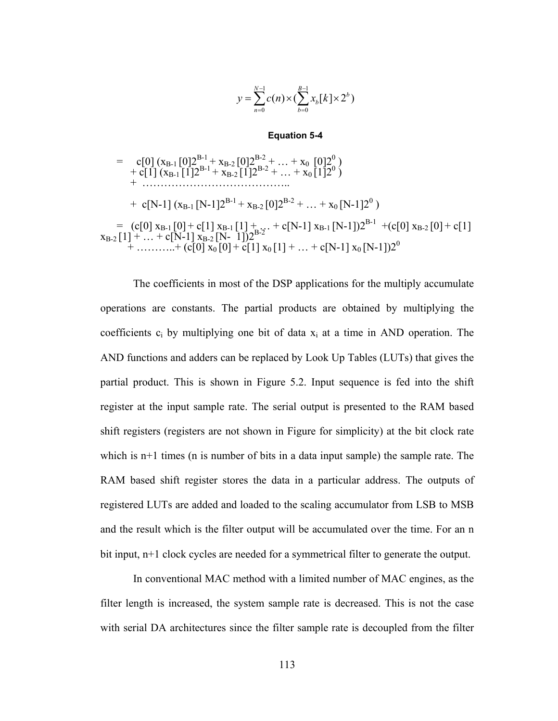$$
y = \sum_{n=0}^{N-1} c(n) \times (\sum_{b=0}^{B-1} x_b[k] \times 2^b)
$$

## **Equation 5-4**

$$
= c[0] (x_{B-1}[0]2^{B-1} + x_{B-2}[0]2^{B-2} + ... + x_0 [0]2^0)
$$
  
+ c[1] (x\_{B-1}[1]2^{B-1} + x\_{B-2}[1]2^{B-2} + ... + x\_0 [1]2^0)  
+ ...  
+ c[N-1] (x\_{B-1}[N-1]2^{B-1} + x\_{B-2}[0]2^{B-2} + ... + x\_0 [N-1]2^0)  
= (c[0] x\_{B-1}[0] + c[1] x\_{B-1}[1] + ... + c[N-1] x\_{B-1}[N-1])2^{B-1} + (c[0] x\_{B-2}[0] + c[1]  
+ ... + c[N-1] x\_{B-2}[N-1])2^{B-2}  
+ ... + (c[0] x\_0[0] + c[1] x\_0[1] + ... + c[N-1] x\_0 [N-1])2^0

 The coefficients in most of the DSP applications for the multiply accumulate operations are constants. The partial products are obtained by multiplying the coefficients  $c_i$  by multiplying one bit of data  $x_i$  at a time in AND operation. The AND functions and adders can be replaced by Look Up Tables (LUTs) that gives the partial product. This is shown in Figure 5.2. Input sequence is fed into the shift register at the input sample rate. The serial output is presented to the RAM based shift registers (registers are not shown in Figure for simplicity) at the bit clock rate which is  $n+1$  times (n is number of bits in a data input sample) the sample rate. The RAM based shift register stores the data in a particular address. The outputs of registered LUTs are added and loaded to the scaling accumulator from LSB to MSB and the result which is the filter output will be accumulated over the time. For an n bit input, n+1 clock cycles are needed for a symmetrical filter to generate the output.

 In conventional MAC method with a limited number of MAC engines, as the filter length is increased, the system sample rate is decreased. This is not the case with serial DA architectures since the filter sample rate is decoupled from the filter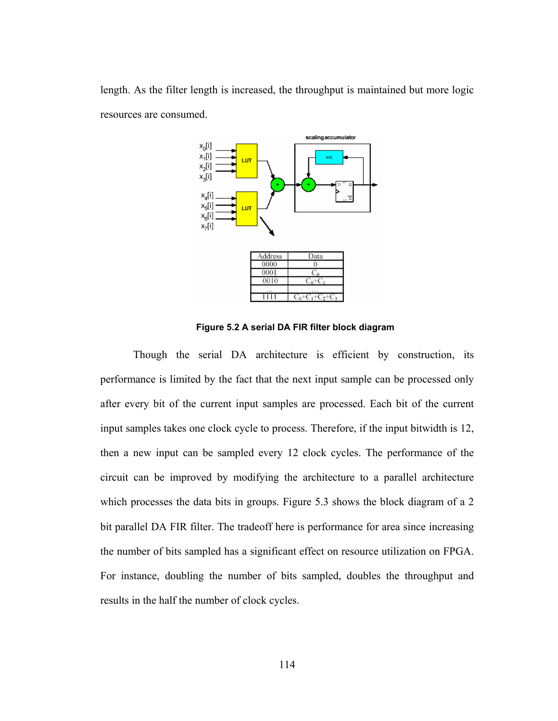length. As the filter length is increased, the throughput is maintained but more logic resources are consumed.



| Data |
|------|
|      |
|      |
|      |
|      |
|      |
|      |

**Figure 5.2 A serial DA FIR filter block diagram** 

 Though the serial DA architecture is efficient by construction, its performance is limited by the fact that the next input sample can be processed only after every bit of the current input samples are processed. Each bit of the current input samples takes one clock cycle to process. Therefore, if the input bitwidth is 12, then a new input can be sampled every 12 clock cycles. The performance of the circuit can be improved by modifying the architecture to a parallel architecture which processes the data bits in groups. Figure 5.3 shows the block diagram of a 2 bit parallel DA FIR filter. The tradeoff here is performance for area since increasing the number of bits sampled has a significant effect on resource utilization on FPGA. For instance, doubling the number of bits sampled, doubles the throughput and results in the half the number of clock cycles.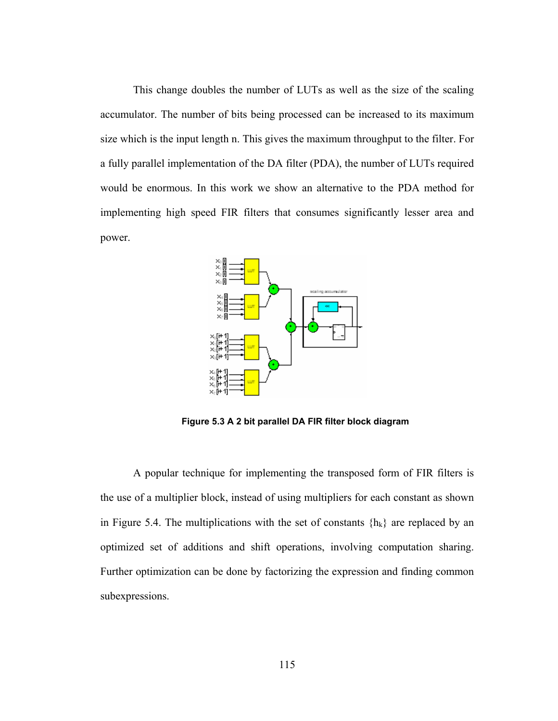This change doubles the number of LUTs as well as the size of the scaling accumulator. The number of bits being processed can be increased to its maximum size which is the input length n. This gives the maximum throughput to the filter. For a fully parallel implementation of the DA filter (PDA), the number of LUTs required would be enormous. In this work we show an alternative to the PDA method for implementing high speed FIR filters that consumes significantly lesser area and power.



**Figure 5.3 A 2 bit parallel DA FIR filter block diagram** 

 A popular technique for implementing the transposed form of FIR filters is the use of a multiplier block, instead of using multipliers for each constant as shown in Figure 5.4. The multiplications with the set of constants  $\{h_k\}$  are replaced by an optimized set of additions and shift operations, involving computation sharing. Further optimization can be done by factorizing the expression and finding common subexpressions.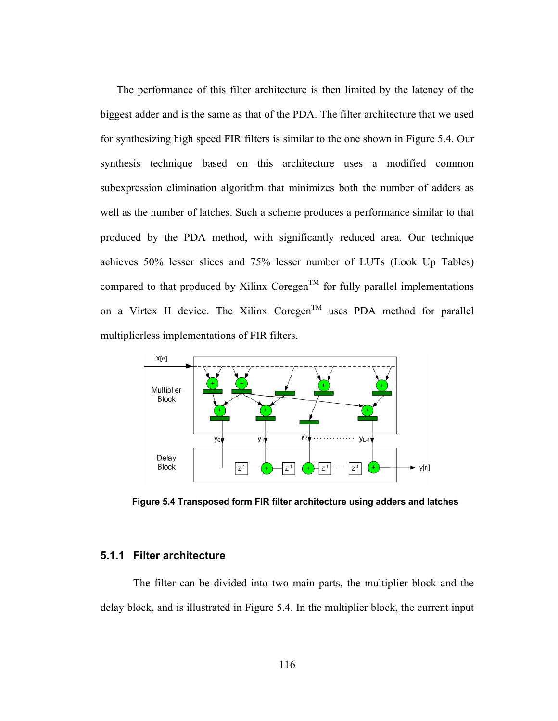The performance of this filter architecture is then limited by the latency of the biggest adder and is the same as that of the PDA. The filter architecture that we used for synthesizing high speed FIR filters is similar to the one shown in Figure 5.4. Our synthesis technique based on this architecture uses a modified common subexpression elimination algorithm that minimizes both the number of adders as well as the number of latches. Such a scheme produces a performance similar to that produced by the PDA method, with significantly reduced area. Our technique achieves 50% lesser slices and 75% lesser number of LUTs (Look Up Tables) compared to that produced by Xilinx Coregen<sup>TM</sup> for fully parallel implementations on a Virtex II device. The Xilinx Coregen<sup>TM</sup> uses PDA method for parallel multiplierless implementations of FIR filters.



**Figure 5.4 Transposed form FIR filter architecture using adders and latches** 

## **5.1.1 Filter architecture**

 The filter can be divided into two main parts, the multiplier block and the delay block, and is illustrated in Figure 5.4. In the multiplier block, the current input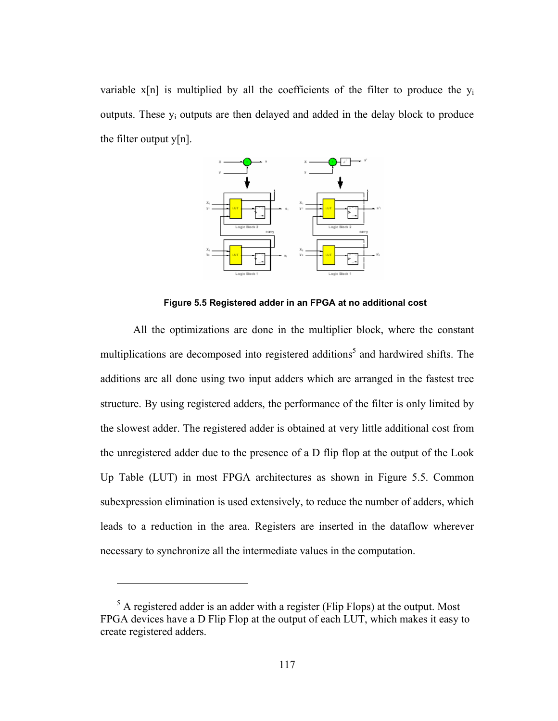variable  $x[n]$  is multiplied by all the coefficients of the filter to produce the  $y_i$ outputs. These  $y_i$  outputs are then delayed and added in the delay block to produce the filter output  $y[n]$ .



**Figure 5.5 Registered adder in an FPGA at no additional cost** 

 All the optimizations are done in the multiplier block, where the constant multiplications are decomposed into registered additions<sup>5</sup> and hardwired shifts. The additions are all done using two input adders which are arranged in the fastest tree structure. By using registered adders, the performance of the filter is only limited by the slowest adder. The registered adder is obtained at very little additional cost from the unregistered adder due to the presence of a D flip flop at the output of the Look Up Table (LUT) in most FPGA architectures as shown in Figure 5.5. Common subexpression elimination is used extensively, to reduce the number of adders, which leads to a reduction in the area. Registers are inserted in the dataflow wherever necessary to synchronize all the intermediate values in the computation.

<u>.</u>

 $<sup>5</sup>$  A registered adder is an adder with a register (Flip Flops) at the output. Most</sup> FPGA devices have a D Flip Flop at the output of each LUT, which makes it easy to create registered adders.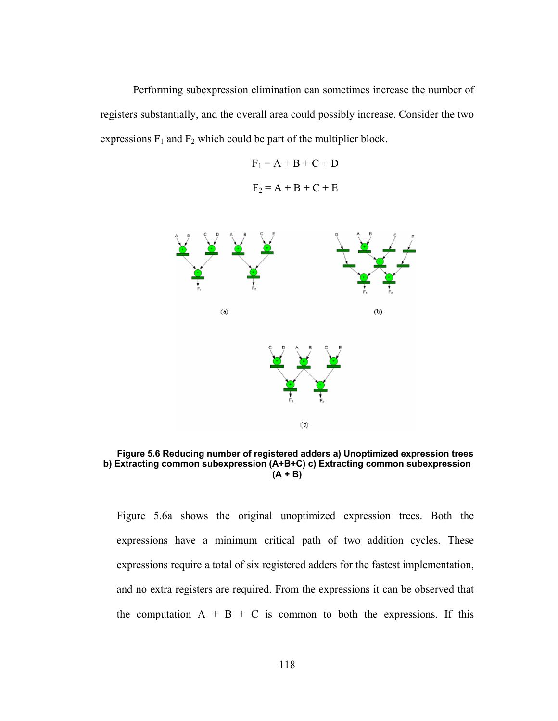Performing subexpression elimination can sometimes increase the number of registers substantially, and the overall area could possibly increase. Consider the two expressions  $F_1$  and  $F_2$  which could be part of the multiplier block.

> $F_1 = A + B + C + D$  $F_2 = A + B + C + E$



**Figure 5.6 Reducing number of registered adders a) Unoptimized expression trees b) Extracting common subexpression (A+B+C) c) Extracting common subexpression (A + B)** 

Figure 5.6a shows the original unoptimized expression trees. Both the expressions have a minimum critical path of two addition cycles. These expressions require a total of six registered adders for the fastest implementation, and no extra registers are required. From the expressions it can be observed that the computation  $A + B + C$  is common to both the expressions. If this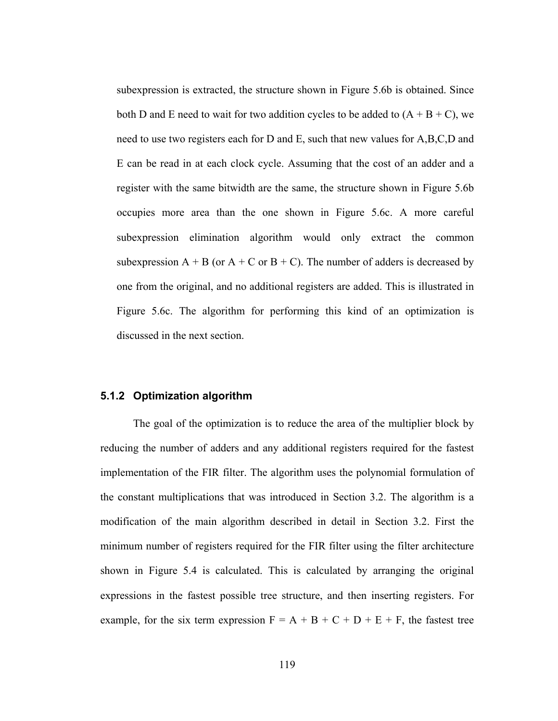subexpression is extracted, the structure shown in Figure 5.6b is obtained. Since both D and E need to wait for two addition cycles to be added to  $(A + B + C)$ , we need to use two registers each for D and E, such that new values for A,B,C,D and E can be read in at each clock cycle. Assuming that the cost of an adder and a register with the same bitwidth are the same, the structure shown in Figure 5.6b occupies more area than the one shown in Figure 5.6c. A more careful subexpression elimination algorithm would only extract the common subexpression  $A + B$  (or  $A + C$  or  $B + C$ ). The number of adders is decreased by one from the original, and no additional registers are added. This is illustrated in Figure 5.6c. The algorithm for performing this kind of an optimization is discussed in the next section.

## **5.1.2 Optimization algorithm**

The goal of the optimization is to reduce the area of the multiplier block by reducing the number of adders and any additional registers required for the fastest implementation of the FIR filter. The algorithm uses the polynomial formulation of the constant multiplications that was introduced in Section 3.2. The algorithm is a modification of the main algorithm described in detail in Section 3.2. First the minimum number of registers required for the FIR filter using the filter architecture shown in Figure 5.4 is calculated. This is calculated by arranging the original expressions in the fastest possible tree structure, and then inserting registers. For example, for the six term expression  $F = A + B + C + D + E + F$ , the fastest tree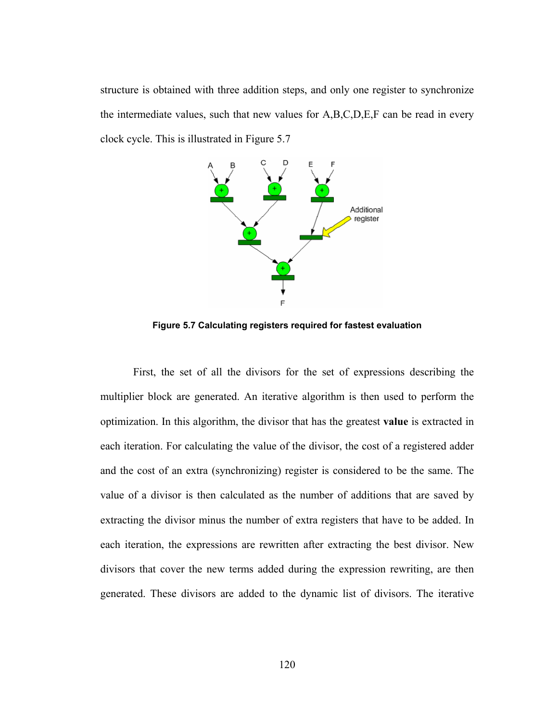structure is obtained with three addition steps, and only one register to synchronize the intermediate values, such that new values for A,B,C,D,E,F can be read in every clock cycle. This is illustrated in Figure 5.7



**Figure 5.7 Calculating registers required for fastest evaluation** 

 First, the set of all the divisors for the set of expressions describing the multiplier block are generated. An iterative algorithm is then used to perform the optimization. In this algorithm, the divisor that has the greatest **value** is extracted in each iteration. For calculating the value of the divisor, the cost of a registered adder and the cost of an extra (synchronizing) register is considered to be the same. The value of a divisor is then calculated as the number of additions that are saved by extracting the divisor minus the number of extra registers that have to be added. In each iteration, the expressions are rewritten after extracting the best divisor. New divisors that cover the new terms added during the expression rewriting, are then generated. These divisors are added to the dynamic list of divisors. The iterative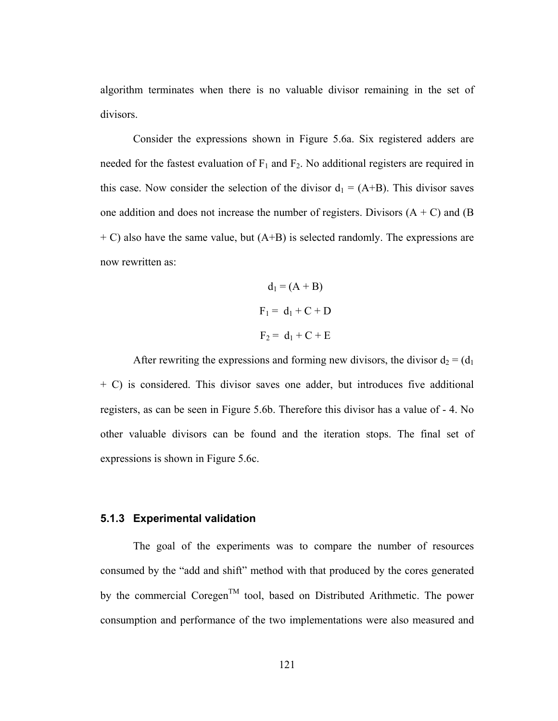algorithm terminates when there is no valuable divisor remaining in the set of divisors.

Consider the expressions shown in Figure 5.6a. Six registered adders are needed for the fastest evaluation of  $F_1$  and  $F_2$ . No additional registers are required in this case. Now consider the selection of the divisor  $d_1 = (A+B)$ . This divisor saves one addition and does not increase the number of registers. Divisors  $(A + C)$  and  $(B)$  $+ C$ ) also have the same value, but  $(A+B)$  is selected randomly. The expressions are now rewritten as:

$$
d_1 = (A + B)
$$
  
F<sub>1</sub> = d<sub>1</sub> + C + D  
F<sub>2</sub> = d<sub>1</sub> + C + E

After rewriting the expressions and forming new divisors, the divisor  $d_2 = (d_1)$ + C) is considered. This divisor saves one adder, but introduces five additional registers, as can be seen in Figure 5.6b. Therefore this divisor has a value of - 4. No other valuable divisors can be found and the iteration stops. The final set of expressions is shown in Figure 5.6c.

### **5.1.3 Experimental validation**

The goal of the experiments was to compare the number of resources consumed by the "add and shift" method with that produced by the cores generated by the commercial Coregen<sup>TM</sup> tool, based on Distributed Arithmetic. The power consumption and performance of the two implementations were also measured and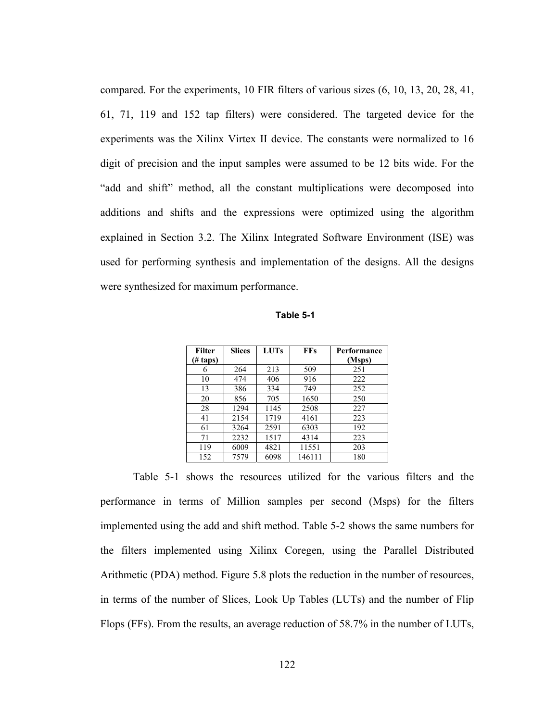compared. For the experiments, 10 FIR filters of various sizes (6, 10, 13, 20, 28, 41, 61, 71, 119 and 152 tap filters) were considered. The targeted device for the experiments was the Xilinx Virtex II device. The constants were normalized to 16 digit of precision and the input samples were assumed to be 12 bits wide. For the "add and shift" method, all the constant multiplications were decomposed into additions and shifts and the expressions were optimized using the algorithm explained in Section 3.2. The Xilinx Integrated Software Environment (ISE) was used for performing synthesis and implementation of the designs. All the designs were synthesized for maximum performance.

**Table 5-1** 

| <b>Filter</b>       | <b>Slices</b> | <b>LUTs</b> | <b>FFs</b> | Performance |
|---------------------|---------------|-------------|------------|-------------|
| $(\# \text{ taps})$ |               |             |            | (Msps)      |
| 6                   | 264           | 213         | 509        | 251         |
| 10                  | 474           | 406         | 916        | 222         |
| 13                  | 386           | 334         | 749        | 252         |
| 20                  | 856           | 705         | 1650       | 250         |
| 28                  | 1294          | 1145        | 2508       | 227         |
| 41                  | 2154          | 1719        | 4161       | 223         |
| 61                  | 3264          | 2591        | 6303       | 192         |
| 71                  | 2232          | 1517        | 4314       | 223         |
| 119                 | 6009          | 4821        | 11551      | 203         |
| 152                 | 7579          | 6098        | 146111     | 180         |

Table 5-1 shows the resources utilized for the various filters and the performance in terms of Million samples per second (Msps) for the filters implemented using the add and shift method. Table 5-2 shows the same numbers for the filters implemented using Xilinx Coregen, using the Parallel Distributed Arithmetic (PDA) method. Figure 5.8 plots the reduction in the number of resources, in terms of the number of Slices, Look Up Tables (LUTs) and the number of Flip Flops (FFs). From the results, an average reduction of 58.7% in the number of LUTs,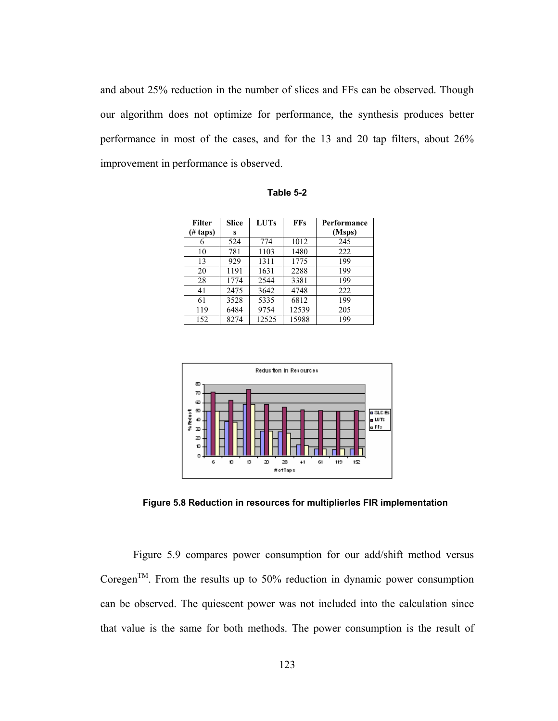and about 25% reduction in the number of slices and FFs can be observed. Though our algorithm does not optimize for performance, the synthesis produces better performance in most of the cases, and for the 13 and 20 tap filters, about 26% improvement in performance is observed.

| Filter          | <b>Slice</b> | <b>LUTs</b> | <b>FFs</b> | Performance |
|-----------------|--------------|-------------|------------|-------------|
| $(\# \t{taps})$ | S            |             |            | (Msps)      |
| 6               | 524          | 774         | 1012       | 245         |
| 10              | 781          | 1103        | 1480       | 222         |
| 13              | 929          | 1311        | 1775       | 199         |
| 20              | 1191         | 1631        | 2288       | 199         |
| 28              | 1774         | 2544        | 3381       | 199         |
| 41              | 2475         | 3642        | 4748       | 222         |
| 61              | 3528         | 5335        | 6812       | 199         |
| 119             | 6484         | 9754        | 12539      | 205         |
| 152             | 8274         | 12525       | 15988      | 199         |

**Table 5-2** 



**Figure 5.8 Reduction in resources for multiplierles FIR implementation** 

 Figure 5.9 compares power consumption for our add/shift method versus Coregen<sup>TM</sup>. From the results up to 50% reduction in dynamic power consumption can be observed. The quiescent power was not included into the calculation since that value is the same for both methods. The power consumption is the result of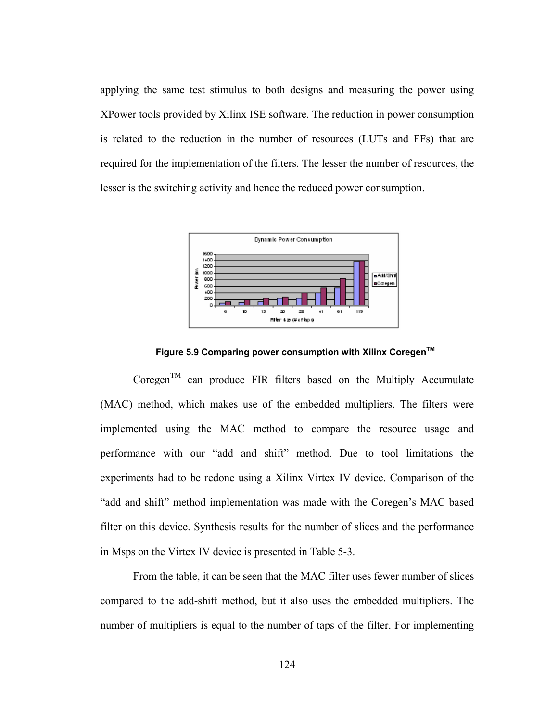applying the same test stimulus to both designs and measuring the power using XPower tools provided by Xilinx ISE software. The reduction in power consumption is related to the reduction in the number of resources (LUTs and FFs) that are required for the implementation of the filters. The lesser the number of resources, the lesser is the switching activity and hence the reduced power consumption.



**Figure 5.9 Comparing power consumption with Xilinx CoregenTM**

 $\text{Coregen}^{\text{TM}}$  can produce FIR filters based on the Multiply Accumulate (MAC) method, which makes use of the embedded multipliers. The filters were implemented using the MAC method to compare the resource usage and performance with our "add and shift" method. Due to tool limitations the experiments had to be redone using a Xilinx Virtex IV device. Comparison of the "add and shift" method implementation was made with the Coregen's MAC based filter on this device. Synthesis results for the number of slices and the performance in Msps on the Virtex IV device is presented in Table 5-3.

From the table, it can be seen that the MAC filter uses fewer number of slices compared to the add-shift method, but it also uses the embedded multipliers. The number of multipliers is equal to the number of taps of the filter. For implementing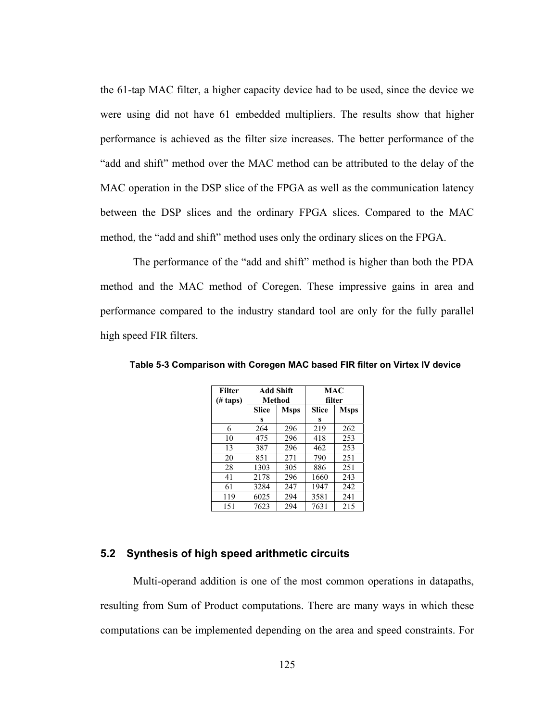the 61-tap MAC filter, a higher capacity device had to be used, since the device we were using did not have 61 embedded multipliers. The results show that higher performance is achieved as the filter size increases. The better performance of the "add and shift" method over the MAC method can be attributed to the delay of the MAC operation in the DSP slice of the FPGA as well as the communication latency between the DSP slices and the ordinary FPGA slices. Compared to the MAC method, the "add and shift" method uses only the ordinary slices on the FPGA.

The performance of the "add and shift" method is higher than both the PDA method and the MAC method of Coregen. These impressive gains in area and performance compared to the industry standard tool are only for the fully parallel high speed FIR filters.

| <b>Filter</b><br>$(\# \t{taps})$ | <b>Add Shift</b><br>Method |     | MAC<br>filter |             |
|----------------------------------|----------------------------|-----|---------------|-------------|
|                                  | Slice<br><b>Msps</b>       |     | Slice         | <b>Msps</b> |
|                                  | S                          |     | S             |             |
| 6                                | 264                        | 296 | 219           | 262         |
| 10                               | 475                        | 296 | 418           | 253         |
| 13                               | 387                        | 296 | 462           | 253         |
| 20                               | 851                        | 271 | 790           | 251         |
| 28                               | 1303                       | 305 | 886           | 251         |
| 41                               | 2178                       | 296 | 1660          | 243         |
| 61                               | 3284                       | 247 | 1947          | 242         |
| 119                              | 6025                       | 294 | 3581          | 241         |
| 151                              | 7623                       | 294 | 7631          | 215         |

**Table 5-3 Comparison with Coregen MAC based FIR filter on Virtex IV device** 

### **5.2 Synthesis of high speed arithmetic circuits**

 Multi-operand addition is one of the most common operations in datapaths, resulting from Sum of Product computations. There are many ways in which these computations can be implemented depending on the area and speed constraints. For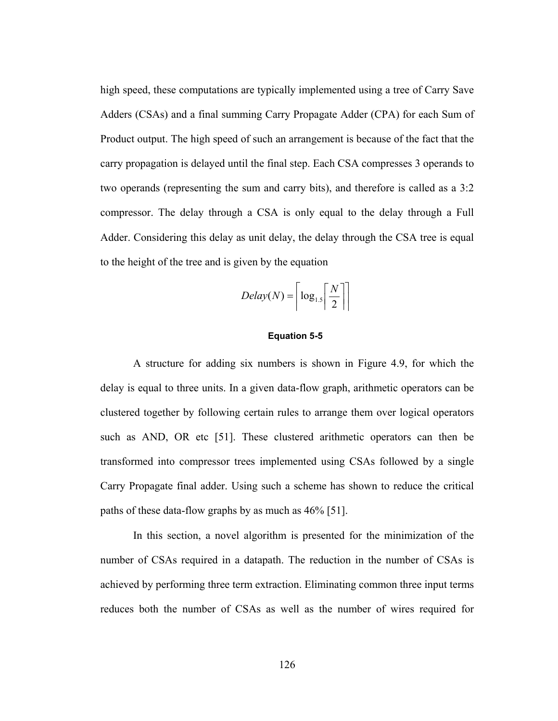high speed, these computations are typically implemented using a tree of Carry Save Adders (CSAs) and a final summing Carry Propagate Adder (CPA) for each Sum of Product output. The high speed of such an arrangement is because of the fact that the carry propagation is delayed until the final step. Each CSA compresses 3 operands to two operands (representing the sum and carry bits), and therefore is called as a 3:2 compressor. The delay through a CSA is only equal to the delay through a Full Adder. Considering this delay as unit delay, the delay through the CSA tree is equal to the height of the tree and is given by the equation

$$
Delay(N) = \left\lceil \log_{1.5} \left\lceil \frac{N}{2} \right\rceil \right\rceil
$$

#### **Equation 5-5**

 A structure for adding six numbers is shown in Figure 4.9, for which the delay is equal to three units. In a given data-flow graph, arithmetic operators can be clustered together by following certain rules to arrange them over logical operators such as AND, OR etc [51]. These clustered arithmetic operators can then be transformed into compressor trees implemented using CSAs followed by a single Carry Propagate final adder. Using such a scheme has shown to reduce the critical paths of these data-flow graphs by as much as 46% [51].

 In this section, a novel algorithm is presented for the minimization of the number of CSAs required in a datapath. The reduction in the number of CSAs is achieved by performing three term extraction. Eliminating common three input terms reduces both the number of CSAs as well as the number of wires required for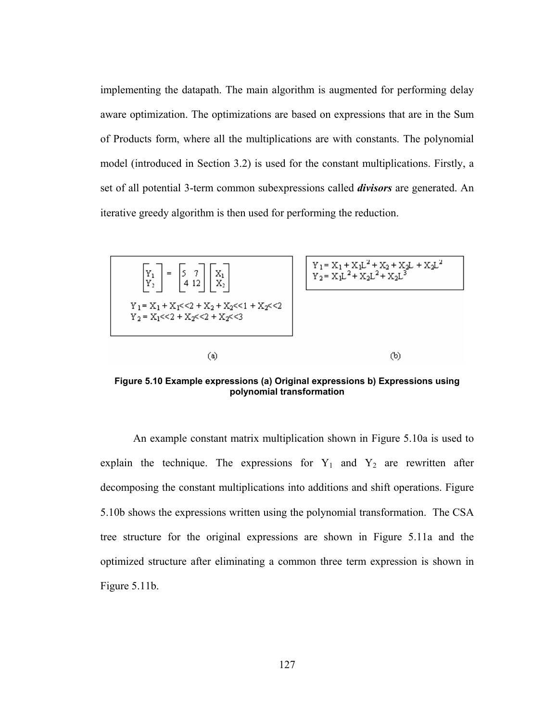implementing the datapath. The main algorithm is augmented for performing delay aware optimization. The optimizations are based on expressions that are in the Sum of Products form, where all the multiplications are with constants. The polynomial model (introduced in Section 3.2) is used for the constant multiplications. Firstly, a set of all potential 3-term common subexpressions called *divisors* are generated. An iterative greedy algorithm is then used for performing the reduction.



**Figure 5.10 Example expressions (a) Original expressions b) Expressions using polynomial transformation** 

An example constant matrix multiplication shown in Figure 5.10a is used to explain the technique. The expressions for  $Y_1$  and  $Y_2$  are rewritten after decomposing the constant multiplications into additions and shift operations. Figure 5.10b shows the expressions written using the polynomial transformation. The CSA tree structure for the original expressions are shown in Figure 5.11a and the optimized structure after eliminating a common three term expression is shown in Figure 5.11b.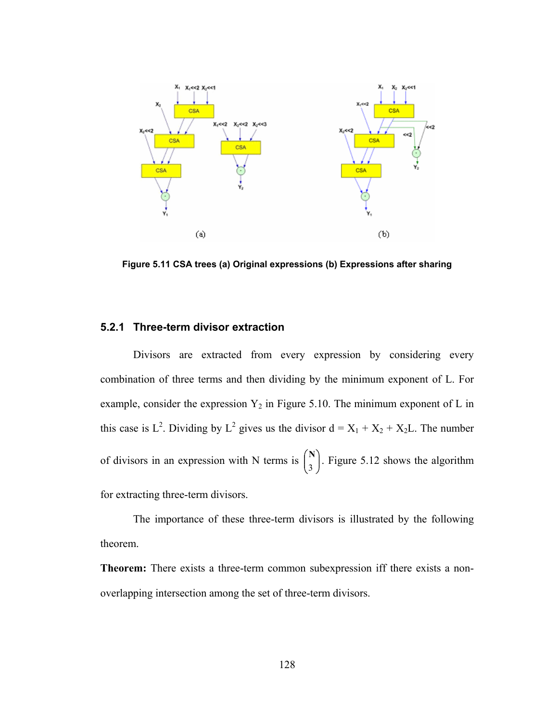

**Figure 5.11 CSA trees (a) Original expressions (b) Expressions after sharing** 

## **5.2.1 Three-term divisor extraction**

 Divisors are extracted from every expression by considering every combination of three terms and then dividing by the minimum exponent of L. For example, consider the expression  $Y_2$  in Figure 5.10. The minimum exponent of L in this case is L<sup>2</sup>. Dividing by L<sup>2</sup> gives us the divisor  $d = X_1 + X_2 + X_2L$ . The number of divisors in an expression with N terms is  $\begin{bmatrix} 1 \\ 2 \end{bmatrix}$ J ſ I ∖ ſ  $\binom{N}{3}$ . Figure 5.12 shows the algorithm for extracting three-term divisors.

The importance of these three-term divisors is illustrated by the following theorem.

**Theorem:** There exists a three-term common subexpression iff there exists a nonoverlapping intersection among the set of three-term divisors.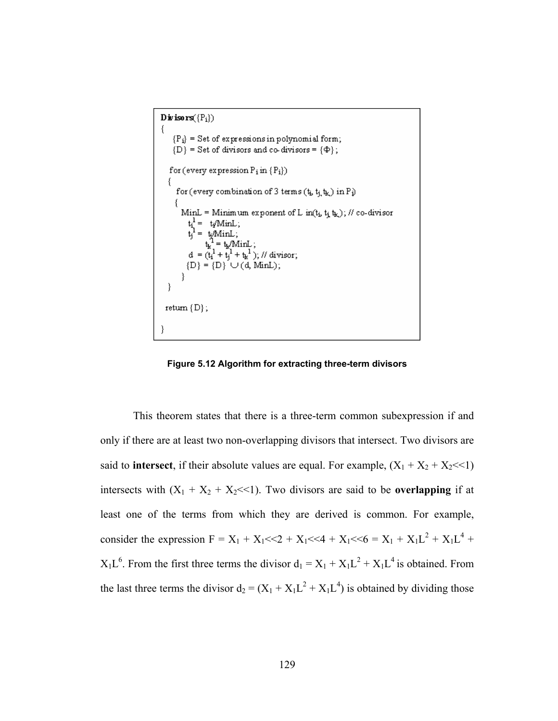Divisors( ${P_i}$ )  $\{$  ${P_i}$  = Set of expressions in polynomial form;  ${D}$  = Set of divisors and co-divisors =  ${\Phi}$ ; for (every expression  $P_i$  in  $\{P_i\})$ for (every combination of 3 terms  $(t_b, t_j, t_k)$  in  $P_i$ ) MinL = Minimum exponent of L in( $t_i$ ,  $t_i$ ,  $t_k$ ); // co-divisor  $t_1^1 = t_1^1$  min.<br>  $t_1^1 = t_1^1$  min.<br>  $t_1^1 = t_1^1$  min.<br>  $t_1^1 = t_1^1$  min.<br>  $t_1^1 = t_1^1 + t_1^1$  ; <br>  $d = (t_1^1 + t_1^1 + t_1^1)$ ; // divisor;<br>
{D} = {D}  $\cup$  (d, Min.); ł return  $\{D\}$ ; ł

**Figure 5.12 Algorithm for extracting three-term divisors** 

This theorem states that there is a three-term common subexpression if and only if there are at least two non-overlapping divisors that intersect. Two divisors are said to **intersect**, if their absolute values are equal. For example,  $(X_1 + X_2 + X_2 \ll 1)$ intersects with  $(X_1 + X_2 + X_2 \ll 1)$ . Two divisors are said to be **overlapping** if at least one of the terms from which they are derived is common. For example, consider the expression  $F = X_1 + X_1 \ll 2 + X_1 \ll 4 + X_1 \ll 6 = X_1 + X_1 L^2 + X_1 L^4 +$  $X_1L^6$ . From the first three terms the divisor  $d_1 = X_1 + X_1L^2 + X_1L^4$  is obtained. From the last three terms the divisor  $d_2 = (X_1 + X_1L^2 + X_1L^4)$  is obtained by dividing those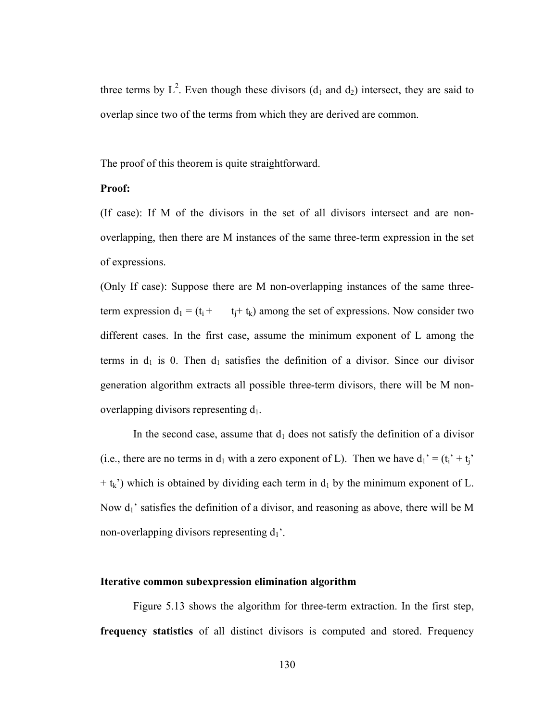three terms by  $L^2$ . Even though these divisors ( $d_1$  and  $d_2$ ) intersect, they are said to overlap since two of the terms from which they are derived are common.

The proof of this theorem is quite straightforward.

## **Proof:**

(If case): If M of the divisors in the set of all divisors intersect and are nonoverlapping, then there are M instances of the same three-term expression in the set of expressions.

(Only If case): Suppose there are M non-overlapping instances of the same threeterm expression  $d_1 = (t_i + t_k)$  among the set of expressions. Now consider two different cases. In the first case, assume the minimum exponent of L among the terms in  $d_1$  is 0. Then  $d_1$  satisfies the definition of a divisor. Since our divisor generation algorithm extracts all possible three-term divisors, there will be M nonoverlapping divisors representing  $d_1$ .

In the second case, assume that  $d_1$  does not satisfy the definition of a divisor (i.e., there are no terms in  $d_1$  with a zero exponent of L). Then we have  $d_1' = (t_i' + t_j)'$  $+$  t<sub>k</sub>') which is obtained by dividing each term in  $d_1$  by the minimum exponent of L. Now  $d_1$ ' satisfies the definition of a divisor, and reasoning as above, there will be M non-overlapping divisors representing  $d_1$ .

## **Iterative common subexpression elimination algorithm**

Figure 5.13 shows the algorithm for three-term extraction. In the first step, **frequency statistics** of all distinct divisors is computed and stored. Frequency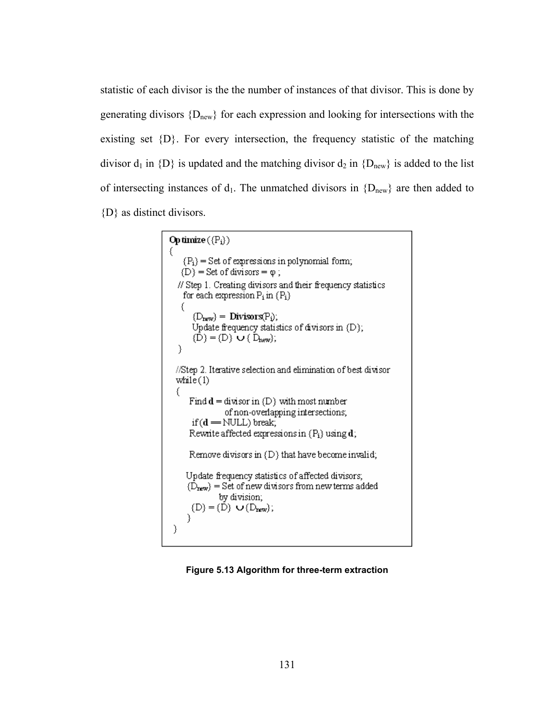statistic of each divisor is the the number of instances of that divisor. This is done by generating divisors  ${D_{new}}$  for each expression and looking for intersections with the existing set  $\{D\}$ . For every intersection, the frequency statistic of the matching divisor  $d_1$  in  ${D}$  is updated and the matching divisor  $d_2$  in  ${D_{new}}$  is added to the list of intersecting instances of  $d_1$ . The unmatched divisors in  ${D_{new}}$  are then added to {D} as distinct divisors.

```
Op timize (\{P_i\}){P_i} = Set of expressions in polynomial form;
   \{D\} = Set of divisors = \varphi;
  // Step 1. Creating divisors and their frequency statistics
    for each expression P_i in (P_i)€
       \{D_{\text{new}}\} = Divisors(P_i);
      Update frequency statistics of divisors in (D);
       \{\overline{D}\} = \{\overline{D}\}\cup\{\overline{D}_{new}\};}
  //Step 2. Iterative selection and elimination of best divisor
  while(1)€
      Find d = divisor in (D) with most number
                of non-overlapping intersections;
      if(d = NULL) break;
      Rewrite affected expressions in (P_i) using d;
      Remove divisors in (D) that have become invalid;
    Update frequency statistics of affected divisors;
     \{\tilde{D}_{\text{new}}\} = Set of new divisors from new terms added
              by division;
      (D) = (D) \cup (D_{new});Υ
 ⟩
```
#### **Figure 5.13 Algorithm for three-term extraction**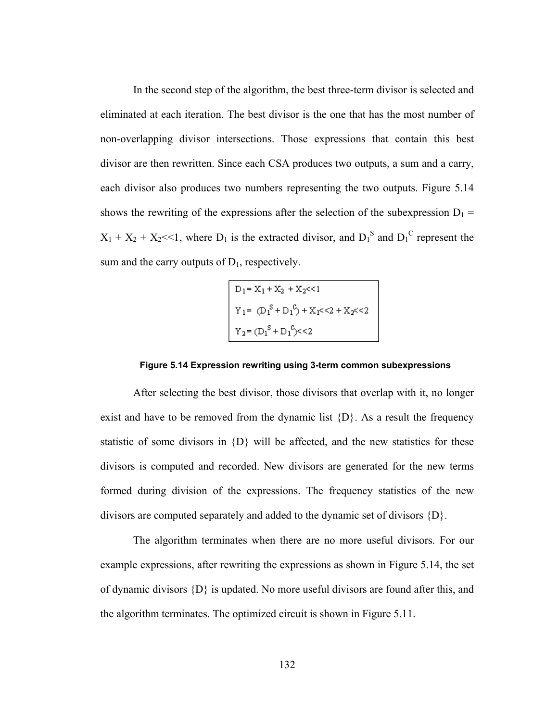In the second step of the algorithm, the best three-term divisor is selected and eliminated at each iteration. The best divisor is the one that has the most number of non-overlapping divisor intersections. Those expressions that contain this best divisor are then rewritten. Since each CSA produces two outputs, a sum and a carry, each divisor also produces two numbers representing the two outputs. Figure 5.14 shows the rewriting of the expressions after the selection of the subexpression  $D_1$  =  $X_1 + X_2 + X_2 \ll 1$ , where  $D_1$  is the extracted divisor, and  $D_1^S$  and  $D_1^C$  represent the sum and the carry outputs of  $D_1$ , respectively.

$$
D_1 = X_1 + X_2 + X_2 << 1
$$
\n
$$
Y_1 = (D_1^S + D_1^C) + X_1 << 2 + X_2 << 2
$$
\n
$$
Y_2 = (D_1^S + D_1^C) << 2
$$

#### **Figure 5.14 Expression rewriting using 3-term common subexpressions**

After selecting the best divisor, those divisors that overlap with it, no longer exist and have to be removed from the dynamic list  ${D}$ . As a result the frequency statistic of some divisors in  $\{D\}$  will be affected, and the new statistics for these divisors is computed and recorded. New divisors are generated for the new terms formed during division of the expressions. The frequency statistics of the new divisors are computed separately and added to the dynamic set of divisors {D}.

 The algorithm terminates when there are no more useful divisors. For our example expressions, after rewriting the expressions as shown in Figure 5.14, the set of dynamic divisors  $\{D\}$  is updated. No more useful divisors are found after this, and the algorithm terminates. The optimized circuit is shown in Figure 5.11.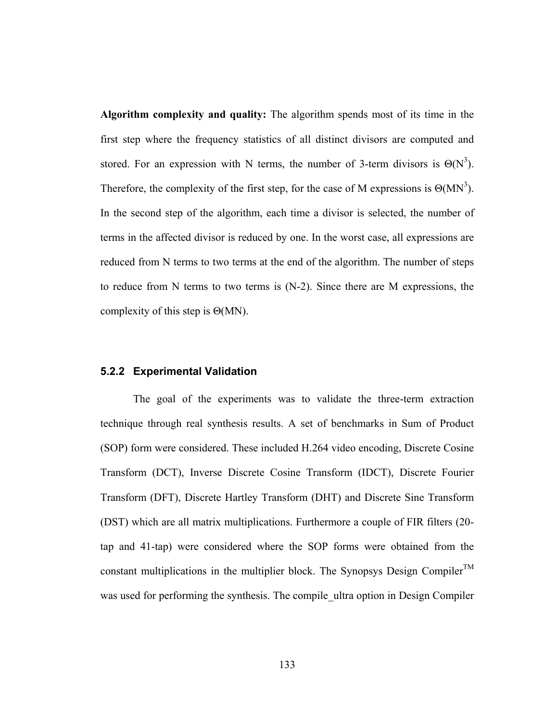**Algorithm complexity and quality:** The algorithm spends most of its time in the first step where the frequency statistics of all distinct divisors are computed and stored. For an expression with N terms, the number of 3-term divisors is  $\Theta(N^3)$ . Therefore, the complexity of the first step, for the case of M expressions is  $\Theta(MN^3)$ . In the second step of the algorithm, each time a divisor is selected, the number of terms in the affected divisor is reduced by one. In the worst case, all expressions are reduced from N terms to two terms at the end of the algorithm. The number of steps to reduce from N terms to two terms is (N-2). Since there are M expressions, the complexity of this step is Θ(MN).

## **5.2.2 Experimental Validation**

The goal of the experiments was to validate the three-term extraction technique through real synthesis results. A set of benchmarks in Sum of Product (SOP) form were considered. These included H.264 video encoding, Discrete Cosine Transform (DCT), Inverse Discrete Cosine Transform (IDCT), Discrete Fourier Transform (DFT), Discrete Hartley Transform (DHT) and Discrete Sine Transform (DST) which are all matrix multiplications. Furthermore a couple of FIR filters (20 tap and 41-tap) were considered where the SOP forms were obtained from the constant multiplications in the multiplier block. The Synopsys Design Compiler<sup>TM</sup> was used for performing the synthesis. The compile ultra option in Design Compiler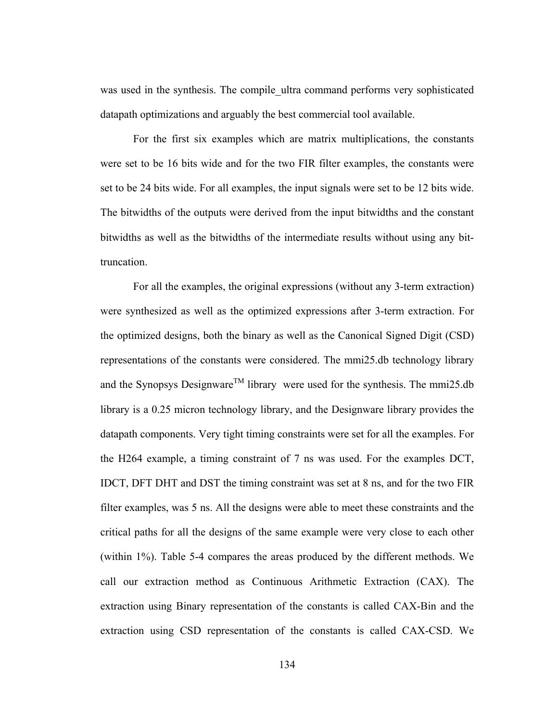was used in the synthesis. The compile ultra command performs very sophisticated datapath optimizations and arguably the best commercial tool available.

For the first six examples which are matrix multiplications, the constants were set to be 16 bits wide and for the two FIR filter examples, the constants were set to be 24 bits wide. For all examples, the input signals were set to be 12 bits wide. The bitwidths of the outputs were derived from the input bitwidths and the constant bitwidths as well as the bitwidths of the intermediate results without using any bittruncation.

For all the examples, the original expressions (without any 3-term extraction) were synthesized as well as the optimized expressions after 3-term extraction. For the optimized designs, both the binary as well as the Canonical Signed Digit (CSD) representations of the constants were considered. The mmi25.db technology library and the Synopsys Designware<sup>TM</sup> library were used for the synthesis. The mmi25.db library is a 0.25 micron technology library, and the Designware library provides the datapath components. Very tight timing constraints were set for all the examples. For the H264 example, a timing constraint of 7 ns was used. For the examples DCT, IDCT, DFT DHT and DST the timing constraint was set at 8 ns, and for the two FIR filter examples, was 5 ns. All the designs were able to meet these constraints and the critical paths for all the designs of the same example were very close to each other (within 1%). Table 5-4 compares the areas produced by the different methods. We call our extraction method as Continuous Arithmetic Extraction (CAX). The extraction using Binary representation of the constants is called CAX-Bin and the extraction using CSD representation of the constants is called CAX-CSD. We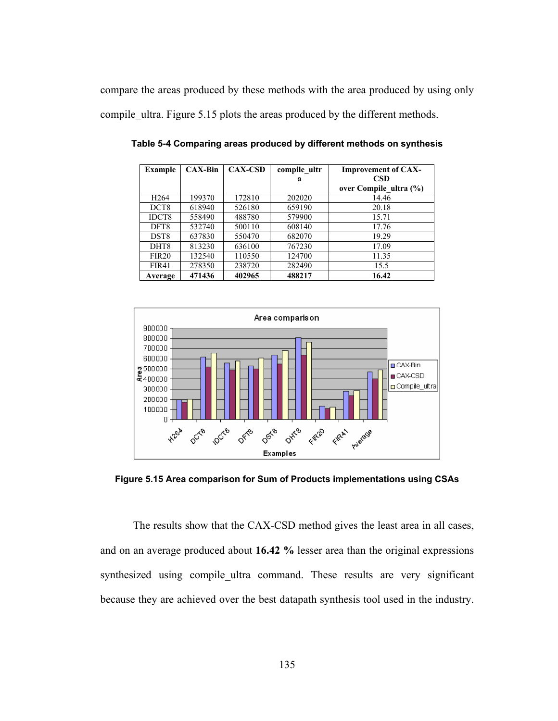compare the areas produced by these methods with the area produced by using only compile\_ultra. Figure 5.15 plots the areas produced by the different methods.

| Example          | $CAX-Bin$ | <b>CAX-CSD</b> | compile ultr | <b>Improvement of CAX-</b> |
|------------------|-----------|----------------|--------------|----------------------------|
|                  |           |                | a            | <b>CSD</b>                 |
|                  |           |                |              | over Compile ultra (%)     |
| H <sub>264</sub> | 199370    | 172810         | 202020       | 14.46                      |
| DCT <sub>8</sub> | 618940    | 526180         | 659190       | 20.18                      |
| IDCT8            | 558490    | 488780         | 579900       | 15.71                      |
| DFT8             | 532740    | 500110         | 608140       | 17.76                      |
| DST <sub>8</sub> | 637830    | 550470         | 682070       | 19.29                      |
| DHT8             | 813230    | 636100         | 767230       | 17.09                      |
| <b>FIR20</b>     | 132540    | 110550         | 124700       | 11.35                      |
| <b>FIR41</b>     | 278350    | 238720         | 282490       | 15.5                       |
| Average          | 471436    | 402965         | 488217       | 16.42                      |

**Table 5-4 Comparing areas produced by different methods on synthesis** 



**Figure 5.15 Area comparison for Sum of Products implementations using CSAs** 

The results show that the CAX-CSD method gives the least area in all cases, and on an average produced about **16.42 %** lesser area than the original expressions synthesized using compile ultra command. These results are very significant because they are achieved over the best datapath synthesis tool used in the industry.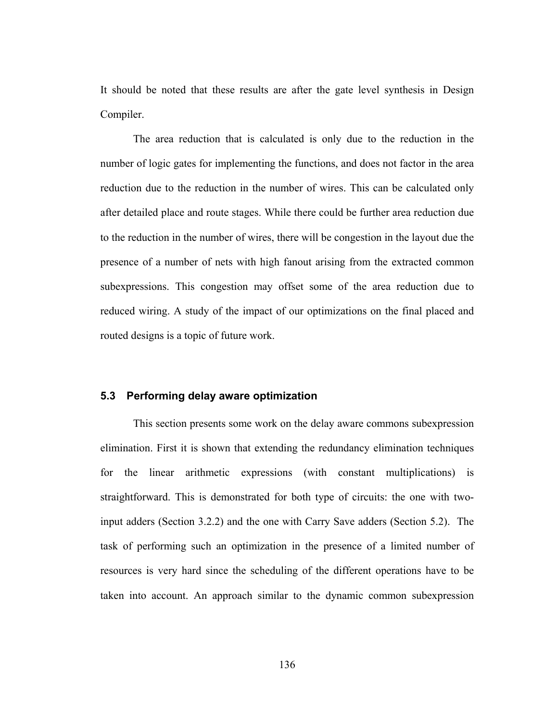It should be noted that these results are after the gate level synthesis in Design Compiler.

The area reduction that is calculated is only due to the reduction in the number of logic gates for implementing the functions, and does not factor in the area reduction due to the reduction in the number of wires. This can be calculated only after detailed place and route stages. While there could be further area reduction due to the reduction in the number of wires, there will be congestion in the layout due the presence of a number of nets with high fanout arising from the extracted common subexpressions. This congestion may offset some of the area reduction due to reduced wiring. A study of the impact of our optimizations on the final placed and routed designs is a topic of future work.

## **5.3 Performing delay aware optimization**

 This section presents some work on the delay aware commons subexpression elimination. First it is shown that extending the redundancy elimination techniques for the linear arithmetic expressions (with constant multiplications) is straightforward. This is demonstrated for both type of circuits: the one with twoinput adders (Section 3.2.2) and the one with Carry Save adders (Section 5.2). The task of performing such an optimization in the presence of a limited number of resources is very hard since the scheduling of the different operations have to be taken into account. An approach similar to the dynamic common subexpression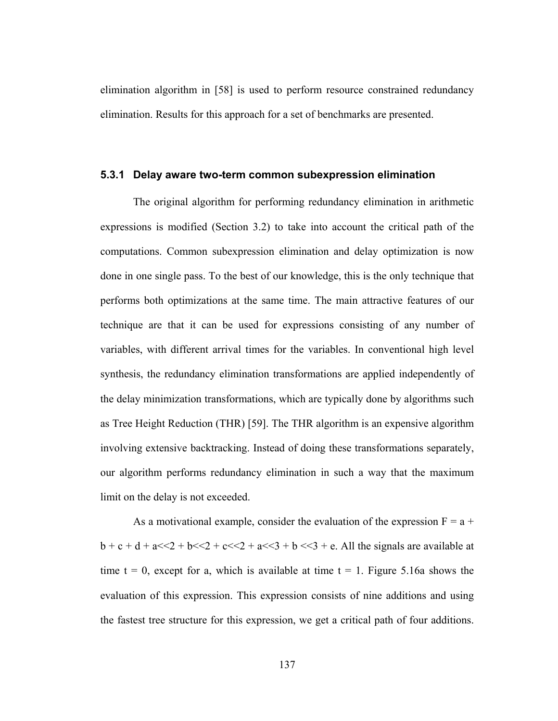elimination algorithm in [58] is used to perform resource constrained redundancy elimination. Results for this approach for a set of benchmarks are presented.

## **5.3.1 Delay aware two-term common subexpression elimination**

 The original algorithm for performing redundancy elimination in arithmetic expressions is modified (Section 3.2) to take into account the critical path of the computations. Common subexpression elimination and delay optimization is now done in one single pass. To the best of our knowledge, this is the only technique that performs both optimizations at the same time. The main attractive features of our technique are that it can be used for expressions consisting of any number of variables, with different arrival times for the variables. In conventional high level synthesis, the redundancy elimination transformations are applied independently of the delay minimization transformations, which are typically done by algorithms such as Tree Height Reduction (THR) [59]. The THR algorithm is an expensive algorithm involving extensive backtracking. Instead of doing these transformations separately, our algorithm performs redundancy elimination in such a way that the maximum limit on the delay is not exceeded.

As a motivational example, consider the evaluation of the expression  $F = a +$  $b + c + d + a \ll 2 + b \ll 2 + c \ll 2 + a \ll 3 + b \ll 3 + e$ . All the signals are available at time  $t = 0$ , except for a, which is available at time  $t = 1$ . Figure 5.16a shows the evaluation of this expression. This expression consists of nine additions and using the fastest tree structure for this expression, we get a critical path of four additions.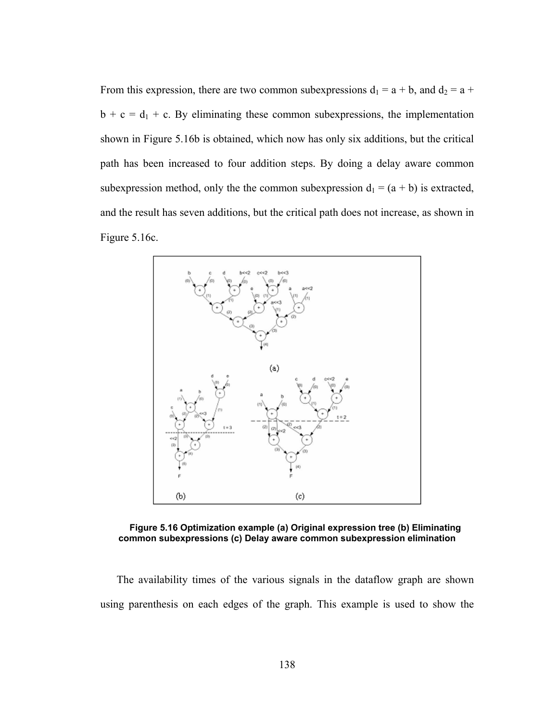From this expression, there are two common subexpressions  $d_1 = a + b$ , and  $d_2 = a + c$  $b + c = d_1 + c$ . By eliminating these common subexpressions, the implementation shown in Figure 5.16b is obtained, which now has only six additions, but the critical path has been increased to four addition steps. By doing a delay aware common subexpression method, only the the common subexpression  $d_1 = (a + b)$  is extracted, and the result has seven additions, but the critical path does not increase, as shown in Figure 5.16c.



**Figure 5.16 Optimization example (a) Original expression tree (b) Eliminating common subexpressions (c) Delay aware common subexpression elimination** 

The availability times of the various signals in the dataflow graph are shown using parenthesis on each edges of the graph. This example is used to show the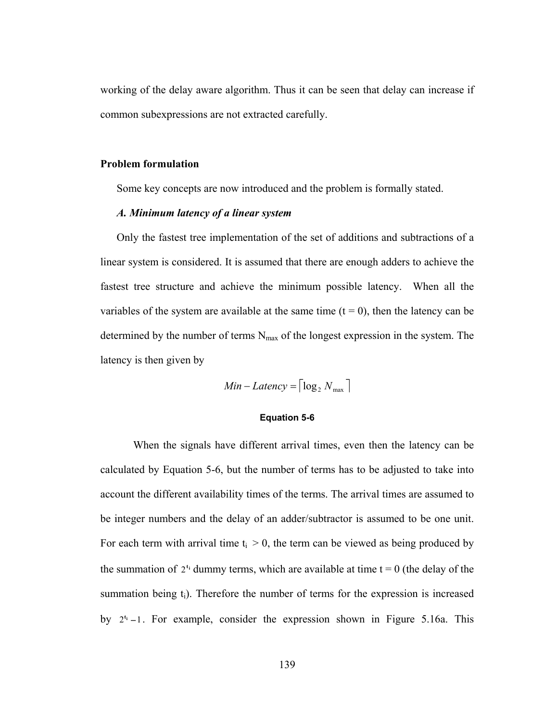working of the delay aware algorithm. Thus it can be seen that delay can increase if common subexpressions are not extracted carefully.

### **Problem formulation**

Some key concepts are now introduced and the problem is formally stated.

## *A. Minimum latency of a linear system*

Only the fastest tree implementation of the set of additions and subtractions of a linear system is considered. It is assumed that there are enough adders to achieve the fastest tree structure and achieve the minimum possible latency. When all the variables of the system are available at the same time  $(t = 0)$ , then the latency can be determined by the number of terms  $N_{\text{max}}$  of the longest expression in the system. The latency is then given by

$$
Min-Latency = \lceil \log_2 N_{\max} \rceil
$$

#### **Equation 5-6**

 When the signals have different arrival times, even then the latency can be calculated by Equation 5-6, but the number of terms has to be adjusted to take into account the different availability times of the terms. The arrival times are assumed to be integer numbers and the delay of an adder/subtractor is assumed to be one unit. For each term with arrival time  $t_i > 0$ , the term can be viewed as being produced by the summation of  $2^{t_i}$  dummy terms, which are available at time  $t = 0$  (the delay of the summation being  $t_i$ ). Therefore the number of terms for the expression is increased by 2<sup>t<sub>i</sub></sup> −1. For example, consider the expression shown in Figure 5.16a. This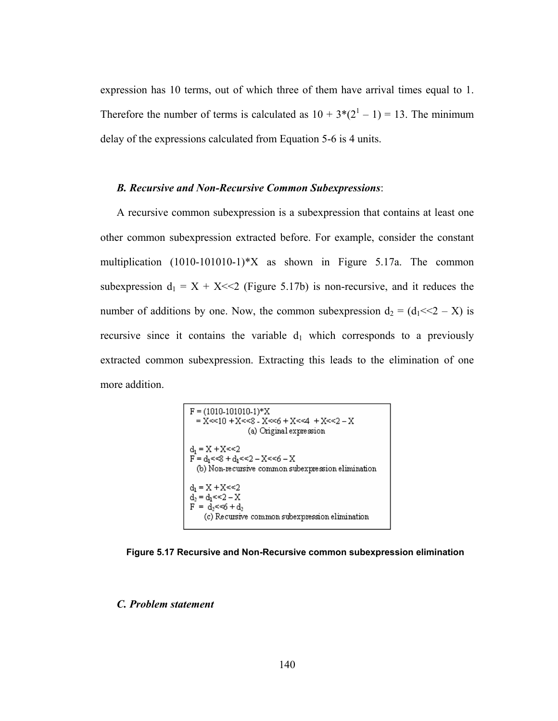expression has 10 terms, out of which three of them have arrival times equal to 1. Therefore the number of terms is calculated as  $10 + 3*(2^1 - 1) = 13$ . The minimum delay of the expressions calculated from Equation 5-6 is 4 units.

## *B. Recursive and Non-Recursive Common Subexpressions*:

A recursive common subexpression is a subexpression that contains at least one other common subexpression extracted before. For example, consider the constant multiplication (1010-101010-1)\*X as shown in Figure 5.17a. The common subexpression  $d_1 = X + X \ll 2$  (Figure 5.17b) is non-recursive, and it reduces the number of additions by one. Now, the common subexpression  $d_2 = (d_1 \ll 2 - X)$  is recursive since it contains the variable  $d_1$  which corresponds to a previously extracted common subexpression. Extracting this leads to the elimination of one more addition.

$$
F = (1010-101010-1)*X
$$
  
= X<<10 + X<<2 - X<<6 + X<<4 + X<<2 - X  
(a) Original expression  

$$
d_1 = X + X<<2
$$
  

$$
F = d_1 <<8 + d_1 <<2 - X<<6 - X
$$
(b) Non-recursive common subexpression elimination  

$$
d_1 = X + X<<2
$$

$$
d_2 = d_1 <<2 - X
$$

$$
F = d_2 <<6 + d_2
$$
(c) Recursive common subexpression elimination

**Figure 5.17 Recursive and Non-Recursive common subexpression elimination** 

*C. Problem statement*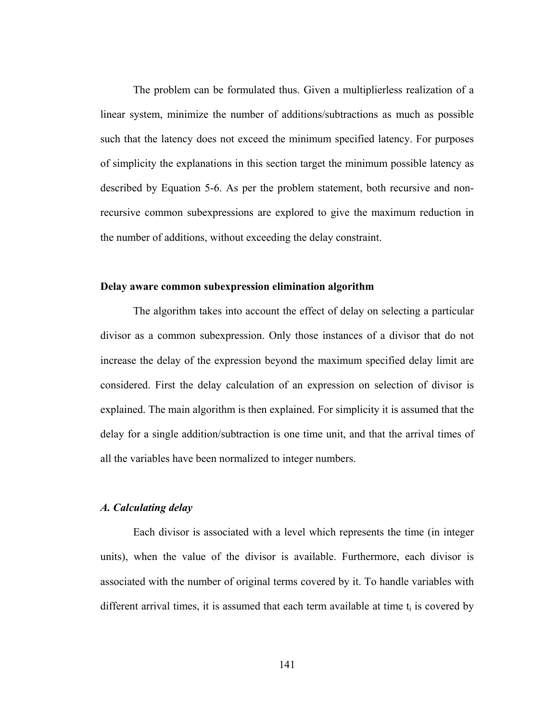The problem can be formulated thus. Given a multiplierless realization of a linear system, minimize the number of additions/subtractions as much as possible such that the latency does not exceed the minimum specified latency. For purposes of simplicity the explanations in this section target the minimum possible latency as described by Equation 5-6. As per the problem statement, both recursive and nonrecursive common subexpressions are explored to give the maximum reduction in the number of additions, without exceeding the delay constraint.

## **Delay aware common subexpression elimination algorithm**

 The algorithm takes into account the effect of delay on selecting a particular divisor as a common subexpression. Only those instances of a divisor that do not increase the delay of the expression beyond the maximum specified delay limit are considered. First the delay calculation of an expression on selection of divisor is explained. The main algorithm is then explained. For simplicity it is assumed that the delay for a single addition/subtraction is one time unit, and that the arrival times of all the variables have been normalized to integer numbers.

## *A. Calculating delay*

 Each divisor is associated with a level which represents the time (in integer units), when the value of the divisor is available. Furthermore, each divisor is associated with the number of original terms covered by it. To handle variables with different arrival times, it is assumed that each term available at time  $t_i$  is covered by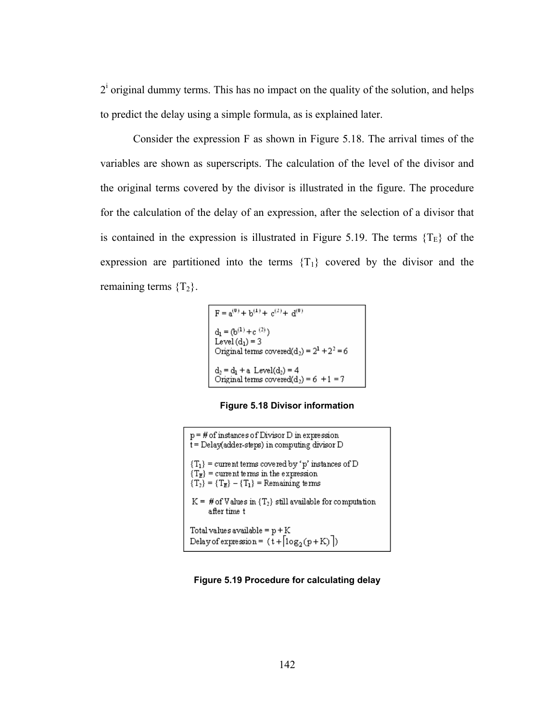$2<sup>i</sup>$  original dummy terms. This has no impact on the quality of the solution, and helps to predict the delay using a simple formula, as is explained later.

 Consider the expression F as shown in Figure 5.18. The arrival times of the variables are shown as superscripts. The calculation of the level of the divisor and the original terms covered by the divisor is illustrated in the figure. The procedure for the calculation of the delay of an expression, after the selection of a divisor that is contained in the expression is illustrated in Figure 5.19. The terms  ${T<sub>E</sub>}$  of the expression are partitioned into the terms  ${T_1}$  covered by the divisor and the remaining terms  ${T<sub>2</sub>}.$ 

```
F = a^{(0)} + b^{(1)} + c^{(2)} + d^{(0)}d_1 = (b^{(1)} + c^{(2)})<br>Level(d_1) = 3<br>Original terms covered(d_2) = 2^1 + 2^2 = 6\begin{array}{l} d_2=d_1+a \; \text{Level}(d_2)=4 \\ \text{Original terms covered}(d_2)=6 \; +1=7 \end{array}
```
**Figure 5.18 Divisor information** 

| $p = #$ of instances of Divisor D in expression<br>t = Delay(adder-steps) in computing divisor D                                                             |
|--------------------------------------------------------------------------------------------------------------------------------------------------------------|
| ${T_1}$ = current terms covered by 'p' instances of D<br>$\{T_{\mathbf{E}}\}$ = current terms in the expression<br>${T_2} = {T_E} - {T_1} =$ Remaining terms |
| $K = # of Values in {T1} still available for computation$<br>after time t                                                                                    |
| Total values available = $p + K$<br>Delay of expression = $(\overline{t} + \lceil \log_2(p + K) \rceil)$                                                     |

**Figure 5.19 Procedure for calculating delay**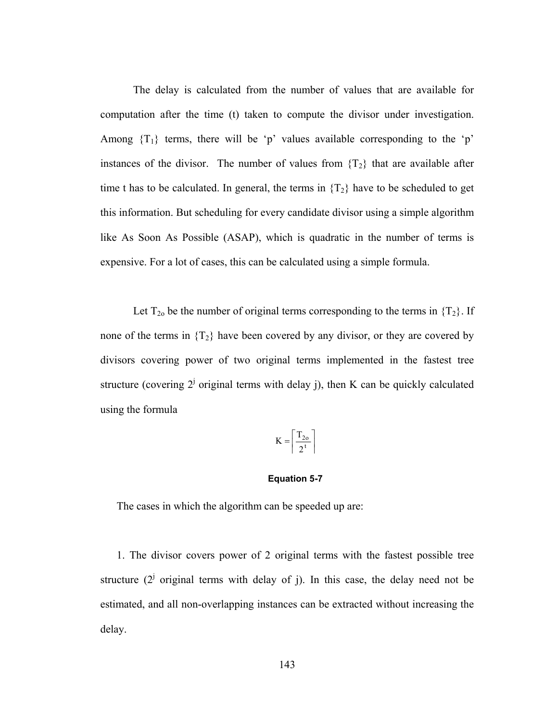The delay is calculated from the number of values that are available for computation after the time (t) taken to compute the divisor under investigation. Among  $\{T_1\}$  terms, there will be 'p' values available corresponding to the 'p' instances of the divisor. The number of values from  $\{T_2\}$  that are available after time t has to be calculated. In general, the terms in  $\{T_2\}$  have to be scheduled to get this information. But scheduling for every candidate divisor using a simple algorithm like As Soon As Possible (ASAP), which is quadratic in the number of terms is expensive. For a lot of cases, this can be calculated using a simple formula.

Let  $T_{20}$  be the number of original terms corresponding to the terms in  $\{T_2\}$ . If none of the terms in  $\{T_2\}$  have been covered by any divisor, or they are covered by divisors covering power of two original terms implemented in the fastest tree structure (covering  $2^{j}$  original terms with delay j), then K can be quickly calculated using the formula

$$
K = \left\lceil \frac{T_{2o}}{2^t} \right\rceil
$$

#### **Equation 5-7**

The cases in which the algorithm can be speeded up are:

1. The divisor covers power of 2 original terms with the fastest possible tree structure  $(2^j)$  original terms with delay of j). In this case, the delay need not be estimated, and all non-overlapping instances can be extracted without increasing the delay.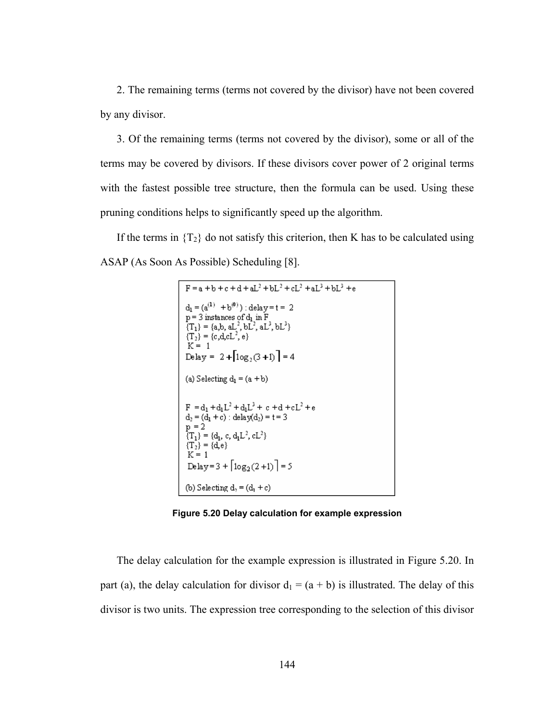2. The remaining terms (terms not covered by the divisor) have not been covered by any divisor.

3. Of the remaining terms (terms not covered by the divisor), some or all of the terms may be covered by divisors. If these divisors cover power of 2 original terms with the fastest possible tree structure, then the formula can be used. Using these pruning conditions helps to significantly speed up the algorithm.

If the terms in  $\{T_2\}$  do not satisfy this criterion, then K has to be calculated using ASAP (As Soon As Possible) Scheduling [8].



**Figure 5.20 Delay calculation for example expression** 

The delay calculation for the example expression is illustrated in Figure 5.20. In part (a), the delay calculation for divisor  $d_1 = (a + b)$  is illustrated. The delay of this divisor is two units. The expression tree corresponding to the selection of this divisor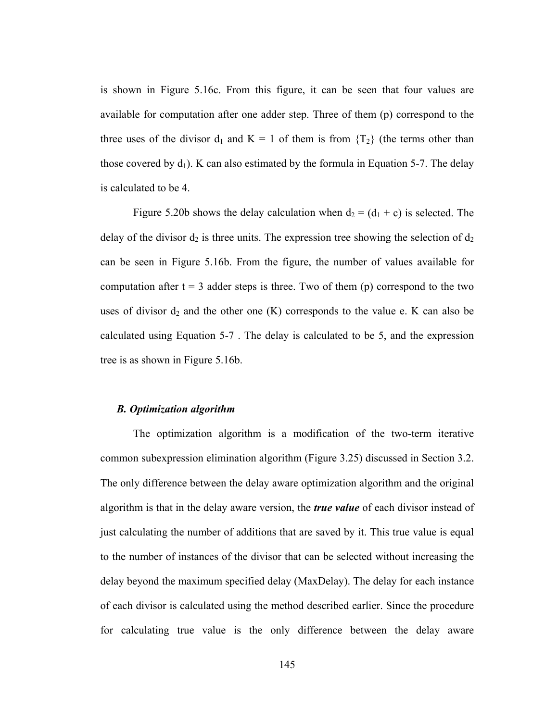is shown in Figure 5.16c. From this figure, it can be seen that four values are available for computation after one adder step. Three of them (p) correspond to the three uses of the divisor  $d_1$  and  $K = 1$  of them is from  ${T_2}$  (the terms other than those covered by  $d_1$ ). K can also estimated by the formula in Equation 5-7. The delay is calculated to be 4.

Figure 5.20b shows the delay calculation when  $d_2 = (d_1 + c)$  is selected. The delay of the divisor  $d_2$  is three units. The expression tree showing the selection of  $d_2$ can be seen in Figure 5.16b. From the figure, the number of values available for computation after  $t = 3$  adder steps is three. Two of them (p) correspond to the two uses of divisor  $d_2$  and the other one (K) corresponds to the value e. K can also be calculated using Equation 5-7 . The delay is calculated to be 5, and the expression tree is as shown in Figure 5.16b.

#### *B. Optimization algorithm*

 The optimization algorithm is a modification of the two-term iterative common subexpression elimination algorithm (Figure 3.25) discussed in Section 3.2. The only difference between the delay aware optimization algorithm and the original algorithm is that in the delay aware version, the *true value* of each divisor instead of just calculating the number of additions that are saved by it. This true value is equal to the number of instances of the divisor that can be selected without increasing the delay beyond the maximum specified delay (MaxDelay). The delay for each instance of each divisor is calculated using the method described earlier. Since the procedure for calculating true value is the only difference between the delay aware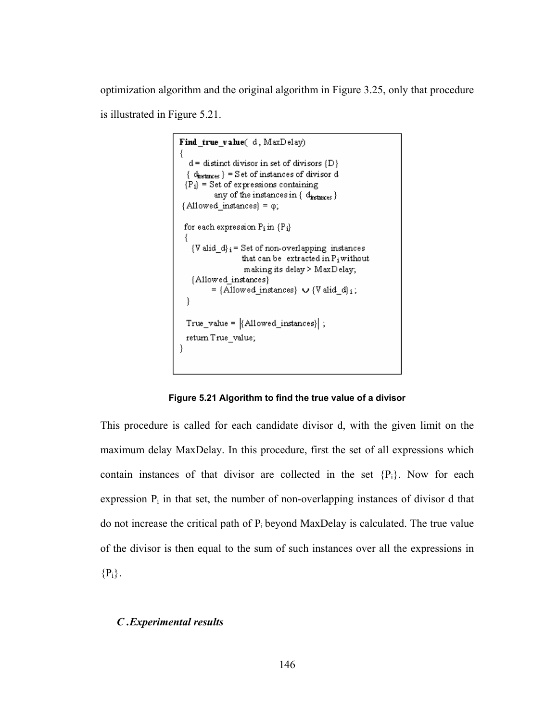optimization algorithm and the original algorithm in Figure 3.25, only that procedure is illustrated in Figure 5.21.

```
Find true value(d, MaxDelay)
  d = distinct divisor in set of divisors \{D\}\{d_{instmess}\} = Set of instances of divisor d
 {P_i} = Set of expressions containing
          any of the instances in { diretances }
{Alloved instances} = \varphi;for each expression P_i in \{P_i\}- {
   \{V \text{ did}_d\}_{i} = \text{Set of non-overlapping instances}that can be extracted in P<sub>i</sub>without
                    making its delay > MaxDelay;
   {Allowed_instances}
          = {Allowed_instances} \cup {V alid_d}<sub>i</sub>;
  }
 True_value = |\{\text{Allowed}\_\text{instances}\}\|;
 return True value;
<sup>-</sup>
```
**Figure 5.21 Algorithm to find the true value of a divisor** 

This procedure is called for each candidate divisor d, with the given limit on the maximum delay MaxDelay. In this procedure, first the set of all expressions which contain instances of that divisor are collected in the set  ${P_i}$ . Now for each expression  $P_i$  in that set, the number of non-overlapping instances of divisor d that do not increase the critical path of  $P_i$  beyond MaxDelay is calculated. The true value of the divisor is then equal to the sum of such instances over all the expressions in  ${P_i}.$ 

# *C .Experimental results*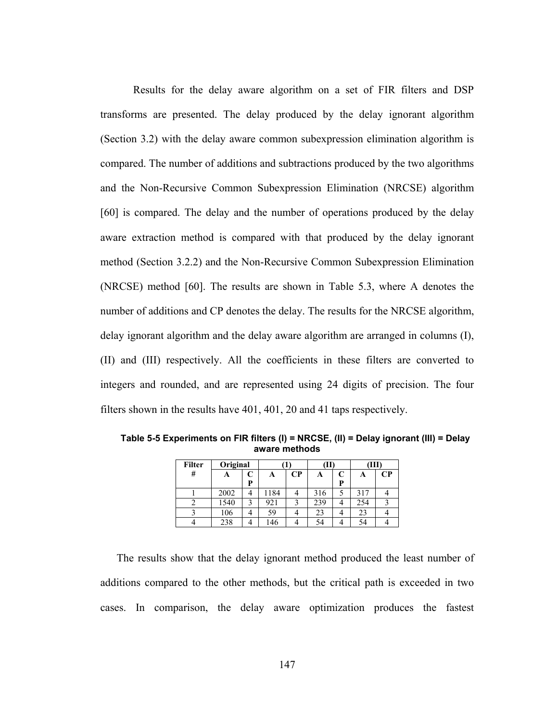Results for the delay aware algorithm on a set of FIR filters and DSP transforms are presented. The delay produced by the delay ignorant algorithm (Section 3.2) with the delay aware common subexpression elimination algorithm is compared. The number of additions and subtractions produced by the two algorithms and the Non-Recursive Common Subexpression Elimination (NRCSE) algorithm [60] is compared. The delay and the number of operations produced by the delay aware extraction method is compared with that produced by the delay ignorant method (Section 3.2.2) and the Non-Recursive Common Subexpression Elimination (NRCSE) method [60]. The results are shown in Table 5.3, where A denotes the number of additions and CP denotes the delay. The results for the NRCSE algorithm, delay ignorant algorithm and the delay aware algorithm are arranged in columns (I), (II) and (III) respectively. All the coefficients in these filters are converted to integers and rounded, and are represented using 24 digits of precision. The four filters shown in the results have 401, 401, 20 and 41 taps respectively.

| <b>Filter</b> | Original |   |      |          |     |   |     |          |
|---------------|----------|---|------|----------|-----|---|-----|----------|
| #             |          |   | A    | $\bf CP$ | A   |   | A   | $\bf CP$ |
|               |          | D |      |          |     | D |     |          |
|               | 2002     |   | 1184 |          | 316 |   | 317 |          |
|               | 1540     |   | 921  |          | 239 |   | 254 |          |
|               | 106      |   | 59   |          | 23  |   | 23  |          |
|               | 238      |   | 46ء  |          | 54  |   | 54  |          |

**Table 5-5 Experiments on FIR filters (I) = NRCSE, (II) = Delay ignorant (III) = Delay aware methods** 

The results show that the delay ignorant method produced the least number of additions compared to the other methods, but the critical path is exceeded in two cases. In comparison, the delay aware optimization produces the fastest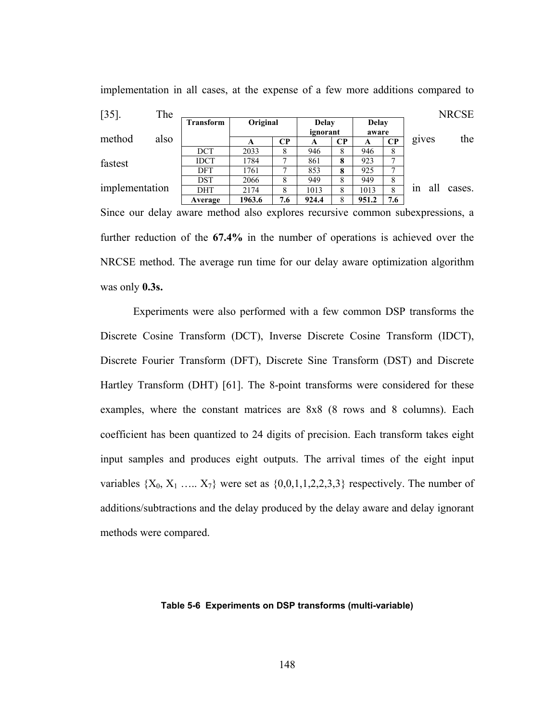| $[35]$ .       | The  |                  |          |     |                          |          |                       |               |       |     | <b>NRCSE</b> |
|----------------|------|------------------|----------|-----|--------------------------|----------|-----------------------|---------------|-------|-----|--------------|
|                |      | <b>Transform</b> | Original |     | <b>Delay</b><br>ignorant |          | <b>Delay</b><br>aware |               |       |     |              |
| method         | also |                  | A        | CP  | A                        | $\bf CP$ | A                     | $\bf CP$      | gives |     | the          |
|                |      | <b>DCT</b>       | 2033     | 8   | 946                      | 8        | 946                   | 8             |       |     |              |
| fastest        |      | <b>IDCT</b>      | 1784     |     | 861                      | 8        | 923                   | ⇁             |       |     |              |
|                |      | <b>DFT</b>       | 1761     |     | 853                      | 8        | 925                   | $\mathcal{L}$ |       |     |              |
|                |      | DST              | 2066     | 8   | 949                      | 8        | 949                   | 8             |       |     |              |
| implementation |      | <b>DHT</b>       | 2174     | 8   | 1013                     | 8        | 1013                  | 8             | 1n    | all | cases.       |
|                |      | Average          | 1963.6   | 7.6 | 924.4                    | 8        | 951.2                 | 7.6           |       |     |              |

implementation in all cases, at the expense of a few more additions compared to

Since our delay aware method also explores recursive common subexpressions, a further reduction of the **67.4%** in the number of operations is achieved over the NRCSE method. The average run time for our delay aware optimization algorithm was only **0.3s.**

 Experiments were also performed with a few common DSP transforms the Discrete Cosine Transform (DCT), Inverse Discrete Cosine Transform (IDCT), Discrete Fourier Transform (DFT), Discrete Sine Transform (DST) and Discrete Hartley Transform (DHT) [61]. The 8-point transforms were considered for these examples, where the constant matrices are 8x8 (8 rows and 8 columns). Each coefficient has been quantized to 24 digits of precision. Each transform takes eight input samples and produces eight outputs. The arrival times of the eight input variables  $\{X_0, X_1, \ldots, X_7\}$  were set as  $\{0, 0, 1, 1, 2, 2, 3, 3\}$  respectively. The number of additions/subtractions and the delay produced by the delay aware and delay ignorant methods were compared.

#### **Table 5-6 Experiments on DSP transforms (multi-variable)**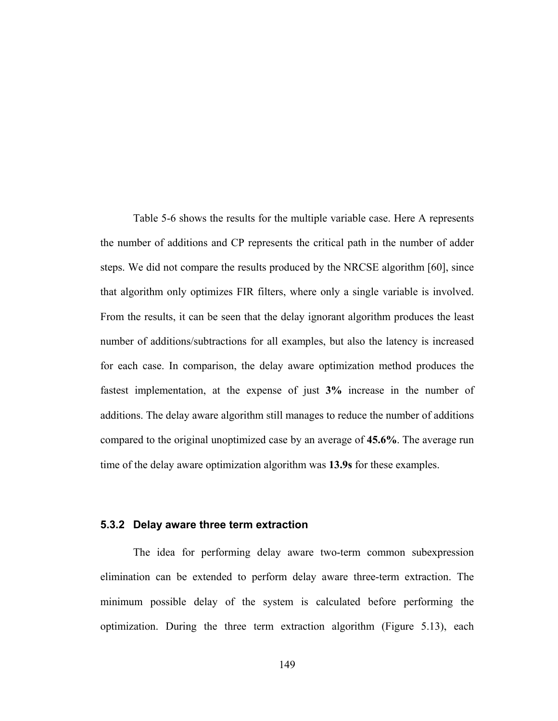Table 5-6 shows the results for the multiple variable case. Here A represents the number of additions and CP represents the critical path in the number of adder steps. We did not compare the results produced by the NRCSE algorithm [60], since that algorithm only optimizes FIR filters, where only a single variable is involved. From the results, it can be seen that the delay ignorant algorithm produces the least number of additions/subtractions for all examples, but also the latency is increased for each case. In comparison, the delay aware optimization method produces the fastest implementation, at the expense of just **3%** increase in the number of additions. The delay aware algorithm still manages to reduce the number of additions compared to the original unoptimized case by an average of **45.6%**. The average run time of the delay aware optimization algorithm was **13.9s** for these examples.

#### **5.3.2 Delay aware three term extraction**

The idea for performing delay aware two-term common subexpression elimination can be extended to perform delay aware three-term extraction. The minimum possible delay of the system is calculated before performing the optimization. During the three term extraction algorithm (Figure 5.13), each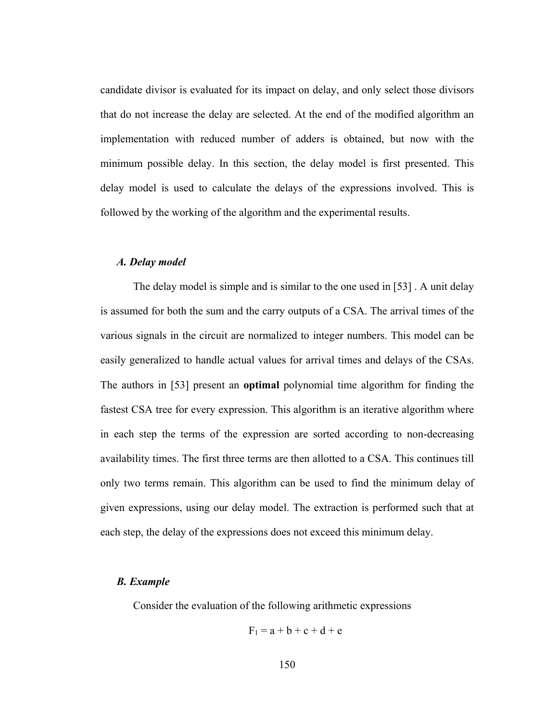candidate divisor is evaluated for its impact on delay, and only select those divisors that do not increase the delay are selected. At the end of the modified algorithm an implementation with reduced number of adders is obtained, but now with the minimum possible delay. In this section, the delay model is first presented. This delay model is used to calculate the delays of the expressions involved. This is followed by the working of the algorithm and the experimental results.

#### *A. Delay model*

 The delay model is simple and is similar to the one used in [53] . A unit delay is assumed for both the sum and the carry outputs of a CSA. The arrival times of the various signals in the circuit are normalized to integer numbers. This model can be easily generalized to handle actual values for arrival times and delays of the CSAs. The authors in [53] present an **optimal** polynomial time algorithm for finding the fastest CSA tree for every expression. This algorithm is an iterative algorithm where in each step the terms of the expression are sorted according to non-decreasing availability times. The first three terms are then allotted to a CSA. This continues till only two terms remain. This algorithm can be used to find the minimum delay of given expressions, using our delay model. The extraction is performed such that at each step, the delay of the expressions does not exceed this minimum delay.

#### *B. Example*

Consider the evaluation of the following arithmetic expressions

$$
F_1 = a + b + c + d + e
$$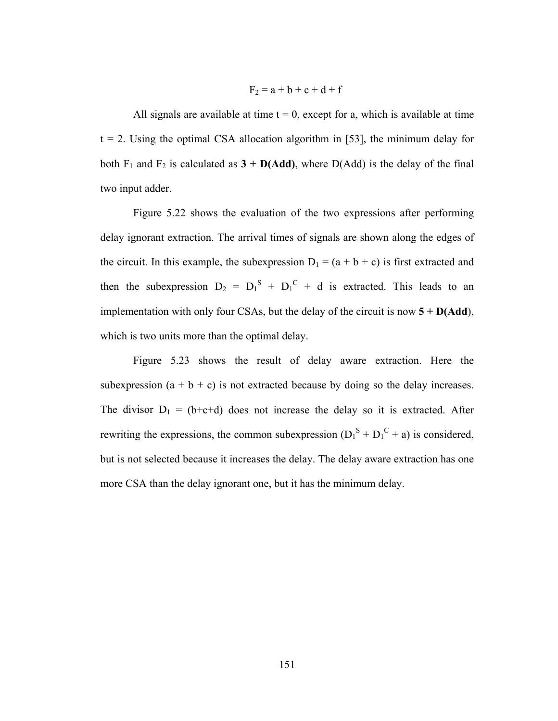$$
F_2 = a + b + c + d + f
$$

All signals are available at time  $t = 0$ , except for a, which is available at time  $t = 2$ . Using the optimal CSA allocation algorithm in [53], the minimum delay for both  $F_1$  and  $F_2$  is calculated as  $3 + D(Add)$ , where  $D(Add)$  is the delay of the final two input adder.

 Figure 5.22 shows the evaluation of the two expressions after performing delay ignorant extraction. The arrival times of signals are shown along the edges of the circuit. In this example, the subexpression  $D_1 = (a + b + c)$  is first extracted and then the subexpression  $D_2 = D_1^S + D_1^C + d$  is extracted. This leads to an implementation with only four CSAs, but the delay of the circuit is now **5 + D(Add**), which is two units more than the optimal delay.

 Figure 5.23 shows the result of delay aware extraction. Here the subexpression  $(a + b + c)$  is not extracted because by doing so the delay increases. The divisor  $D_1 = (b+c+d)$  does not increase the delay so it is extracted. After rewriting the expressions, the common subexpression  $(D_1^S + D_1^C + a)$  is considered, but is not selected because it increases the delay. The delay aware extraction has one more CSA than the delay ignorant one, but it has the minimum delay.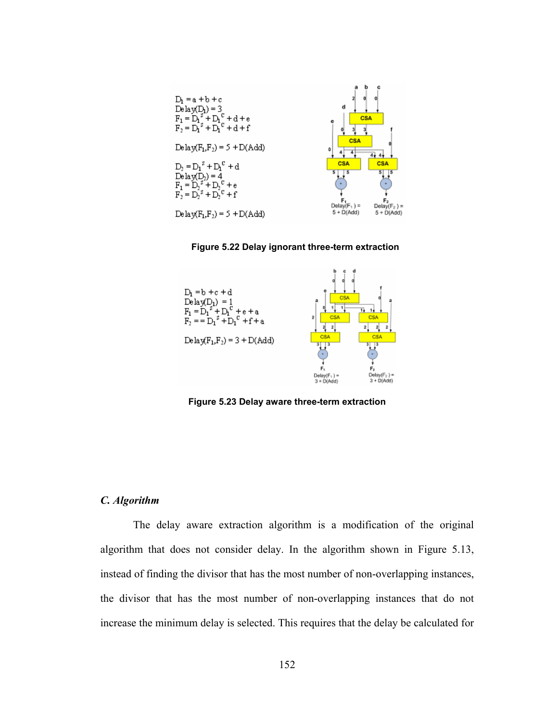



#### **Figure 5.22 Delay ignorant three-term extraction**

**Figure 5.23 Delay aware three-term extraction** 

#### *C. Algorithm*

 The delay aware extraction algorithm is a modification of the original algorithm that does not consider delay. In the algorithm shown in Figure 5.13, instead of finding the divisor that has the most number of non-overlapping instances, the divisor that has the most number of non-overlapping instances that do not increase the minimum delay is selected. This requires that the delay be calculated for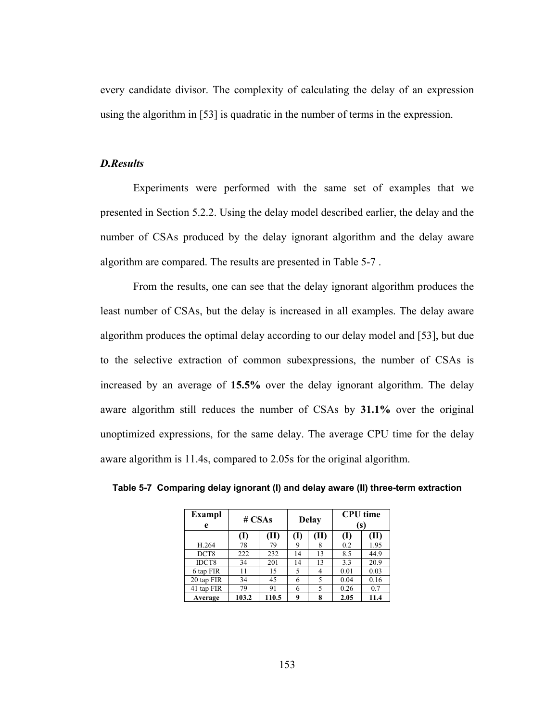every candidate divisor. The complexity of calculating the delay of an expression using the algorithm in [53] is quadratic in the number of terms in the expression.

#### *D.Results*

 Experiments were performed with the same set of examples that we presented in Section 5.2.2. Using the delay model described earlier, the delay and the number of CSAs produced by the delay ignorant algorithm and the delay aware algorithm are compared. The results are presented in Table 5-7 .

 From the results, one can see that the delay ignorant algorithm produces the least number of CSAs, but the delay is increased in all examples. The delay aware algorithm produces the optimal delay according to our delay model and [53], but due to the selective extraction of common subexpressions, the number of CSAs is increased by an average of **15.5%** over the delay ignorant algorithm. The delay aware algorithm still reduces the number of CSAs by **31.1%** over the original unoptimized expressions, for the same delay. The average CPU time for the delay aware algorithm is 11.4s, compared to 2.05s for the original algorithm.

| <b>Exampl</b><br>e | # $CSAs$ |       |     | <b>Delay</b> | <b>CPU</b> time<br>(s) |      |  |
|--------------------|----------|-------|-----|--------------|------------------------|------|--|
|                    | (1)      | (II)  | (I) | (II)         |                        | ŒП   |  |
| H.264              | 78       | 79    | 9   | 8            | 0.2                    | 1.95 |  |
| DCT8               | 222      | 232   | 14  | 13           | 8.5                    | 44.9 |  |
| IDCT8              | 34       | 201   | 14  | 13           | 3.3                    | 20.9 |  |
| 6 tap FIR          | 11       | 15    | 5   | 4            | 0.01                   | 0.03 |  |
| 20 tap FIR         | 34       | 45    | 6   | 5            | 0.04                   | 0.16 |  |
| 41 tap FIR         | 79       | 91    | 6   | 5            | 0.26                   | 0.7  |  |
| Average            | 103.2    | 110.5 | q   | 8            | 2.05                   | 11.4 |  |

**Table 5-7 Comparing delay ignorant (I) and delay aware (II) three-term extraction**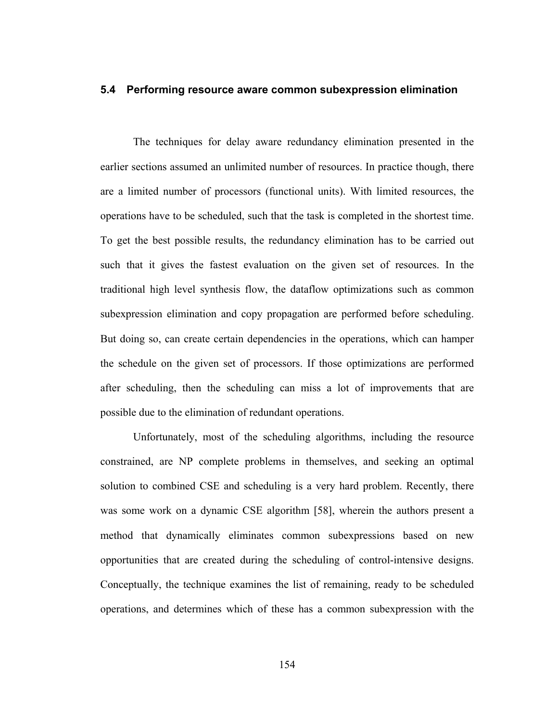## **5.4 Performing resource aware common subexpression elimination**

 The techniques for delay aware redundancy elimination presented in the earlier sections assumed an unlimited number of resources. In practice though, there are a limited number of processors (functional units). With limited resources, the operations have to be scheduled, such that the task is completed in the shortest time. To get the best possible results, the redundancy elimination has to be carried out such that it gives the fastest evaluation on the given set of resources. In the traditional high level synthesis flow, the dataflow optimizations such as common subexpression elimination and copy propagation are performed before scheduling. But doing so, can create certain dependencies in the operations, which can hamper the schedule on the given set of processors. If those optimizations are performed after scheduling, then the scheduling can miss a lot of improvements that are possible due to the elimination of redundant operations.

Unfortunately, most of the scheduling algorithms, including the resource constrained, are NP complete problems in themselves, and seeking an optimal solution to combined CSE and scheduling is a very hard problem. Recently, there was some work on a dynamic CSE algorithm [58], wherein the authors present a method that dynamically eliminates common subexpressions based on new opportunities that are created during the scheduling of control-intensive designs. Conceptually, the technique examines the list of remaining, ready to be scheduled operations, and determines which of these has a common subexpression with the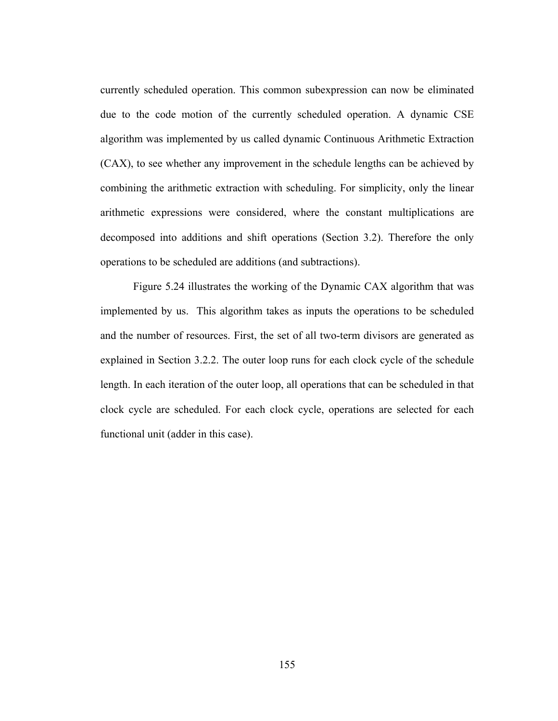currently scheduled operation. This common subexpression can now be eliminated due to the code motion of the currently scheduled operation. A dynamic CSE algorithm was implemented by us called dynamic Continuous Arithmetic Extraction (CAX), to see whether any improvement in the schedule lengths can be achieved by combining the arithmetic extraction with scheduling. For simplicity, only the linear arithmetic expressions were considered, where the constant multiplications are decomposed into additions and shift operations (Section 3.2). Therefore the only operations to be scheduled are additions (and subtractions).

Figure 5.24 illustrates the working of the Dynamic CAX algorithm that was implemented by us. This algorithm takes as inputs the operations to be scheduled and the number of resources. First, the set of all two-term divisors are generated as explained in Section 3.2.2. The outer loop runs for each clock cycle of the schedule length. In each iteration of the outer loop, all operations that can be scheduled in that clock cycle are scheduled. For each clock cycle, operations are selected for each functional unit (adder in this case).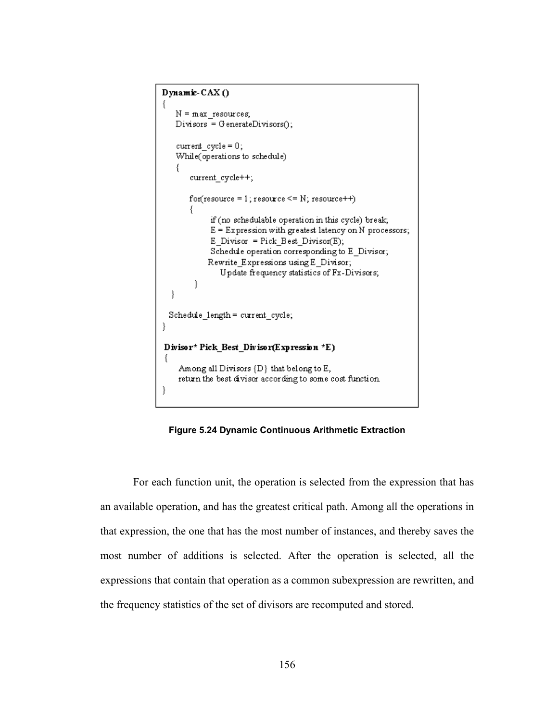```
Dynamic-CAX()
₹
   N = max resources;
   Divisors = GenerateDivisors();current cycle = 0;
   While(operations to schedule)
   -{
       current cycle++;
       for (resource = 1; resource \leq N; resource++)if (no schedulable operation in this cycle) break;
            E = Expression with greatest latency on N processors;
            E Divisor = Pick Best Divisor(E);
            Schedule operation corresponding to E Divisor;
            Rewrite Expressions using E Divisor;
               Update frequency statistics of Fx-Divisors;
        ł
  }
 Schedule_length = current_cycle;
\}Divisor* Pick_Best_Divisor(Expression *E)
    Among all Divisors {D} that belong to E,
    return the best divisor according to some cost function.
}
```
**Figure 5.24 Dynamic Continuous Arithmetic Extraction** 

For each function unit, the operation is selected from the expression that has an available operation, and has the greatest critical path. Among all the operations in that expression, the one that has the most number of instances, and thereby saves the most number of additions is selected. After the operation is selected, all the expressions that contain that operation as a common subexpression are rewritten, and the frequency statistics of the set of divisors are recomputed and stored.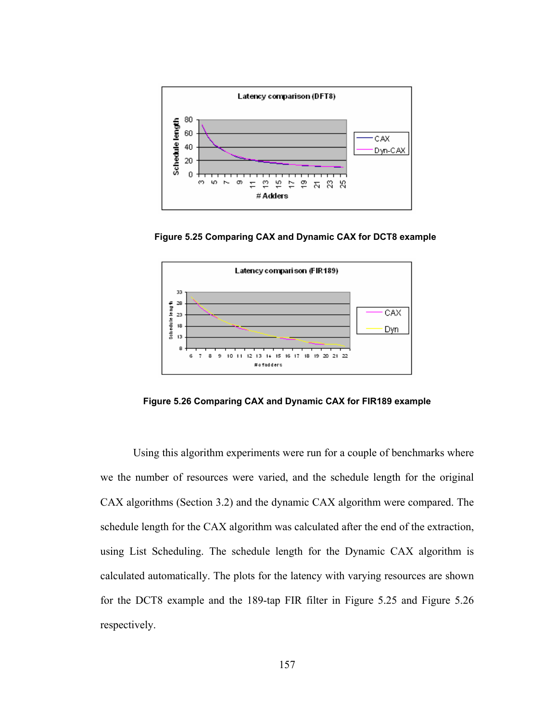

**Figure 5.25 Comparing CAX and Dynamic CAX for DCT8 example** 



**Figure 5.26 Comparing CAX and Dynamic CAX for FIR189 example** 

Using this algorithm experiments were run for a couple of benchmarks where we the number of resources were varied, and the schedule length for the original CAX algorithms (Section 3.2) and the dynamic CAX algorithm were compared. The schedule length for the CAX algorithm was calculated after the end of the extraction, using List Scheduling. The schedule length for the Dynamic CAX algorithm is calculated automatically. The plots for the latency with varying resources are shown for the DCT8 example and the 189-tap FIR filter in Figure 5.25 and Figure 5.26 respectively.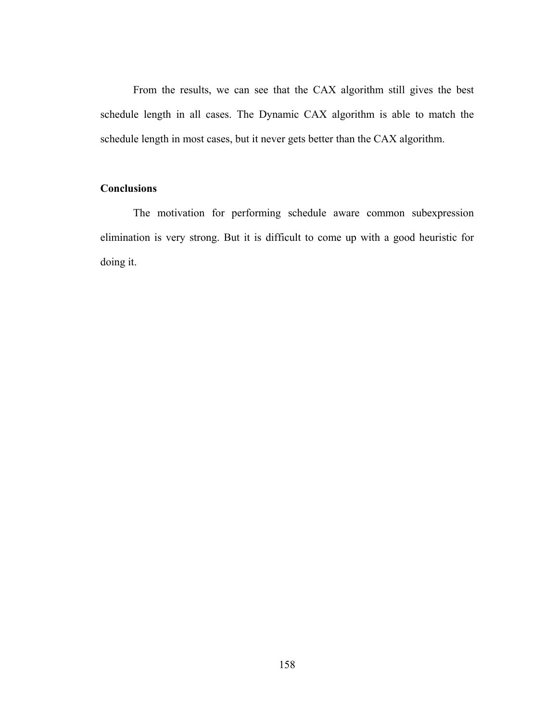From the results, we can see that the CAX algorithm still gives the best schedule length in all cases. The Dynamic CAX algorithm is able to match the schedule length in most cases, but it never gets better than the CAX algorithm.

# **Conclusions**

 The motivation for performing schedule aware common subexpression elimination is very strong. But it is difficult to come up with a good heuristic for doing it.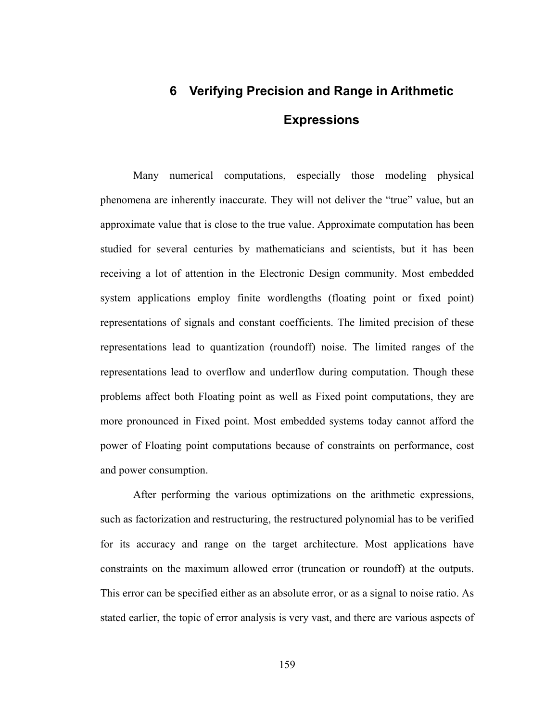# **6 Verifying Precision and Range in Arithmetic Expressions**

 Many numerical computations, especially those modeling physical phenomena are inherently inaccurate. They will not deliver the "true" value, but an approximate value that is close to the true value. Approximate computation has been studied for several centuries by mathematicians and scientists, but it has been receiving a lot of attention in the Electronic Design community. Most embedded system applications employ finite wordlengths (floating point or fixed point) representations of signals and constant coefficients. The limited precision of these representations lead to quantization (roundoff) noise. The limited ranges of the representations lead to overflow and underflow during computation. Though these problems affect both Floating point as well as Fixed point computations, they are more pronounced in Fixed point. Most embedded systems today cannot afford the power of Floating point computations because of constraints on performance, cost and power consumption.

 After performing the various optimizations on the arithmetic expressions, such as factorization and restructuring, the restructured polynomial has to be verified for its accuracy and range on the target architecture. Most applications have constraints on the maximum allowed error (truncation or roundoff) at the outputs. This error can be specified either as an absolute error, or as a signal to noise ratio. As stated earlier, the topic of error analysis is very vast, and there are various aspects of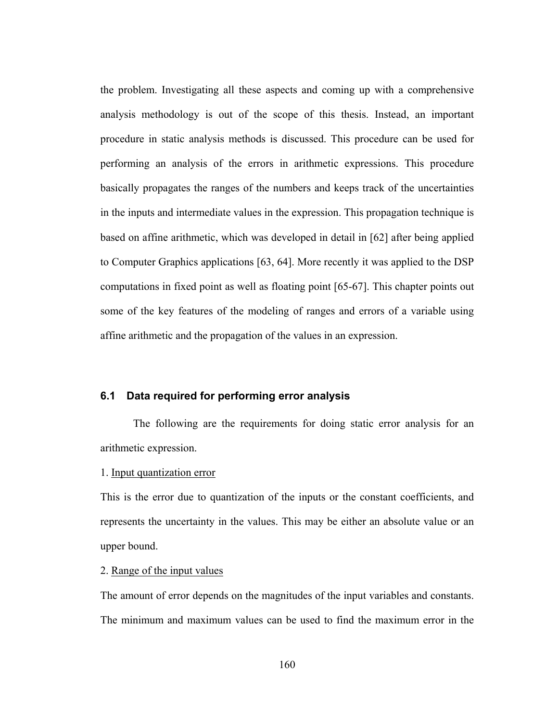the problem. Investigating all these aspects and coming up with a comprehensive analysis methodology is out of the scope of this thesis. Instead, an important procedure in static analysis methods is discussed. This procedure can be used for performing an analysis of the errors in arithmetic expressions. This procedure basically propagates the ranges of the numbers and keeps track of the uncertainties in the inputs and intermediate values in the expression. This propagation technique is based on affine arithmetic, which was developed in detail in [62] after being applied to Computer Graphics applications [63, 64]. More recently it was applied to the DSP computations in fixed point as well as floating point [65-67]. This chapter points out some of the key features of the modeling of ranges and errors of a variable using affine arithmetic and the propagation of the values in an expression.

# **6.1 Data required for performing error analysis**

The following are the requirements for doing static error analysis for an arithmetic expression.

# 1. Input quantization error

This is the error due to quantization of the inputs or the constant coefficients, and represents the uncertainty in the values. This may be either an absolute value or an upper bound.

#### 2. Range of the input values

The amount of error depends on the magnitudes of the input variables and constants. The minimum and maximum values can be used to find the maximum error in the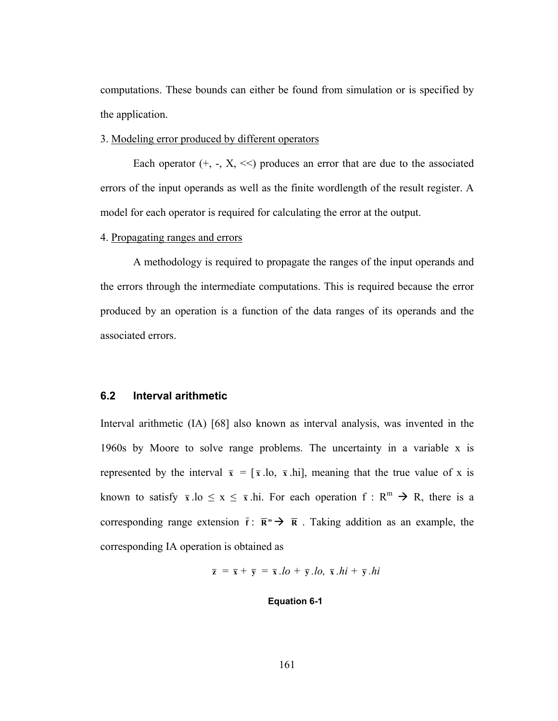computations. These bounds can either be found from simulation or is specified by the application.

#### 3. Modeling error produced by different operators

Each operator  $(+, -, X, \le)$  produces an error that are due to the associated errors of the input operands as well as the finite wordlength of the result register. A model for each operator is required for calculating the error at the output.

#### 4. Propagating ranges and errors

 A methodology is required to propagate the ranges of the input operands and the errors through the intermediate computations. This is required because the error produced by an operation is a function of the data ranges of its operands and the associated errors.

## **6.2 Interval arithmetic**

Interval arithmetic (IA) [68] also known as interval analysis, was invented in the 1960s by Moore to solve range problems. The uncertainty in a variable x is represented by the interval  $\bar{x} = [\bar{x} \cdot \bar{h} \cdot \bar{x} \cdot \bar{h} \cdot \bar{h}]$ , meaning that the true value of x is known to satisfy  $\bar{x}$  .lo  $\leq x \leq \bar{x}$  .hi. For each operation  $f : R^m \to R$ , there is a corresponding range extension  $\bar{\mathbf{f}}$  :  $\bar{\mathbf{R}}^m \to \bar{\mathbf{R}}$  . Taking addition as an example, the corresponding IA operation is obtained as

$$
\overline{\mathbf{z}} = \overline{\mathbf{x}} + \overline{\mathbf{y}} = \overline{\mathbf{x}}.lo + \overline{\mathbf{y}}.lo, \overline{\mathbf{x}}.hi + \overline{\mathbf{y}}.hi
$$

#### **Equation 6-1**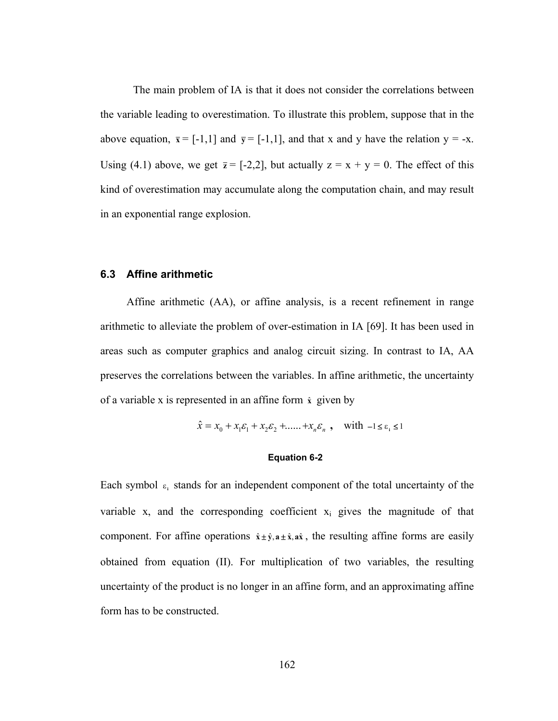The main problem of IA is that it does not consider the correlations between the variable leading to overestimation. To illustrate this problem, suppose that in the above equation,  $\bar{x} = [-1,1]$  and  $\bar{y} = [-1,1]$ , and that x and y have the relation  $y = -x$ . Using (4.1) above, we get  $\bar{z} = [-2,2]$ , but actually  $z = x + y = 0$ . The effect of this kind of overestimation may accumulate along the computation chain, and may result in an exponential range explosion.

## **6.3 Affine arithmetic**

Affine arithmetic (AA), or affine analysis, is a recent refinement in range arithmetic to alleviate the problem of over-estimation in IA [69]. It has been used in areas such as computer graphics and analog circuit sizing. In contrast to IA, AA preserves the correlations between the variables. In affine arithmetic, the uncertainty of a variable x is represented in an affine form **x**ˆ given by

$$
\hat{x} = x_0 + x_1 \varepsilon_1 + x_2 \varepsilon_2 + \dots + x_n \varepsilon_n, \quad \text{with } -1 \le \varepsilon \le 1
$$

#### **Equation 6-2**

Each symbol  $\varepsilon_i$  stands for an independent component of the total uncertainty of the variable x, and the corresponding coefficient  $x_i$  gives the magnitude of that component. For affine operations  $\hat{x} \pm \hat{y}$ ,  $\hat{a} \pm \hat{x}$ , ax $\hat{x}$ , the resulting affine forms are easily obtained from equation (II). For multiplication of two variables, the resulting uncertainty of the product is no longer in an affine form, and an approximating affine form has to be constructed.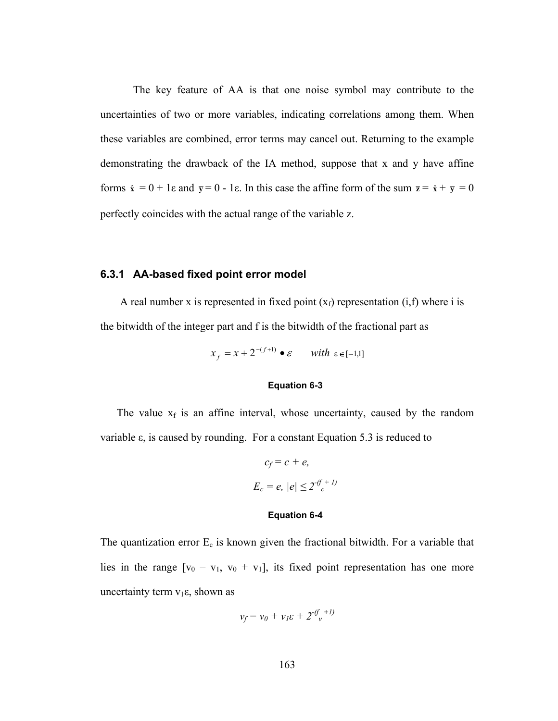The key feature of AA is that one noise symbol may contribute to the uncertainties of two or more variables, indicating correlations among them. When these variables are combined, error terms may cancel out. Returning to the example demonstrating the drawback of the IA method, suppose that x and y have affine forms  $\hat{x} = 0 + 1\varepsilon$  and  $\bar{y} = 0$  - 1 $\varepsilon$ . In this case the affine form of the sum  $\bar{z} = \hat{x} + \bar{y} = 0$ perfectly coincides with the actual range of the variable z.

#### **6.3.1 AA-based fixed point error model**

A real number x is represented in fixed point  $(x_f)$  representation  $(i,f)$  where i is the bitwidth of the integer part and f is the bitwidth of the fractional part as

$$
x_f = x + 2^{-(f+1)} \bullet \varepsilon \quad \text{with } \varepsilon \in [-1,1]
$$

## **Equation 6-3**

The value  $x_f$  is an affine interval, whose uncertainty, caused by the random variable ε, is caused by rounding. For a constant Equation 5.3 is reduced to

$$
c_f = c + e,
$$
  

$$
E_c = e, |e| \le 2^{-(f+1)}
$$

#### **Equation 6-4**

The quantization error  $E_c$  is known given the fractional bitwidth. For a variable that lies in the range  $[v_0 - v_1, v_0 + v_1]$ , its fixed point representation has one more uncertainty term  $v_1 \varepsilon$ , shown as

$$
v_f = v_0 + v_I \varepsilon + 2^{-(f + I)}
$$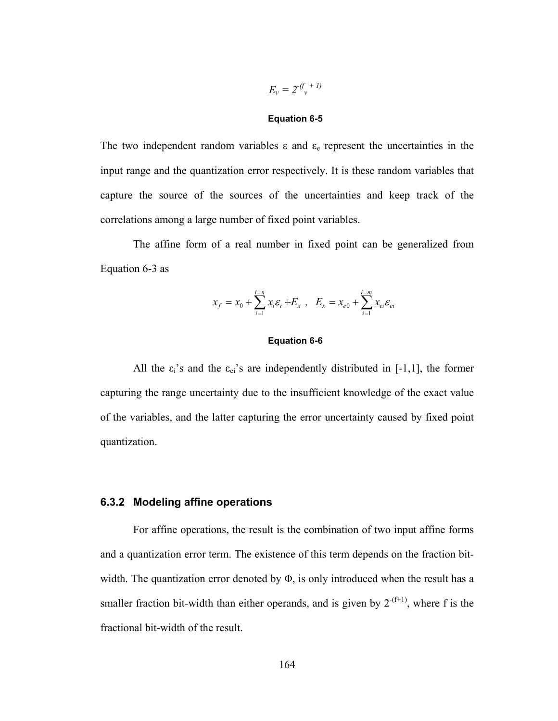$$
E_v = 2^{-(f_v + I)}
$$

#### **Equation 6-5**

The two independent random variables  $\varepsilon$  and  $\varepsilon$  represent the uncertainties in the input range and the quantization error respectively. It is these random variables that capture the source of the sources of the uncertainties and keep track of the correlations among a large number of fixed point variables.

The affine form of a real number in fixed point can be generalized from Equation 6-3 as

$$
x_f = x_0 + \sum_{i=1}^{i=n} x_i \varepsilon_i + E_x , \quad E_x = x_{e0} + \sum_{i=1}^{i=m} x_{ei} \varepsilon_{ei}
$$

#### **Equation 6-6**

All the  $\varepsilon_i$ 's and the  $\varepsilon_{ei}$ 's are independently distributed in [-1,1], the former capturing the range uncertainty due to the insufficient knowledge of the exact value of the variables, and the latter capturing the error uncertainty caused by fixed point quantization.

#### **6.3.2 Modeling affine operations**

For affine operations, the result is the combination of two input affine forms and a quantization error term. The existence of this term depends on the fraction bitwidth. The quantization error denoted by  $\Phi$ , is only introduced when the result has a smaller fraction bit-width than either operands, and is given by  $2^{-(f+1)}$ , where f is the fractional bit-width of the result.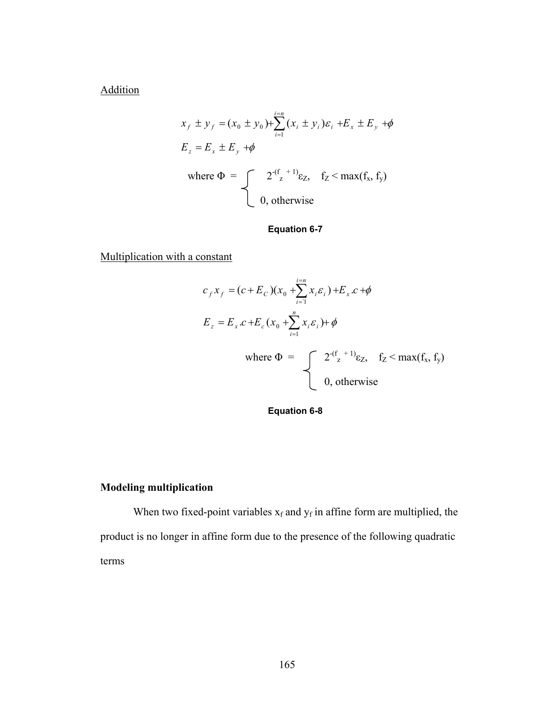**Addition** 

$$
x_f \pm y_f = (x_0 \pm y_0) + \sum_{i=1}^{i=n} (x_i \pm y_i) \varepsilon_i + E_x \pm E_y + \phi
$$
  
\n
$$
E_z = E_x \pm E_y + \phi
$$
  
\nwhere  $\Phi = \int_0^{\infty} 2^{-(f_z + 1)} \varepsilon_z$ ,  $f_z < \max(f_x, f_y)$   
\n0, otherwise

# **Equation 6-7**

Multiplication with a constant

$$
c_f x_f = (c + E_c)(x_0 + \sum_{i=1}^{i=n} x_i \varepsilon_i) + E_x c + \phi
$$
  
\n
$$
E_z = E_x c + E_c(x_0 + \sum_{i=1}^{n} x_i \varepsilon_i) + \phi
$$
  
\nwhere  $\Phi = \int_{0}^{2^{(f)} + 1} \varepsilon_z, \quad f_z < \max(f_x, f_y)$   
\n0, otherwise

**Equation 6-8** 

# **Modeling multiplication**

When two fixed-point variables  $x_f$  and  $y_f$  in affine form are multiplied, the product is no longer in affine form due to the presence of the following quadratic terms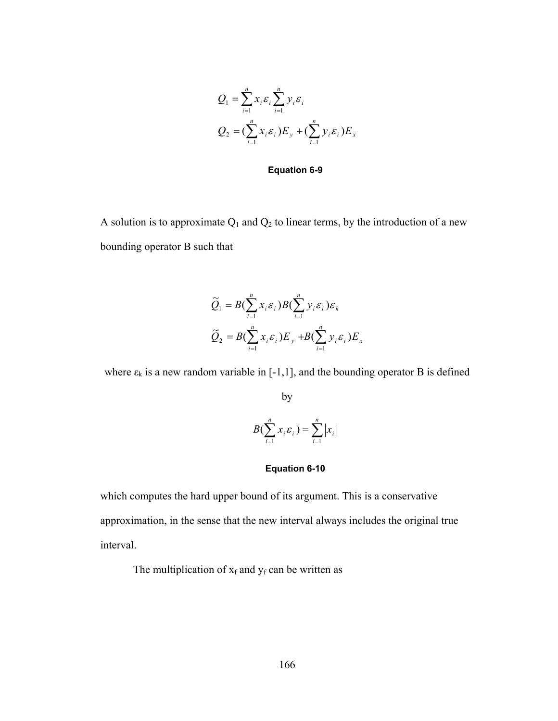$$
Q_1 = \sum_{i=1}^n x_i \varepsilon_i \sum_{i=1}^n y_i \varepsilon_i
$$
  

$$
Q_2 = (\sum_{i=1}^n x_i \varepsilon_i) E_y + (\sum_{i=1}^n y_i \varepsilon_i) E_x
$$

**Equation 6-9** 

A solution is to approximate  $Q_1$  and  $Q_2$  to linear terms, by the introduction of a new bounding operator B such that

$$
\widetilde{Q}_1 = B(\sum_{i=1}^n x_i \varepsilon_i) B(\sum_{i=1}^n y_i \varepsilon_i) \varepsilon_k
$$
  

$$
\widetilde{Q}_2 = B(\sum_{i=1}^n x_i \varepsilon_i) E_y + B(\sum_{i=1}^n y_i \varepsilon_i) E_x
$$

where  $\varepsilon_k$  is a new random variable in [-1,1], and the bounding operator B is defined

by

$$
B(\sum_{i=1}^n x_i \varepsilon_i) = \sum_{i=1}^n |x_i|
$$

#### **Equation 6-10**

which computes the hard upper bound of its argument. This is a conservative approximation, in the sense that the new interval always includes the original true interval.

The multiplication of  $x_f$  and  $y_f$  can be written as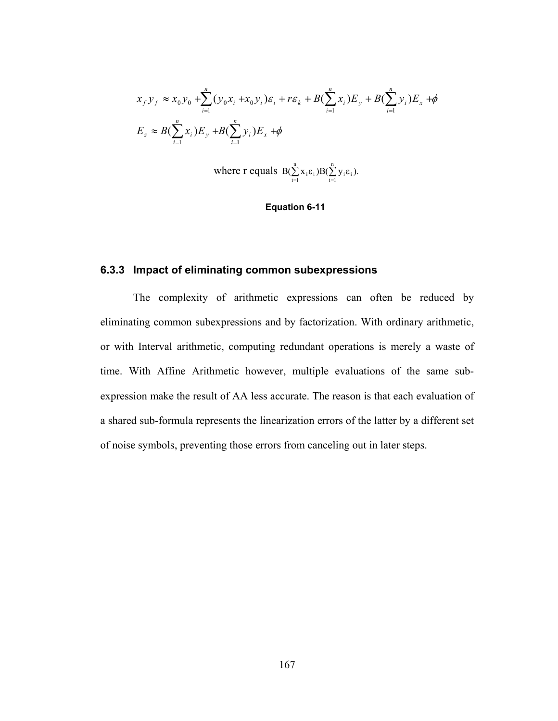$$
x_{f}y_{f} \approx x_{0}y_{0} + \sum_{i=1}^{n} (y_{0}x_{i} + x_{0}y_{i})\varepsilon_{i} + r\varepsilon_{k} + B(\sum_{i=1}^{n} x_{i})E_{y} + B(\sum_{i=1}^{n} y_{i})E_{x} + \phi
$$
  

$$
E_{z} \approx B(\sum_{i=1}^{n} x_{i})E_{y} + B(\sum_{i=1}^{n} y_{i})E_{x} + \phi
$$

where r equals 
$$
B(\sum_{i=1}^{n} x_i \varepsilon_i) B(\sum_{i=1}^{n} y_i \varepsilon_i)
$$
.

#### **Equation 6-11**

# **6.3.3 Impact of eliminating common subexpressions**

 The complexity of arithmetic expressions can often be reduced by eliminating common subexpressions and by factorization. With ordinary arithmetic, or with Interval arithmetic, computing redundant operations is merely a waste of time. With Affine Arithmetic however, multiple evaluations of the same subexpression make the result of AA less accurate. The reason is that each evaluation of a shared sub-formula represents the linearization errors of the latter by a different set of noise symbols, preventing those errors from canceling out in later steps.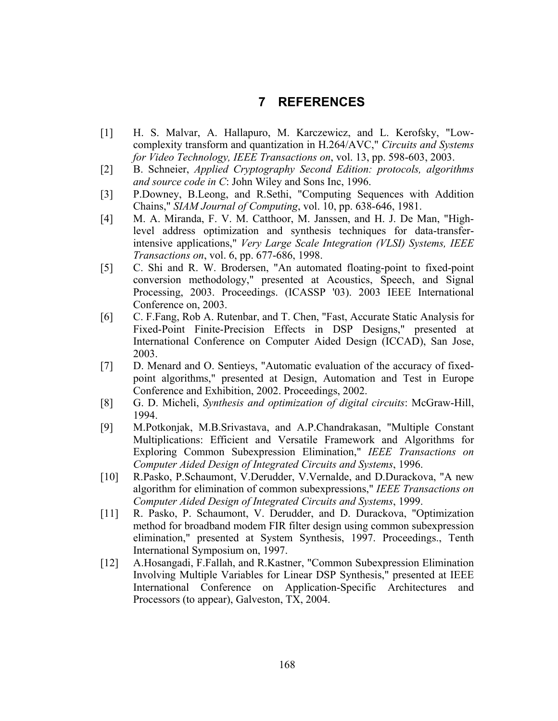# **7 REFERENCES**

- [1] H. S. Malvar, A. Hallapuro, M. Karczewicz, and L. Kerofsky, "Lowcomplexity transform and quantization in H.264/AVC," *Circuits and Systems for Video Technology, IEEE Transactions on*, vol. 13, pp. 598-603, 2003.
- [2] B. Schneier, *Applied Cryptography Second Edition: protocols, algorithms and source code in C*: John Wiley and Sons Inc, 1996.
- [3] P.Downey, B.Leong, and R.Sethi, "Computing Sequences with Addition Chains," *SIAM Journal of Computing*, vol. 10, pp. 638-646, 1981.
- [4] M. A. Miranda, F. V. M. Catthoor, M. Janssen, and H. J. De Man, "Highlevel address optimization and synthesis techniques for data-transferintensive applications," *Very Large Scale Integration (VLSI) Systems, IEEE Transactions on*, vol. 6, pp. 677-686, 1998.
- [5] C. Shi and R. W. Brodersen, "An automated floating-point to fixed-point conversion methodology," presented at Acoustics, Speech, and Signal Processing, 2003. Proceedings. (ICASSP '03). 2003 IEEE International Conference on, 2003.
- [6] C. F.Fang, Rob A. Rutenbar, and T. Chen, "Fast, Accurate Static Analysis for Fixed-Point Finite-Precision Effects in DSP Designs," presented at International Conference on Computer Aided Design (ICCAD), San Jose, 2003.
- [7] D. Menard and O. Sentieys, "Automatic evaluation of the accuracy of fixedpoint algorithms," presented at Design, Automation and Test in Europe Conference and Exhibition, 2002. Proceedings, 2002.
- [8] G. D. Micheli, *Synthesis and optimization of digital circuits*: McGraw-Hill, 1994.
- [9] M.Potkonjak, M.B.Srivastava, and A.P.Chandrakasan, "Multiple Constant Multiplications: Efficient and Versatile Framework and Algorithms for Exploring Common Subexpression Elimination," *IEEE Transactions on Computer Aided Design of Integrated Circuits and Systems*, 1996.
- [10] R.Pasko, P.Schaumont, V.Derudder, V.Vernalde, and D.Durackova, "A new algorithm for elimination of common subexpressions," *IEEE Transactions on Computer Aided Design of Integrated Circuits and Systems*, 1999.
- [11] R. Pasko, P. Schaumont, V. Derudder, and D. Durackova, "Optimization method for broadband modem FIR filter design using common subexpression elimination," presented at System Synthesis, 1997. Proceedings., Tenth International Symposium on, 1997.
- [12] A.Hosangadi, F.Fallah, and R.Kastner, "Common Subexpression Elimination Involving Multiple Variables for Linear DSP Synthesis," presented at IEEE International Conference on Application-Specific Architectures and Processors (to appear), Galveston, TX, 2004.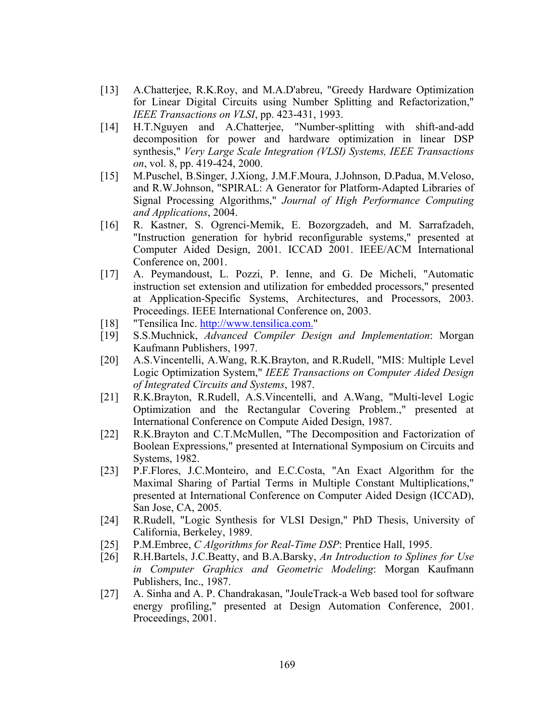- [13] A.Chatterjee, R.K.Roy, and M.A.D'abreu, "Greedy Hardware Optimization for Linear Digital Circuits using Number Splitting and Refactorization," *IEEE Transactions on VLSI*, pp. 423-431, 1993.
- [14] H.T.Nguyen and A.Chatterjee, "Number-splitting with shift-and-add decomposition for power and hardware optimization in linear DSP synthesis," *Very Large Scale Integration (VLSI) Systems, IEEE Transactions on*, vol. 8, pp. 419-424, 2000.
- [15] M.Puschel, B.Singer, J.Xiong, J.M.F.Moura, J.Johnson, D.Padua, M.Veloso, and R.W.Johnson, "SPIRAL: A Generator for Platform-Adapted Libraries of Signal Processing Algorithms," *Journal of High Performance Computing and Applications*, 2004.
- [16] R. Kastner, S. Ogrenci-Memik, E. Bozorgzadeh, and M. Sarrafzadeh, "Instruction generation for hybrid reconfigurable systems," presented at Computer Aided Design, 2001. ICCAD 2001. IEEE/ACM International Conference on, 2001.
- [17] A. Peymandoust, L. Pozzi, P. Ienne, and G. De Micheli, "Automatic instruction set extension and utilization for embedded processors," presented at Application-Specific Systems, Architectures, and Processors, 2003. Proceedings. IEEE International Conference on, 2003.
- [18] "Tensilica Inc. http://www.tensilica.com."
- [19] S.S.Muchnick, *Advanced Compiler Design and Implementation*: Morgan Kaufmann Publishers, 1997.
- [20] A.S.Vincentelli, A.Wang, R.K.Brayton, and R.Rudell, "MIS: Multiple Level Logic Optimization System," *IEEE Transactions on Computer Aided Design of Integrated Circuits and Systems*, 1987.
- [21] R.K.Brayton, R.Rudell, A.S.Vincentelli, and A.Wang, "Multi-level Logic Optimization and the Rectangular Covering Problem.," presented at International Conference on Compute Aided Design, 1987.
- [22] R.K.Brayton and C.T.McMullen, "The Decomposition and Factorization of Boolean Expressions," presented at International Symposium on Circuits and Systems, 1982.
- [23] P.F.Flores, J.C.Monteiro, and E.C.Costa, "An Exact Algorithm for the Maximal Sharing of Partial Terms in Multiple Constant Multiplications," presented at International Conference on Computer Aided Design (ICCAD), San Jose, CA, 2005.
- [24] R.Rudell, "Logic Synthesis for VLSI Design," PhD Thesis, University of California, Berkeley, 1989.
- [25] P.M.Embree, *C Algorithms for Real-Time DSP*: Prentice Hall, 1995.
- [26] R.H.Bartels, J.C.Beatty, and B.A.Barsky, *An Introduction to Splines for Use in Computer Graphics and Geometric Modeling*: Morgan Kaufmann Publishers, Inc., 1987.
- [27] A. Sinha and A. P. Chandrakasan, "JouleTrack-a Web based tool for software energy profiling," presented at Design Automation Conference, 2001. Proceedings, 2001.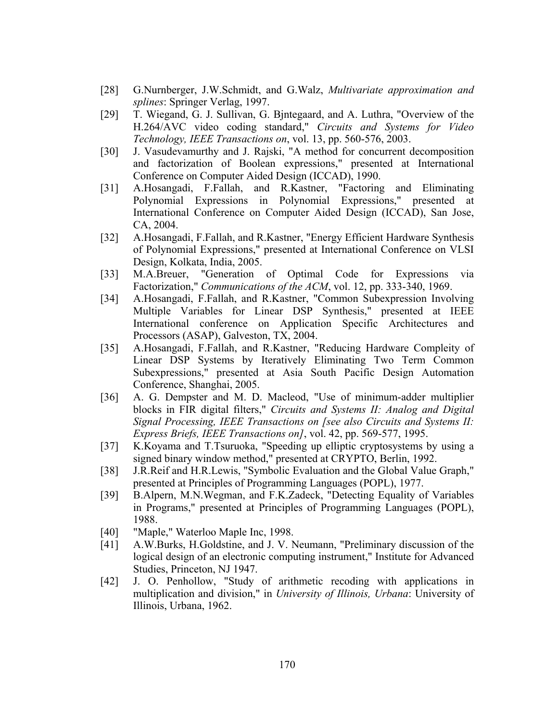- [28] G.Nurnberger, J.W.Schmidt, and G.Walz, *Multivariate approximation and splines*: Springer Verlag, 1997.
- [29] T. Wiegand, G. J. Sullivan, G. Bjntegaard, and A. Luthra, "Overview of the H.264/AVC video coding standard," *Circuits and Systems for Video Technology, IEEE Transactions on*, vol. 13, pp. 560-576, 2003.
- [30] J. Vasudevamurthy and J. Rajski, "A method for concurrent decomposition and factorization of Boolean expressions," presented at International Conference on Computer Aided Design (ICCAD), 1990.
- [31] A.Hosangadi, F.Fallah, and R.Kastner, "Factoring and Eliminating Polynomial Expressions in Polynomial Expressions," presented at International Conference on Computer Aided Design (ICCAD), San Jose, CA, 2004.
- [32] A.Hosangadi, F.Fallah, and R.Kastner, "Energy Efficient Hardware Synthesis of Polynomial Expressions," presented at International Conference on VLSI Design, Kolkata, India, 2005.
- [33] M.A.Breuer, "Generation of Optimal Code for Expressions via Factorization," *Communications of the ACM*, vol. 12, pp. 333-340, 1969.
- [34] A.Hosangadi, F.Fallah, and R.Kastner, "Common Subexpression Involving Multiple Variables for Linear DSP Synthesis," presented at IEEE International conference on Application Specific Architectures and Processors (ASAP), Galveston, TX, 2004.
- [35] A.Hosangadi, F.Fallah, and R.Kastner, "Reducing Hardware Compleity of Linear DSP Systems by Iteratively Eliminating Two Term Common Subexpressions," presented at Asia South Pacific Design Automation Conference, Shanghai, 2005.
- [36] A. G. Dempster and M. D. Macleod, "Use of minimum-adder multiplier blocks in FIR digital filters," *Circuits and Systems II: Analog and Digital Signal Processing, IEEE Transactions on [see also Circuits and Systems II: Express Briefs, IEEE Transactions on]*, vol. 42, pp. 569-577, 1995.
- [37] K.Koyama and T.Tsuruoka, "Speeding up elliptic cryptosystems by using a signed binary window method," presented at CRYPTO, Berlin, 1992.
- [38] J.R.Reif and H.R.Lewis, "Symbolic Evaluation and the Global Value Graph," presented at Principles of Programming Languages (POPL), 1977.
- [39] B.Alpern, M.N.Wegman, and F.K.Zadeck, "Detecting Equality of Variables in Programs," presented at Principles of Programming Languages (POPL), 1988.
- [40] "Maple," Waterloo Maple Inc, 1998.
- [41] A.W.Burks, H.Goldstine, and J. V. Neumann, "Preliminary discussion of the logical design of an electronic computing instrument," Institute for Advanced Studies, Princeton, NJ 1947.
- [42] J. O. Penhollow, "Study of arithmetic recoding with applications in multiplication and division," in *University of Illinois, Urbana*: University of Illinois, Urbana, 1962.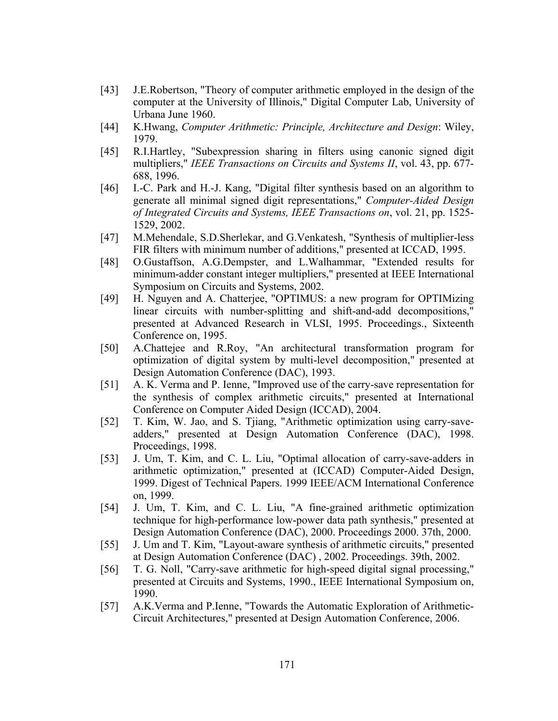- [43] J.E.Robertson, "Theory of computer arithmetic employed in the design of the computer at the University of Illinois," Digital Computer Lab, University of Urbana June 1960.
- [44] K.Hwang, *Computer Arithmetic: Principle, Architecture and Design*: Wiley, 1979.
- [45] R.I.Hartley, "Subexpression sharing in filters using canonic signed digit multipliers," *IEEE Transactions on Circuits and Systems II*, vol. 43, pp. 677- 688, 1996.
- [46] I.-C. Park and H.-J. Kang, "Digital filter synthesis based on an algorithm to generate all minimal signed digit representations," *Computer-Aided Design of Integrated Circuits and Systems, IEEE Transactions on*, vol. 21, pp. 1525- 1529, 2002.
- [47] M.Mehendale, S.D.Sherlekar, and G.Venkatesh, "Synthesis of multiplier-less FIR filters with minimum number of additions," presented at ICCAD, 1995.
- [48] O.Gustaffson, A.G.Dempster, and L.Walhammar, "Extended results for minimum-adder constant integer multipliers," presented at IEEE International Symposium on Circuits and Systems, 2002.
- [49] H. Nguyen and A. Chatterjee, "OPTIMUS: a new program for OPTIMizing linear circuits with number-splitting and shift-and-add decompositions," presented at Advanced Research in VLSI, 1995. Proceedings., Sixteenth Conference on, 1995.
- [50] A.Chattejee and R.Roy, "An architectural transformation program for optimization of digital system by multi-level decomposition," presented at Design Automation Conference (DAC), 1993.
- [51] A. K. Verma and P. Ienne, "Improved use of the carry-save representation for the synthesis of complex arithmetic circuits," presented at International Conference on Computer Aided Design (ICCAD), 2004.
- [52] T. Kim, W. Jao, and S. Tjiang, "Arithmetic optimization using carry-saveadders," presented at Design Automation Conference (DAC), 1998. Proceedings, 1998.
- [53] J. Um, T. Kim, and C. L. Liu, "Optimal allocation of carry-save-adders in arithmetic optimization," presented at (ICCAD) Computer-Aided Design, 1999. Digest of Technical Papers. 1999 IEEE/ACM International Conference on, 1999.
- [54] J. Um, T. Kim, and C. L. Liu, "A fine-grained arithmetic optimization technique for high-performance low-power data path synthesis," presented at Design Automation Conference (DAC), 2000. Proceedings 2000. 37th, 2000.
- [55] J. Um and T. Kim, "Layout-aware synthesis of arithmetic circuits," presented at Design Automation Conference (DAC) , 2002. Proceedings. 39th, 2002.
- [56] T. G. Noll, "Carry-save arithmetic for high-speed digital signal processing," presented at Circuits and Systems, 1990., IEEE International Symposium on, 1990.
- [57] A.K.Verma and P.Ienne, "Towards the Automatic Exploration of Arithmetic-Circuit Architectures," presented at Design Automation Conference, 2006.